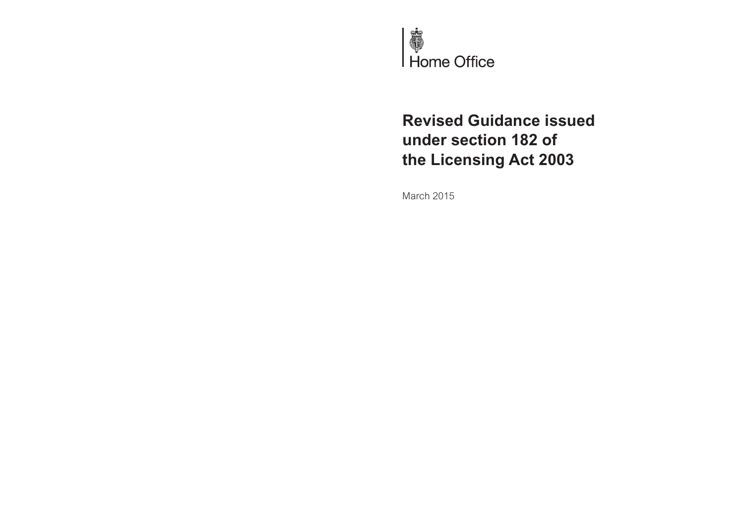

# **Revised Guidance issued under section 182 of the Licensing Act 2003**

March 2015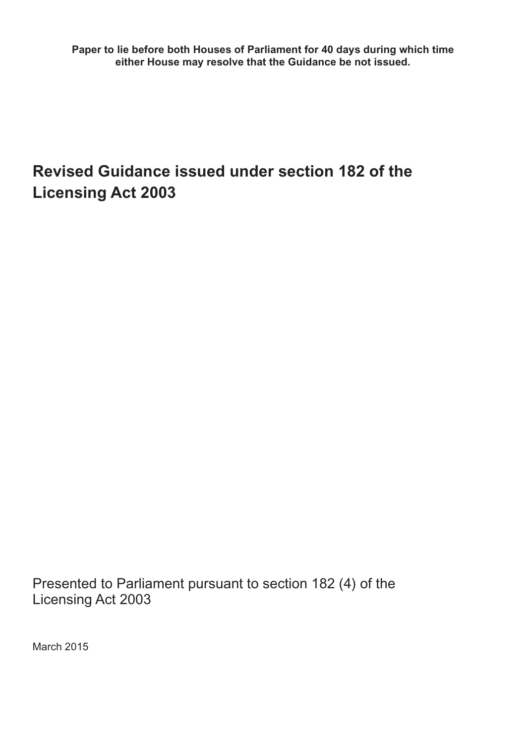**Paper to lie before both Houses of Parliament for 40 days during which time either House may resolve that the Guidance be not issued.**

# **Revised Guidance issued under section 182 of the Licensing Act 2003**

Presented to Parliament pursuant to section 182 (4) of the Licensing Act 2003

March 2015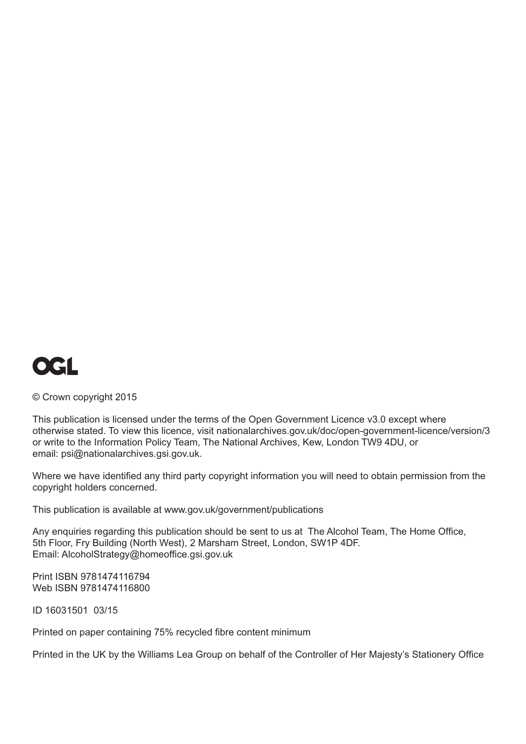

© Crown copyright 2015

This publication is licensed under the terms of the Open Government Licence v3.0 except where otherwise stated. To view this licence, visit [nationalarchives.gov.uk/doc/open-government-licence/version/3](http://www.nationalarchives.gov.uk/doc/open-government-licence/version/3)  or write to the Information Policy Team, The National Archives, Kew, London TW9 4DU, or email: [psi@nationalarchives.gsi.gov.uk.](mailto:psi@nationalarchives.gsi.gov.uk)

Where we have identified any third party copyright information you will need to obtain permission from the copyright holders concerned.

This publication is available at [www.gov.uk/government/publications](http://www.gov.uk/government/publications) 

Any enquiries regarding this publication should be sent to us at The Alcohol Team, The Home Office, 5th Floor, Fry Building (North West), 2 Marsham Street, London, SW1P 4DF. Email: [AlcoholStrategy@homeoffice.gsi.gov.uk](mailto:AlcoholStrategy@homeoffice.gsi.gov.uk)

Print ISBN 9781474116794 Web ISBN 9781474116800

ID 16031501 03/15

Printed on paper containing 75% recycled fibre content minimum

Printed in the UK by the Williams Lea Group on behalf of the Controller of Her Majesty's Stationery Office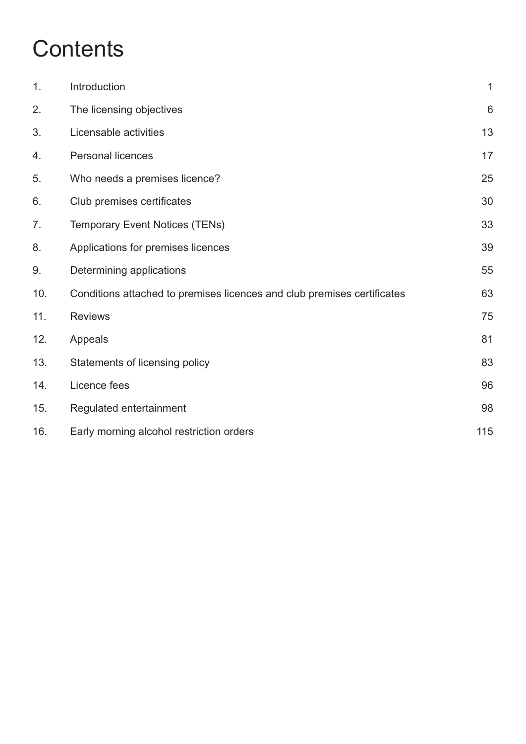# **Contents**

| 1.  | Introduction                                                            | $\mathbf 1$ |
|-----|-------------------------------------------------------------------------|-------------|
| 2.  | The licensing objectives                                                | $6\,$       |
| 3.  | Licensable activities                                                   | 13          |
| 4.  | Personal licences                                                       | 17          |
| 5.  | Who needs a premises licence?                                           | 25          |
| 6.  | Club premises certificates                                              | 30          |
| 7.  | <b>Temporary Event Notices (TENs)</b>                                   | 33          |
| 8.  | Applications for premises licences                                      | 39          |
| 9.  | Determining applications                                                | 55          |
| 10. | Conditions attached to premises licences and club premises certificates | 63          |
| 11. | <b>Reviews</b>                                                          | 75          |
| 12. | Appeals                                                                 | 81          |
| 13. | Statements of licensing policy                                          | 83          |
| 14. | Licence fees                                                            | 96          |
| 15. | Regulated entertainment                                                 | 98          |
| 16. | Early morning alcohol restriction orders                                | 115         |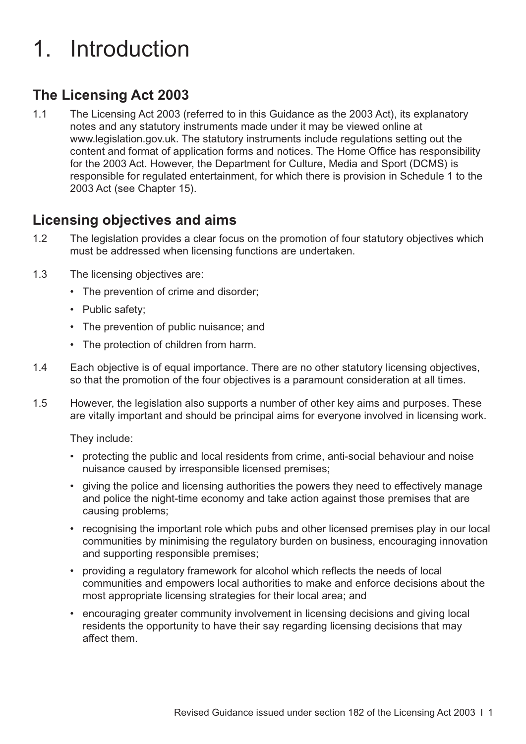# <span id="page-4-0"></span>1. Introduction

## **The Licensing Act 2003**

1.1 The Licensing Act 2003 (referred to in this Guidance as the 2003 Act), its explanatory notes and any statutory instruments made under it may be viewed online at [www.legislation.gov.uk. T](http://www.legislation.gov.uk)he statutory instruments include regulations setting out the content and format of application forms and notices. The Home Office has responsibility for the 2003 Act. However, the Department for Culture, Media and Sport (DCMS) is responsible for regulated entertainment, for which there is provision in Schedule 1 to the 2003 Act (see [Chapter 15](#page-101-0)).

#### **Licensing objectives and aims**

- 1.2 The legislation provides a clear focus on the promotion of four statutory objectives which must be addressed when licensing functions are undertaken.
- 1.3 The licensing objectives are:
	- The prevention of crime and disorder;
	- Public safety;
	- The prevention of public nuisance; and
	- The protection of children from harm.
- 1.4 Each objective is of equal importance. There are no other statutory licensing objectives, so that the promotion of the four objectives is a paramount consideration at all times.
- 1.5 However, the legislation also supports a number of other key aims and purposes. These are vitally important and should be principal aims for everyone involved in licensing work.

They include:

- protecting the public and local residents from crime, anti-social behaviour and noise nuisance caused by irresponsible licensed premises;
- giving the police and licensing authorities the powers they need to effectively manage and police the night-time economy and take action against those premises that are causing problems;
- recognising the important role which pubs and other licensed premises play in our local communities by minimising the regulatory burden on business, encouraging innovation and supporting responsible premises;
- providing a regulatory framework for alcohol which reflects the needs of local communities and empowers local authorities to make and enforce decisions about the most appropriate licensing strategies for their local area; and
- encouraging greater community involvement in licensing decisions and giving local residents the opportunity to have their say regarding licensing decisions that may affect them.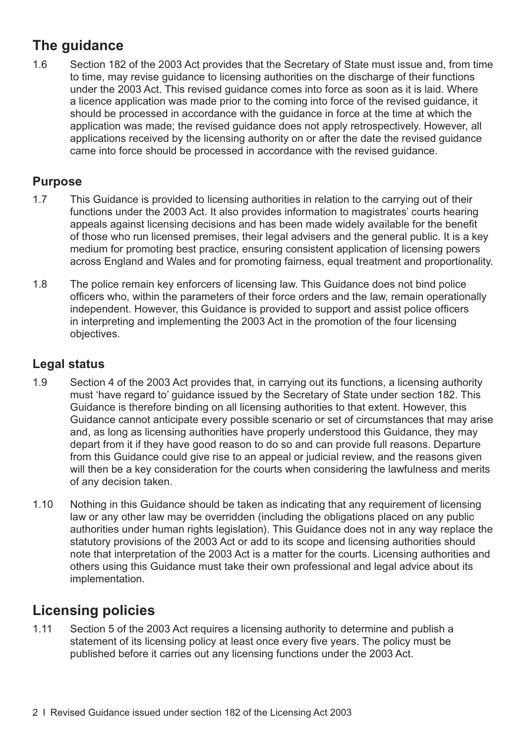# **The guidance**

1.6 Section 182 of the 2003 Act provides that the Secretary of State must issue and, from time to time, may revise guidance to licensing authorities on the discharge of their functions under the 2003 Act. This revised guidance comes into force as soon as it is laid. Where a licence application was made prior to the coming into force of the revised guidance, it should be processed in accordance with the guidance in force at the time at which the application was made; the revised guidance does not apply retrospectively. However, all applications received by the licensing authority on or after the date the revised guidance came into force should be processed in accordance with the revised guidance.

#### **Purpose**

- 1.7 This Guidance is provided to licensing authorities in relation to the carrying out of their functions under the 2003 Act. It also provides information to magistrates' courts hearing appeals against licensing decisions and has been made widely available for the benefit of those who run licensed premises, their legal advisers and the general public. It is a key medium for promoting best practice, ensuring consistent application of licensing powers across England and Wales and for promoting fairness, equal treatment and proportionality.
- 1.8 The police remain key enforcers of licensing law. This Guidance does not bind police officers who, within the parameters of their force orders and the law, remain operationally independent. However, this Guidance is provided to support and assist police officers in interpreting and implementing the 2003 Act in the promotion of the four licensing objectives.

#### **Legal status**

- 1.9 Section 4 of the 2003 Act provides that, in carrying out its functions, a licensing authority must 'have regard to' guidance issued by the Secretary of State under section 182. This Guidance is therefore binding on all licensing authorities to that extent. However, this Guidance cannot anticipate every possible scenario or set of circumstances that may arise and, as long as licensing authorities have properly understood this Guidance, they may depart from it if they have good reason to do so and can provide full reasons. Departure from this Guidance could give rise to an appeal or judicial review, and the reasons given will then be a key consideration for the courts when considering the lawfulness and merits of any decision taken.
- 1.10 Nothing in this Guidance should be taken as indicating that any requirement of licensing law or any other law may be overridden (including the obligations placed on any public authorities under human rights legislation). This Guidance does not in any way replace the statutory provisions of the 2003 Act or add to its scope and licensing authorities should note that interpretation of the 2003 Act is a matter for the courts. Licensing authorities and others using this Guidance must take their own professional and legal advice about its implementation.

# **Licensing policies**

1.11 Section 5 of the 2003 Act requires a licensing authority to determine and publish a statement of its licensing policy at least once every five years. The policy must be published before it carries out any licensing functions under the 2003 Act.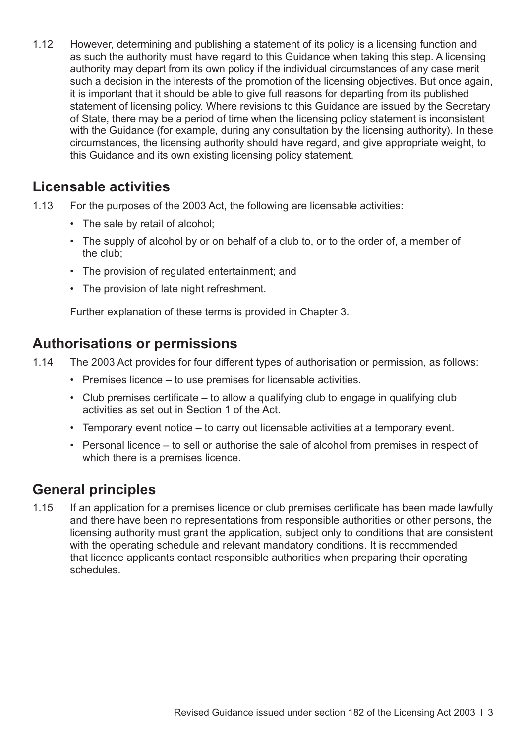1.12 However, determining and publishing a statement of its policy is a licensing function and as such the authority must have regard to this Guidance when taking this step. A licensing authority may depart from its own policy if the individual circumstances of any case merit such a decision in the interests of the promotion of the licensing objectives. But once again, it is important that it should be able to give full reasons for departing from its published statement of licensing policy. Where revisions to this Guidance are issued by the Secretary of State, there may be a period of time when the licensing policy statement is inconsistent with the Guidance (for example, during any consultation by the licensing authority). In these circumstances, the licensing authority should have regard, and give appropriate weight, to this Guidance and its own existing licensing policy statement.

#### **Licensable activities**

- 1.13 For the purposes of the 2003 Act, the following are licensable activities:
	- The sale by retail of alcohol;
	- The supply of alcohol by or on behalf of a club to, or to the order of, a member of the club;
	- The provision of regulated entertainment; and
	- The provision of late night refreshment.

Further explanation of these terms is provided in [Chapter 3.](#page-16-0)

### **Authorisations or permissions**

- 1.14 The 2003 Act provides for four different types of authorisation or permission, as follows:
	- Premises licence to use premises for licensable activities.
	- Club premises certificate to allow a qualifying club to engage in qualifying club activities as set out in Section 1 of the Act.
	- Temporary event notice to carry out licensable activities at a temporary event.
	- Personal licence to sell or authorise the sale of alcohol from premises in respect of which there is a premises licence.

## **General principles**

1.15 If an application for a premises licence or club premises certificate has been made lawfully and there have been no representations from responsible authorities or other persons, the licensing authority must grant the application, subject only to conditions that are consistent with the operating schedule and relevant mandatory conditions. It is recommended that licence applicants contact responsible authorities when preparing their operating schedules.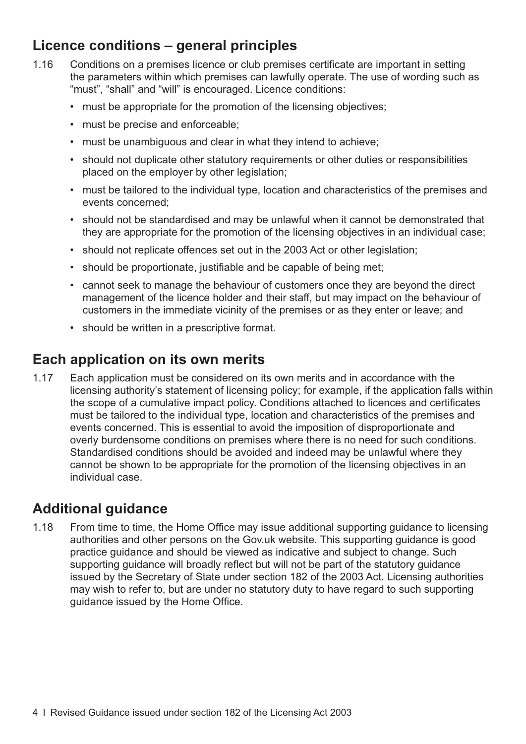## **Licence conditions – general principles**

- 1.16 Conditions on a premises licence or club premises certificate are important in setting the parameters within which premises can lawfully operate. The use of wording such as "must", "shall" and "will" is encouraged. Licence conditions:
	- must be appropriate for the promotion of the licensing objectives;
	- must be precise and enforceable;
	- must be unambiguous and clear in what they intend to achieve;
	- should not duplicate other statutory requirements or other duties or responsibilities placed on the employer by other legislation;
	- must be tailored to the individual type, location and characteristics of the premises and events concerned;
	- should not be standardised and may be unlawful when it cannot be demonstrated that they are appropriate for the promotion of the licensing objectives in an individual case;
	- should not replicate offences set out in the 2003 Act or other legislation;
	- should be proportionate, justifiable and be capable of being met;
	- cannot seek to manage the behaviour of customers once they are beyond the direct management of the licence holder and their staff, but may impact on the behaviour of customers in the immediate vicinity of the premises or as they enter or leave; and
	- should be written in a prescriptive format.

#### **Each application on its own merits**

1.17 Each application must be considered on its own merits and in accordance with the licensing authority's statement of licensing policy; for example, if the application falls within the scope of a cumulative impact policy. Conditions attached to licences and certificates must be tailored to the individual type, location and characteristics of the premises and events concerned. This is essential to avoid the imposition of disproportionate and overly burdensome conditions on premises where there is no need for such conditions. Standardised conditions should be avoided and indeed may be unlawful where they cannot be shown to be appropriate for the promotion of the licensing objectives in an individual case.

### **Additional guidance**

1.18 From time to time, the Home Office may issue additional supporting guidance to licensing authorities and other persons on the Gov.uk website. This supporting guidance is good practice guidance and should be viewed as indicative and subject to change. Such supporting guidance will broadly reflect but will not be part of the statutory guidance issued by the Secretary of State under section 182 of the 2003 Act. Licensing authorities may wish to refer to, but are under no statutory duty to have regard to such supporting guidance issued by the Home Office.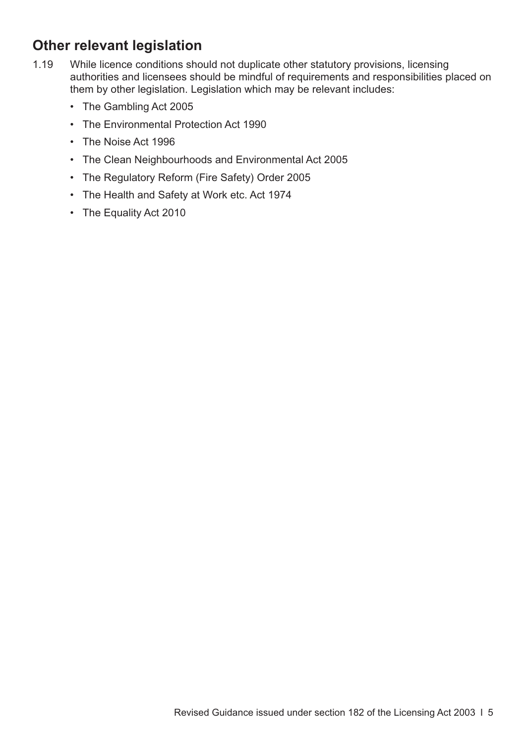## **Other relevant legislation**

- 1.19 While licence conditions should not duplicate other statutory provisions, licensing authorities and licensees should be mindful of requirements and responsibilities placed on them by other legislation. Legislation which may be relevant includes:
	- The Gambling Act 2005
	- The Environmental Protection Act 1990
	- The Noise Act 1996
	- The Clean Neighbourhoods and Environmental Act 2005
	- The Regulatory Reform (Fire Safety) Order 2005
	- The Health and Safety at Work etc. Act 1974
	- The Equality Act 2010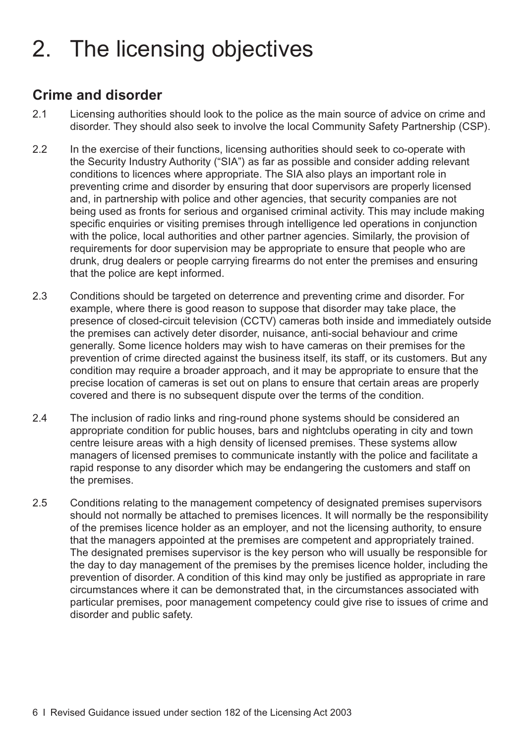# <span id="page-9-0"></span>2. The licensing objectives

### **Crime and disorder**

- 2.1 Licensing authorities should look to the police as the main source of advice on crime and disorder. They should also seek to involve the local Community Safety Partnership (CSP).
- 2.2 In the exercise of their functions, licensing authorities should seek to co-operate with the Security Industry Authority ("SIA") as far as possible and consider adding relevant conditions to licences where appropriate. The SIA also plays an important role in preventing crime and disorder by ensuring that door supervisors are properly licensed and, in partnership with police and other agencies, that security companies are not being used as fronts for serious and organised criminal activity. This may include making specific enquiries or visiting premises through intelligence led operations in conjunction with the police, local authorities and other partner agencies. Similarly, the provision of requirements for door supervision may be appropriate to ensure that people who are drunk, drug dealers or people carrying firearms do not enter the premises and ensuring that the police are kept informed.
- 2.3 Conditions should be targeted on deterrence and preventing crime and disorder. For example, where there is good reason to suppose that disorder may take place, the presence of closed-circuit television (CCTV) cameras both inside and immediately outside the premises can actively deter disorder, nuisance, anti-social behaviour and crime generally. Some licence holders may wish to have cameras on their premises for the prevention of crime directed against the business itself, its staff, or its customers. But any condition may require a broader approach, and it may be appropriate to ensure that the precise location of cameras is set out on plans to ensure that certain areas are properly covered and there is no subsequent dispute over the terms of the condition.
- 2.4 The inclusion of radio links and ring-round phone systems should be considered an appropriate condition for public houses, bars and nightclubs operating in city and town centre leisure areas with a high density of licensed premises. These systems allow managers of licensed premises to communicate instantly with the police and facilitate a rapid response to any disorder which may be endangering the customers and staff on the premises.
- 2.5 Conditions relating to the management competency of designated premises supervisors should not normally be attached to premises licences. It will normally be the responsibility of the premises licence holder as an employer, and not the licensing authority, to ensure that the managers appointed at the premises are competent and appropriately trained. The designated premises supervisor is the key person who will usually be responsible for the day to day management of the premises by the premises licence holder, including the prevention of disorder. A condition of this kind may only be justified as appropriate in rare circumstances where it can be demonstrated that, in the circumstances associated with particular premises, poor management competency could give rise to issues of crime and disorder and public safety.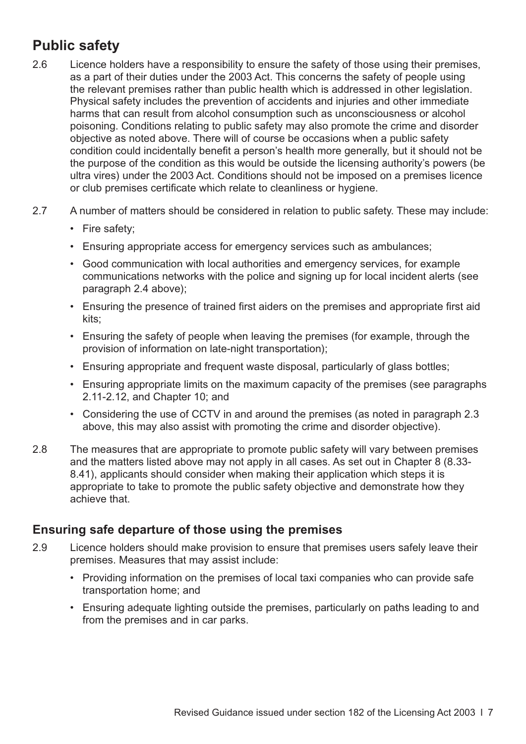# **Public safety**

- 2.6 Licence holders have a responsibility to ensure the safety of those using their premises, as a part of their duties under the 2003 Act. This concerns the safety of people using the relevant premises rather than public health which is addressed in other legislation. Physical safety includes the prevention of accidents and injuries and other immediate harms that can result from alcohol consumption such as unconsciousness or alcohol poisoning. Conditions relating to public safety may also promote the crime and disorder objective as noted above. There will of course be occasions when a public safety condition could incidentally benefit a person's health more generally, but it should not be the purpose of the condition as this would be outside the licensing authority's powers (be ultra vires) under the 2003 Act. Conditions should not be imposed on a premises licence or club premises certificate which relate to cleanliness or hygiene.
- 2.7 A number of matters should be considered in relation to public safety. These may include:
	- Fire safety;
	- Ensuring appropriate access for emergency services such as ambulances;
	- Good communication with local authorities and emergency services, for example communications networks with the police and signing up for local incident alerts (see [paragraph 2.4](#page-9-0) above);
	- Ensuring the presence of trained first aiders on the premises and appropriate first aid kits;
	- Ensuring the safety of people when leaving the premises (for example, through the provision of information on late-night transportation);
	- Ensuring appropriate and frequent waste disposal, particularly of glass bottles;
	- Ensuring appropriate limits on the maximum capacity of the premises (see paragraphs [2.11-2.12](#page-11-0), and [Chapter 10;](#page-66-0) and
	- Considering the use of CCTV in and around the premises (as noted in [paragraph 2.3](#page-9-0) above, this may also assist with promoting the crime and disorder objective).
- 2.8 The measures that are appropriate to promote public safety will vary between premises [and the matters listed above may not apply in all cases. As set out in Chapter 8 \(8.33-](#page-47-0) 8.41), applicants should consider when making their application which steps it is appropriate to take to promote the public safety objective and demonstrate how they achieve that.

#### **Ensuring safe departure of those using the premises**

- 2.9 Licence holders should make provision to ensure that premises users safely leave their premises. Measures that may assist include:
	- Providing information on the premises of local taxi companies who can provide safe transportation home; and
	- Ensuring adequate lighting outside the premises, particularly on paths leading to and from the premises and in car parks.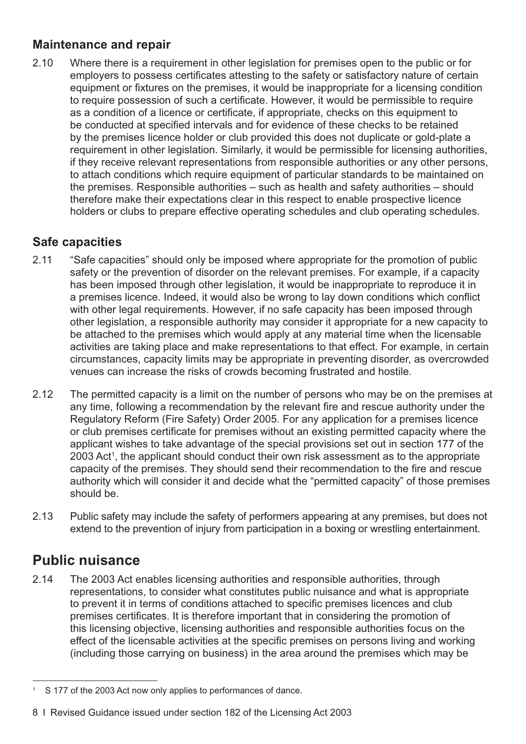#### <span id="page-11-0"></span>**Maintenance and repair**

2.10 Where there is a requirement in other legislation for premises open to the public or for employers to possess certificates attesting to the safety or satisfactory nature of certain equipment or fixtures on the premises, it would be inappropriate for a licensing condition to require possession of such a certificate. However, it would be permissible to require as a condition of a licence or certificate, if appropriate, checks on this equipment to be conducted at specified intervals and for evidence of these checks to be retained by the premises licence holder or club provided this does not duplicate or gold-plate a requirement in other legislation. Similarly, it would be permissible for licensing authorities, if they receive relevant representations from responsible authorities or any other persons, to attach conditions which require equipment of particular standards to be maintained on the premises. Responsible authorities – such as health and safety authorities – should therefore make their expectations clear in this respect to enable prospective licence holders or clubs to prepare effective operating schedules and club operating schedules.

#### **Safe capacities**

- 2.11 "Safe capacities" should only be imposed where appropriate for the promotion of public safety or the prevention of disorder on the relevant premises. For example, if a capacity has been imposed through other legislation, it would be inappropriate to reproduce it in a premises licence. Indeed, it would also be wrong to lay down conditions which conflict with other legal requirements. However, if no safe capacity has been imposed through other legislation, a responsible authority may consider it appropriate for a new capacity to be attached to the premises which would apply at any material time when the licensable activities are taking place and make representations to that effect. For example, in certain circumstances, capacity limits may be appropriate in preventing disorder, as overcrowded venues can increase the risks of crowds becoming frustrated and hostile.
- 2.12 The permitted capacity is a limit on the number of persons who may be on the premises at any time, following a recommendation by the relevant fire and rescue authority under the Regulatory Reform (Fire Safety) Order 2005. For any application for a premises licence or club premises certificate for premises without an existing permitted capacity where the applicant wishes to take advantage of the special provisions set out in section 177 of the 2003 Act<sup>1</sup>, the applicant should conduct their own risk assessment as to the appropriate capacity of the premises. They should send their recommendation to the fire and rescue authority which will consider it and decide what the "permitted capacity" of those premises should be.
- 2.13 Public safety may include the safety of performers appearing at any premises, but does not extend to the prevention of injury from participation in a boxing or wrestling entertainment.

# **Public nuisance**

2.14 The 2003 Act enables licensing authorities and responsible authorities, through representations, to consider what constitutes public nuisance and what is appropriate to prevent it in terms of conditions attached to specific premises licences and club premises certificates. It is therefore important that in considering the promotion of this licensing objective, licensing authorities and responsible authorities focus on the effect of the licensable activities at the specific premises on persons living and working (including those carrying on business) in the area around the premises which may be

<sup>&</sup>lt;sup>1</sup> S 177 of the 2003 Act now only applies to performances of dance.

<sup>8</sup> I Revised Guidance issued under section 182 of the Licensing Act 2003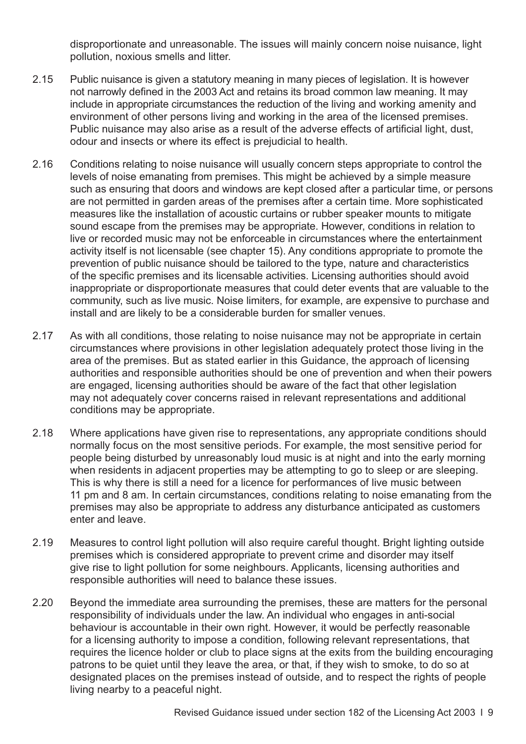disproportionate and unreasonable. The issues will mainly concern noise nuisance, light pollution, noxious smells and litter.

- 2.15 Public nuisance is given a statutory meaning in many pieces of legislation. It is however not narrowly defined in the 2003 Act and retains its broad common law meaning. It may include in appropriate circumstances the reduction of the living and working amenity and environment of other persons living and working in the area of the licensed premises. Public nuisance may also arise as a result of the adverse effects of artificial light, dust, odour and insects or where its effect is prejudicial to health.
- 2.16 Conditions relating to noise nuisance will usually concern steps appropriate to control the levels of noise emanating from premises. This might be achieved by a simple measure such as ensuring that doors and windows are kept closed after a particular time, or persons are not permitted in garden areas of the premises after a certain time. More sophisticated measures like the installation of acoustic curtains or rubber speaker mounts to mitigate sound escape from the premises may be appropriate. However, conditions in relation to live or recorded music may not be enforceable in circumstances where the entertainment activity itself is not licensable (see [chapter 15\)](#page-101-0). Any conditions appropriate to promote the prevention of public nuisance should be tailored to the type, nature and characteristics of the specific premises and its licensable activities. Licensing authorities should avoid inappropriate or disproportionate measures that could deter events that are valuable to the community, such as live music. Noise limiters, for example, are expensive to purchase and install and are likely to be a considerable burden for smaller venues.
- 2.17 As with all conditions, those relating to noise nuisance may not be appropriate in certain circumstances where provisions in other legislation adequately protect those living in the area of the premises. But as stated earlier in this Guidance, the approach of licensing authorities and responsible authorities should be one of prevention and when their powers are engaged, licensing authorities should be aware of the fact that other legislation may not adequately cover concerns raised in relevant representations and additional conditions may be appropriate.
- 2.18 Where applications have given rise to representations, any appropriate conditions should normally focus on the most sensitive periods. For example, the most sensitive period for people being disturbed by unreasonably loud music is at night and into the early morning when residents in adjacent properties may be attempting to go to sleep or are sleeping. This is why there is still a need for a licence for performances of live music between 11 pm and 8 am. In certain circumstances, conditions relating to noise emanating from the premises may also be appropriate to address any disturbance anticipated as customers enter and leave.
- 2.19 Measures to control light pollution will also require careful thought. Bright lighting outside premises which is considered appropriate to prevent crime and disorder may itself give rise to light pollution for some neighbours. Applicants, licensing authorities and responsible authorities will need to balance these issues.
- 2.20 Beyond the immediate area surrounding the premises, these are matters for the personal responsibility of individuals under the law. An individual who engages in anti-social behaviour is accountable in their own right. However, it would be perfectly reasonable for a licensing authority to impose a condition, following relevant representations, that requires the licence holder or club to place signs at the exits from the building encouraging patrons to be quiet until they leave the area, or that, if they wish to smoke, to do so at designated places on the premises instead of outside, and to respect the rights of people living nearby to a peaceful night.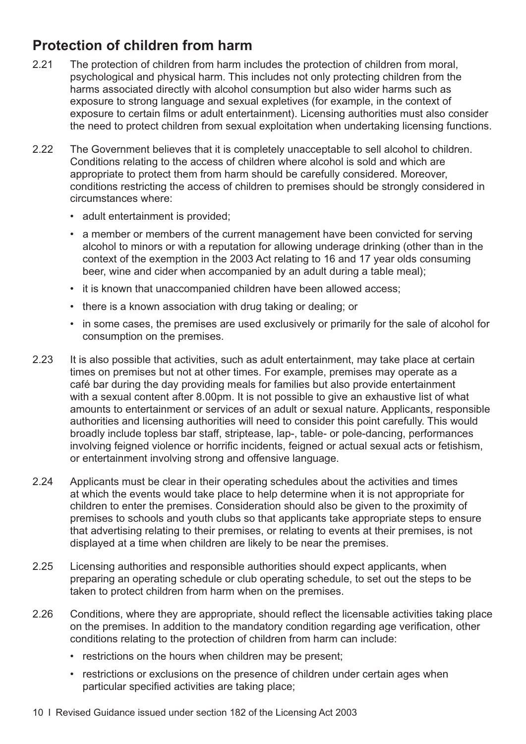# **Protection of children from harm**

- 2.21 The protection of children from harm includes the protection of children from moral, psychological and physical harm. This includes not only protecting children from the harms associated directly with alcohol consumption but also wider harms such as exposure to strong language and sexual expletives (for example, in the context of exposure to certain films or adult entertainment). Licensing authorities must also consider the need to protect children from sexual exploitation when undertaking licensing functions.
- 2.22 The Government believes that it is completely unacceptable to sell alcohol to children. Conditions relating to the access of children where alcohol is sold and which are appropriate to protect them from harm should be carefully considered. Moreover, conditions restricting the access of children to premises should be strongly considered in circumstances where:
	- adult entertainment is provided;
	- a member or members of the current management have been convicted for serving alcohol to minors or with a reputation for allowing underage drinking (other than in the context of the exemption in the 2003 Act relating to 16 and 17 year olds consuming beer, wine and cider when accompanied by an adult during a table meal);
	- it is known that unaccompanied children have been allowed access;
	- there is a known association with drug taking or dealing; or
	- in some cases, the premises are used exclusively or primarily for the sale of alcohol for consumption on the premises.
- 2.23 It is also possible that activities, such as adult entertainment, may take place at certain times on premises but not at other times. For example, premises may operate as a café bar during the day providing meals for families but also provide entertainment with a sexual content after 8.00pm. It is not possible to give an exhaustive list of what amounts to entertainment or services of an adult or sexual nature. Applicants, responsible authorities and licensing authorities will need to consider this point carefully. This would broadly include topless bar staff, striptease, lap-, table- or pole-dancing, performances involving feigned violence or horrific incidents, feigned or actual sexual acts or fetishism, or entertainment involving strong and offensive language.
- 2.24 Applicants must be clear in their operating schedules about the activities and times at which the events would take place to help determine when it is not appropriate for children to enter the premises. Consideration should also be given to the proximity of premises to schools and youth clubs so that applicants take appropriate steps to ensure that advertising relating to their premises, or relating to events at their premises, is not displayed at a time when children are likely to be near the premises.
- 2.25 Licensing authorities and responsible authorities should expect applicants, when preparing an operating schedule or club operating schedule, to set out the steps to be taken to protect children from harm when on the premises.
- 2.26 Conditions, where they are appropriate, should reflect the licensable activities taking place on the premises. In addition to the mandatory condition regarding age verification, other conditions relating to the protection of children from harm can include:
	- restrictions on the hours when children may be present;
	- restrictions or exclusions on the presence of children under certain ages when particular specified activities are taking place;
- 10 I Revised Guidance issued under section 182 of the Licensing Act 2003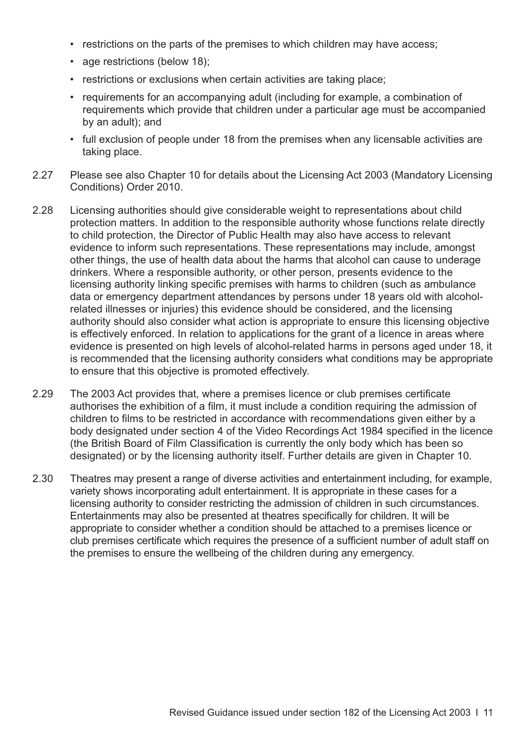- restrictions on the parts of the premises to which children may have access;
- age restrictions (below 18);
- restrictions or exclusions when certain activities are taking place;
- requirements for an accompanying adult (including for example, a combination of requirements which provide that children under a particular age must be accompanied by an adult); and
- full exclusion of people under 18 from the premises when any licensable activities are taking place.
- 2.27 Please see also [Chapter 10](#page-66-0) for details about the Licensing Act 2003 (Mandatory Licensing Conditions) Order 2010.
- 2.28 Licensing authorities should give considerable weight to representations about child protection matters. In addition to the responsible authority whose functions relate directly to child protection, the Director of Public Health may also have access to relevant evidence to inform such representations. These representations may include, amongst other things, the use of health data about the harms that alcohol can cause to underage drinkers. Where a responsible authority, or other person, presents evidence to the licensing authority linking specific premises with harms to children (such as ambulance data or emergency department attendances by persons under 18 years old with alcoholrelated illnesses or injuries) this evidence should be considered, and the licensing authority should also consider what action is appropriate to ensure this licensing objective is effectively enforced. In relation to applications for the grant of a licence in areas where evidence is presented on high levels of alcohol-related harms in persons aged under 18, it is recommended that the licensing authority considers what conditions may be appropriate to ensure that this objective is promoted effectively.
- 2.29 The 2003 Act provides that, where a premises licence or club premises certificate authorises the exhibition of a film, it must include a condition requiring the admission of children to films to be restricted in accordance with recommendations given either by a body designated under section 4 of the Video Recordings Act 1984 specified in the licence (the British Board of Film Classification is currently the only body which has been so designated) or by the licensing authority itself. Further details are given in [Chapter 10.](#page-66-0)
- 2.30 Theatres may present a range of diverse activities and entertainment including, for example, variety shows incorporating adult entertainment. It is appropriate in these cases for a licensing authority to consider restricting the admission of children in such circumstances. Entertainments may also be presented at theatres specifically for children. It will be appropriate to consider whether a condition should be attached to a premises licence or club premises certificate which requires the presence of a sufficient number of adult staff on the premises to ensure the wellbeing of the children during any emergency.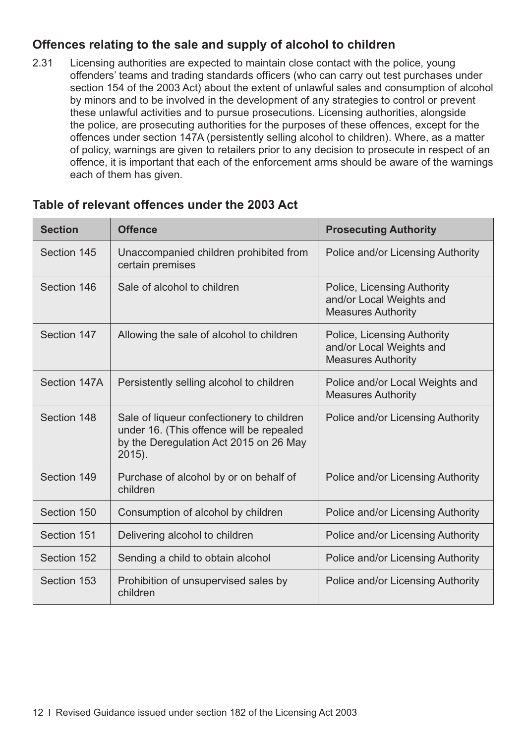#### **Offences relating to the sale and supply of alcohol to children**

2.31 Licensing authorities are expected to maintain close contact with the police, young offenders' teams and trading standards officers (who can carry out test purchases under section 154 of the 2003 Act) about the extent of unlawful sales and consumption of alcohol by minors and to be involved in the development of any strategies to control or prevent these unlawful activities and to pursue prosecutions. Licensing authorities, alongside the police, are prosecuting authorities for the purposes of these offences, except for the offences under section 147A (persistently selling alcohol to children). Where, as a matter of policy, warnings are given to retailers prior to any decision to prosecute in respect of an offence, it is important that each of the enforcement arms should be aware of the warnings each of them has given.

| <b>Section</b> | <b>Offence</b>                                                                                                                               | <b>Prosecuting Authority</b>                                                         |
|----------------|----------------------------------------------------------------------------------------------------------------------------------------------|--------------------------------------------------------------------------------------|
| Section 145    | Unaccompanied children prohibited from<br>certain premises                                                                                   | Police and/or Licensing Authority                                                    |
| Section 146    | Sale of alcohol to children                                                                                                                  | Police, Licensing Authority<br>and/or Local Weights and<br><b>Measures Authority</b> |
| Section 147    | Allowing the sale of alcohol to children                                                                                                     | Police, Licensing Authority<br>and/or Local Weights and<br><b>Measures Authority</b> |
| Section 147A   | Persistently selling alcohol to children                                                                                                     | Police and/or Local Weights and<br><b>Measures Authority</b>                         |
| Section 148    | Sale of liqueur confectionery to children<br>under 16. (This offence will be repealed<br>by the Deregulation Act 2015 on 26 May<br>$2015$ ). | Police and/or Licensing Authority                                                    |
| Section 149    | Purchase of alcohol by or on behalf of<br>children                                                                                           | Police and/or Licensing Authority                                                    |
| Section 150    | Consumption of alcohol by children                                                                                                           | Police and/or Licensing Authority                                                    |
| Section 151    | Delivering alcohol to children                                                                                                               | Police and/or Licensing Authority                                                    |
| Section 152    | Sending a child to obtain alcohol                                                                                                            | Police and/or Licensing Authority                                                    |
| Section 153    | Prohibition of unsupervised sales by<br>children                                                                                             | Police and/or Licensing Authority                                                    |

#### **Table of relevant offences under the 2003 Act**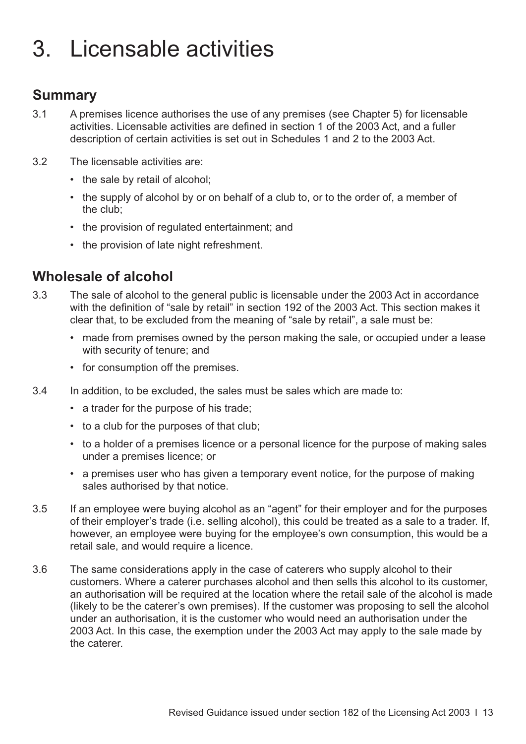# <span id="page-16-0"></span>3. Licensable activities

#### **Summary**

- 3.1 A premises licence authorises the use of any premises (see [Chapter 5\)](#page-28-0) for licensable activities. Licensable activities are defined in section 1 of the 2003 Act, and a fuller description of certain activities is set out in Schedules 1 and 2 to the 2003 Act.
- 3.2 The licensable activities are:
	- the sale by retail of alcohol;
	- the supply of alcohol by or on behalf of a club to, or to the order of, a member of the club;
	- the provision of regulated entertainment; and
	- the provision of late night refreshment.

#### **Wholesale of alcohol**

- 3.3 The sale of alcohol to the general public is licensable under the 2003 Act in accordance with the definition of "sale by retail" in section 192 of the 2003 Act. This section makes it clear that, to be excluded from the meaning of "sale by retail", a sale must be:
	- made from premises owned by the person making the sale, or occupied under a lease with security of tenure; and
	- for consumption off the premises.
- 3.4 In addition, to be excluded, the sales must be sales which are made to:
	- a trader for the purpose of his trade;
	- to a club for the purposes of that club;
	- to a holder of a premises licence or a personal licence for the purpose of making sales under a premises licence; or
	- a premises user who has given a temporary event notice, for the purpose of making sales authorised by that notice.
- 3.5 If an employee were buying alcohol as an "agent" for their employer and for the purposes of their employer's trade (i.e. selling alcohol), this could be treated as a sale to a trader. If, however, an employee were buying for the employee's own consumption, this would be a retail sale, and would require a licence.
- 3.6 The same considerations apply in the case of caterers who supply alcohol to their customers. Where a caterer purchases alcohol and then sells this alcohol to its customer, an authorisation will be required at the location where the retail sale of the alcohol is made (likely to be the caterer's own premises). If the customer was proposing to sell the alcohol under an authorisation, it is the customer who would need an authorisation under the 2003 Act. In this case, the exemption under the 2003 Act may apply to the sale made by the caterer.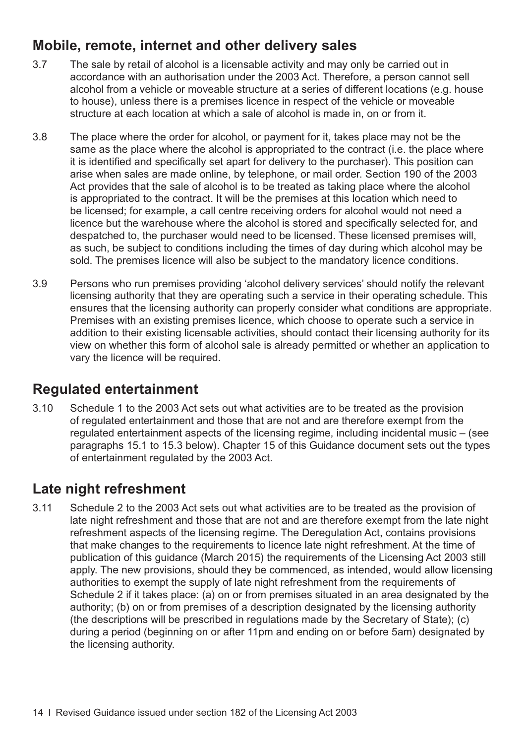## **Mobile, remote, internet and other delivery sales**

- 3.7 The sale by retail of alcohol is a licensable activity and may only be carried out in accordance with an authorisation under the 2003 Act. Therefore, a person cannot sell alcohol from a vehicle or moveable structure at a series of different locations (e.g. house to house), unless there is a premises licence in respect of the vehicle or moveable structure at each location at which a sale of alcohol is made in, on or from it.
- 3.8 The place where the order for alcohol, or payment for it, takes place may not be the same as the place where the alcohol is appropriated to the contract (i.e. the place where it is identified and specifically set apart for delivery to the purchaser). This position can arise when sales are made online, by telephone, or mail order. Section 190 of the 2003 Act provides that the sale of alcohol is to be treated as taking place where the alcohol is appropriated to the contract. It will be the premises at this location which need to be licensed; for example, a call centre receiving orders for alcohol would not need a licence but the warehouse where the alcohol is stored and specifically selected for, and despatched to, the purchaser would need to be licensed. These licensed premises will, as such, be subject to conditions including the times of day during which alcohol may be sold. The premises licence will also be subject to the mandatory licence conditions.
- 3.9 Persons who run premises providing 'alcohol delivery services' should notify the relevant licensing authority that they are operating such a service in their operating schedule. This ensures that the licensing authority can properly consider what conditions are appropriate. Premises with an existing premises licence, which choose to operate such a service in addition to their existing licensable activities, should contact their licensing authority for its view on whether this form of alcohol sale is already permitted or whether an application to vary the licence will be required.

### **Regulated entertainment**

3.10 Schedule 1 to the 2003 Act sets out what activities are to be treated as the provision of regulated entertainment and those that are not and are therefore exempt from the regulated entertainment aspects of the licensing regime, including incidental music – (see [paragraphs 15.1 to 15.3](#page-101-0) below). [Chapter 15](#page-101-0) of this Guidance document sets out the types of entertainment regulated by the 2003 Act.

### **Late night refreshment**

3.11 Schedule 2 to the 2003 Act sets out what activities are to be treated as the provision of late night refreshment and those that are not and are therefore exempt from the late night refreshment aspects of the licensing regime. The Deregulation Act, contains provisions that make changes to the requirements to licence late night refreshment. At the time of publication of this guidance (March 2015) the requirements of the Licensing Act 2003 still apply. The new provisions, should they be commenced, as intended, would allow licensing authorities to exempt the supply of late night refreshment from the requirements of Schedule 2 if it takes place: (a) on or from premises situated in an area designated by the authority; (b) on or from premises of a description designated by the licensing authority (the descriptions will be prescribed in regulations made by the Secretary of State); (c) during a period (beginning on or after 11pm and ending on or before 5am) designated by the licensing authority.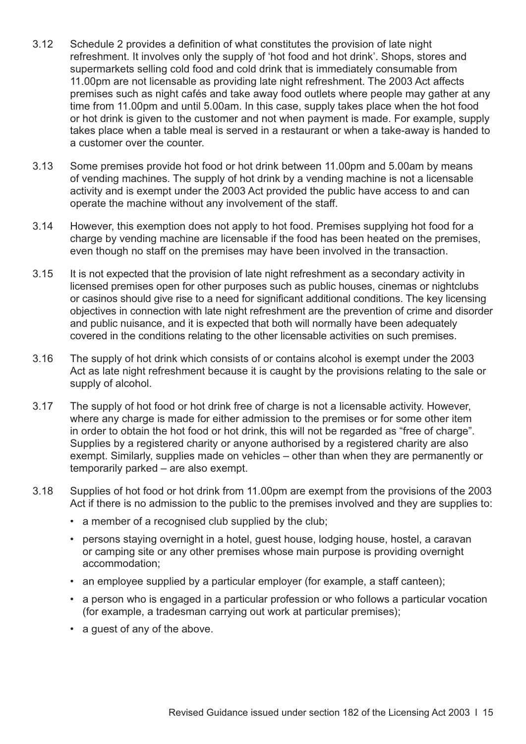- 3.12 Schedule 2 provides a definition of what constitutes the provision of late night refreshment. It involves only the supply of 'hot food and hot drink'. Shops, stores and supermarkets selling cold food and cold drink that is immediately consumable from 11.00pm are not licensable as providing late night refreshment. The 2003 Act affects premises such as night cafés and take away food outlets where people may gather at any time from 11.00pm and until 5.00am. In this case, supply takes place when the hot food or hot drink is given to the customer and not when payment is made. For example, supply takes place when a table meal is served in a restaurant or when a take-away is handed to a customer over the counter.
- 3.13 Some premises provide hot food or hot drink between 11.00pm and 5.00am by means of vending machines. The supply of hot drink by a vending machine is not a licensable activity and is exempt under the 2003 Act provided the public have access to and can operate the machine without any involvement of the staff.
- 3.14 However, this exemption does not apply to hot food. Premises supplying hot food for a charge by vending machine are licensable if the food has been heated on the premises, even though no staff on the premises may have been involved in the transaction.
- 3.15 It is not expected that the provision of late night refreshment as a secondary activity in licensed premises open for other purposes such as public houses, cinemas or nightclubs or casinos should give rise to a need for significant additional conditions. The key licensing objectives in connection with late night refreshment are the prevention of crime and disorder and public nuisance, and it is expected that both will normally have been adequately covered in the conditions relating to the other licensable activities on such premises.
- 3.16 The supply of hot drink which consists of or contains alcohol is exempt under the 2003 Act as late night refreshment because it is caught by the provisions relating to the sale or supply of alcohol.
- 3.17 The supply of hot food or hot drink free of charge is not a licensable activity. However, where any charge is made for either admission to the premises or for some other item in order to obtain the hot food or hot drink, this will not be regarded as "free of charge". Supplies by a registered charity or anyone authorised by a registered charity are also exempt. Similarly, supplies made on vehicles – other than when they are permanently or temporarily parked – are also exempt.
- 3.18 Supplies of hot food or hot drink from 11.00pm are exempt from the provisions of the 2003 Act if there is no admission to the public to the premises involved and they are supplies to:
	- a member of a recognised club supplied by the club;
	- persons staying overnight in a hotel, guest house, lodging house, hostel, a caravan or camping site or any other premises whose main purpose is providing overnight accommodation;
	- an employee supplied by a particular employer (for example, a staff canteen);
	- a person who is engaged in a particular profession or who follows a particular vocation (for example, a tradesman carrying out work at particular premises);
	- a guest of any of the above.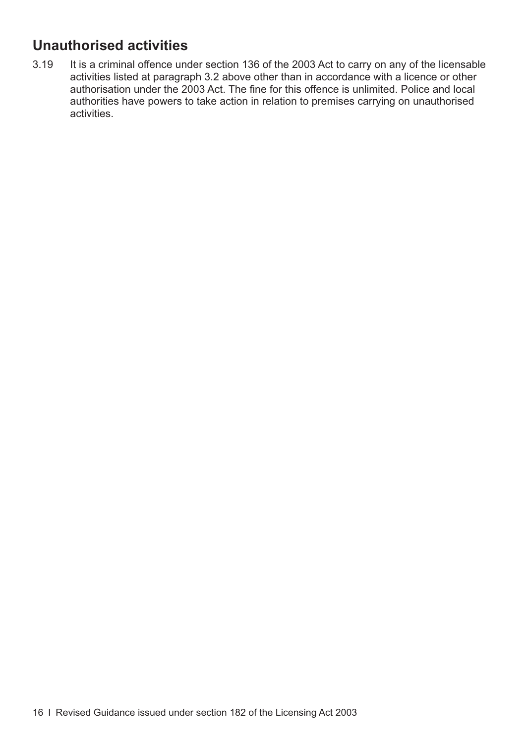# **Unauthorised activities**

3.19 It is a criminal offence under section 136 of the 2003 Act to carry on any of the licensable activities listed at [paragraph 3.2](#page-16-0) above other than in accordance with a licence or other authorisation under the 2003 Act. The fine for this offence is unlimited. Police and local authorities have powers to take action in relation to premises carrying on unauthorised activities.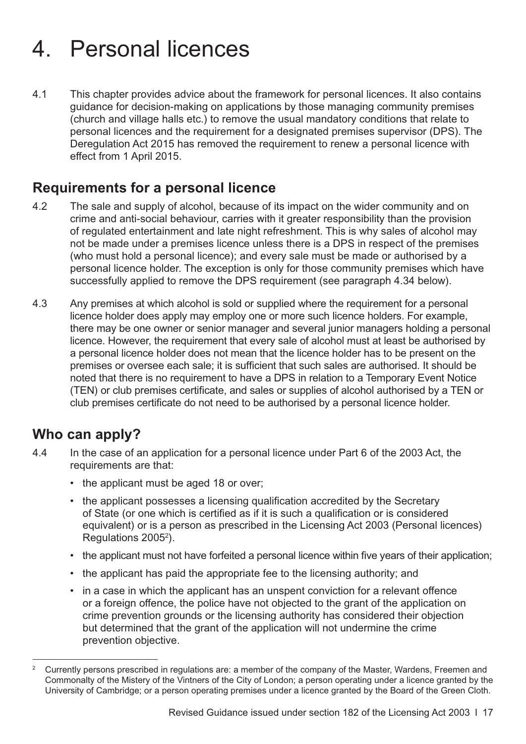# <span id="page-20-0"></span>4. Personal licences

4.1 This chapter provides advice about the framework for personal licences. It also contains guidance for decision-making on applications by those managing community premises (church and village halls etc.) to remove the usual mandatory conditions that relate to personal licences and the requirement for a designated premises supervisor (DPS). The Deregulation Act 2015 has removed the requirement to renew a personal licence with effect from 1 April 2015.

#### **Requirements for a personal licence**

- 4.2 The sale and supply of alcohol, because of its impact on the wider community and on crime and anti-social behaviour, carries with it greater responsibility than the provision of regulated entertainment and late night refreshment. This is why sales of alcohol may not be made under a premises licence unless there is a DPS in respect of the premises (who must hold a personal licence); and every sale must be made or authorised by a personal licence holder. The exception is only for those community premises which have successfully applied to remove the DPS requirement (see [paragraph 4.34](#page-24-0) below).
- 4.3 Any premises at which alcohol is sold or supplied where the requirement for a personal licence holder does apply may employ one or more such licence holders. For example, there may be one owner or senior manager and several junior managers holding a personal licence. However, the requirement that every sale of alcohol must at least be authorised by a personal licence holder does not mean that the licence holder has to be present on the premises or oversee each sale; it is sufficient that such sales are authorised. It should be noted that there is no requirement to have a DPS in relation to a Temporary Event Notice (TEN) or club premises certificate, and sales or supplies of alcohol authorised by a TEN or club premises certificate do not need to be authorised by a personal licence holder.

### **Who can apply?**

- 4.4 In the case of an application for a personal licence under Part 6 of the 2003 Act, the requirements are that:
	- the applicant must be aged 18 or over;
	- the applicant possesses a licensing qualification accredited by the Secretary of State (or one which is certified as if it is such a qualification or is considered equivalent) or is a person as prescribed in the Licensing Act 2003 (Personal licences) Regulations 2005<sup>2</sup>).
	- the applicant must not have forfeited a personal licence within five years of their application;
	- the applicant has paid the appropriate fee to the licensing authority; and
	- in a case in which the applicant has an unspent conviction for a relevant offence or a foreign offence, the police have not objected to the grant of the application on crime prevention grounds or the licensing authority has considered their objection but determined that the grant of the application will not undermine the crime prevention objective.

<sup>&</sup>lt;sup>2</sup> Currently persons prescribed in regulations are: a member of the company of the Master, Wardens, Freemen and Commonalty of the Mistery of the Vintners of the City of London; a person operating under a licence granted by the University of Cambridge; or a person operating premises under a licence granted by the Board of the Green Cloth.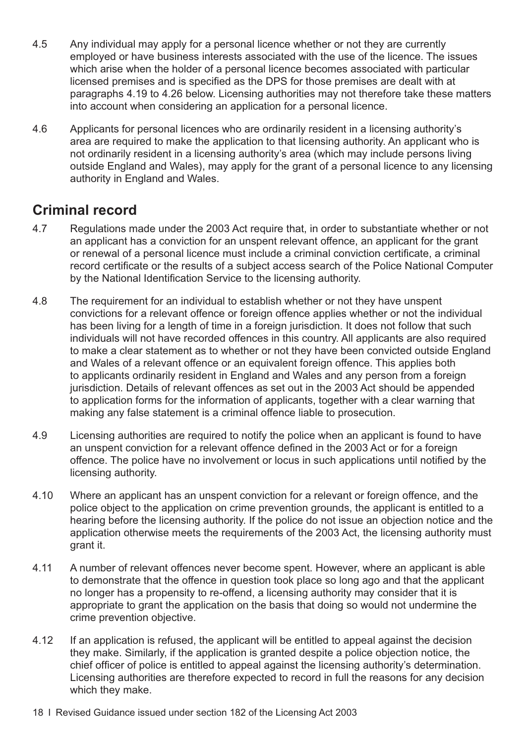- 4.5 Any individual may apply for a personal licence whether or not they are currently employed or have business interests associated with the use of the licence. The issues which arise when the holder of a personal licence becomes associated with particular licensed premises and is specified as the DPS for those premises are dealt with at [paragraphs 4.19 to 4.26](#page-22-0) below. Licensing authorities may not therefore take these matters into account when considering an application for a personal licence.
- 4.6 Applicants for personal licences who are ordinarily resident in a licensing authority's area are required to make the application to that licensing authority. An applicant who is not ordinarily resident in a licensing authority's area (which may include persons living outside England and Wales), may apply for the grant of a personal licence to any licensing authority in England and Wales.

### **Criminal record**

- 4.7 Regulations made under the 2003 Act require that, in order to substantiate whether or not an applicant has a conviction for an unspent relevant offence, an applicant for the grant or renewal of a personal licence must include a criminal conviction certificate, a criminal record certificate or the results of a subject access search of the Police National Computer by the National Identification Service to the licensing authority.
- 4.8 The requirement for an individual to establish whether or not they have unspent convictions for a relevant offence or foreign offence applies whether or not the individual has been living for a length of time in a foreign jurisdiction. It does not follow that such individuals will not have recorded offences in this country. All applicants are also required to make a clear statement as to whether or not they have been convicted outside England and Wales of a relevant offence or an equivalent foreign offence. This applies both to applicants ordinarily resident in England and Wales and any person from a foreign jurisdiction. Details of relevant offences as set out in the 2003 Act should be appended to application forms for the information of applicants, together with a clear warning that making any false statement is a criminal offence liable to prosecution.
- 4.9 Licensing authorities are required to notify the police when an applicant is found to have an unspent conviction for a relevant offence defined in the 2003 Act or for a foreign offence. The police have no involvement or locus in such applications until notified by the licensing authority.
- 4.10 Where an applicant has an unspent conviction for a relevant or foreign offence, and the police object to the application on crime prevention grounds, the applicant is entitled to a hearing before the licensing authority. If the police do not issue an objection notice and the application otherwise meets the requirements of the 2003 Act, the licensing authority must grant it.
- 4.11 A number of relevant offences never become spent. However, where an applicant is able to demonstrate that the offence in question took place so long ago and that the applicant no longer has a propensity to re-offend, a licensing authority may consider that it is appropriate to grant the application on the basis that doing so would not undermine the crime prevention objective.
- 4.12 If an application is refused, the applicant will be entitled to appeal against the decision they make. Similarly, if the application is granted despite a police objection notice, the chief officer of police is entitled to appeal against the licensing authority's determination. Licensing authorities are therefore expected to record in full the reasons for any decision which they make.
- 18 I Revised Guidance issued under section 182 of the Licensing Act 2003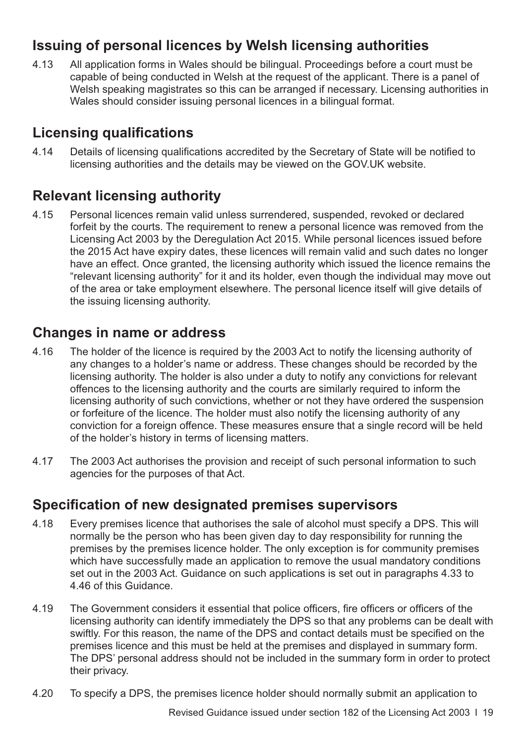## <span id="page-22-0"></span>**Issuing of personal licences by Welsh licensing authorities**

4.13 All application forms in Wales should be bilingual. Proceedings before a court must be capable of being conducted in Welsh at the request of the applicant. There is a panel of Welsh speaking magistrates so this can be arranged if necessary. Licensing authorities in Wales should consider issuing personal licences in a bilingual format.

## **Licensing qualifications**

4.14 Details of licensing qualifications accredited by the Secretary of State will be notified to licensing authorities and the details may be viewed on the GOV.UK website.

### **Relevant licensing authority**

4.15 Personal licences remain valid unless surrendered, suspended, revoked or declared forfeit by the courts. The requirement to renew a personal licence was removed from the Licensing Act 2003 by the Deregulation Act 2015. While personal licences issued before the 2015 Act have expiry dates, these licences will remain valid and such dates no longer have an effect. Once granted, the licensing authority which issued the licence remains the "relevant licensing authority" for it and its holder, even though the individual may move out of the area or take employment elsewhere. The personal licence itself will give details of the issuing licensing authority.

#### **Changes in name or address**

- 4.16 The holder of the licence is required by the 2003 Act to notify the licensing authority of any changes to a holder's name or address. These changes should be recorded by the licensing authority. The holder is also under a duty to notify any convictions for relevant offences to the licensing authority and the courts are similarly required to inform the licensing authority of such convictions, whether or not they have ordered the suspension or forfeiture of the licence. The holder must also notify the licensing authority of any conviction for a foreign offence. These measures ensure that a single record will be held of the holder's history in terms of licensing matters.
- 4.17 The 2003 Act authorises the provision and receipt of such personal information to such agencies for the purposes of that Act.

#### **Specification of new designated premises supervisors**

- 4.18 Every premises licence that authorises the sale of alcohol must specify a DPS. This will normally be the person who has been given day to day responsibility for running the premises by the premises licence holder. The only exception is for community premises which have successfully made an application to remove the usual mandatory conditions [set out in the 2003 Act. Guidance on such applications is set out in paragraphs 4.33 to](#page-24-0) 4.46 of this Guidance.
- 4.19 The Government considers it essential that police officers, fire officers or officers of the licensing authority can identify immediately the DPS so that any problems can be dealt with swiftly. For this reason, the name of the DPS and contact details must be specified on the premises licence and this must be held at the premises and displayed in summary form. The DPS' personal address should not be included in the summary form in order to protect their privacy.
- 4.20 To specify a DPS, the premises licence holder should normally submit an application to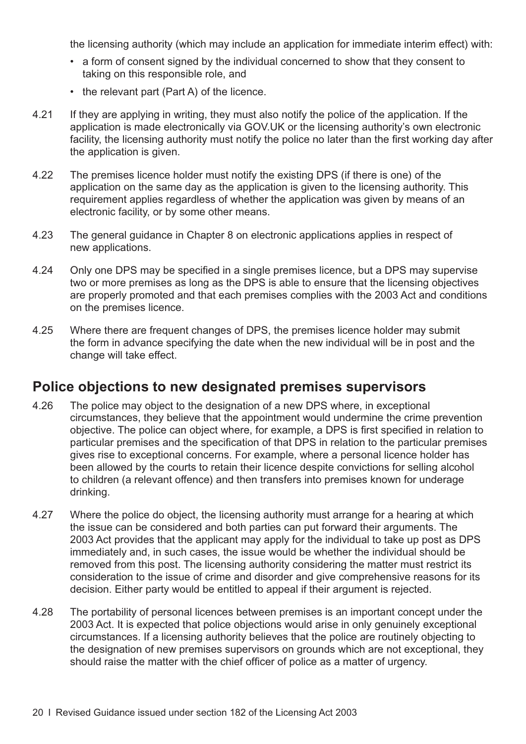the licensing authority (which may include an application for immediate interim effect) with:

- a form of consent signed by the individual concerned to show that they consent to taking on this responsible role, and
- the relevant part (Part A) of the licence.
- 4.21 If they are applying in writing, they must also notify the police of the application. If the application is made electronically via GOV.UK or the licensing authority's own electronic facility, the licensing authority must notify the police no later than the first working day after the application is given.
- 4.22 The premises licence holder must notify the existing DPS (if there is one) of the application on the same day as the application is given to the licensing authority. This requirement applies regardless of whether the application was given by means of an electronic facility, or by some other means.
- 4.23 The general guidance in [Chapter 8](#page-42-0) on electronic applications applies in respect of new applications.
- 4.24 Only one DPS may be specified in a single premises licence, but a DPS may supervise two or more premises as long as the DPS is able to ensure that the licensing objectives are properly promoted and that each premises complies with the 2003 Act and conditions on the premises licence.
- 4.25 Where there are frequent changes of DPS, the premises licence holder may submit the form in advance specifying the date when the new individual will be in post and the change will take effect.

#### **Police objections to new designated premises supervisors**

- 4.26 The police may object to the designation of a new DPS where, in exceptional circumstances, they believe that the appointment would undermine the crime prevention objective. The police can object where, for example, a DPS is first specified in relation to particular premises and the specification of that DPS in relation to the particular premises gives rise to exceptional concerns. For example, where a personal licence holder has been allowed by the courts to retain their licence despite convictions for selling alcohol to children (a relevant offence) and then transfers into premises known for underage drinking.
- 4.27 Where the police do object, the licensing authority must arrange for a hearing at which the issue can be considered and both parties can put forward their arguments. The 2003 Act provides that the applicant may apply for the individual to take up post as DPS immediately and, in such cases, the issue would be whether the individual should be removed from this post. The licensing authority considering the matter must restrict its consideration to the issue of crime and disorder and give comprehensive reasons for its decision. Either party would be entitled to appeal if their argument is rejected.
- 4.28 The portability of personal licences between premises is an important concept under the 2003 Act. It is expected that police objections would arise in only genuinely exceptional circumstances. If a licensing authority believes that the police are routinely objecting to the designation of new premises supervisors on grounds which are not exceptional, they should raise the matter with the chief officer of police as a matter of urgency.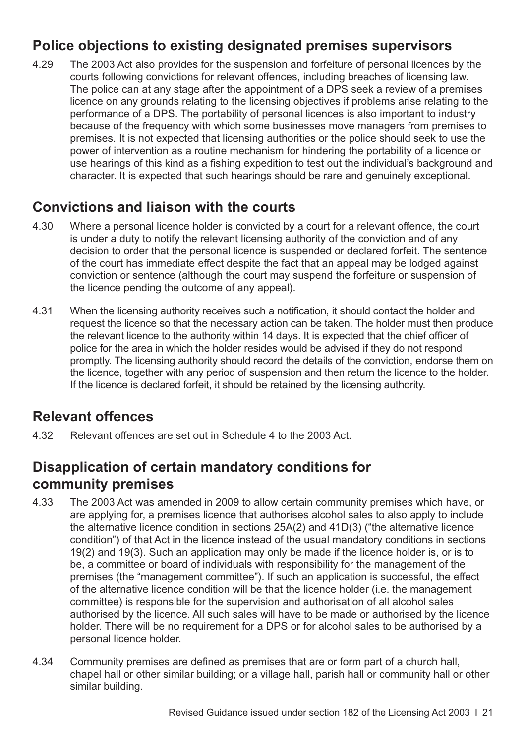## <span id="page-24-0"></span>**Police objections to existing designated premises supervisors**

4.29 The 2003 Act also provides for the suspension and forfeiture of personal licences by the courts following convictions for relevant offences, including breaches of licensing law. The police can at any stage after the appointment of a DPS seek a review of a premises licence on any grounds relating to the licensing objectives if problems arise relating to the performance of a DPS. The portability of personal licences is also important to industry because of the frequency with which some businesses move managers from premises to premises. It is not expected that licensing authorities or the police should seek to use the power of intervention as a routine mechanism for hindering the portability of a licence or use hearings of this kind as a fishing expedition to test out the individual's background and character. It is expected that such hearings should be rare and genuinely exceptional.

#### **Convictions and liaison with the courts**

- 4.30 Where a personal licence holder is convicted by a court for a relevant offence, the court is under a duty to notify the relevant licensing authority of the conviction and of any decision to order that the personal licence is suspended or declared forfeit. The sentence of the court has immediate effect despite the fact that an appeal may be lodged against conviction or sentence (although the court may suspend the forfeiture or suspension of the licence pending the outcome of any appeal).
- 4.31 When the licensing authority receives such a notification, it should contact the holder and request the licence so that the necessary action can be taken. The holder must then produce the relevant licence to the authority within 14 days. It is expected that the chief officer of police for the area in which the holder resides would be advised if they do not respond promptly. The licensing authority should record the details of the conviction, endorse them on the licence, together with any period of suspension and then return the licence to the holder. If the licence is declared forfeit, it should be retained by the licensing authority.

### **Relevant offences**

4.32 Relevant offences are set out in Schedule 4 to the 2003 Act.

## **Disapplication of certain mandatory conditions for community premises**

- 4.33 The 2003 Act was amended in 2009 to allow certain community premises which have, or are applying for, a premises licence that authorises alcohol sales to also apply to include the alternative licence condition in sections 25A(2) and 41D(3) ("the alternative licence condition") of that Act in the licence instead of the usual mandatory conditions in sections 19(2) and 19(3). Such an application may only be made if the licence holder is, or is to be, a committee or board of individuals with responsibility for the management of the premises (the "management committee"). If such an application is successful, the effect of the alternative licence condition will be that the licence holder (i.e. the management committee) is responsible for the supervision and authorisation of all alcohol sales authorised by the licence. All such sales will have to be made or authorised by the licence holder. There will be no requirement for a DPS or for alcohol sales to be authorised by a personal licence holder.
- 4.34 Community premises are defined as premises that are or form part of a church hall, chapel hall or other similar building; or a village hall, parish hall or community hall or other similar building.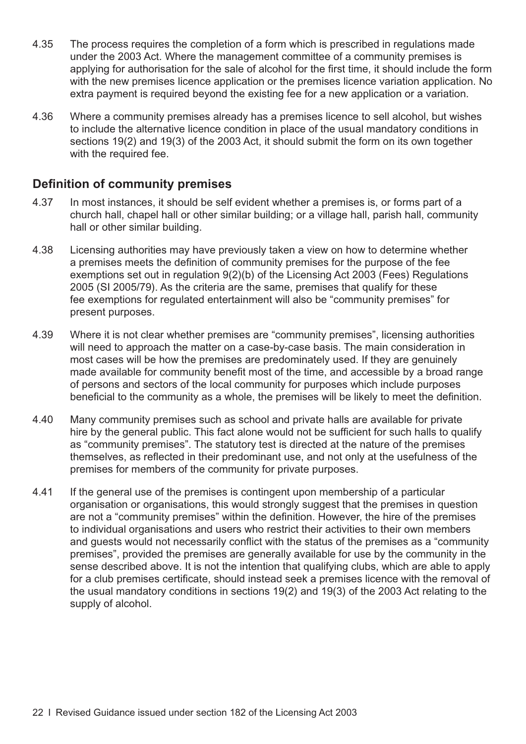- 4.35 The process requires the completion of a form which is prescribed in regulations made under the 2003 Act. Where the management committee of a community premises is applying for authorisation for the sale of alcohol for the first time, it should include the form with the new premises licence application or the premises licence variation application. No extra payment is required beyond the existing fee for a new application or a variation.
- 4.36 Where a community premises already has a premises licence to sell alcohol, but wishes to include the alternative licence condition in place of the usual mandatory conditions in sections 19(2) and 19(3) of the 2003 Act, it should submit the form on its own together with the required fee.

#### **Definition of community premises**

- 4.37 In most instances, it should be self evident whether a premises is, or forms part of a church hall, chapel hall or other similar building; or a village hall, parish hall, community hall or other similar building.
- 4.38 Licensing authorities may have previously taken a view on how to determine whether a premises meets the definition of community premises for the purpose of the fee exemptions set out in regulation 9(2)(b) of the Licensing Act 2003 (Fees) Regulations 2005 (SI 2005/79). As the criteria are the same, premises that qualify for these fee exemptions for regulated entertainment will also be "community premises" for present purposes.
- 4.39 Where it is not clear whether premises are "community premises", licensing authorities will need to approach the matter on a case-by-case basis. The main consideration in most cases will be how the premises are predominately used. If they are genuinely made available for community benefit most of the time, and accessible by a broad range of persons and sectors of the local community for purposes which include purposes beneficial to the community as a whole, the premises will be likely to meet the definition.
- 4.40 Many community premises such as school and private halls are available for private hire by the general public. This fact alone would not be sufficient for such halls to qualify as "community premises". The statutory test is directed at the nature of the premises themselves, as reflected in their predominant use, and not only at the usefulness of the premises for members of the community for private purposes.
- 4.41 If the general use of the premises is contingent upon membership of a particular organisation or organisations, this would strongly suggest that the premises in question are not a "community premises" within the definition. However, the hire of the premises to individual organisations and users who restrict their activities to their own members and guests would not necessarily conflict with the status of the premises as a "community premises", provided the premises are generally available for use by the community in the sense described above. It is not the intention that qualifying clubs, which are able to apply for a club premises certificate, should instead seek a premises licence with the removal of the usual mandatory conditions in sections 19(2) and 19(3) of the 2003 Act relating to the supply of alcohol.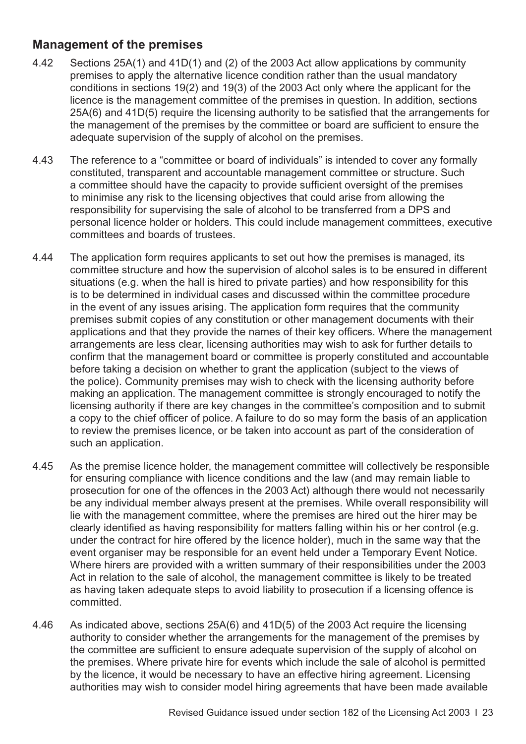#### **Management of the premises**

- 4.42 Sections 25A(1) and 41D(1) and (2) of the 2003 Act allow applications by community premises to apply the alternative licence condition rather than the usual mandatory conditions in sections 19(2) and 19(3) of the 2003 Act only where the applicant for the licence is the management committee of the premises in question. In addition, sections 25A(6) and 41D(5) require the licensing authority to be satisfied that the arrangements for the management of the premises by the committee or board are sufficient to ensure the adequate supervision of the supply of alcohol on the premises.
- 4.43 The reference to a "committee or board of individuals" is intended to cover any formally constituted, transparent and accountable management committee or structure. Such a committee should have the capacity to provide sufficient oversight of the premises to minimise any risk to the licensing objectives that could arise from allowing the responsibility for supervising the sale of alcohol to be transferred from a DPS and personal licence holder or holders. This could include management committees, executive committees and boards of trustees.
- 4.44 The application form requires applicants to set out how the premises is managed, its committee structure and how the supervision of alcohol sales is to be ensured in different situations (e.g. when the hall is hired to private parties) and how responsibility for this is to be determined in individual cases and discussed within the committee procedure in the event of any issues arising. The application form requires that the community premises submit copies of any constitution or other management documents with their applications and that they provide the names of their key officers. Where the management arrangements are less clear, licensing authorities may wish to ask for further details to confirm that the management board or committee is properly constituted and accountable before taking a decision on whether to grant the application (subject to the views of the police). Community premises may wish to check with the licensing authority before making an application. The management committee is strongly encouraged to notify the licensing authority if there are key changes in the committee's composition and to submit a copy to the chief officer of police. A failure to do so may form the basis of an application to review the premises licence, or be taken into account as part of the consideration of such an application.
- 4.45 As the premise licence holder, the management committee will collectively be responsible for ensuring compliance with licence conditions and the law (and may remain liable to prosecution for one of the offences in the 2003 Act) although there would not necessarily be any individual member always present at the premises. While overall responsibility will lie with the management committee, where the premises are hired out the hirer may be clearly identified as having responsibility for matters falling within his or her control (e.g. under the contract for hire offered by the licence holder), much in the same way that the event organiser may be responsible for an event held under a Temporary Event Notice. Where hirers are provided with a written summary of their responsibilities under the 2003 Act in relation to the sale of alcohol, the management committee is likely to be treated as having taken adequate steps to avoid liability to prosecution if a licensing offence is committed.
- 4.46 As indicated above, sections 25A(6) and 41D(5) of the 2003 Act require the licensing authority to consider whether the arrangements for the management of the premises by the committee are sufficient to ensure adequate supervision of the supply of alcohol on the premises. Where private hire for events which include the sale of alcohol is permitted by the licence, it would be necessary to have an effective hiring agreement. Licensing authorities may wish to consider model hiring agreements that have been made available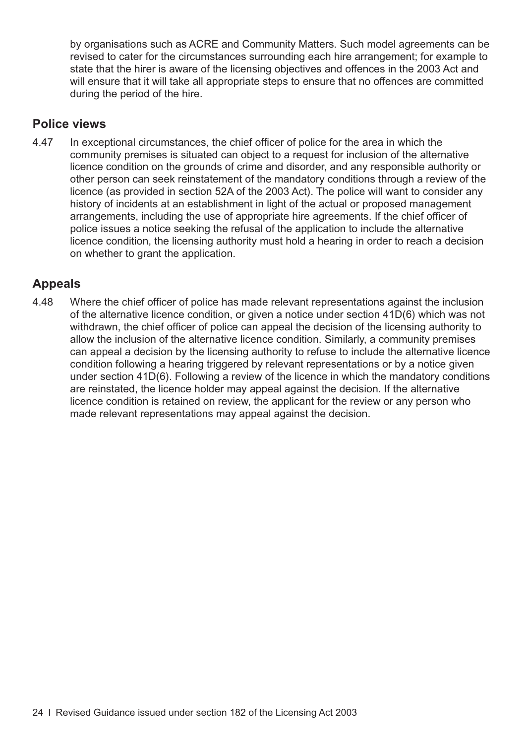by organisations such as ACRE and Community Matters. Such model agreements can be revised to cater for the circumstances surrounding each hire arrangement; for example to state that the hirer is aware of the licensing objectives and offences in the 2003 Act and will ensure that it will take all appropriate steps to ensure that no offences are committed during the period of the hire.

#### **Police views**

4.47 In exceptional circumstances, the chief officer of police for the area in which the community premises is situated can object to a request for inclusion of the alternative licence condition on the grounds of crime and disorder, and any responsible authority or other person can seek reinstatement of the mandatory conditions through a review of the licence (as provided in section 52A of the 2003 Act). The police will want to consider any history of incidents at an establishment in light of the actual or proposed management arrangements, including the use of appropriate hire agreements. If the chief officer of police issues a notice seeking the refusal of the application to include the alternative licence condition, the licensing authority must hold a hearing in order to reach a decision on whether to grant the application.

#### **Appeals**

4.48 Where the chief officer of police has made relevant representations against the inclusion of the alternative licence condition, or given a notice under section 41D(6) which was not withdrawn, the chief officer of police can appeal the decision of the licensing authority to allow the inclusion of the alternative licence condition. Similarly, a community premises can appeal a decision by the licensing authority to refuse to include the alternative licence condition following a hearing triggered by relevant representations or by a notice given under section 41D(6). Following a review of the licence in which the mandatory conditions are reinstated, the licence holder may appeal against the decision. If the alternative licence condition is retained on review, the applicant for the review or any person who made relevant representations may appeal against the decision.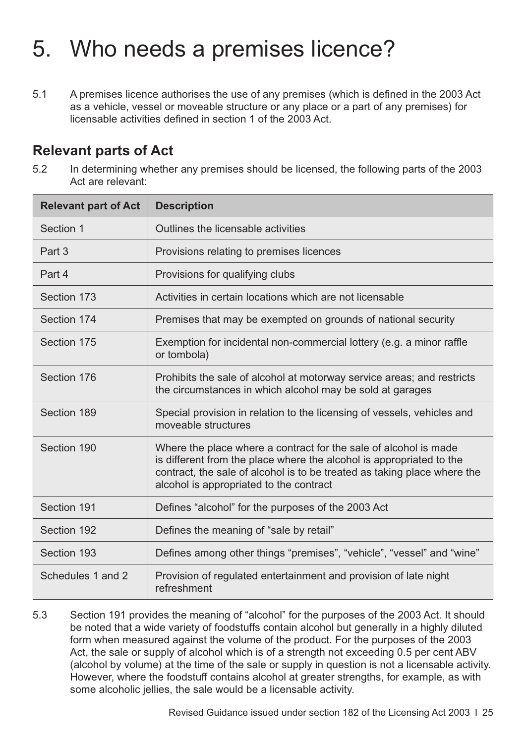# <span id="page-28-0"></span>5. Who needs a premises licence?

5.1 A premises licence authorises the use of any premises (which is defined in the 2003 Act as a vehicle, vessel or moveable structure or any place or a part of any premises) for licensable activities defined in section 1 of the 2003 Act.

#### **Relevant parts of Act**

5.2 In determining whether any premises should be licensed, the following parts of the 2003 Act are relevant:

| <b>Relevant part of Act</b> | <b>Description</b>                                                                                                                                                                                                                                              |
|-----------------------------|-----------------------------------------------------------------------------------------------------------------------------------------------------------------------------------------------------------------------------------------------------------------|
| Section 1                   | Outlines the licensable activities                                                                                                                                                                                                                              |
| Part 3                      | Provisions relating to premises licences                                                                                                                                                                                                                        |
| Part 4                      | Provisions for qualifying clubs                                                                                                                                                                                                                                 |
| Section 173                 | Activities in certain locations which are not licensable                                                                                                                                                                                                        |
| Section 174                 | Premises that may be exempted on grounds of national security                                                                                                                                                                                                   |
| Section 175                 | Exemption for incidental non-commercial lottery (e.g. a minor raffle<br>or tombola)                                                                                                                                                                             |
| Section 176                 | Prohibits the sale of alcohol at motorway service areas; and restricts<br>the circumstances in which alcohol may be sold at garages                                                                                                                             |
| Section 189                 | Special provision in relation to the licensing of vessels, vehicles and<br>moveable structures                                                                                                                                                                  |
| Section 190                 | Where the place where a contract for the sale of alcohol is made<br>is different from the place where the alcohol is appropriated to the<br>contract, the sale of alcohol is to be treated as taking place where the<br>alcohol is appropriated to the contract |
| Section 191                 | Defines "alcohol" for the purposes of the 2003 Act                                                                                                                                                                                                              |
| Section 192                 | Defines the meaning of "sale by retail"                                                                                                                                                                                                                         |
| Section 193                 | Defines among other things "premises", "vehicle", "vessel" and "wine"                                                                                                                                                                                           |
| Schedules 1 and 2           | Provision of regulated entertainment and provision of late night<br>refreshment                                                                                                                                                                                 |

5.3 Section 191 provides the meaning of "alcohol" for the purposes of the 2003 Act. It should be noted that a wide variety of foodstuffs contain alcohol but generally in a highly diluted form when measured against the volume of the product. For the purposes of the 2003 Act, the sale or supply of alcohol which is of a strength not exceeding 0.5 per cent ABV (alcohol by volume) at the time of the sale or supply in question is not a licensable activity. However, where the foodstuff contains alcohol at greater strengths, for example, as with some alcoholic jellies, the sale would be a licensable activity.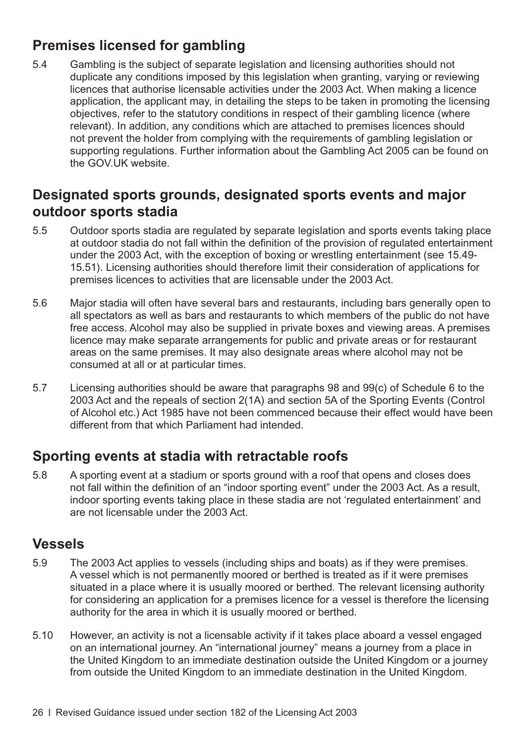## **Premises licensed for gambling**

5.4 Gambling is the subject of separate legislation and licensing authorities should not duplicate any conditions imposed by this legislation when granting, varying or reviewing licences that authorise licensable activities under the 2003 Act. When making a licence application, the applicant may, in detailing the steps to be taken in promoting the licensing objectives, refer to the statutory conditions in respect of their gambling licence (where relevant). In addition, any conditions which are attached to premises licences should not prevent the holder from complying with the requirements of gambling legislation or supporting regulations. Further information about the Gambling Act 2005 can be found on the GOV.UK website.

## **Designated sports grounds, designated sports events and major outdoor sports stadia**

- 5.5 Outdoor sports stadia are regulated by separate legislation and sports events taking place at outdoor stadia do not fall within the definition of the provision of regulated entertainment [under the 2003 Act, with the exception of boxing or wrestling entertainment \(see 15.49-](#page-113-0) 15.51). Licensing authorities should therefore limit their consideration of applications for premises licences to activities that are licensable under the 2003 Act.
- 5.6 Major stadia will often have several bars and restaurants, including bars generally open to all spectators as well as bars and restaurants to which members of the public do not have free access. Alcohol may also be supplied in private boxes and viewing areas. A premises licence may make separate arrangements for public and private areas or for restaurant areas on the same premises. It may also designate areas where alcohol may not be consumed at all or at particular times.
- 5.7 Licensing authorities should be aware that paragraphs 98 and 99(c) of Schedule 6 to the 2003 Act and the repeals of section 2(1A) and section 5A of the Sporting Events (Control of Alcohol etc.) Act 1985 have not been commenced because their effect would have been different from that which Parliament had intended.

### **Sporting events at stadia with retractable roofs**

5.8 A sporting event at a stadium or sports ground with a roof that opens and closes does not fall within the definition of an "indoor sporting event" under the 2003 Act. As a result, indoor sporting events taking place in these stadia are not 'regulated entertainment' and are not licensable under the 2003 Act.

#### **Vessels**

- 5.9 The 2003 Act applies to vessels (including ships and boats) as if they were premises. A vessel which is not permanently moored or berthed is treated as if it were premises situated in a place where it is usually moored or berthed. The relevant licensing authority for considering an application for a premises licence for a vessel is therefore the licensing authority for the area in which it is usually moored or berthed.
- 5.10 However, an activity is not a licensable activity if it takes place aboard a vessel engaged on an international journey. An "international journey" means a journey from a place in the United Kingdom to an immediate destination outside the United Kingdom or a journey from outside the United Kingdom to an immediate destination in the United Kingdom.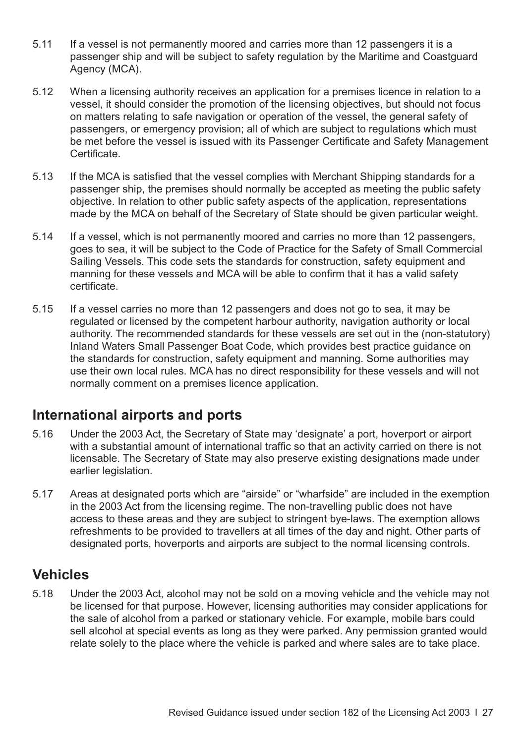- 5.11 If a vessel is not permanently moored and carries more than 12 passengers it is a passenger ship and will be subject to safety regulation by the Maritime and Coastguard Agency (MCA).
- 5.12 When a licensing authority receives an application for a premises licence in relation to a vessel, it should consider the promotion of the licensing objectives, but should not focus on matters relating to safe navigation or operation of the vessel, the general safety of passengers, or emergency provision; all of which are subject to regulations which must be met before the vessel is issued with its Passenger Certificate and Safety Management Certificate.
- 5.13 If the MCA is satisfied that the vessel complies with Merchant Shipping standards for a passenger ship, the premises should normally be accepted as meeting the public safety objective. In relation to other public safety aspects of the application, representations made by the MCA on behalf of the Secretary of State should be given particular weight.
- 5.14 If a vessel, which is not permanently moored and carries no more than 12 passengers, goes to sea, it will be subject to the Code of Practice for the Safety of Small Commercial Sailing Vessels. This code sets the standards for construction, safety equipment and manning for these vessels and MCA will be able to confirm that it has a valid safety certificate.
- 5.15 If a vessel carries no more than 12 passengers and does not go to sea, it may be regulated or licensed by the competent harbour authority, navigation authority or local authority. The recommended standards for these vessels are set out in the (non-statutory) Inland Waters Small Passenger Boat Code, which provides best practice guidance on the standards for construction, safety equipment and manning. Some authorities may use their own local rules. MCA has no direct responsibility for these vessels and will not normally comment on a premises licence application.

#### **International airports and ports**

- 5.16 Under the 2003 Act, the Secretary of State may 'designate' a port, hoverport or airport with a substantial amount of international traffic so that an activity carried on there is not licensable. The Secretary of State may also preserve existing designations made under earlier legislation.
- 5.17 Areas at designated ports which are "airside" or "wharfside" are included in the exemption in the 2003 Act from the licensing regime. The non-travelling public does not have access to these areas and they are subject to stringent bye-laws. The exemption allows refreshments to be provided to travellers at all times of the day and night. Other parts of designated ports, hoverports and airports are subject to the normal licensing controls.

### **Vehicles**

5.18 Under the 2003 Act, alcohol may not be sold on a moving vehicle and the vehicle may not be licensed for that purpose. However, licensing authorities may consider applications for the sale of alcohol from a parked or stationary vehicle. For example, mobile bars could sell alcohol at special events as long as they were parked. Any permission granted would relate solely to the place where the vehicle is parked and where sales are to take place.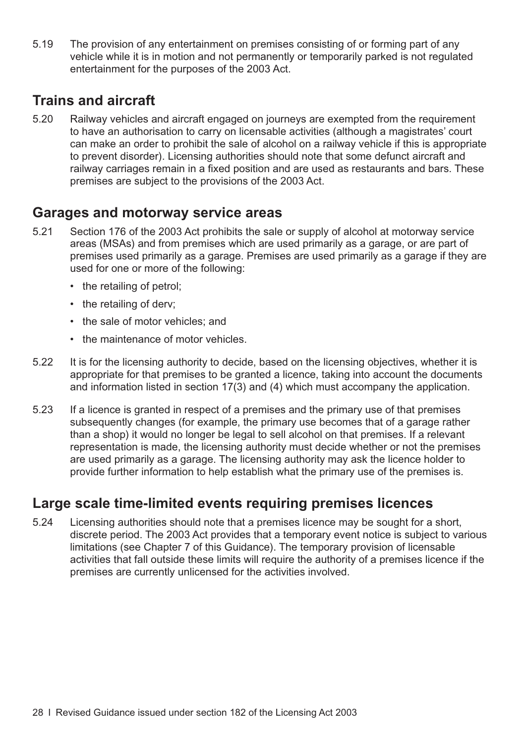5.19 The provision of any entertainment on premises consisting of or forming part of any vehicle while it is in motion and not permanently or temporarily parked is not regulated entertainment for the purposes of the 2003 Act.

#### **Trains and aircraft**

5.20 Railway vehicles and aircraft engaged on journeys are exempted from the requirement to have an authorisation to carry on licensable activities (although a magistrates' court can make an order to prohibit the sale of alcohol on a railway vehicle if this is appropriate to prevent disorder). Licensing authorities should note that some defunct aircraft and railway carriages remain in a fixed position and are used as restaurants and bars. These premises are subject to the provisions of the 2003 Act.

#### **Garages and motorway service areas**

- 5.21 Section 176 of the 2003 Act prohibits the sale or supply of alcohol at motorway service areas (MSAs) and from premises which are used primarily as a garage, or are part of premises used primarily as a garage. Premises are used primarily as a garage if they are used for one or more of the following:
	- the retailing of petrol;
	- the retailing of derv;
	- the sale of motor vehicles; and
	- the maintenance of motor vehicles.
- 5.22 It is for the licensing authority to decide, based on the licensing objectives, whether it is appropriate for that premises to be granted a licence, taking into account the documents and information listed in section 17(3) and (4) which must accompany the application.
- 5.23 If a licence is granted in respect of a premises and the primary use of that premises subsequently changes (for example, the primary use becomes that of a garage rather than a shop) it would no longer be legal to sell alcohol on that premises. If a relevant representation is made, the licensing authority must decide whether or not the premises are used primarily as a garage. The licensing authority may ask the licence holder to provide further information to help establish what the primary use of the premises is.

### **Large scale time-limited events requiring premises licences**

5.24 Licensing authorities should note that a premises licence may be sought for a short, discrete period. The 2003 Act provides that a temporary event notice is subject to various limitations (see [Chapter 7 of this Guidance](#page-36-0)). The temporary provision of licensable activities that fall outside these limits will require the authority of a premises licence if the premises are currently unlicensed for the activities involved.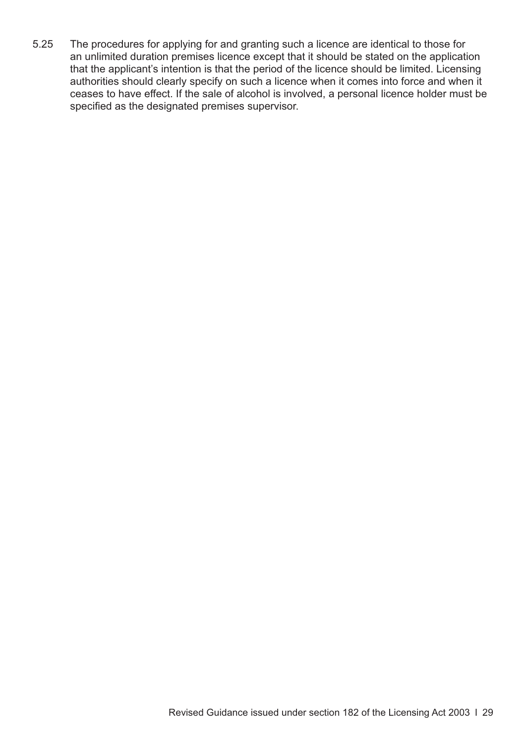5.25 The procedures for applying for and granting such a licence are identical to those for an unlimited duration premises licence except that it should be stated on the application that the applicant's intention is that the period of the licence should be limited. Licensing authorities should clearly specify on such a licence when it comes into force and when it ceases to have effect. If the sale of alcohol is involved, a personal licence holder must be specified as the designated premises supervisor.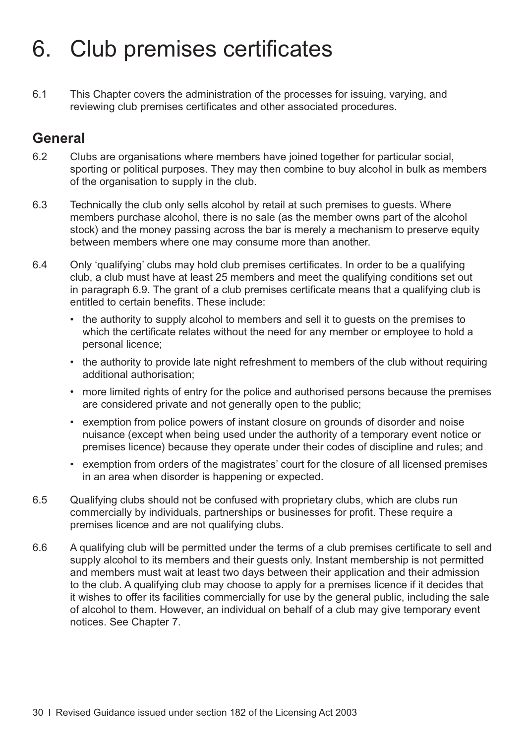# <span id="page-33-0"></span>6. Club premises certificates

6.1 This Chapter covers the administration of the processes for issuing, varying, and reviewing club premises certificates and other associated procedures.

#### **General**

- 6.2 Clubs are organisations where members have joined together for particular social, sporting or political purposes. They may then combine to buy alcohol in bulk as members of the organisation to supply in the club.
- 6.3 Technically the club only sells alcohol by retail at such premises to guests. Where members purchase alcohol, there is no sale (as the member owns part of the alcohol stock) and the money passing across the bar is merely a mechanism to preserve equity between members where one may consume more than another.
- 6.4 Only 'qualifying' clubs may hold club premises certificates. In order to be a qualifying club, a club must have at least 25 members and meet the qualifying conditions set out in [paragraph 6.9.](#page-34-0) The grant of a club premises certificate means that a qualifying club is entitled to certain benefits. These include:
	- the authority to supply alcohol to members and sell it to guests on the premises to which the certificate relates without the need for any member or employee to hold a personal licence;
	- the authority to provide late night refreshment to members of the club without requiring additional authorisation;
	- more limited rights of entry for the police and authorised persons because the premises are considered private and not generally open to the public;
	- exemption from police powers of instant closure on grounds of disorder and noise nuisance (except when being used under the authority of a temporary event notice or premises licence) because they operate under their codes of discipline and rules; and
	- exemption from orders of the magistrates' court for the closure of all licensed premises in an area when disorder is happening or expected.
- 6.5 Qualifying clubs should not be confused with proprietary clubs, which are clubs run commercially by individuals, partnerships or businesses for profit. These require a premises licence and are not qualifying clubs.
- 6.6 A qualifying club will be permitted under the terms of a club premises certificate to sell and supply alcohol to its members and their guests only. Instant membership is not permitted and members must wait at least two days between their application and their admission to the club. A qualifying club may choose to apply for a premises licence if it decides that it wishes to offer its facilities commercially for use by the general public, including the sale of alcohol to them. However, an individual on behalf of a club may give temporary event notices. See [Chapter 7](#page-36-0).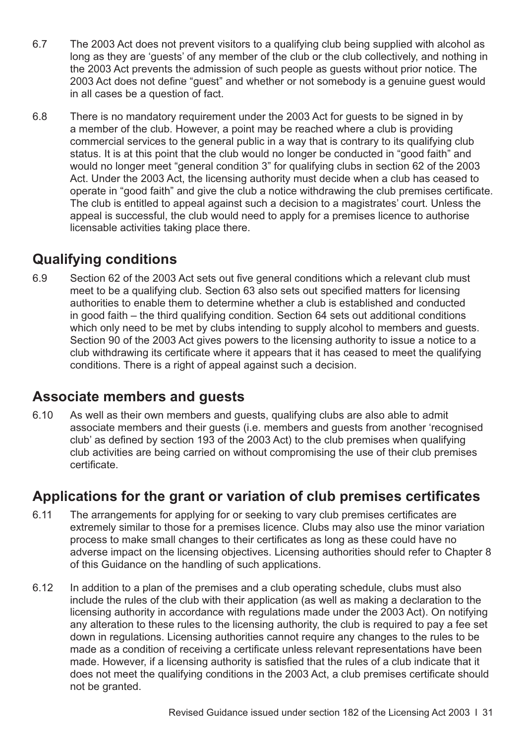- <span id="page-34-0"></span>6.7 The 2003 Act does not prevent visitors to a qualifying club being supplied with alcohol as long as they are 'guests' of any member of the club or the club collectively, and nothing in the 2003 Act prevents the admission of such people as guests without prior notice. The 2003 Act does not define "guest" and whether or not somebody is a genuine guest would in all cases be a question of fact.
- 6.8 There is no mandatory requirement under the 2003 Act for guests to be signed in by a member of the club. However, a point may be reached where a club is providing commercial services to the general public in a way that is contrary to its qualifying club status. It is at this point that the club would no longer be conducted in "good faith" and would no longer meet "general condition 3" for qualifying clubs in section 62 of the 2003 Act. Under the 2003 Act, the licensing authority must decide when a club has ceased to operate in "good faith" and give the club a notice withdrawing the club premises certificate. The club is entitled to appeal against such a decision to a magistrates' court. Unless the appeal is successful, the club would need to apply for a premises licence to authorise licensable activities taking place there.

### **Qualifying conditions**

6.9 Section 62 of the 2003 Act sets out five general conditions which a relevant club must meet to be a qualifying club. Section 63 also sets out specified matters for licensing authorities to enable them to determine whether a club is established and conducted in good faith – the third qualifying condition. Section 64 sets out additional conditions which only need to be met by clubs intending to supply alcohol to members and guests. Section 90 of the 2003 Act gives powers to the licensing authority to issue a notice to a club withdrawing its certificate where it appears that it has ceased to meet the qualifying conditions. There is a right of appeal against such a decision.

#### **Associate members and guests**

6.10 As well as their own members and guests, qualifying clubs are also able to admit associate members and their guests (i.e. members and guests from another 'recognised club' as defined by section 193 of the 2003 Act) to the club premises when qualifying club activities are being carried on without compromising the use of their club premises certificate.

### **Applications for the grant or variation of club premises certificates**

- 6.11 The arrangements for applying for or seeking to vary club premises certificates are extremely similar to those for a premises licence. Clubs may also use the minor variation process to make small changes to their certificates as long as these could have no adverse impact on the licensing objectives. Licensing authorities should refer to [Chapter 8](#page-42-0) of this Guidance on the handling of such applications.
- 6.12 In addition to a plan of the premises and a club operating schedule, clubs must also include the rules of the club with their application (as well as making a declaration to the licensing authority in accordance with regulations made under the 2003 Act). On notifying any alteration to these rules to the licensing authority, the club is required to pay a fee set down in regulations. Licensing authorities cannot require any changes to the rules to be made as a condition of receiving a certificate unless relevant representations have been made. However, if a licensing authority is satisfied that the rules of a club indicate that it does not meet the qualifying conditions in the 2003 Act, a club premises certificate should not be granted.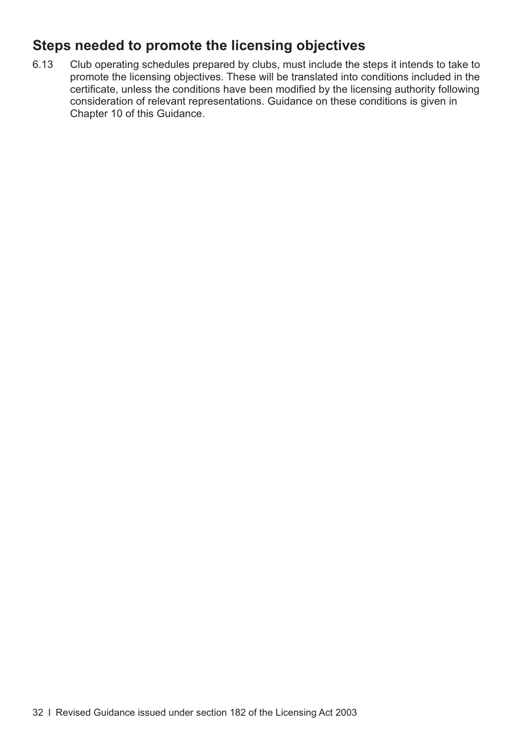## **Steps needed to promote the licensing objectives**

6.13 Club operating schedules prepared by clubs, must include the steps it intends to take to promote the licensing objectives. These will be translated into conditions included in the certificate, unless the conditions have been modified by the licensing authority following consideration of relevant representations. Guidance on these conditions is given in [Chapter 10](#page-66-0) of this Guidance.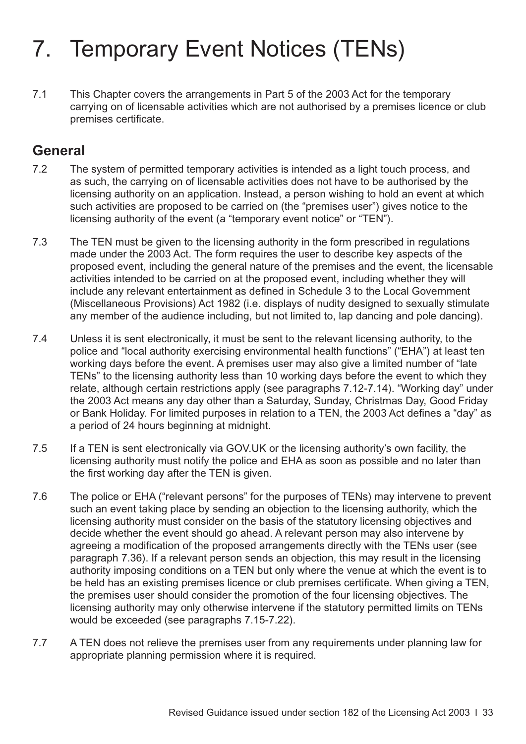## 7. Temporary Event Notices (TENs)

7.1 This Chapter covers the arrangements in Part 5 of the 2003 Act for the temporary carrying on of licensable activities which are not authorised by a premises licence or club premises certificate.

## **General**

- 7.2 The system of permitted temporary activities is intended as a light touch process, and as such, the carrying on of licensable activities does not have to be authorised by the licensing authority on an application. Instead, a person wishing to hold an event at which such activities are proposed to be carried on (the "premises user") gives notice to the licensing authority of the event (a "temporary event notice" or "TEN").
- 7.3 The TEN must be given to the licensing authority in the form prescribed in regulations made under the 2003 Act. The form requires the user to describe key aspects of the proposed event, including the general nature of the premises and the event, the licensable activities intended to be carried on at the proposed event, including whether they will include any relevant entertainment as defined in Schedule 3 to the Local Government (Miscellaneous Provisions) Act 1982 (i.e. displays of nudity designed to sexually stimulate any member of the audience including, but not limited to, lap dancing and pole dancing).
- 7.4 Unless it is sent electronically, it must be sent to the relevant licensing authority, to the police and "local authority exercising environmental health functions" ("EHA") at least ten working days before the event. A premises user may also give a limited number of "late TENs" to the licensing authority less than 10 working days before the event to which they relate, although certain restrictions apply (see [paragraphs 7.12-7.14](#page-37-0)). "Working day" under the 2003 Act means any day other than a Saturday, Sunday, Christmas Day, Good Friday or Bank Holiday. For limited purposes in relation to a TEN, the 2003 Act defines a "day" as a period of 24 hours beginning at midnight.
- 7.5 If a TEN is sent electronically via GOV.UK or the licensing authority's own facility, the licensing authority must notify the police and EHA as soon as possible and no later than the first working day after the TEN is given.
- 7.6 The police or EHA ("relevant persons" for the purposes of TENs) may intervene to prevent such an event taking place by sending an objection to the licensing authority, which the licensing authority must consider on the basis of the statutory licensing objectives and decide whether the event should go ahead. A relevant person may also intervene by agreeing a modification of the proposed arrangements directly with the TENs user (see [paragraph 7.36\)](#page-40-0). If a relevant person sends an objection, this may result in the licensing authority imposing conditions on a TEN but only where the venue at which the event is to be held has an existing premises licence or club premises certificate. When giving a TEN, the premises user should consider the promotion of the four licensing objectives. The licensing authority may only otherwise intervene if the statutory permitted limits on TENs would be exceeded (see [paragraphs 7.15-7.22\)](#page-37-0).
- 7.7 A TEN does not relieve the premises user from any requirements under planning law for appropriate planning permission where it is required.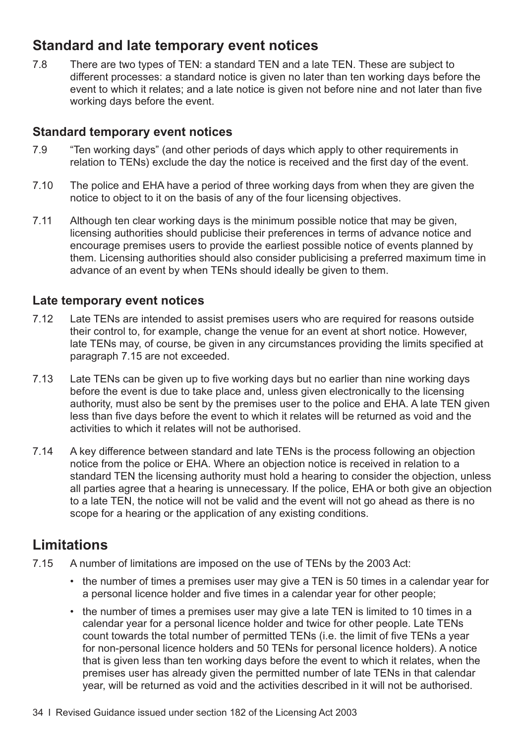## <span id="page-37-0"></span>**Standard and late temporary event notices**

7.8 There are two types of TEN: a standard TEN and a late TEN. These are subject to different processes: a standard notice is given no later than ten working days before the event to which it relates; and a late notice is given not before nine and not later than five working days before the event.

#### **Standard temporary event notices**

- 7.9 "Ten working days" (and other periods of days which apply to other requirements in relation to TENs) exclude the day the notice is received and the first day of the event.
- 7.10 The police and EHA have a period of three working days from when they are given the notice to object to it on the basis of any of the four licensing objectives.
- 7.11 Although ten clear working days is the minimum possible notice that may be given, licensing authorities should publicise their preferences in terms of advance notice and encourage premises users to provide the earliest possible notice of events planned by them. Licensing authorities should also consider publicising a preferred maximum time in advance of an event by when TENs should ideally be given to them.

#### **Late temporary event notices**

- 7.12 Late TENs are intended to assist premises users who are required for reasons outside their control to, for example, change the venue for an event at short notice. However, late TENs may, of course, be given in any circumstances providing the limits specified at paragraph 7.15 are not exceeded.
- 7.13 Late TENs can be given up to five working days but no earlier than nine working days before the event is due to take place and, unless given electronically to the licensing authority, must also be sent by the premises user to the police and EHA. A late TEN given less than five days before the event to which it relates will be returned as void and the activities to which it relates will not be authorised.
- 7.14 A key difference between standard and late TENs is the process following an objection notice from the police or EHA. Where an objection notice is received in relation to a standard TEN the licensing authority must hold a hearing to consider the objection, unless all parties agree that a hearing is unnecessary. If the police, EHA or both give an objection to a late TEN, the notice will not be valid and the event will not go ahead as there is no scope for a hearing or the application of any existing conditions.

## **Limitations**

- 7.15 A number of limitations are imposed on the use of TENs by the 2003 Act:
	- the number of times a premises user may give a TEN is 50 times in a calendar year for a personal licence holder and five times in a calendar year for other people;
	- the number of times a premises user may give a late TEN is limited to 10 times in a calendar year for a personal licence holder and twice for other people. Late TENs count towards the total number of permitted TENs (i.e. the limit of five TENs a year for non-personal licence holders and 50 TENs for personal licence holders). A notice that is given less than ten working days before the event to which it relates, when the premises user has already given the permitted number of late TENs in that calendar year, will be returned as void and the activities described in it will not be authorised.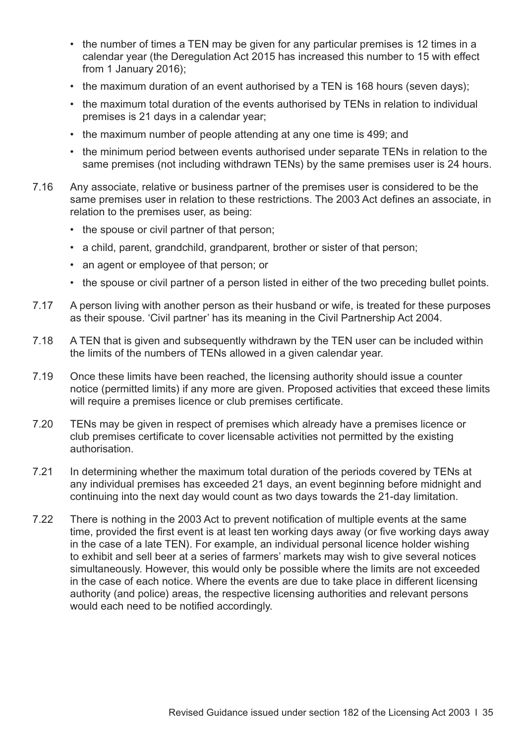- the number of times a TEN may be given for any particular premises is 12 times in a calendar year (the Deregulation Act 2015 has increased this number to 15 with effect from 1 January 2016);
- the maximum duration of an event authorised by a TEN is 168 hours (seven days);
- the maximum total duration of the events authorised by TENs in relation to individual premises is 21 days in a calendar year;
- the maximum number of people attending at any one time is 499; and
- the minimum period between events authorised under separate TENs in relation to the same premises (not including withdrawn TENs) by the same premises user is 24 hours.
- 7.16 Any associate, relative or business partner of the premises user is considered to be the same premises user in relation to these restrictions. The 2003 Act defines an associate, in relation to the premises user, as being:
	- the spouse or civil partner of that person;
	- a child, parent, grandchild, grandparent, brother or sister of that person;
	- an agent or employee of that person; or
	- the spouse or civil partner of a person listed in either of the two preceding bullet points.
- 7.17 A person living with another person as their husband or wife, is treated for these purposes as their spouse. 'Civil partner' has its meaning in the Civil Partnership Act 2004.
- 7.18 A TEN that is given and subsequently withdrawn by the TEN user can be included within the limits of the numbers of TENs allowed in a given calendar year.
- 7.19 Once these limits have been reached, the licensing authority should issue a counter notice (permitted limits) if any more are given. Proposed activities that exceed these limits will require a premises licence or club premises certificate.
- 7.20 TENs may be given in respect of premises which already have a premises licence or club premises certificate to cover licensable activities not permitted by the existing authorisation.
- 7.21 In determining whether the maximum total duration of the periods covered by TENs at any individual premises has exceeded 21 days, an event beginning before midnight and continuing into the next day would count as two days towards the 21-day limitation.
- 7.22 There is nothing in the 2003 Act to prevent notification of multiple events at the same time, provided the first event is at least ten working days away (or five working days away in the case of a late TEN). For example, an individual personal licence holder wishing to exhibit and sell beer at a series of farmers' markets may wish to give several notices simultaneously. However, this would only be possible where the limits are not exceeded in the case of each notice. Where the events are due to take place in different licensing authority (and police) areas, the respective licensing authorities and relevant persons would each need to be notified accordingly.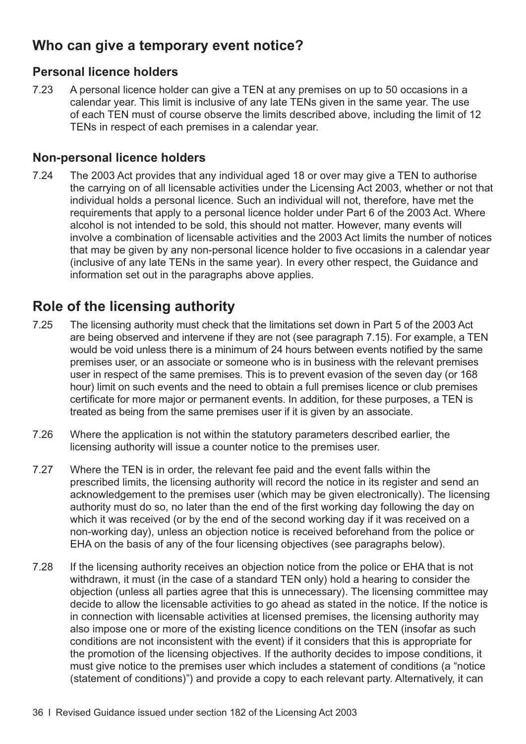## **Who can give a temporary event notice?**

#### **Personal licence holders**

7.23 A personal licence holder can give a TEN at any premises on up to 50 occasions in a calendar year. This limit is inclusive of any late TENs given in the same year. The use of each TEN must of course observe the limits described above, including the limit of 12 TENs in respect of each premises in a calendar year.

#### **Non-personal licence holders**

7.24 The 2003 Act provides that any individual aged 18 or over may give a TEN to authorise the carrying on of all licensable activities under the Licensing Act 2003, whether or not that individual holds a personal licence. Such an individual will not, therefore, have met the requirements that apply to a personal licence holder under Part 6 of the 2003 Act. Where alcohol is not intended to be sold, this should not matter. However, many events will involve a combination of licensable activities and the 2003 Act limits the number of notices that may be given by any non-personal licence holder to five occasions in a calendar year (inclusive of any late TENs in the same year). In every other respect, the Guidance and information set out in the paragraphs above applies.

## **Role of the licensing authority**

- 7.25 The licensing authority must check that the limitations set down in Part 5 of the 2003 Act are being observed and intervene if they are not (see [paragraph 7.15\)](#page-37-0). For example, a TEN would be void unless there is a minimum of 24 hours between events notified by the same premises user, or an associate or someone who is in business with the relevant premises user in respect of the same premises. This is to prevent evasion of the seven day (or 168 hour) limit on such events and the need to obtain a full premises licence or club premises certificate for more major or permanent events. In addition, for these purposes, a TEN is treated as being from the same premises user if it is given by an associate.
- 7.26 Where the application is not within the statutory parameters described earlier, the licensing authority will issue a counter notice to the premises user.
- 7.27 Where the TEN is in order, the relevant fee paid and the event falls within the prescribed limits, the licensing authority will record the notice in its register and send an acknowledgement to the premises user (which may be given electronically). The licensing authority must do so, no later than the end of the first working day following the day on which it was received (or by the end of the second working day if it was received on a non-working day), unless an objection notice is received beforehand from the police or EHA on the basis of any of the four licensing objectives (see paragraphs below).
- 7.28 If the licensing authority receives an objection notice from the police or EHA that is not withdrawn, it must (in the case of a standard TEN only) hold a hearing to consider the objection (unless all parties agree that this is unnecessary). The licensing committee may decide to allow the licensable activities to go ahead as stated in the notice. If the notice is in connection with licensable activities at licensed premises, the licensing authority may also impose one or more of the existing licence conditions on the TEN (insofar as such conditions are not inconsistent with the event) if it considers that this is appropriate for the promotion of the licensing objectives. If the authority decides to impose conditions, it must give notice to the premises user which includes a statement of conditions (a "notice (statement of conditions)") and provide a copy to each relevant party. Alternatively, it can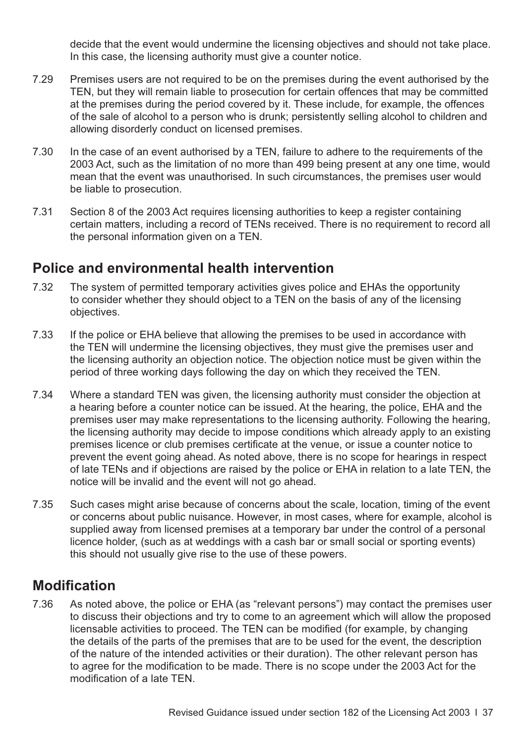<span id="page-40-0"></span>decide that the event would undermine the licensing objectives and should not take place. In this case, the licensing authority must give a counter notice.

- 7.29 Premises users are not required to be on the premises during the event authorised by the TEN, but they will remain liable to prosecution for certain offences that may be committed at the premises during the period covered by it. These include, for example, the offences of the sale of alcohol to a person who is drunk; persistently selling alcohol to children and allowing disorderly conduct on licensed premises.
- 7.30 In the case of an event authorised by a TEN, failure to adhere to the requirements of the 2003 Act, such as the limitation of no more than 499 being present at any one time, would mean that the event was unauthorised. In such circumstances, the premises user would be liable to prosecution.
- 7.31 Section 8 of the 2003 Act requires licensing authorities to keep a register containing certain matters, including a record of TENs received. There is no requirement to record all the personal information given on a TEN.

#### **Police and environmental health intervention**

- 7.32 The system of permitted temporary activities gives police and EHAs the opportunity to consider whether they should object to a TEN on the basis of any of the licensing objectives.
- 7.33 If the police or EHA believe that allowing the premises to be used in accordance with the TEN will undermine the licensing objectives, they must give the premises user and the licensing authority an objection notice. The objection notice must be given within the period of three working days following the day on which they received the TEN.
- 7.34 Where a standard TEN was given, the licensing authority must consider the objection at a hearing before a counter notice can be issued. At the hearing, the police, EHA and the premises user may make representations to the licensing authority. Following the hearing, the licensing authority may decide to impose conditions which already apply to an existing premises licence or club premises certificate at the venue, or issue a counter notice to prevent the event going ahead. As noted above, there is no scope for hearings in respect of late TENs and if objections are raised by the police or EHA in relation to a late TEN, the notice will be invalid and the event will not go ahead.
- 7.35 Such cases might arise because of concerns about the scale, location, timing of the event or concerns about public nuisance. However, in most cases, where for example, alcohol is supplied away from licensed premises at a temporary bar under the control of a personal licence holder, (such as at weddings with a cash bar or small social or sporting events) this should not usually give rise to the use of these powers.

#### **Modification**

7.36 As noted above, the police or EHA (as "relevant persons") may contact the premises user to discuss their objections and try to come to an agreement which will allow the proposed licensable activities to proceed. The TEN can be modified (for example, by changing the details of the parts of the premises that are to be used for the event, the description of the nature of the intended activities or their duration). The other relevant person has to agree for the modification to be made. There is no scope under the 2003 Act for the modification of a late TEN.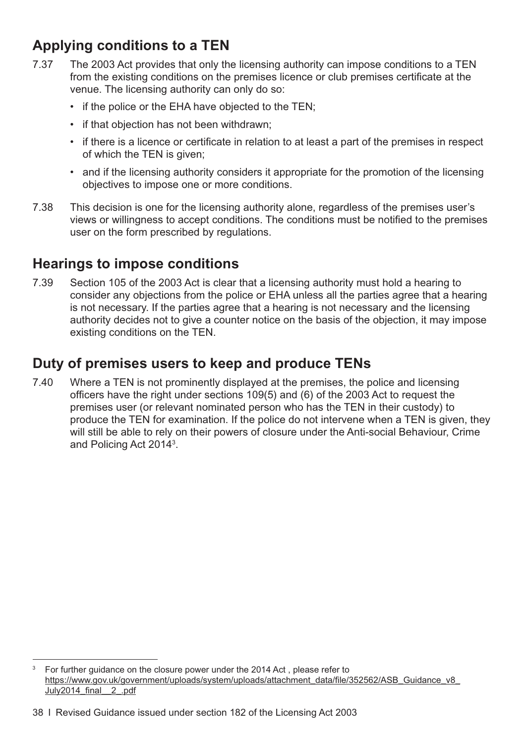## **Applying conditions to a TEN**

- 7.37 The 2003 Act provides that only the licensing authority can impose conditions to a TEN from the existing conditions on the premises licence or club premises certificate at the venue. The licensing authority can only do so:
	- if the police or the EHA have objected to the TEN;
	- if that objection has not been withdrawn;
	- if there is a licence or certificate in relation to at least a part of the premises in respect of which the TEN is given;
	- and if the licensing authority considers it appropriate for the promotion of the licensing objectives to impose one or more conditions.
- 7.38 This decision is one for the licensing authority alone, regardless of the premises user's views or willingness to accept conditions. The conditions must be notified to the premises user on the form prescribed by regulations.

## **Hearings to impose conditions**

7.39 Section 105 of the 2003 Act is clear that a licensing authority must hold a hearing to consider any objections from the police or EHA unless all the parties agree that a hearing is not necessary. If the parties agree that a hearing is not necessary and the licensing authority decides not to give a counter notice on the basis of the objection, it may impose existing conditions on the TEN.

## **Duty of premises users to keep and produce TENs**

7.40 Where a TEN is not prominently displayed at the premises, the police and licensing officers have the right under sections 109(5) and (6) of the 2003 Act to request the premises user (or relevant nominated person who has the TEN in their custody) to produce the TEN for examination. If the police do not intervene when a TEN is given, they will still be able to rely on their powers of closure under the Anti-social Behaviour, Crime and Policing Act 2014<sup>3</sup>.

 $3$  For further quidance on the closure power under the 2014 Act, please refer to https://www.gov.uk/government/uploads/system/uploads/attachment\_data/file/352562/ASB\_Guidance\_v8 [July2014\\_final\\_\\_2\\_.pdf](https://www.gov.uk/government/uploads/system/uploads/attachment_data/file/352562/ASB_Guidance_v8_July2014_final__2_.pdf)

<sup>38</sup> I Revised Guidance issued under section 182 of the Licensing Act 2003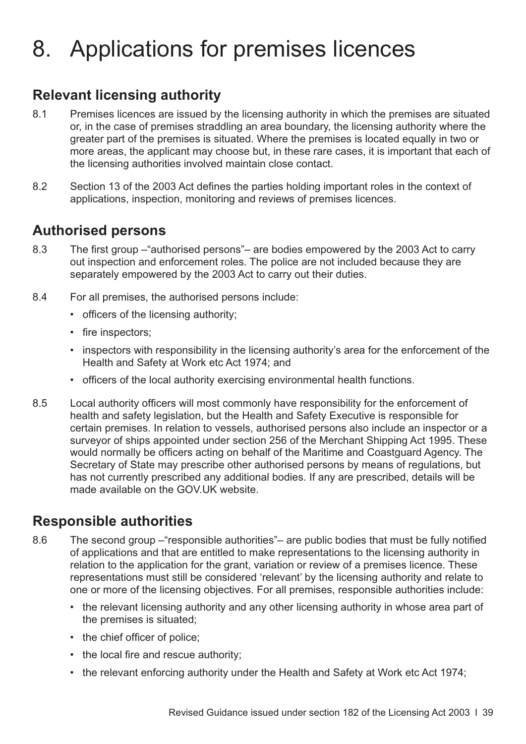## 8. Applications for premises licences

## **Relevant licensing authority**

- 8.1 Premises licences are issued by the licensing authority in which the premises are situated or, in the case of premises straddling an area boundary, the licensing authority where the greater part of the premises is situated. Where the premises is located equally in two or more areas, the applicant may choose but, in these rare cases, it is important that each of the licensing authorities involved maintain close contact.
- 8.2 Section 13 of the 2003 Act defines the parties holding important roles in the context of applications, inspection, monitoring and reviews of premises licences.

#### **Authorised persons**

- 8.3 The first group –"authorised persons"– are bodies empowered by the 2003 Act to carry out inspection and enforcement roles. The police are not included because they are separately empowered by the 2003 Act to carry out their duties.
- 8.4 For all premises, the authorised persons include:
	- officers of the licensing authority;
	- fire inspectors;
	- inspectors with responsibility in the licensing authority's area for the enforcement of the Health and Safety at Work etc Act 1974; and
	- officers of the local authority exercising environmental health functions.
- 8.5 Local authority officers will most commonly have responsibility for the enforcement of health and safety legislation, but the Health and Safety Executive is responsible for certain premises. In relation to vessels, authorised persons also include an inspector or a surveyor of ships appointed under section 256 of the Merchant Shipping Act 1995. These would normally be officers acting on behalf of the Maritime and Coastguard Agency. The Secretary of State may prescribe other authorised persons by means of regulations, but has not currently prescribed any additional bodies. If any are prescribed, details will be made available on the GOV.UK website.

#### **Responsible authorities**

- 8.6 The second group –"responsible authorities"– are public bodies that must be fully notified of applications and that are entitled to make representations to the licensing authority in relation to the application for the grant, variation or review of a premises licence. These representations must still be considered 'relevant' by the licensing authority and relate to one or more of the licensing objectives. For all premises, responsible authorities include:
	- the relevant licensing authority and any other licensing authority in whose area part of the premises is situated;
	- the chief officer of police;
	- the local fire and rescue authority;
	- the relevant enforcing authority under the Health and Safety at Work etc Act 1974;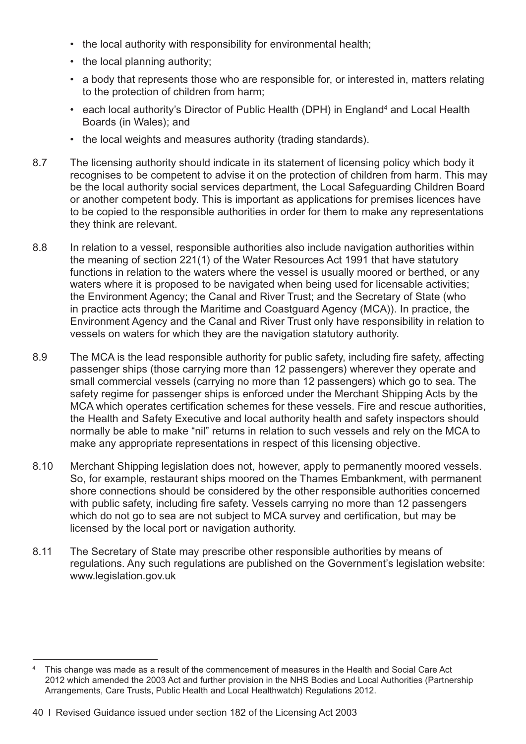- the local authority with responsibility for environmental health;
- the local planning authority;
- a body that represents those who are responsible for, or interested in, matters relating to the protection of children from harm;
- each local authority's Director of Public Health (DPH) in England<sup>4</sup> and Local Health Boards (in Wales); and
- the local weights and measures authority (trading standards).
- 8.7 The licensing authority should indicate in its statement of licensing policy which body it recognises to be competent to advise it on the protection of children from harm. This may be the local authority social services department, the Local Safeguarding Children Board or another competent body. This is important as applications for premises licences have to be copied to the responsible authorities in order for them to make any representations they think are relevant.
- 8.8 In relation to a vessel, responsible authorities also include navigation authorities within the meaning of section 221(1) of the Water Resources Act 1991 that have statutory functions in relation to the waters where the vessel is usually moored or berthed, or any waters where it is proposed to be navigated when being used for licensable activities; the Environment Agency; the Canal and River Trust; and the Secretary of State (who in practice acts through the Maritime and Coastguard Agency (MCA)). In practice, the Environment Agency and the Canal and River Trust only have responsibility in relation to vessels on waters for which they are the navigation statutory authority.
- 8.9 The MCA is the lead responsible authority for public safety, including fire safety, affecting passenger ships (those carrying more than 12 passengers) wherever they operate and small commercial vessels (carrying no more than 12 passengers) which go to sea. The safety regime for passenger ships is enforced under the Merchant Shipping Acts by the MCA which operates certification schemes for these vessels. Fire and rescue authorities, the Health and Safety Executive and local authority health and safety inspectors should normally be able to make "nil" returns in relation to such vessels and rely on the MCA to make any appropriate representations in respect of this licensing objective.
- 8.10 Merchant Shipping legislation does not, however, apply to permanently moored vessels. So, for example, restaurant ships moored on the Thames Embankment, with permanent shore connections should be considered by the other responsible authorities concerned with public safety, including fire safety. Vessels carrying no more than 12 passengers which do not go to sea are not subject to MCA survey and certification, but may be licensed by the local port or navigation authority.
- 8.11 The Secretary of State may prescribe other responsible authorities by means of regulations. Any such regulations are published on the Government's legislation website: [www.legislation.gov.uk](http://www.legislation.gov.uk)

<sup>&</sup>lt;sup>4</sup> This change was made as a result of the commencement of measures in the Health and Social Care Act 2012 which amended the 2003 Act and further provision in the NHS Bodies and Local Authorities (Partnership Arrangements, Care Trusts, Public Health and Local Healthwatch) Regulations 2012.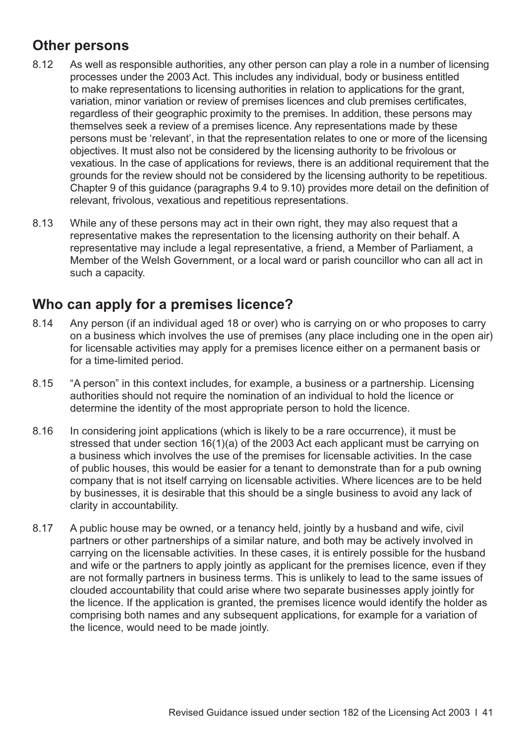## **Other persons**

- 8.12 As well as responsible authorities, any other person can play a role in a number of licensing processes under the 2003 Act. This includes any individual, body or business entitled to make representations to licensing authorities in relation to applications for the grant, variation, minor variation or review of premises licences and club premises certificates, regardless of their geographic proximity to the premises. In addition, these persons may themselves seek a review of a premises licence. Any representations made by these persons must be 'relevant', in that the representation relates to one or more of the licensing objectives. It must also not be considered by the licensing authority to be frivolous or vexatious. In the case of applications for reviews, there is an additional requirement that the grounds for the review should not be considered by the licensing authority to be repetitious. Chapter 9 of this guidance [\(paragraphs 9.4 to 9.10\)](#page-58-0) provides more detail on the definition of relevant, frivolous, vexatious and repetitious representations.
- 8.13 While any of these persons may act in their own right, they may also request that a representative makes the representation to the licensing authority on their behalf. A representative may include a legal representative, a friend, a Member of Parliament, a Member of the Welsh Government, or a local ward or parish councillor who can all act in such a capacity.

#### **Who can apply for a premises licence?**

- 8.14 Any person (if an individual aged 18 or over) who is carrying on or who proposes to carry on a business which involves the use of premises (any place including one in the open air) for licensable activities may apply for a premises licence either on a permanent basis or for a time-limited period.
- 8.15 "A person" in this context includes, for example, a business or a partnership. Licensing authorities should not require the nomination of an individual to hold the licence or determine the identity of the most appropriate person to hold the licence.
- 8.16 In considering joint applications (which is likely to be a rare occurrence), it must be stressed that under section 16(1)(a) of the 2003 Act each applicant must be carrying on a business which involves the use of the premises for licensable activities. In the case of public houses, this would be easier for a tenant to demonstrate than for a pub owning company that is not itself carrying on licensable activities. Where licences are to be held by businesses, it is desirable that this should be a single business to avoid any lack of clarity in accountability.
- 8.17 A public house may be owned, or a tenancy held, jointly by a husband and wife, civil partners or other partnerships of a similar nature, and both may be actively involved in carrying on the licensable activities. In these cases, it is entirely possible for the husband and wife or the partners to apply jointly as applicant for the premises licence, even if they are not formally partners in business terms. This is unlikely to lead to the same issues of clouded accountability that could arise where two separate businesses apply jointly for the licence. If the application is granted, the premises licence would identify the holder as comprising both names and any subsequent applications, for example for a variation of the licence, would need to be made jointly.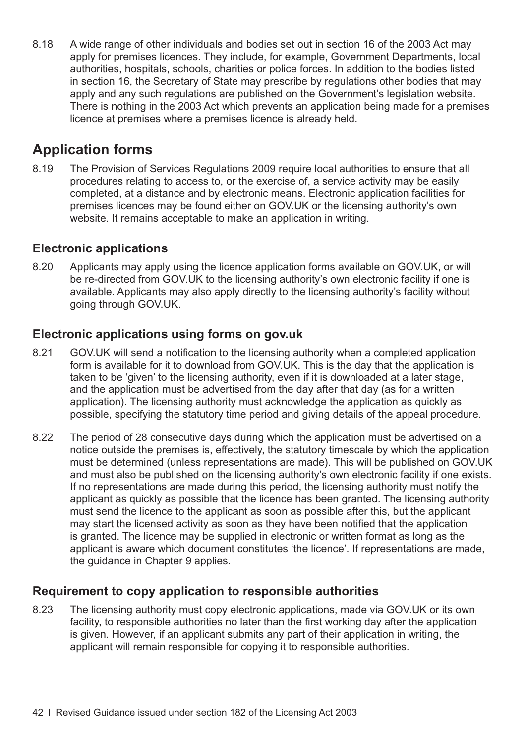<span id="page-45-0"></span>8.18 A wide range of other individuals and bodies set out in section 16 of the 2003 Act may apply for premises licences. They include, for example, Government Departments, local authorities, hospitals, schools, charities or police forces. In addition to the bodies listed in section 16, the Secretary of State may prescribe by regulations other bodies that may apply and any such regulations are published on the Government's legislation website. There is nothing in the 2003 Act which prevents an application being made for a premises licence at premises where a premises licence is already held.

## **Application forms**

8.19 The Provision of Services Regulations 2009 require local authorities to ensure that all procedures relating to access to, or the exercise of, a service activity may be easily completed, at a distance and by electronic means. Electronic application facilities for premises licences may be found either on GOV.UK or the licensing authority's own website. It remains acceptable to make an application in writing.

#### **Electronic applications**

8.20 Applicants may apply using the licence application forms available on GOV.UK, or will be re-directed from GOV.UK to the licensing authority's own electronic facility if one is available. Applicants may also apply directly to the licensing authority's facility without going through GOV.UK.

#### **Electronic applications using forms on gov.uk**

- 8.21 GOV.UK will send a notification to the licensing authority when a completed application form is available for it to download from [GOV.UK](http://gov.uk). This is the day that the application is taken to be 'given' to the licensing authority, even if it is downloaded at a later stage, and the application must be advertised from the day after that day (as for a written application). The licensing authority must acknowledge the application as quickly as possible, specifying the statutory time period and giving details of the appeal procedure.
- 8.22 The period of 28 consecutive days during which the application must be advertised on a notice outside the premises is, effectively, the statutory timescale by which the application must be determined (unless representations are made). This will be published on GOV.UK and must also be published on the licensing authority's own electronic facility if one exists. If no representations are made during this period, the licensing authority must notify the applicant as quickly as possible that the licence has been granted. The licensing authority must send the licence to the applicant as soon as possible after this, but the applicant may start the licensed activity as soon as they have been notified that the application is granted. The licence may be supplied in electronic or written format as long as the applicant is aware which document constitutes 'the licence'. If representations are made, the guidance in [Chapter 9](#page-58-0) applies.

#### **Requirement to copy application to responsible authorities**

8.23 The licensing authority must copy electronic applications, made via GOV.UK or its own facility, to responsible authorities no later than the first working day after the application is given. However, if an applicant submits any part of their application in writing, the applicant will remain responsible for copying it to responsible authorities.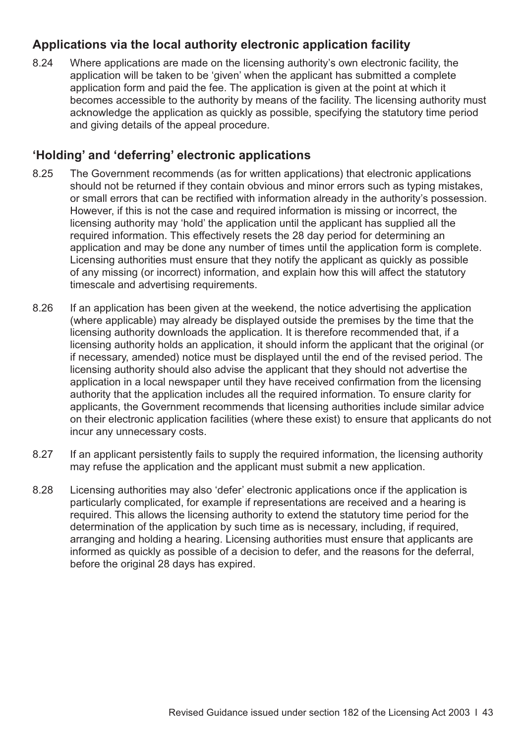#### **Applications via the local authority electronic application facility**

8.24 Where applications are made on the licensing authority's own electronic facility, the application will be taken to be 'given' when the applicant has submitted a complete application form and paid the fee. The application is given at the point at which it becomes accessible to the authority by means of the facility. The licensing authority must acknowledge the application as quickly as possible, specifying the statutory time period and giving details of the appeal procedure.

#### **'Holding' and 'deferring' electronic applications**

- 8.25 The Government recommends (as for written applications) that electronic applications should not be returned if they contain obvious and minor errors such as typing mistakes, or small errors that can be rectified with information already in the authority's possession. However, if this is not the case and required information is missing or incorrect, the licensing authority may 'hold' the application until the applicant has supplied all the required information. This effectively resets the 28 day period for determining an application and may be done any number of times until the application form is complete. Licensing authorities must ensure that they notify the applicant as quickly as possible of any missing (or incorrect) information, and explain how this will affect the statutory timescale and advertising requirements.
- 8.26 If an application has been given at the weekend, the notice advertising the application (where applicable) may already be displayed outside the premises by the time that the licensing authority downloads the application. It is therefore recommended that, if a licensing authority holds an application, it should inform the applicant that the original (or if necessary, amended) notice must be displayed until the end of the revised period. The licensing authority should also advise the applicant that they should not advertise the application in a local newspaper until they have received confirmation from the licensing authority that the application includes all the required information. To ensure clarity for applicants, the Government recommends that licensing authorities include similar advice on their electronic application facilities (where these exist) to ensure that applicants do not incur any unnecessary costs.
- 8.27 If an applicant persistently fails to supply the required information, the licensing authority may refuse the application and the applicant must submit a new application.
- 8.28 Licensing authorities may also 'defer' electronic applications once if the application is particularly complicated, for example if representations are received and a hearing is required. This allows the licensing authority to extend the statutory time period for the determination of the application by such time as is necessary, including, if required, arranging and holding a hearing. Licensing authorities must ensure that applicants are informed as quickly as possible of a decision to defer, and the reasons for the deferral, before the original 28 days has expired.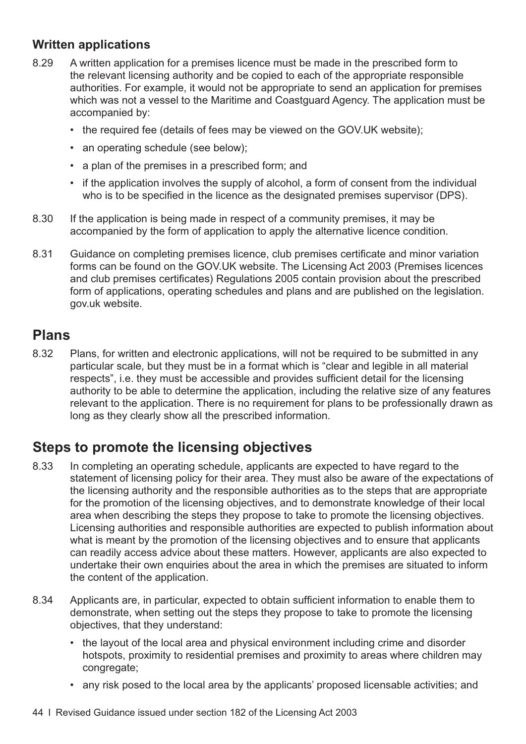#### **Written applications**

- 8.29 A written application for a premises licence must be made in the prescribed form to the relevant licensing authority and be copied to each of the appropriate responsible authorities. For example, it would not be appropriate to send an application for premises which was not a vessel to the Maritime and Coastguard Agency. The application must be accompanied by:
	- the required fee (details of fees may be viewed on the [GOV.UK](http://gov.uk) website);
	- an operating schedule (see below);
	- a plan of the premises in a prescribed form; and
	- if the application involves the supply of alcohol, a form of consent from the individual who is to be specified in the licence as the designated premises supervisor (DPS).
- 8.30 If the application is being made in respect of a community premises, it may be accompanied by the form of application to apply the alternative licence condition.
- 8.31 Guidance on completing premises licence, club premises certificate and minor variation forms can be found on the GOV.UK website. The Licensing Act 2003 (Premises licences and club premises certificates) Regulations 2005 contain provision about the prescribed form of applications, operating schedules and plans and are published on the legislation. gov.uk website.

#### **Plans**

8.32 Plans, for written and electronic applications, will not be required to be submitted in any particular scale, but they must be in a format which is "clear and legible in all material respects", i.e. they must be accessible and provides sufficient detail for the licensing authority to be able to determine the application, including the relative size of any features relevant to the application. There is no requirement for plans to be professionally drawn as long as they clearly show all the prescribed information.

## **Steps to promote the licensing objectives**

- 8.33 In completing an operating schedule, applicants are expected to have regard to the statement of licensing policy for their area. They must also be aware of the expectations of the licensing authority and the responsible authorities as to the steps that are appropriate for the promotion of the licensing objectives, and to demonstrate knowledge of their local area when describing the steps they propose to take to promote the licensing objectives. Licensing authorities and responsible authorities are expected to publish information about what is meant by the promotion of the licensing objectives and to ensure that applicants can readily access advice about these matters. However, applicants are also expected to undertake their own enquiries about the area in which the premises are situated to inform the content of the application.
- 8.34 Applicants are, in particular, expected to obtain sufficient information to enable them to demonstrate, when setting out the steps they propose to take to promote the licensing objectives, that they understand:
	- the layout of the local area and physical environment including crime and disorder hotspots, proximity to residential premises and proximity to areas where children may congregate;
	- any risk posed to the local area by the applicants' proposed licensable activities; and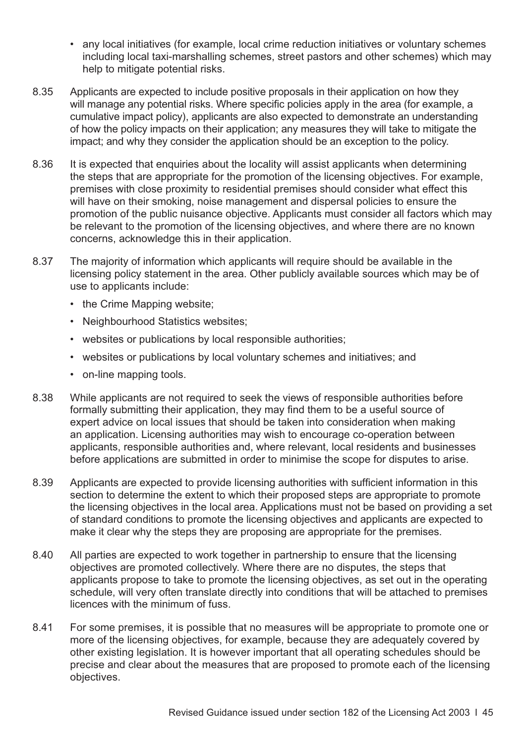- any local initiatives (for example, local crime reduction initiatives or voluntary schemes including local taxi-marshalling schemes, street pastors and other schemes) which may help to mitigate potential risks.
- 8.35 Applicants are expected to include positive proposals in their application on how they will manage any potential risks. Where specific policies apply in the area (for example, a cumulative impact policy), applicants are also expected to demonstrate an understanding of how the policy impacts on their application; any measures they will take to mitigate the impact; and why they consider the application should be an exception to the policy.
- 8.36 It is expected that enquiries about the locality will assist applicants when determining the steps that are appropriate for the promotion of the licensing objectives. For example, premises with close proximity to residential premises should consider what effect this will have on their smoking, noise management and dispersal policies to ensure the promotion of the public nuisance objective. Applicants must consider all factors which may be relevant to the promotion of the licensing objectives, and where there are no known concerns, acknowledge this in their application.
- 8.37 The majority of information which applicants will require should be available in the licensing policy statement in the area. Other publicly available sources which may be of use to applicants include:
	- the Crime Mapping website;
	- Neighbourhood Statistics websites;
	- websites or publications by local responsible authorities;
	- websites or publications by local voluntary schemes and initiatives; and
	- on-line mapping tools.
- 8.38 While applicants are not required to seek the views of responsible authorities before formally submitting their application, they may find them to be a useful source of expert advice on local issues that should be taken into consideration when making an application. Licensing authorities may wish to encourage co-operation between applicants, responsible authorities and, where relevant, local residents and businesses before applications are submitted in order to minimise the scope for disputes to arise.
- 8.39 Applicants are expected to provide licensing authorities with sufficient information in this section to determine the extent to which their proposed steps are appropriate to promote the licensing objectives in the local area. Applications must not be based on providing a set of standard conditions to promote the licensing objectives and applicants are expected to make it clear why the steps they are proposing are appropriate for the premises.
- 8.40 All parties are expected to work together in partnership to ensure that the licensing objectives are promoted collectively. Where there are no disputes, the steps that applicants propose to take to promote the licensing objectives, as set out in the operating schedule, will very often translate directly into conditions that will be attached to premises licences with the minimum of fuss.
- 8.41 For some premises, it is possible that no measures will be appropriate to promote one or more of the licensing objectives, for example, because they are adequately covered by other existing legislation. It is however important that all operating schedules should be precise and clear about the measures that are proposed to promote each of the licensing objectives.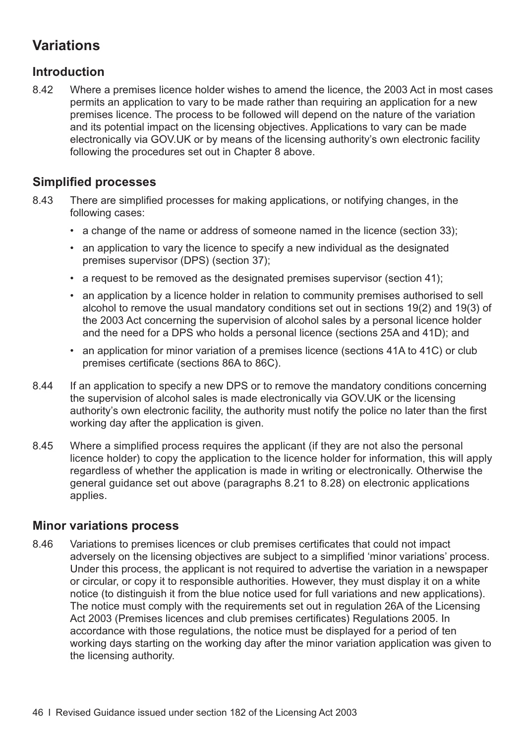## **Variations**

#### **Introduction**

8.42 Where a premises licence holder wishes to amend the licence, the 2003 Act in most cases permits an application to vary to be made rather than requiring an application for a new premises licence. The process to be followed will depend on the nature of the variation and its potential impact on the licensing objectives. Applications to vary can be made electronically via GOV.UK or by means of the licensing authority's own electronic facility following the procedures set out in Chapter 8 above.

#### **Simplified processes**

- 8.43 There are simplified processes for making applications, or notifying changes, in the following cases:
	- a change of the name or address of someone named in the licence (section 33);
	- an application to vary the licence to specify a new individual as the designated premises supervisor (DPS) (section 37);
	- a request to be removed as the designated premises supervisor (section 41);
	- an application by a licence holder in relation to community premises authorised to sell alcohol to remove the usual mandatory conditions set out in sections 19(2) and 19(3) of the 2003 Act concerning the supervision of alcohol sales by a personal licence holder and the need for a DPS who holds a personal licence (sections 25A and 41D); and
	- an application for minor variation of a premises licence (sections 41A to 41C) or club premises certificate (sections 86A to 86C).
- 8.44 If an application to specify a new DPS or to remove the mandatory conditions concerning the supervision of alcohol sales is made electronically via GOV.UK or the licensing authority's own electronic facility, the authority must notify the police no later than the first working day after the application is given.
- 8.45 Where a simplified process requires the applicant (if they are not also the personal licence holder) to copy the application to the licence holder for information, this will apply regardless of whether the application is made in writing or electronically. Otherwise the general guidance set out above [\(paragraphs 8.21 to 8.28\)](#page-45-0) on electronic applications applies.

#### **Minor variations process**

8.46 Variations to premises licences or club premises certificates that could not impact adversely on the licensing objectives are subject to a simplified 'minor variations' process. Under this process, the applicant is not required to advertise the variation in a newspaper or circular, or copy it to responsible authorities. However, they must display it on a white notice (to distinguish it from the blue notice used for full variations and new applications). The notice must comply with the requirements set out in regulation 26A of the Licensing Act 2003 (Premises licences and club premises certificates) Regulations 2005. In accordance with those regulations, the notice must be displayed for a period of ten working days starting on the working day after the minor variation application was given to the licensing authority.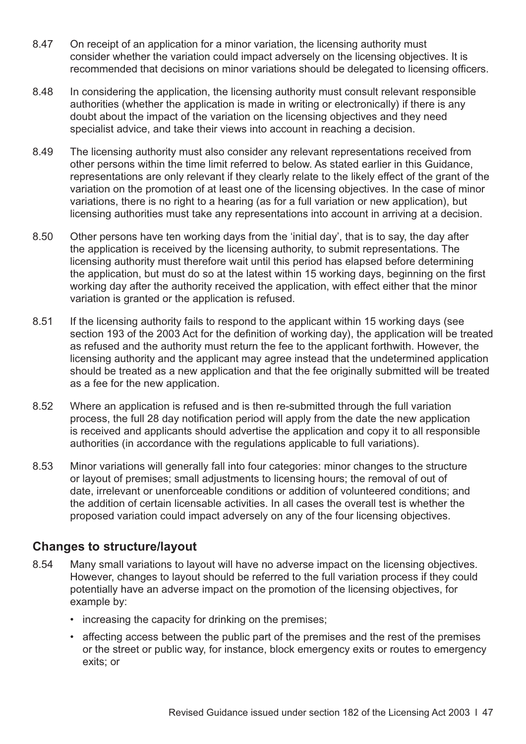- 8.47 On receipt of an application for a minor variation, the licensing authority must consider whether the variation could impact adversely on the licensing objectives. It is recommended that decisions on minor variations should be delegated to licensing officers.
- 8.48 In considering the application, the licensing authority must consult relevant responsible authorities (whether the application is made in writing or electronically) if there is any doubt about the impact of the variation on the licensing objectives and they need specialist advice, and take their views into account in reaching a decision.
- 8.49 The licensing authority must also consider any relevant representations received from other persons within the time limit referred to below. As stated earlier in this Guidance, representations are only relevant if they clearly relate to the likely effect of the grant of the variation on the promotion of at least one of the licensing objectives. In the case of minor variations, there is no right to a hearing (as for a full variation or new application), but licensing authorities must take any representations into account in arriving at a decision.
- 8.50 Other persons have ten working days from the 'initial day', that is to say, the day after the application is received by the licensing authority, to submit representations. The licensing authority must therefore wait until this period has elapsed before determining the application, but must do so at the latest within 15 working days, beginning on the first working day after the authority received the application, with effect either that the minor variation is granted or the application is refused.
- 8.51 If the licensing authority fails to respond to the applicant within 15 working days (see section 193 of the 2003 Act for the definition of working day), the application will be treated as refused and the authority must return the fee to the applicant forthwith. However, the licensing authority and the applicant may agree instead that the undetermined application should be treated as a new application and that the fee originally submitted will be treated as a fee for the new application.
- 8.52 Where an application is refused and is then re-submitted through the full variation process, the full 28 day notification period will apply from the date the new application is received and applicants should advertise the application and copy it to all responsible authorities (in accordance with the regulations applicable to full variations).
- 8.53 Minor variations will generally fall into four categories: minor changes to the structure or layout of premises; small adjustments to licensing hours; the removal of out of date, irrelevant or unenforceable conditions or addition of volunteered conditions; and the addition of certain licensable activities. In all cases the overall test is whether the proposed variation could impact adversely on any of the four licensing objectives.

#### **Changes to structure/layout**

- 8.54 Many small variations to layout will have no adverse impact on the licensing objectives. However, changes to layout should be referred to the full variation process if they could potentially have an adverse impact on the promotion of the licensing objectives, for example by:
	- increasing the capacity for drinking on the premises;
	- affecting access between the public part of the premises and the rest of the premises or the street or public way, for instance, block emergency exits or routes to emergency exits; or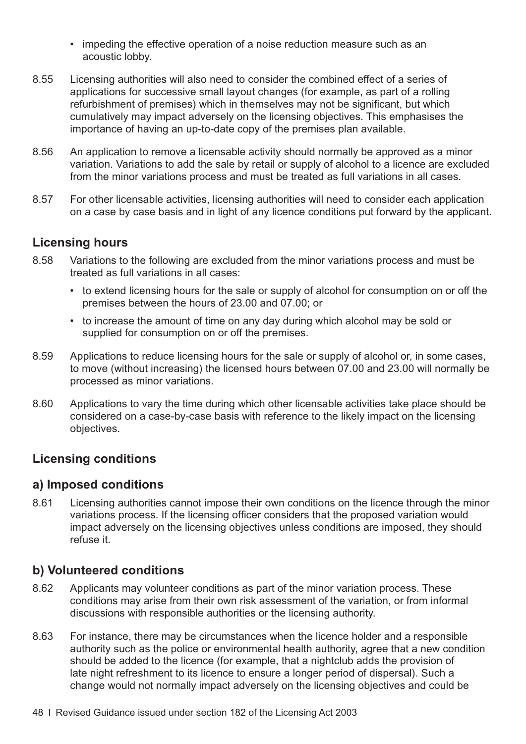- impeding the effective operation of a noise reduction measure such as an acoustic lobby.
- 8.55 Licensing authorities will also need to consider the combined effect of a series of applications for successive small layout changes (for example, as part of a rolling refurbishment of premises) which in themselves may not be significant, but which cumulatively may impact adversely on the licensing objectives. This emphasises the importance of having an up-to-date copy of the premises plan available.
- 8.56 An application to remove a licensable activity should normally be approved as a minor variation. Variations to add the sale by retail or supply of alcohol to a licence are excluded from the minor variations process and must be treated as full variations in all cases.
- 8.57 For other licensable activities, licensing authorities will need to consider each application on a case by case basis and in light of any licence conditions put forward by the applicant.

#### **Licensing hours**

- 8.58 Variations to the following are excluded from the minor variations process and must be treated as full variations in all cases:
	- to extend licensing hours for the sale or supply of alcohol for consumption on or off the premises between the hours of 23.00 and 07.00; or
	- to increase the amount of time on any day during which alcohol may be sold or supplied for consumption on or off the premises.
- 8.59 Applications to reduce licensing hours for the sale or supply of alcohol or, in some cases, to move (without increasing) the licensed hours between 07.00 and 23.00 will normally be processed as minor variations.
- 8.60 Applications to vary the time during which other licensable activities take place should be considered on a case-by-case basis with reference to the likely impact on the licensing objectives.

#### **Licensing conditions**

#### **a) Imposed conditions**

8.61 Licensing authorities cannot impose their own conditions on the licence through the minor variations process. If the licensing officer considers that the proposed variation would impact adversely on the licensing objectives unless conditions are imposed, they should refuse it.

#### **b) Volunteered conditions**

- 8.62 Applicants may volunteer conditions as part of the minor variation process. These conditions may arise from their own risk assessment of the variation, or from informal discussions with responsible authorities or the licensing authority.
- 8.63 For instance, there may be circumstances when the licence holder and a responsible authority such as the police or environmental health authority, agree that a new condition should be added to the licence (for example, that a nightclub adds the provision of late night refreshment to its licence to ensure a longer period of dispersal). Such a change would not normally impact adversely on the licensing objectives and could be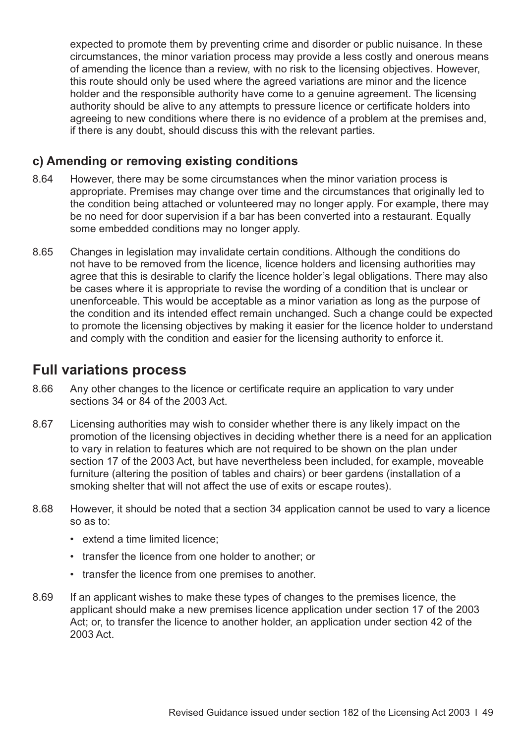expected to promote them by preventing crime and disorder or public nuisance. In these circumstances, the minor variation process may provide a less costly and onerous means of amending the licence than a review, with no risk to the licensing objectives. However, this route should only be used where the agreed variations are minor and the licence holder and the responsible authority have come to a genuine agreement. The licensing authority should be alive to any attempts to pressure licence or certificate holders into agreeing to new conditions where there is no evidence of a problem at the premises and, if there is any doubt, should discuss this with the relevant parties.

#### **c) Amending or removing existing conditions**

- 8.64 However, there may be some circumstances when the minor variation process is appropriate. Premises may change over time and the circumstances that originally led to the condition being attached or volunteered may no longer apply. For example, there may be no need for door supervision if a bar has been converted into a restaurant. Equally some embedded conditions may no longer apply.
- 8.65 Changes in legislation may invalidate certain conditions. Although the conditions do not have to be removed from the licence, licence holders and licensing authorities may agree that this is desirable to clarify the licence holder's legal obligations. There may also be cases where it is appropriate to revise the wording of a condition that is unclear or unenforceable. This would be acceptable as a minor variation as long as the purpose of the condition and its intended effect remain unchanged. Such a change could be expected to promote the licensing objectives by making it easier for the licence holder to understand and comply with the condition and easier for the licensing authority to enforce it.

#### **Full variations process**

- 8.66 Any other changes to the licence or certificate require an application to vary under sections 34 or 84 of the 2003 Act.
- 8.67 Licensing authorities may wish to consider whether there is any likely impact on the promotion of the licensing objectives in deciding whether there is a need for an application to vary in relation to features which are not required to be shown on the plan under section 17 of the 2003 Act, but have nevertheless been included, for example, moveable furniture (altering the position of tables and chairs) or beer gardens (installation of a smoking shelter that will not affect the use of exits or escape routes).
- 8.68 However, it should be noted that a section 34 application cannot be used to vary a licence so as to:
	- extend a time limited licence;
	- transfer the licence from one holder to another; or
	- transfer the licence from one premises to another.
- 8.69 If an applicant wishes to make these types of changes to the premises licence, the applicant should make a new premises licence application under section 17 of the 2003 Act; or, to transfer the licence to another holder, an application under section 42 of the 2003 Act.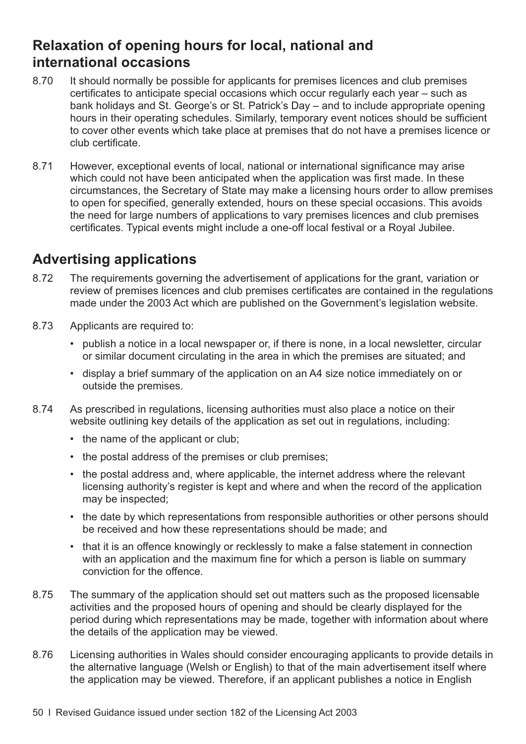## **Relaxation of opening hours for local, national and international occasions**

- 8.70 It should normally be possible for applicants for premises licences and club premises certificates to anticipate special occasions which occur regularly each year – such as bank holidays and St. George's or St. Patrick's Day – and to include appropriate opening hours in their operating schedules. Similarly, temporary event notices should be sufficient to cover other events which take place at premises that do not have a premises licence or club certificate.
- 8.71 However, exceptional events of local, national or international significance may arise which could not have been anticipated when the application was first made. In these circumstances, the Secretary of State may make a licensing hours order to allow premises to open for specified, generally extended, hours on these special occasions. This avoids the need for large numbers of applications to vary premises licences and club premises certificates. Typical events might include a one-off local festival or a Royal Jubilee.

## **Advertising applications**

- 8.72 The requirements governing the advertisement of applications for the grant, variation or review of premises licences and club premises certificates are contained in the regulations made under the 2003 Act which are published on the Government's legislation website.
- 8.73 Applicants are required to:
	- publish a notice in a local newspaper or, if there is none, in a local newsletter, circular or similar document circulating in the area in which the premises are situated; and
	- display a brief summary of the application on an A4 size notice immediately on or outside the premises.
- 8.74 As prescribed in regulations, licensing authorities must also place a notice on their website outlining key details of the application as set out in regulations, including:
	- the name of the applicant or club;
	- the postal address of the premises or club premises;
	- the postal address and, where applicable, the internet address where the relevant licensing authority's register is kept and where and when the record of the application may be inspected;
	- the date by which representations from responsible authorities or other persons should be received and how these representations should be made; and
	- that it is an offence knowingly or recklessly to make a false statement in connection with an application and the maximum fine for which a person is liable on summary conviction for the offence.
- 8.75 The summary of the application should set out matters such as the proposed licensable activities and the proposed hours of opening and should be clearly displayed for the period during which representations may be made, together with information about where the details of the application may be viewed.
- 8.76 Licensing authorities in Wales should consider encouraging applicants to provide details in the alternative language (Welsh or English) to that of the main advertisement itself where the application may be viewed. Therefore, if an applicant publishes a notice in English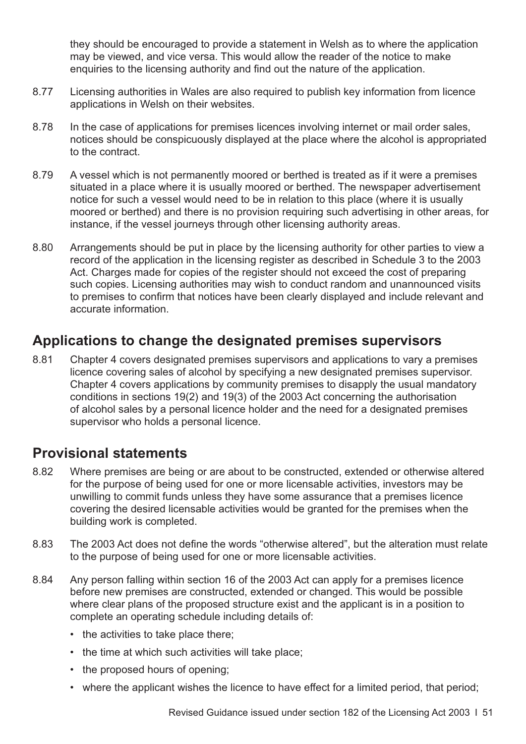they should be encouraged to provide a statement in Welsh as to where the application may be viewed, and vice versa. This would allow the reader of the notice to make enquiries to the licensing authority and find out the nature of the application.

- 8.77 Licensing authorities in Wales are also required to publish key information from licence applications in Welsh on their websites.
- 8.78 In the case of applications for premises licences involving internet or mail order sales, notices should be conspicuously displayed at the place where the alcohol is appropriated to the contract.
- 8.79 A vessel which is not permanently moored or berthed is treated as if it were a premises situated in a place where it is usually moored or berthed. The newspaper advertisement notice for such a vessel would need to be in relation to this place (where it is usually moored or berthed) and there is no provision requiring such advertising in other areas, for instance, if the vessel journeys through other licensing authority areas.
- 8.80 Arrangements should be put in place by the licensing authority for other parties to view a record of the application in the licensing register as described in Schedule 3 to the 2003 Act. Charges made for copies of the register should not exceed the cost of preparing such copies. Licensing authorities may wish to conduct random and unannounced visits to premises to confirm that notices have been clearly displayed and include relevant and accurate information.

#### **Applications to change the designated premises supervisors**

8.81 [Chapter 4](#page-20-0) covers designated premises supervisors and applications to vary a premises licence covering sales of alcohol by specifying a new designated premises supervisor. Chapter 4 covers applications by community premises to disapply the usual mandatory conditions in sections 19(2) and 19(3) of the 2003 Act concerning the authorisation of alcohol sales by a personal licence holder and the need for a designated premises supervisor who holds a personal licence.

## **Provisional statements**

- 8.82 Where premises are being or are about to be constructed, extended or otherwise altered for the purpose of being used for one or more licensable activities, investors may be unwilling to commit funds unless they have some assurance that a premises licence covering the desired licensable activities would be granted for the premises when the building work is completed.
- 8.83 The 2003 Act does not define the words "otherwise altered", but the alteration must relate to the purpose of being used for one or more licensable activities.
- 8.84 Any person falling within section 16 of the 2003 Act can apply for a premises licence before new premises are constructed, extended or changed. This would be possible where clear plans of the proposed structure exist and the applicant is in a position to complete an operating schedule including details of:
	- the activities to take place there;
	- the time at which such activities will take place;
	- the proposed hours of opening;
	- where the applicant wishes the licence to have effect for a limited period, that period;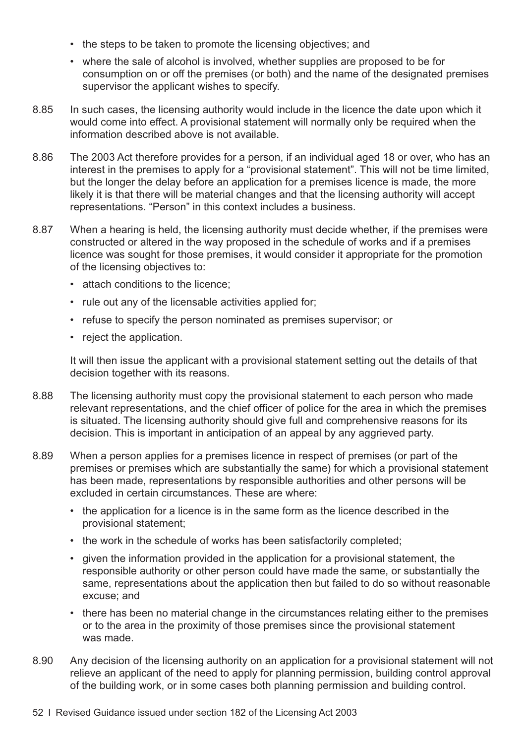- the steps to be taken to promote the licensing objectives; and
- where the sale of alcohol is involved, whether supplies are proposed to be for consumption on or off the premises (or both) and the name of the designated premises supervisor the applicant wishes to specify.
- 8.85 In such cases, the licensing authority would include in the licence the date upon which it would come into effect. A provisional statement will normally only be required when the information described above is not available.
- 8.86 The 2003 Act therefore provides for a person, if an individual aged 18 or over, who has an interest in the premises to apply for a "provisional statement". This will not be time limited, but the longer the delay before an application for a premises licence is made, the more likely it is that there will be material changes and that the licensing authority will accept representations. "Person" in this context includes a business.
- 8.87 When a hearing is held, the licensing authority must decide whether, if the premises were constructed or altered in the way proposed in the schedule of works and if a premises licence was sought for those premises, it would consider it appropriate for the promotion of the licensing objectives to:
	- attach conditions to the licence;
	- rule out any of the licensable activities applied for;
	- refuse to specify the person nominated as premises supervisor; or
	- reject the application.

It will then issue the applicant with a provisional statement setting out the details of that decision together with its reasons.

- 8.88 The licensing authority must copy the provisional statement to each person who made relevant representations, and the chief officer of police for the area in which the premises is situated. The licensing authority should give full and comprehensive reasons for its decision. This is important in anticipation of an appeal by any aggrieved party.
- 8.89 When a person applies for a premises licence in respect of premises (or part of the premises or premises which are substantially the same) for which a provisional statement has been made, representations by responsible authorities and other persons will be excluded in certain circumstances. These are where:
	- the application for a licence is in the same form as the licence described in the provisional statement;
	- the work in the schedule of works has been satisfactorily completed;
	- given the information provided in the application for a provisional statement, the responsible authority or other person could have made the same, or substantially the same, representations about the application then but failed to do so without reasonable excuse; and
	- there has been no material change in the circumstances relating either to the premises or to the area in the proximity of those premises since the provisional statement was made.
- 8.90 Any decision of the licensing authority on an application for a provisional statement will not relieve an applicant of the need to apply for planning permission, building control approval of the building work, or in some cases both planning permission and building control.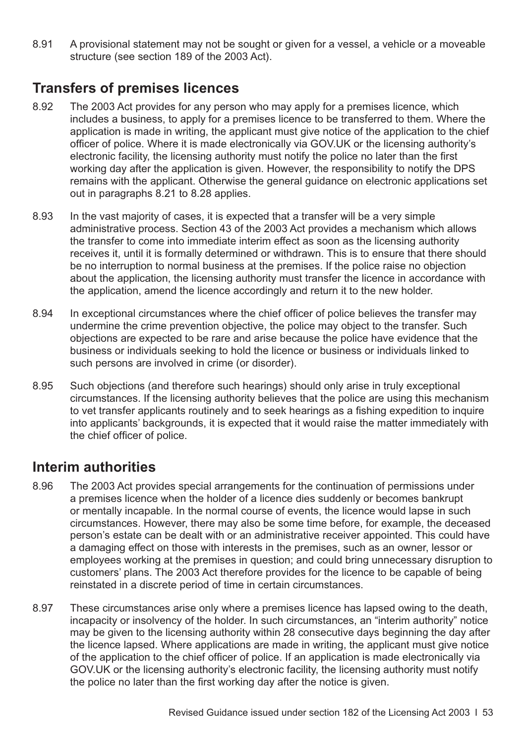8.91 A provisional statement may not be sought or given for a vessel, a vehicle or a moveable structure (see section 189 of the 2003 Act).

## **Transfers of premises licences**

- 8.92 The 2003 Act provides for any person who may apply for a premises licence, which includes a business, to apply for a premises licence to be transferred to them. Where the application is made in writing, the applicant must give notice of the application to the chief officer of police. Where it is made electronically via GOV.UK or the licensing authority's electronic facility, the licensing authority must notify the police no later than the first working day after the application is given. However, the responsibility to notify the DPS remains with the applicant. Otherwise the general guidance on electronic applications set out in [paragraphs 8.21 to 8.28](#page-45-0) applies.
- 8.93 In the vast majority of cases, it is expected that a transfer will be a very simple administrative process. Section 43 of the 2003 Act provides a mechanism which allows the transfer to come into immediate interim effect as soon as the licensing authority receives it, until it is formally determined or withdrawn. This is to ensure that there should be no interruption to normal business at the premises. If the police raise no objection about the application, the licensing authority must transfer the licence in accordance with the application, amend the licence accordingly and return it to the new holder.
- 8.94 In exceptional circumstances where the chief officer of police believes the transfer may undermine the crime prevention objective, the police may object to the transfer. Such objections are expected to be rare and arise because the police have evidence that the business or individuals seeking to hold the licence or business or individuals linked to such persons are involved in crime (or disorder).
- 8.95 Such objections (and therefore such hearings) should only arise in truly exceptional circumstances. If the licensing authority believes that the police are using this mechanism to vet transfer applicants routinely and to seek hearings as a fishing expedition to inquire into applicants' backgrounds, it is expected that it would raise the matter immediately with the chief officer of police.

#### **Interim authorities**

- 8.96 The 2003 Act provides special arrangements for the continuation of permissions under a premises licence when the holder of a licence dies suddenly or becomes bankrupt or mentally incapable. In the normal course of events, the licence would lapse in such circumstances. However, there may also be some time before, for example, the deceased person's estate can be dealt with or an administrative receiver appointed. This could have a damaging effect on those with interests in the premises, such as an owner, lessor or employees working at the premises in question; and could bring unnecessary disruption to customers' plans. The 2003 Act therefore provides for the licence to be capable of being reinstated in a discrete period of time in certain circumstances.
- 8.97 These circumstances arise only where a premises licence has lapsed owing to the death, incapacity or insolvency of the holder. In such circumstances, an "interim authority" notice may be given to the licensing authority within 28 consecutive days beginning the day after the licence lapsed. Where applications are made in writing, the applicant must give notice of the application to the chief officer of police. If an application is made electronically via GOV.UK or the licensing authority's electronic facility, the licensing authority must notify the police no later than the first working day after the notice is given.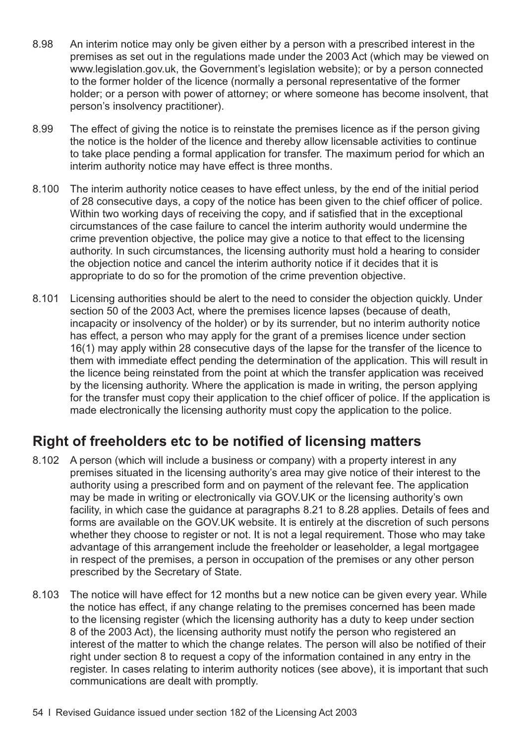- 8.98 An interim notice may only be given either by a person with a prescribed interest in the premises as set out in the regulations made under the 2003 Act (which may be viewed on [www.legislation.gov.uk,](http://www.legislation.gov.uk) the Government's legislation website); or by a person connected to the former holder of the licence (normally a personal representative of the former holder; or a person with power of attorney; or where someone has become insolvent, that person's insolvency practitioner).
- 8.99 The effect of giving the notice is to reinstate the premises licence as if the person giving the notice is the holder of the licence and thereby allow licensable activities to continue to take place pending a formal application for transfer. The maximum period for which an interim authority notice may have effect is three months.
- 8.100 The interim authority notice ceases to have effect unless, by the end of the initial period of 28 consecutive days, a copy of the notice has been given to the chief officer of police. Within two working days of receiving the copy, and if satisfied that in the exceptional circumstances of the case failure to cancel the interim authority would undermine the crime prevention objective, the police may give a notice to that effect to the licensing authority. In such circumstances, the licensing authority must hold a hearing to consider the objection notice and cancel the interim authority notice if it decides that it is appropriate to do so for the promotion of the crime prevention objective.
- 8.101 Licensing authorities should be alert to the need to consider the objection quickly. Under section 50 of the 2003 Act, where the premises licence lapses (because of death, incapacity or insolvency of the holder) or by its surrender, but no interim authority notice has effect, a person who may apply for the grant of a premises licence under section 16(1) may apply within 28 consecutive days of the lapse for the transfer of the licence to them with immediate effect pending the determination of the application. This will result in the licence being reinstated from the point at which the transfer application was received by the licensing authority. Where the application is made in writing, the person applying for the transfer must copy their application to the chief officer of police. If the application is made electronically the licensing authority must copy the application to the police.

## **Right of freeholders etc to be notified of licensing matters**

- 8.102 A person (which will include a business or company) with a property interest in any premises situated in the licensing authority's area may give notice of their interest to the authority using a prescribed form and on payment of the relevant fee. The application may be made in writing or electronically via GOV.UK or the licensing authority's own facility, in which case the guidance at [paragraphs 8.21 to 8.28](#page-45-0) applies. Details of fees and forms are available on the GOV.UK website. It is entirely at the discretion of such persons whether they choose to register or not. It is not a legal requirement. Those who may take advantage of this arrangement include the freeholder or leaseholder, a legal mortgagee in respect of the premises, a person in occupation of the premises or any other person prescribed by the Secretary of State.
- 8.103 The notice will have effect for 12 months but a new notice can be given every year. While the notice has effect, if any change relating to the premises concerned has been made to the licensing register (which the licensing authority has a duty to keep under section 8 of the 2003 Act), the licensing authority must notify the person who registered an interest of the matter to which the change relates. The person will also be notified of their right under section 8 to request a copy of the information contained in any entry in the register. In cases relating to interim authority notices (see above), it is important that such communications are dealt with promptly.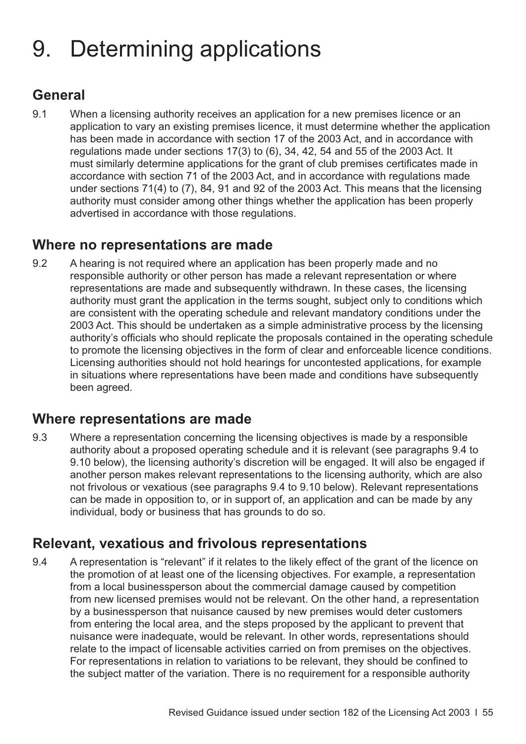# <span id="page-58-0"></span>9. Determining applications

## **General**

9.1 When a licensing authority receives an application for a new premises licence or an application to vary an existing premises licence, it must determine whether the application has been made in accordance with section 17 of the 2003 Act, and in accordance with regulations made under sections 17(3) to (6), 34, 42, 54 and 55 of the 2003 Act. It must similarly determine applications for the grant of club premises certificates made in accordance with section 71 of the 2003 Act, and in accordance with regulations made under sections 71(4) to (7), 84, 91 and 92 of the 2003 Act. This means that the licensing authority must consider among other things whether the application has been properly advertised in accordance with those regulations.

#### **Where no representations are made**

9.2 A hearing is not required where an application has been properly made and no responsible authority or other person has made a relevant representation or where representations are made and subsequently withdrawn. In these cases, the licensing authority must grant the application in the terms sought, subject only to conditions which are consistent with the operating schedule and relevant mandatory conditions under the 2003 Act. This should be undertaken as a simple administrative process by the licensing authority's officials who should replicate the proposals contained in the operating schedule to promote the licensing objectives in the form of clear and enforceable licence conditions. Licensing authorities should not hold hearings for uncontested applications, for example in situations where representations have been made and conditions have subsequently been agreed.

#### **Where representations are made**

9.3 Where a representation concerning the licensing objectives is made by a responsible authority about a proposed operating schedule and it is relevant (see paragraphs 9.4 to 9.10 below), the licensing authority's discretion will be engaged. It will also be engaged if another person makes relevant representations to the licensing authority, which are also not frivolous or vexatious (see paragraphs 9.4 to 9.10 below). Relevant representations can be made in opposition to, or in support of, an application and can be made by any individual, body or business that has grounds to do so.

## **Relevant, vexatious and frivolous representations**

9.4 A representation is "relevant" if it relates to the likely effect of the grant of the licence on the promotion of at least one of the licensing objectives. For example, a representation from a local businessperson about the commercial damage caused by competition from new licensed premises would not be relevant. On the other hand, a representation by a businessperson that nuisance caused by new premises would deter customers from entering the local area, and the steps proposed by the applicant to prevent that nuisance were inadequate, would be relevant. In other words, representations should relate to the impact of licensable activities carried on from premises on the objectives. For representations in relation to variations to be relevant, they should be confined to the subject matter of the variation. There is no requirement for a responsible authority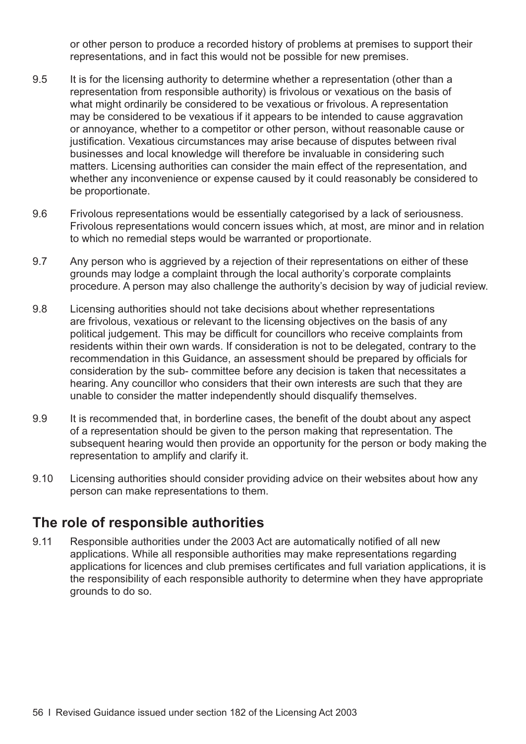or other person to produce a recorded history of problems at premises to support their representations, and in fact this would not be possible for new premises.

- 9.5 It is for the licensing authority to determine whether a representation (other than a representation from responsible authority) is frivolous or vexatious on the basis of what might ordinarily be considered to be vexatious or frivolous. A representation may be considered to be vexatious if it appears to be intended to cause aggravation or annoyance, whether to a competitor or other person, without reasonable cause or justification. Vexatious circumstances may arise because of disputes between rival businesses and local knowledge will therefore be invaluable in considering such matters. Licensing authorities can consider the main effect of the representation, and whether any inconvenience or expense caused by it could reasonably be considered to be proportionate.
- 9.6 Frivolous representations would be essentially categorised by a lack of seriousness. Frivolous representations would concern issues which, at most, are minor and in relation to which no remedial steps would be warranted or proportionate.
- 9.7 Any person who is aggrieved by a rejection of their representations on either of these grounds may lodge a complaint through the local authority's corporate complaints procedure. A person may also challenge the authority's decision by way of judicial review.
- 9.8 Licensing authorities should not take decisions about whether representations are frivolous, vexatious or relevant to the licensing objectives on the basis of any political judgement. This may be difficult for councillors who receive complaints from residents within their own wards. If consideration is not to be delegated, contrary to the recommendation in this Guidance, an assessment should be prepared by officials for consideration by the sub- committee before any decision is taken that necessitates a hearing. Any councillor who considers that their own interests are such that they are unable to consider the matter independently should disqualify themselves.
- 9.9 It is recommended that, in borderline cases, the benefit of the doubt about any aspect of a representation should be given to the person making that representation. The subsequent hearing would then provide an opportunity for the person or body making the representation to amplify and clarify it.
- 9.10 Licensing authorities should consider providing advice on their websites about how any person can make representations to them.

## **The role of responsible authorities**

9.11 Responsible authorities under the 2003 Act are automatically notified of all new applications. While all responsible authorities may make representations regarding applications for licences and club premises certificates and full variation applications, it is the responsibility of each responsible authority to determine when they have appropriate grounds to do so.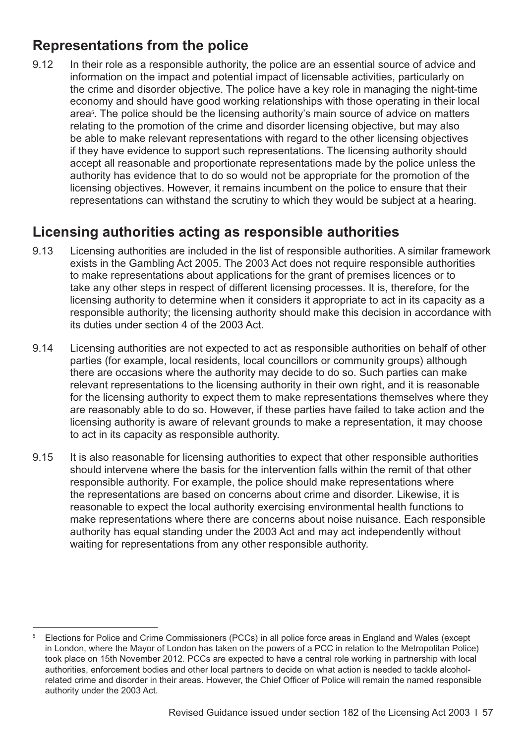## <span id="page-60-0"></span>**Representations from the police**

9.12 In their role as a responsible authority, the police are an essential source of advice and information on the impact and potential impact of licensable activities, particularly on the crime and disorder objective. The police have a key role in managing the night-time economy and should have good working relationships with those operating in their local area<sup>5</sup>. The police should be the licensing authority's main source of advice on matters relating to the promotion of the crime and disorder licensing objective, but may also be able to make relevant representations with regard to the other licensing objectives if they have evidence to support such representations. The licensing authority should accept all reasonable and proportionate representations made by the police unless the authority has evidence that to do so would not be appropriate for the promotion of the licensing objectives. However, it remains incumbent on the police to ensure that their representations can withstand the scrutiny to which they would be subject at a hearing.

## **Licensing authorities acting as responsible authorities**

- 9.13 Licensing authorities are included in the list of responsible authorities. A similar framework exists in the Gambling Act 2005. The 2003 Act does not require responsible authorities to make representations about applications for the grant of premises licences or to take any other steps in respect of different licensing processes. It is, therefore, for the licensing authority to determine when it considers it appropriate to act in its capacity as a responsible authority; the licensing authority should make this decision in accordance with its duties under section 4 of the 2003 Act.
- 9.14 Licensing authorities are not expected to act as responsible authorities on behalf of other parties (for example, local residents, local councillors or community groups) although there are occasions where the authority may decide to do so. Such parties can make relevant representations to the licensing authority in their own right, and it is reasonable for the licensing authority to expect them to make representations themselves where they are reasonably able to do so. However, if these parties have failed to take action and the licensing authority is aware of relevant grounds to make a representation, it may choose to act in its capacity as responsible authority.
- 9.15 It is also reasonable for licensing authorities to expect that other responsible authorities should intervene where the basis for the intervention falls within the remit of that other responsible authority. For example, the police should make representations where the representations are based on concerns about crime and disorder. Likewise, it is reasonable to expect the local authority exercising environmental health functions to make representations where there are concerns about noise nuisance. Each responsible authority has equal standing under the 2003 Act and may act independently without waiting for representations from any other responsible authority.

<sup>5</sup> Elections for Police and Crime Commissioners (PCCs) in all police force areas in England and Wales (except in London, where the Mayor of London has taken on the powers of a PCC in relation to the Metropolitan Police) took place on 15th November 2012. PCCs are expected to have a central role working in partnership with local authorities, enforcement bodies and other local partners to decide on what action is needed to tackle alcoholrelated crime and disorder in their areas. However, the Chief Officer of Police will remain the named responsible authority under the 2003 Act.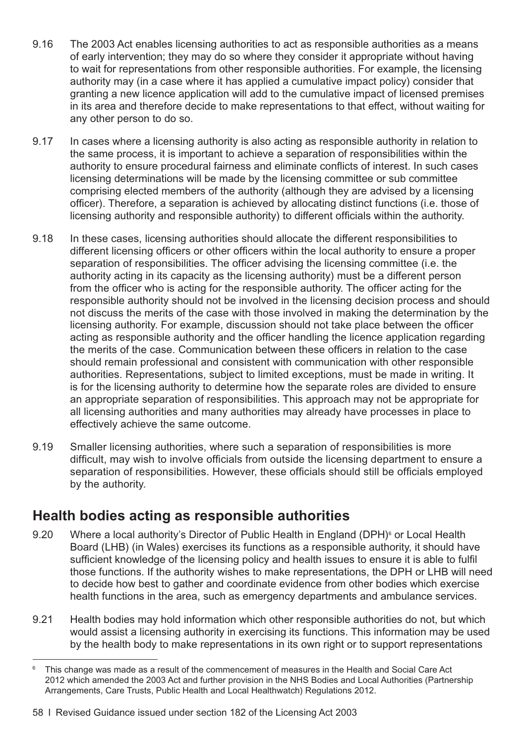- 9.16 The 2003 Act enables licensing authorities to act as responsible authorities as a means of early intervention; they may do so where they consider it appropriate without having to wait for representations from other responsible authorities. For example, the licensing authority may (in a case where it has applied a cumulative impact policy) consider that granting a new licence application will add to the cumulative impact of licensed premises in its area and therefore decide to make representations to that effect, without waiting for any other person to do so.
- 9.17 In cases where a licensing authority is also acting as responsible authority in relation to the same process, it is important to achieve a separation of responsibilities within the authority to ensure procedural fairness and eliminate conflicts of interest. In such cases licensing determinations will be made by the licensing committee or sub committee comprising elected members of the authority (although they are advised by a licensing officer). Therefore, a separation is achieved by allocating distinct functions (i.e. those of licensing authority and responsible authority) to different officials within the authority.
- 9.18 In these cases, licensing authorities should allocate the different responsibilities to different licensing officers or other officers within the local authority to ensure a proper separation of responsibilities. The officer advising the licensing committee (i.e. the authority acting in its capacity as the licensing authority) must be a different person from the officer who is acting for the responsible authority. The officer acting for the responsible authority should not be involved in the licensing decision process and should not discuss the merits of the case with those involved in making the determination by the licensing authority. For example, discussion should not take place between the officer acting as responsible authority and the officer handling the licence application regarding the merits of the case. Communication between these officers in relation to the case should remain professional and consistent with communication with other responsible authorities. Representations, subject to limited exceptions, must be made in writing. It is for the licensing authority to determine how the separate roles are divided to ensure an appropriate separation of responsibilities. This approach may not be appropriate for all licensing authorities and many authorities may already have processes in place to effectively achieve the same outcome.
- 9.19 Smaller licensing authorities, where such a separation of responsibilities is more difficult, may wish to involve officials from outside the licensing department to ensure a separation of responsibilities. However, these officials should still be officials employed by the authority.

#### **Health bodies acting as responsible authorities**

- 9.20 Where a local authority's Director of Public Health in England (DPH)<sup>6</sup> or Local Health Board (LHB) (in Wales) exercises its functions as a responsible authority, it should have sufficient knowledge of the licensing policy and health issues to ensure it is able to fulfil those functions. If the authority wishes to make representations, the DPH or LHB will need to decide how best to gather and coordinate evidence from other bodies which exercise health functions in the area, such as emergency departments and ambulance services.
- 9.21 Health bodies may hold information which other responsible authorities do not, but which would assist a licensing authority in exercising its functions. This information may be used by the health body to make representations in its own right or to support representations

<sup>&</sup>lt;sup>6</sup> This change was made as a result of the commencement of measures in the Health and Social Care Act 2012 which amended the 2003 Act and further provision in the NHS Bodies and Local Authorities (Partnership Arrangements, Care Trusts, Public Health and Local Healthwatch) Regulations 2012.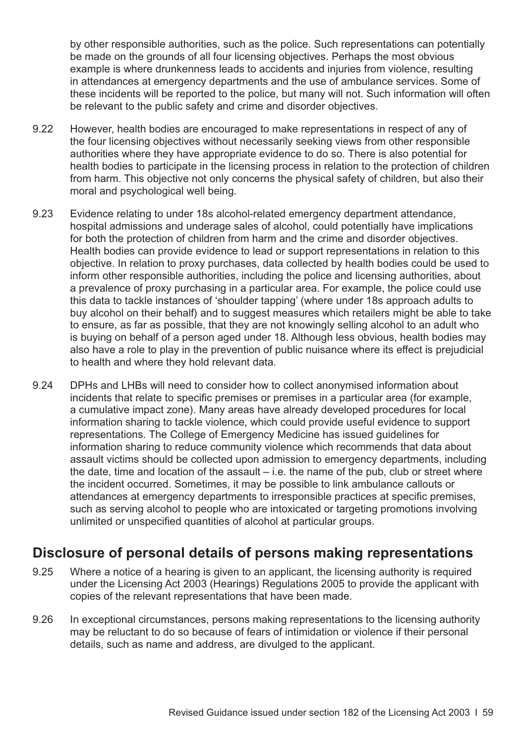by other responsible authorities, such as the police. Such representations can potentially be made on the grounds of all four licensing objectives. Perhaps the most obvious example is where drunkenness leads to accidents and injuries from violence, resulting in attendances at emergency departments and the use of ambulance services. Some of these incidents will be reported to the police, but many will not. Such information will often be relevant to the public safety and crime and disorder objectives.

- 9.22 However, health bodies are encouraged to make representations in respect of any of the four licensing objectives without necessarily seeking views from other responsible authorities where they have appropriate evidence to do so. There is also potential for health bodies to participate in the licensing process in relation to the protection of children from harm. This objective not only concerns the physical safety of children, but also their moral and psychological well being.
- 9.23 Evidence relating to under 18s alcohol-related emergency department attendance, hospital admissions and underage sales of alcohol, could potentially have implications for both the protection of children from harm and the crime and disorder objectives. Health bodies can provide evidence to lead or support representations in relation to this objective. In relation to proxy purchases, data collected by health bodies could be used to inform other responsible authorities, including the police and licensing authorities, about a prevalence of proxy purchasing in a particular area. For example, the police could use this data to tackle instances of 'shoulder tapping' (where under 18s approach adults to buy alcohol on their behalf) and to suggest measures which retailers might be able to take to ensure, as far as possible, that they are not knowingly selling alcohol to an adult who is buying on behalf of a person aged under 18. Although less obvious, health bodies may also have a role to play in the prevention of public nuisance where its effect is prejudicial to health and where they hold relevant data.
- 9.24 DPHs and LHBs will need to consider how to collect anonymised information about incidents that relate to specific premises or premises in a particular area (for example, a cumulative impact zone). Many areas have already developed procedures for local information sharing to tackle violence, which could provide useful evidence to support representations. The College of Emergency Medicine has issued guidelines for information sharing to reduce community violence which recommends that data about assault victims should be collected upon admission to emergency departments, including the date, time and location of the assault  $-$  i.e. the name of the pub, club or street where the incident occurred. Sometimes, it may be possible to link ambulance callouts or attendances at emergency departments to irresponsible practices at specific premises, such as serving alcohol to people who are intoxicated or targeting promotions involving unlimited or unspecified quantities of alcohol at particular groups.

#### **Disclosure of personal details of persons making representations**

- 9.25 Where a notice of a hearing is given to an applicant, the licensing authority is required under the Licensing Act 2003 (Hearings) Regulations 2005 to provide the applicant with copies of the relevant representations that have been made.
- 9.26 In exceptional circumstances, persons making representations to the licensing authority may be reluctant to do so because of fears of intimidation or violence if their personal details, such as name and address, are divulged to the applicant.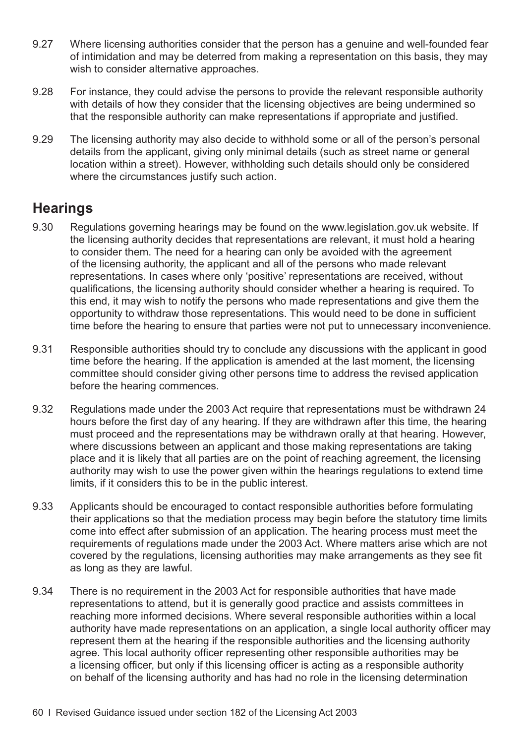- 9.27 Where licensing authorities consider that the person has a genuine and well-founded fear of intimidation and may be deterred from making a representation on this basis, they may wish to consider alternative approaches.
- 9.28 For instance, they could advise the persons to provide the relevant responsible authority with details of how they consider that the licensing objectives are being undermined so that the responsible authority can make representations if appropriate and justified.
- 9.29 The licensing authority may also decide to withhold some or all of the person's personal details from the applicant, giving only minimal details (such as street name or general location within a street). However, withholding such details should only be considered where the circumstances justify such action.

#### **Hearings**

- 9.30 Regulations governing hearings may be found on the [www.legislation.gov.uk](http://www.legislation.gov.uk) website. If the licensing authority decides that representations are relevant, it must hold a hearing to consider them. The need for a hearing can only be avoided with the agreement of the licensing authority, the applicant and all of the persons who made relevant representations. In cases where only 'positive' representations are received, without qualifications, the licensing authority should consider whether a hearing is required. To this end, it may wish to notify the persons who made representations and give them the opportunity to withdraw those representations. This would need to be done in sufficient time before the hearing to ensure that parties were not put to unnecessary inconvenience.
- 9.31 Responsible authorities should try to conclude any discussions with the applicant in good time before the hearing. If the application is amended at the last moment, the licensing committee should consider giving other persons time to address the revised application before the hearing commences.
- 9.32 Regulations made under the 2003 Act require that representations must be withdrawn 24 hours before the first day of any hearing. If they are withdrawn after this time, the hearing must proceed and the representations may be withdrawn orally at that hearing. However, where discussions between an applicant and those making representations are taking place and it is likely that all parties are on the point of reaching agreement, the licensing authority may wish to use the power given within the hearings regulations to extend time limits, if it considers this to be in the public interest.
- 9.33 Applicants should be encouraged to contact responsible authorities before formulating their applications so that the mediation process may begin before the statutory time limits come into effect after submission of an application. The hearing process must meet the requirements of regulations made under the 2003 Act. Where matters arise which are not covered by the regulations, licensing authorities may make arrangements as they see fit as long as they are lawful.
- 9.34 There is no requirement in the 2003 Act for responsible authorities that have made representations to attend, but it is generally good practice and assists committees in reaching more informed decisions. Where several responsible authorities within a local authority have made representations on an application, a single local authority officer may represent them at the hearing if the responsible authorities and the licensing authority agree. This local authority officer representing other responsible authorities may be a licensing officer, but only if this licensing officer is acting as a responsible authority on behalf of the licensing authority and has had no role in the licensing determination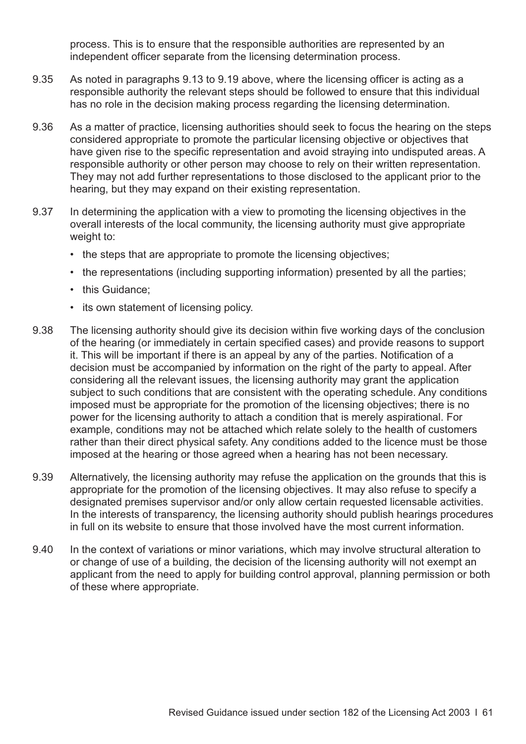process. This is to ensure that the responsible authorities are represented by an independent officer separate from the licensing determination process.

- 9.35 As noted in [paragraphs 9.13 to 9.19](#page-60-0) above, where the licensing officer is acting as a responsible authority the relevant steps should be followed to ensure that this individual has no role in the decision making process regarding the licensing determination.
- 9.36 As a matter of practice, licensing authorities should seek to focus the hearing on the steps considered appropriate to promote the particular licensing objective or objectives that have given rise to the specific representation and avoid straying into undisputed areas. A responsible authority or other person may choose to rely on their written representation. They may not add further representations to those disclosed to the applicant prior to the hearing, but they may expand on their existing representation.
- 9.37 In determining the application with a view to promoting the licensing objectives in the overall interests of the local community, the licensing authority must give appropriate weight to:
	- the steps that are appropriate to promote the licensing objectives;
	- the representations (including supporting information) presented by all the parties;
	- this Guidance:
	- its own statement of licensing policy.
- 9.38 The licensing authority should give its decision within five working days of the conclusion of the hearing (or immediately in certain specified cases) and provide reasons to support it. This will be important if there is an appeal by any of the parties. Notification of a decision must be accompanied by information on the right of the party to appeal. After considering all the relevant issues, the licensing authority may grant the application subject to such conditions that are consistent with the operating schedule. Any conditions imposed must be appropriate for the promotion of the licensing objectives; there is no power for the licensing authority to attach a condition that is merely aspirational. For example, conditions may not be attached which relate solely to the health of customers rather than their direct physical safety. Any conditions added to the licence must be those imposed at the hearing or those agreed when a hearing has not been necessary.
- 9.39 Alternatively, the licensing authority may refuse the application on the grounds that this is appropriate for the promotion of the licensing objectives. It may also refuse to specify a designated premises supervisor and/or only allow certain requested licensable activities. In the interests of transparency, the licensing authority should publish hearings procedures in full on its website to ensure that those involved have the most current information.
- 9.40 In the context of variations or minor variations, which may involve structural alteration to or change of use of a building, the decision of the licensing authority will not exempt an applicant from the need to apply for building control approval, planning permission or both of these where appropriate.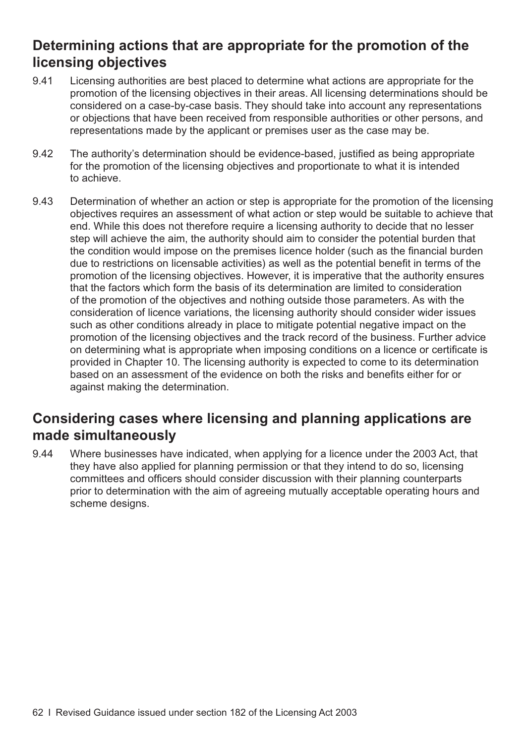## **Determining actions that are appropriate for the promotion of the licensing objectives**

- 9.41 Licensing authorities are best placed to determine what actions are appropriate for the promotion of the licensing objectives in their areas. All licensing determinations should be considered on a case-by-case basis. They should take into account any representations or objections that have been received from responsible authorities or other persons, and representations made by the applicant or premises user as the case may be.
- 9.42 The authority's determination should be evidence-based, justified as being appropriate for the promotion of the licensing objectives and proportionate to what it is intended to achieve.
- 9.43 Determination of whether an action or step is appropriate for the promotion of the licensing objectives requires an assessment of what action or step would be suitable to achieve that end. While this does not therefore require a licensing authority to decide that no lesser step will achieve the aim, the authority should aim to consider the potential burden that the condition would impose on the premises licence holder (such as the financial burden due to restrictions on licensable activities) as well as the potential benefit in terms of the promotion of the licensing objectives. However, it is imperative that the authority ensures that the factors which form the basis of its determination are limited to consideration of the promotion of the objectives and nothing outside those parameters. As with the consideration of licence variations, the licensing authority should consider wider issues such as other conditions already in place to mitigate potential negative impact on the promotion of the licensing objectives and the track record of the business. Further advice on determining what is appropriate when imposing conditions on a licence or certificate is provided in [Chapter 10.](#page-66-0) The licensing authority is expected to come to its determination based on an assessment of the evidence on both the risks and benefits either for or against making the determination.

## **Considering cases where licensing and planning applications are made simultaneously**

9.44 Where businesses have indicated, when applying for a licence under the 2003 Act, that they have also applied for planning permission or that they intend to do so, licensing committees and officers should consider discussion with their planning counterparts prior to determination with the aim of agreeing mutually acceptable operating hours and scheme designs.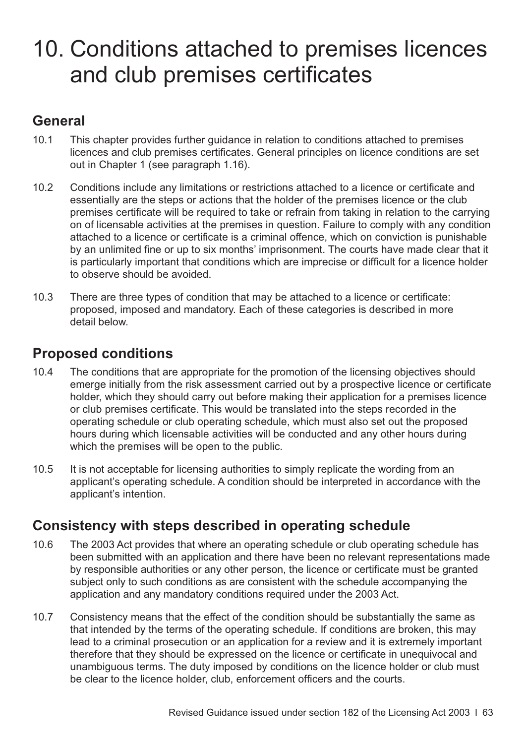## <span id="page-66-0"></span>10. Conditions attached to premises licences and club premises certificates

## **General**

- 10.1 This chapter provides further guidance in relation to conditions attached to premises licences and club premises certificates. General principles on licence conditions are set out in Chapter 1 (see [paragraph 1.16](#page-7-0)).
- 10.2 Conditions include any limitations or restrictions attached to a licence or certificate and essentially are the steps or actions that the holder of the premises licence or the club premises certificate will be required to take or refrain from taking in relation to the carrying on of licensable activities at the premises in question. Failure to comply with any condition attached to a licence or certificate is a criminal offence, which on conviction is punishable by an unlimited fine or up to six months' imprisonment. The courts have made clear that it is particularly important that conditions which are imprecise or difficult for a licence holder to observe should be avoided.
- 10.3 There are three types of condition that may be attached to a licence or certificate: proposed, imposed and mandatory. Each of these categories is described in more detail below.

## **Proposed conditions**

- 10.4 The conditions that are appropriate for the promotion of the licensing objectives should emerge initially from the risk assessment carried out by a prospective licence or certificate holder, which they should carry out before making their application for a premises licence or club premises certificate. This would be translated into the steps recorded in the operating schedule or club operating schedule, which must also set out the proposed hours during which licensable activities will be conducted and any other hours during which the premises will be open to the public.
- 10.5 It is not acceptable for licensing authorities to simply replicate the wording from an applicant's operating schedule. A condition should be interpreted in accordance with the applicant's intention.

## **Consistency with steps described in operating schedule**

- 10.6 The 2003 Act provides that where an operating schedule or club operating schedule has been submitted with an application and there have been no relevant representations made by responsible authorities or any other person, the licence or certificate must be granted subject only to such conditions as are consistent with the schedule accompanying the application and any mandatory conditions required under the 2003 Act.
- 10.7 Consistency means that the effect of the condition should be substantially the same as that intended by the terms of the operating schedule. If conditions are broken, this may lead to a criminal prosecution or an application for a review and it is extremely important therefore that they should be expressed on the licence or certificate in unequivocal and unambiguous terms. The duty imposed by conditions on the licence holder or club must be clear to the licence holder, club, enforcement officers and the courts.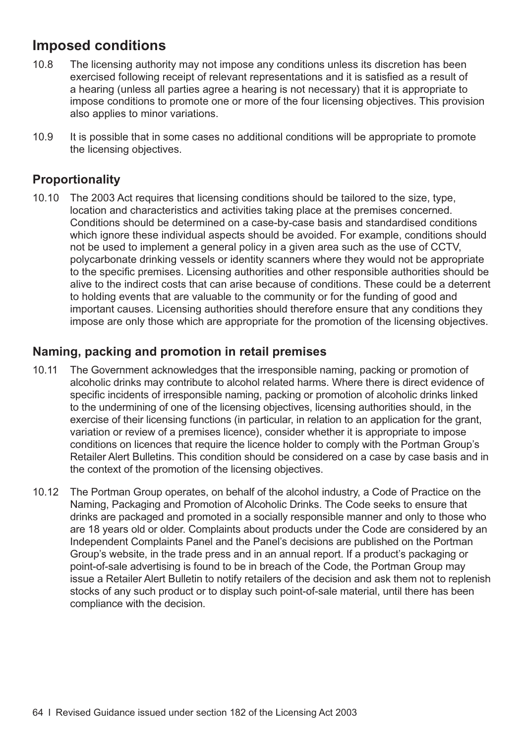## **Imposed conditions**

- 10.8 The licensing authority may not impose any conditions unless its discretion has been exercised following receipt of relevant representations and it is satisfied as a result of a hearing (unless all parties agree a hearing is not necessary) that it is appropriate to impose conditions to promote one or more of the four licensing objectives. This provision also applies to minor variations.
- 10.9 It is possible that in some cases no additional conditions will be appropriate to promote the licensing objectives.

#### **Proportionality**

10.10 The 2003 Act requires that licensing conditions should be tailored to the size, type, location and characteristics and activities taking place at the premises concerned. Conditions should be determined on a case-by-case basis and standardised conditions which ignore these individual aspects should be avoided. For example, conditions should not be used to implement a general policy in a given area such as the use of CCTV, polycarbonate drinking vessels or identity scanners where they would not be appropriate to the specific premises. Licensing authorities and other responsible authorities should be alive to the indirect costs that can arise because of conditions. These could be a deterrent to holding events that are valuable to the community or for the funding of good and important causes. Licensing authorities should therefore ensure that any conditions they impose are only those which are appropriate for the promotion of the licensing objectives.

#### **Naming, packing and promotion in retail premises**

- 10.11 The Government acknowledges that the irresponsible naming, packing or promotion of alcoholic drinks may contribute to alcohol related harms. Where there is direct evidence of specific incidents of irresponsible naming, packing or promotion of alcoholic drinks linked to the undermining of one of the licensing objectives, licensing authorities should, in the exercise of their licensing functions (in particular, in relation to an application for the grant, variation or review of a premises licence), consider whether it is appropriate to impose conditions on licences that require the licence holder to comply with the Portman Group's Retailer Alert Bulletins. This condition should be considered on a case by case basis and in the context of the promotion of the licensing objectives.
- 10.12 The Portman Group operates, on behalf of the alcohol industry, a Code of Practice on the Naming, Packaging and Promotion of Alcoholic Drinks. The Code seeks to ensure that drinks are packaged and promoted in a socially responsible manner and only to those who are 18 years old or older. Complaints about products under the Code are considered by an Independent Complaints Panel and the Panel's decisions are published on the Portman Group's website, in the trade press and in an annual report. If a product's packaging or point-of-sale advertising is found to be in breach of the Code, the Portman Group may issue a Retailer Alert Bulletin to notify retailers of the decision and ask them not to replenish stocks of any such product or to display such point-of-sale material, until there has been compliance with the decision.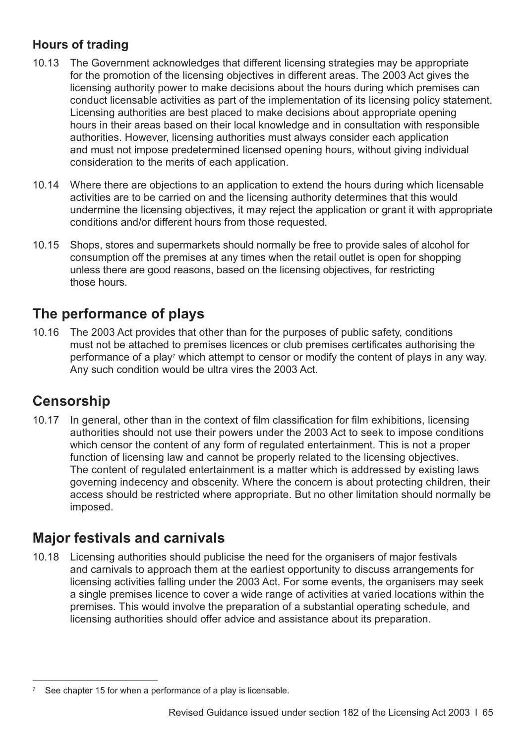#### **Hours of trading**

- 10.13 The Government acknowledges that different licensing strategies may be appropriate for the promotion of the licensing objectives in different areas. The 2003 Act gives the licensing authority power to make decisions about the hours during which premises can conduct licensable activities as part of the implementation of its licensing policy statement. Licensing authorities are best placed to make decisions about appropriate opening hours in their areas based on their local knowledge and in consultation with responsible authorities. However, licensing authorities must always consider each application and must not impose predetermined licensed opening hours, without giving individual consideration to the merits of each application.
- 10.14 Where there are objections to an application to extend the hours during which licensable activities are to be carried on and the licensing authority determines that this would undermine the licensing objectives, it may reject the application or grant it with appropriate conditions and/or different hours from those requested.
- 10.15 Shops, stores and supermarkets should normally be free to provide sales of alcohol for consumption off the premises at any times when the retail outlet is open for shopping unless there are good reasons, based on the licensing objectives, for restricting those hours.

## **The performance of plays**

10.16 The 2003 Act provides that other than for the purposes of public safety, conditions must not be attached to premises licences or club premises certificates authorising the performance of a play<sup>7</sup> which attempt to censor or modify the content of plays in any way. Any such condition would be ultra vires the 2003 Act.

## **Censorship**

10.17 In general, other than in the context of film classification for film exhibitions, licensing authorities should not use their powers under the 2003 Act to seek to impose conditions which censor the content of any form of regulated entertainment. This is not a proper function of licensing law and cannot be properly related to the licensing objectives. The content of regulated entertainment is a matter which is addressed by existing laws governing indecency and obscenity. Where the concern is about protecting children, their access should be restricted where appropriate. But no other limitation should normally be imposed.

## **Major festivals and carnivals**

10.18 Licensing authorities should publicise the need for the organisers of major festivals and carnivals to approach them at the earliest opportunity to discuss arrangements for licensing activities falling under the 2003 Act. For some events, the organisers may seek a single premises licence to cover a wide range of activities at varied locations within the premises. This would involve the preparation of a substantial operating schedule, and licensing authorities should offer advice and assistance about its preparation.

See [chapter 15](#page-101-0) for when a performance of a play is licensable.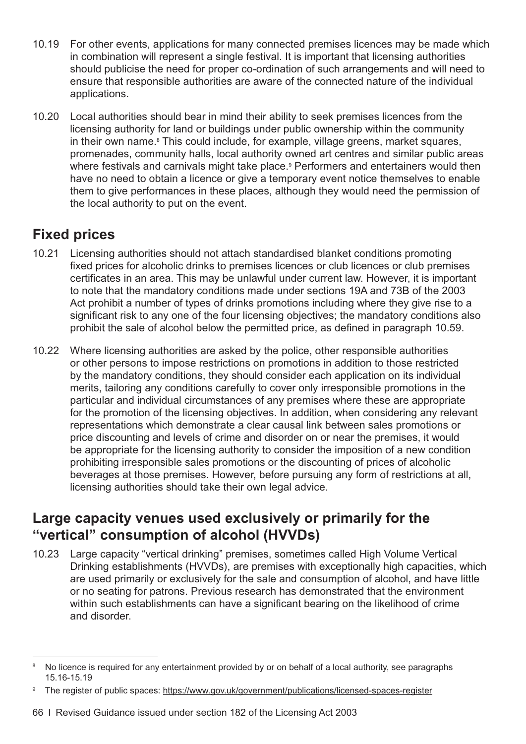- 10.19 For other events, applications for many connected premises licences may be made which in combination will represent a single festival. It is important that licensing authorities should publicise the need for proper co-ordination of such arrangements and will need to ensure that responsible authorities are aware of the connected nature of the individual applications.
- 10.20 Local authorities should bear in mind their ability to seek premises licences from the licensing authority for land or buildings under public ownership within the community in their own name.<sup>8</sup> This could include, for example, village greens, market squares, promenades, community halls, local authority owned art centres and similar public areas where festivals and carnivals might take place.<sup>9</sup> Performers and entertainers would then have no need to obtain a licence or give a temporary event notice themselves to enable them to give performances in these places, although they would need the permission of the local authority to put on the event.

## **Fixed prices**

- 10.21 Licensing authorities should not attach standardised blanket conditions promoting fixed prices for alcoholic drinks to premises licences or club licences or club premises certificates in an area. This may be unlawful under current law. However, it is important to note that the mandatory conditions made under sections 19A and 73B of the 2003 Act prohibit a number of types of drinks promotions including where they give rise to a significant risk to any one of the four licensing objectives; the mandatory conditions also prohibit the sale of alcohol below the permitted price, as defined in [paragraph 10.59](#page-75-0).
- 10.22 Where licensing authorities are asked by the police, other responsible authorities or other persons to impose restrictions on promotions in addition to those restricted by the mandatory conditions, they should consider each application on its individual merits, tailoring any conditions carefully to cover only irresponsible promotions in the particular and individual circumstances of any premises where these are appropriate for the promotion of the licensing objectives. In addition, when considering any relevant representations which demonstrate a clear causal link between sales promotions or price discounting and levels of crime and disorder on or near the premises, it would be appropriate for the licensing authority to consider the imposition of a new condition prohibiting irresponsible sales promotions or the discounting of prices of alcoholic beverages at those premises. However, before pursuing any form of restrictions at all, licensing authorities should take their own legal advice.

#### **Large capacity venues used exclusively or primarily for the "vertical" consumption of alcohol (HVVDs)**

10.23 Large capacity "vertical drinking" premises, sometimes called High Volume Vertical Drinking establishments (HVVDs), are premises with exceptionally high capacities, which are used primarily or exclusively for the sale and consumption of alcohol, and have little or no seating for patrons. Previous research has demonstrated that the environment within such establishments can have a significant bearing on the likelihood of crime and disorder.

<sup>&</sup>lt;sup>8</sup> No licence is required for any entertainment provided by or on behalf of a local authority, see paragraphs [15.16-15.19](#page-106-0)

The register of public spaces:<https://www.gov.uk/government/publications/licensed-spaces-register>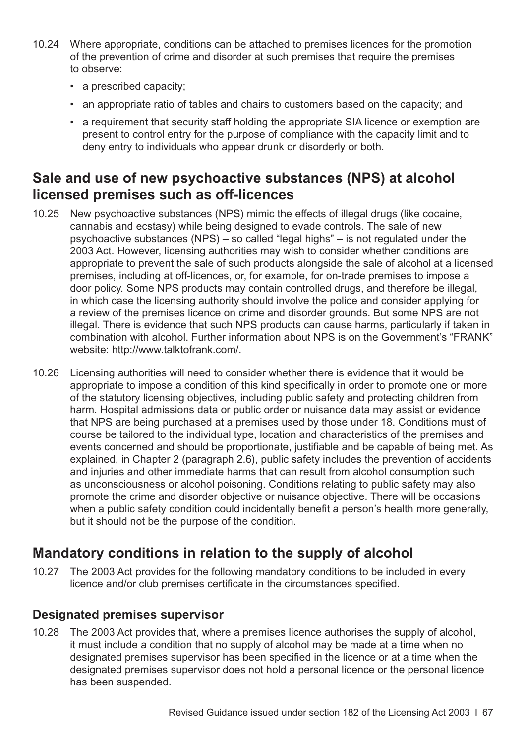- 10.24 Where appropriate, conditions can be attached to premises licences for the promotion of the prevention of crime and disorder at such premises that require the premises to observe:
	- a prescribed capacity;
	- an appropriate ratio of tables and chairs to customers based on the capacity; and
	- a requirement that security staff holding the appropriate SIA licence or exemption are present to control entry for the purpose of compliance with the capacity limit and to deny entry to individuals who appear drunk or disorderly or both.

## **Sale and use of new psychoactive substances (NPS) at alcohol licensed premises such as off-licences**

- 10.25 New psychoactive substances (NPS) mimic the effects of illegal drugs (like cocaine, cannabis and ecstasy) while being designed to evade controls. The sale of new psychoactive substances (NPS) – so called "legal highs" – is not regulated under the 2003 Act. However, licensing authorities may wish to consider whether conditions are appropriate to prevent the sale of such products alongside the sale of alcohol at a licensed premises, including at off-licences, or, for example, for on-trade premises to impose a door policy. Some NPS products may contain controlled drugs, and therefore be illegal, in which case the licensing authority should involve the police and consider applying for a review of the premises licence on crime and disorder grounds. But some NPS are not illegal. There is evidence that such NPS products can cause harms, particularly if taken in combination with alcohol. Further information about NPS is on the Government's "FRANK" website: [http://www.talktofrank.com/.](http://www.talktofrank.com/)
- 10.26 Licensing authorities will need to consider whether there is evidence that it would be appropriate to impose a condition of this kind specifically in order to promote one or more of the statutory licensing objectives, including public safety and protecting children from harm. Hospital admissions data or public order or nuisance data may assist or evidence that NPS are being purchased at a premises used by those under 18. Conditions must of course be tailored to the individual type, location and characteristics of the premises and events concerned and should be proportionate, justifiable and be capable of being met. As explained, in [Chapter 2 \(paragraph 2.6\),](#page-10-0) public safety includes the prevention of accidents and injuries and other immediate harms that can result from alcohol consumption such as unconsciousness or alcohol poisoning. Conditions relating to public safety may also promote the crime and disorder objective or nuisance objective. There will be occasions when a public safety condition could incidentally benefit a person's health more generally, but it should not be the purpose of the condition.

## **Mandatory conditions in relation to the supply of alcohol**

10.27 The 2003 Act provides for the following mandatory conditions to be included in every licence and/or club premises certificate in the circumstances specified.

#### **Designated premises supervisor**

10.28 The 2003 Act provides that, where a premises licence authorises the supply of alcohol, it must include a condition that no supply of alcohol may be made at a time when no designated premises supervisor has been specified in the licence or at a time when the designated premises supervisor does not hold a personal licence or the personal licence has been suspended.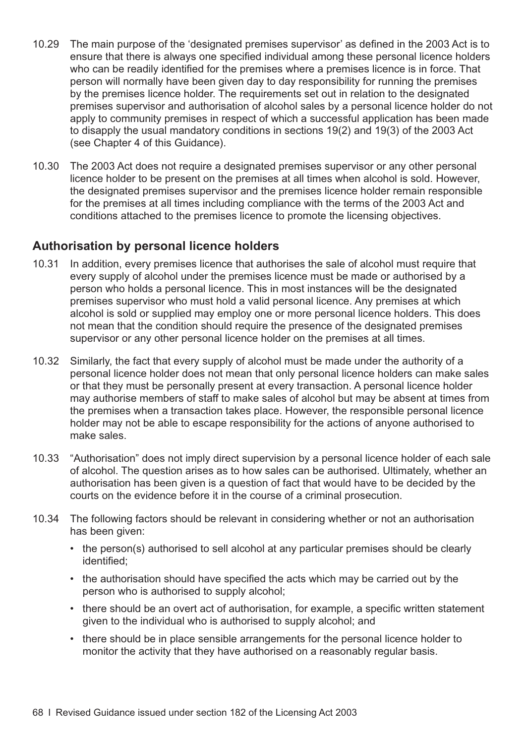- 10.29 The main purpose of the 'designated premises supervisor' as defined in the 2003 Act is to ensure that there is always one specified individual among these personal licence holders who can be readily identified for the premises where a premises licence is in force. That person will normally have been given day to day responsibility for running the premises by the premises licence holder. The requirements set out in relation to the designated premises supervisor and authorisation of alcohol sales by a personal licence holder do not apply to community premises in respect of which a successful application has been made to disapply the usual mandatory conditions in sections 19(2) and 19(3) of the 2003 Act (see [Chapter 4](#page-20-0) of this Guidance).
- 10.30 The 2003 Act does not require a designated premises supervisor or any other personal licence holder to be present on the premises at all times when alcohol is sold. However, the designated premises supervisor and the premises licence holder remain responsible for the premises at all times including compliance with the terms of the 2003 Act and conditions attached to the premises licence to promote the licensing objectives.

#### **Authorisation by personal licence holders**

- 10.31 In addition, every premises licence that authorises the sale of alcohol must require that every supply of alcohol under the premises licence must be made or authorised by a person who holds a personal licence. This in most instances will be the designated premises supervisor who must hold a valid personal licence. Any premises at which alcohol is sold or supplied may employ one or more personal licence holders. This does not mean that the condition should require the presence of the designated premises supervisor or any other personal licence holder on the premises at all times.
- 10.32 Similarly, the fact that every supply of alcohol must be made under the authority of a personal licence holder does not mean that only personal licence holders can make sales or that they must be personally present at every transaction. A personal licence holder may authorise members of staff to make sales of alcohol but may be absent at times from the premises when a transaction takes place. However, the responsible personal licence holder may not be able to escape responsibility for the actions of anyone authorised to make sales.
- 10.33 "Authorisation" does not imply direct supervision by a personal licence holder of each sale of alcohol. The question arises as to how sales can be authorised. Ultimately, whether an authorisation has been given is a question of fact that would have to be decided by the courts on the evidence before it in the course of a criminal prosecution.
- 10.34 The following factors should be relevant in considering whether or not an authorisation has been given:
	- the person(s) authorised to sell alcohol at any particular premises should be clearly identified;
	- the authorisation should have specified the acts which may be carried out by the person who is authorised to supply alcohol;
	- there should be an overt act of authorisation, for example, a specific written statement given to the individual who is authorised to supply alcohol; and
	- there should be in place sensible arrangements for the personal licence holder to monitor the activity that they have authorised on a reasonably regular basis.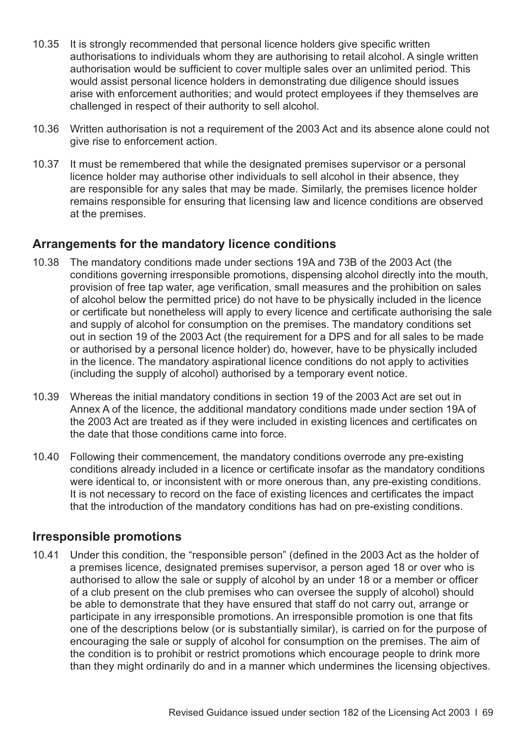- <span id="page-72-0"></span>10.35 It is strongly recommended that personal licence holders give specific written authorisations to individuals whom they are authorising to retail alcohol. A single written authorisation would be sufficient to cover multiple sales over an unlimited period. This would assist personal licence holders in demonstrating due diligence should issues arise with enforcement authorities; and would protect employees if they themselves are challenged in respect of their authority to sell alcohol.
- 10.36 Written authorisation is not a requirement of the 2003 Act and its absence alone could not give rise to enforcement action.
- 10.37 It must be remembered that while the designated premises supervisor or a personal licence holder may authorise other individuals to sell alcohol in their absence, they are responsible for any sales that may be made. Similarly, the premises licence holder remains responsible for ensuring that licensing law and licence conditions are observed at the premises.

#### **Arrangements for the mandatory licence conditions**

- 10.38 The mandatory conditions made under sections 19A and 73B of the 2003 Act (the conditions governing irresponsible promotions, dispensing alcohol directly into the mouth, provision of free tap water, age verification, small measures and the prohibition on sales of alcohol below the permitted price) do not have to be physically included in the licence or certificate but nonetheless will apply to every licence and certificate authorising the sale and supply of alcohol for consumption on the premises. The mandatory conditions set out in section 19 of the 2003 Act (the requirement for a DPS and for all sales to be made or authorised by a personal licence holder) do, however, have to be physically included in the licence. The mandatory aspirational licence conditions do not apply to activities (including the supply of alcohol) authorised by a temporary event notice.
- 10.39 Whereas the initial mandatory conditions in section 19 of the 2003 Act are set out in Annex A of the licence, the additional mandatory conditions made under section 19A of the 2003 Act are treated as if they were included in existing licences and certificates on the date that those conditions came into force.
- 10.40 Following their commencement, the mandatory conditions overrode any pre-existing conditions already included in a licence or certificate insofar as the mandatory conditions were identical to, or inconsistent with or more onerous than, any pre-existing conditions. It is not necessary to record on the face of existing licences and certificates the impact that the introduction of the mandatory conditions has had on pre-existing conditions.

#### **Irresponsible promotions**

10.41 Under this condition, the "responsible person" (defined in the 2003 Act as the holder of a premises licence, designated premises supervisor, a person aged 18 or over who is authorised to allow the sale or supply of alcohol by an under 18 or a member or officer of a club present on the club premises who can oversee the supply of alcohol) should be able to demonstrate that they have ensured that staff do not carry out, arrange or participate in any irresponsible promotions. An irresponsible promotion is one that fits one of the descriptions below (or is substantially similar), is carried on for the purpose of encouraging the sale or supply of alcohol for consumption on the premises. The aim of the condition is to prohibit or restrict promotions which encourage people to drink more than they might ordinarily do and in a manner which undermines the licensing objectives.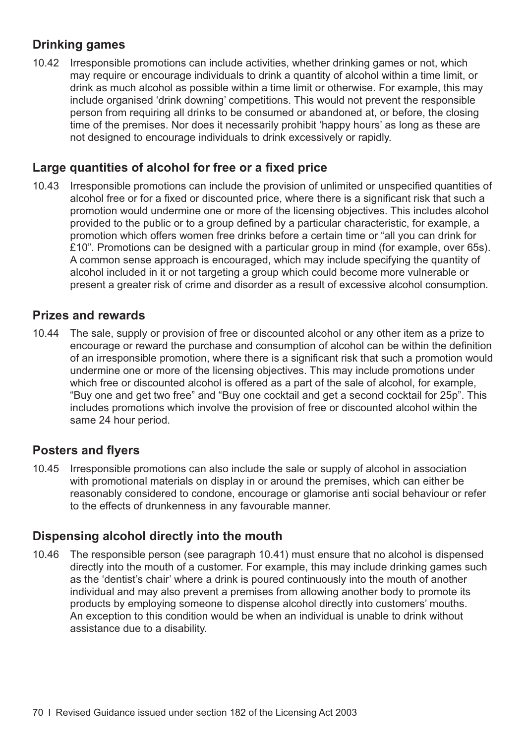#### **Drinking games**

10.42 Irresponsible promotions can include activities, whether drinking games or not, which may require or encourage individuals to drink a quantity of alcohol within a time limit, or drink as much alcohol as possible within a time limit or otherwise. For example, this may include organised 'drink downing' competitions. This would not prevent the responsible person from requiring all drinks to be consumed or abandoned at, or before, the closing time of the premises. Nor does it necessarily prohibit 'happy hours' as long as these are not designed to encourage individuals to drink excessively or rapidly.

#### **Large quantities of alcohol for free or a fixed price**

10.43 Irresponsible promotions can include the provision of unlimited or unspecified quantities of alcohol free or for a fixed or discounted price, where there is a significant risk that such a promotion would undermine one or more of the licensing objectives. This includes alcohol provided to the public or to a group defined by a particular characteristic, for example, a promotion which offers women free drinks before a certain time or "all you can drink for £10". Promotions can be designed with a particular group in mind (for example, over 65s). A common sense approach is encouraged, which may include specifying the quantity of alcohol included in it or not targeting a group which could become more vulnerable or present a greater risk of crime and disorder as a result of excessive alcohol consumption.

#### **Prizes and rewards**

10.44 The sale, supply or provision of free or discounted alcohol or any other item as a prize to encourage or reward the purchase and consumption of alcohol can be within the definition of an irresponsible promotion, where there is a significant risk that such a promotion would undermine one or more of the licensing objectives. This may include promotions under which free or discounted alcohol is offered as a part of the sale of alcohol, for example, "Buy one and get two free" and "Buy one cocktail and get a second cocktail for 25p". This includes promotions which involve the provision of free or discounted alcohol within the same 24 hour period.

#### **Posters and flyers**

10.45 Irresponsible promotions can also include the sale or supply of alcohol in association with promotional materials on display in or around the premises, which can either be reasonably considered to condone, encourage or glamorise anti social behaviour or refer to the effects of drunkenness in any favourable manner.

#### **Dispensing alcohol directly into the mouth**

10.46 The responsible person (see [paragraph 10.41\)](#page-72-0) must ensure that no alcohol is dispensed directly into the mouth of a customer. For example, this may include drinking games such as the 'dentist's chair' where a drink is poured continuously into the mouth of another individual and may also prevent a premises from allowing another body to promote its products by employing someone to dispense alcohol directly into customers' mouths. An exception to this condition would be when an individual is unable to drink without assistance due to a disability.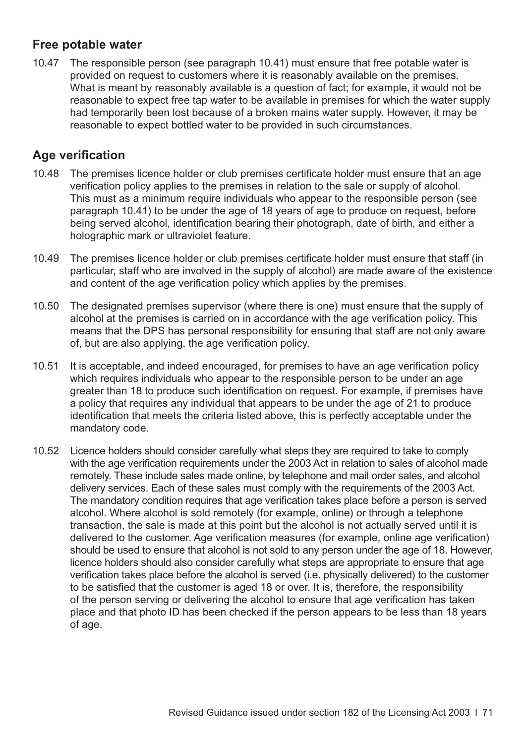#### **Free potable water**

10.47 The responsible person (see [paragraph 10.41\)](#page-72-0) must ensure that free potable water is provided on request to customers where it is reasonably available on the premises. What is meant by reasonably available is a question of fact; for example, it would not be reasonable to expect free tap water to be available in premises for which the water supply had temporarily been lost because of a broken mains water supply. However, it may be reasonable to expect bottled water to be provided in such circumstances.

#### **Age verification**

- 10.48 The premises licence holder or club premises certificate holder must ensure that an age verification policy applies to the premises in relation to the sale or supply of alcohol. This must as a minimum require individuals who appear to the responsible person (see [paragraph 10.41](#page-72-0)) to be under the age of 18 years of age to produce on request, before being served alcohol, identification bearing their photograph, date of birth, and either a holographic mark or ultraviolet feature.
- 10.49 The premises licence holder or club premises certificate holder must ensure that staff (in particular, staff who are involved in the supply of alcohol) are made aware of the existence and content of the age verification policy which applies by the premises.
- 10.50 The designated premises supervisor (where there is one) must ensure that the supply of alcohol at the premises is carried on in accordance with the age verification policy. This means that the DPS has personal responsibility for ensuring that staff are not only aware of, but are also applying, the age verification policy.
- 10.51 It is acceptable, and indeed encouraged, for premises to have an age verification policy which requires individuals who appear to the responsible person to be under an age greater than 18 to produce such identification on request. For example, if premises have a policy that requires any individual that appears to be under the age of 21 to produce identification that meets the criteria listed above, this is perfectly acceptable under the mandatory code.
- 10.52 Licence holders should consider carefully what steps they are required to take to comply with the age verification requirements under the 2003 Act in relation to sales of alcohol made remotely. These include sales made online, by telephone and mail order sales, and alcohol delivery services. Each of these sales must comply with the requirements of the 2003 Act. The mandatory condition requires that age verification takes place before a person is served alcohol. Where alcohol is sold remotely (for example, online) or through a telephone transaction, the sale is made at this point but the alcohol is not actually served until it is delivered to the customer. Age verification measures (for example, online age verification) should be used to ensure that alcohol is not sold to any person under the age of 18. However, licence holders should also consider carefully what steps are appropriate to ensure that age verification takes place before the alcohol is served (i.e. physically delivered) to the customer to be satisfied that the customer is aged 18 or over. It is, therefore, the responsibility of the person serving or delivering the alcohol to ensure that age verification has taken place and that photo ID has been checked if the person appears to be less than 18 years of age.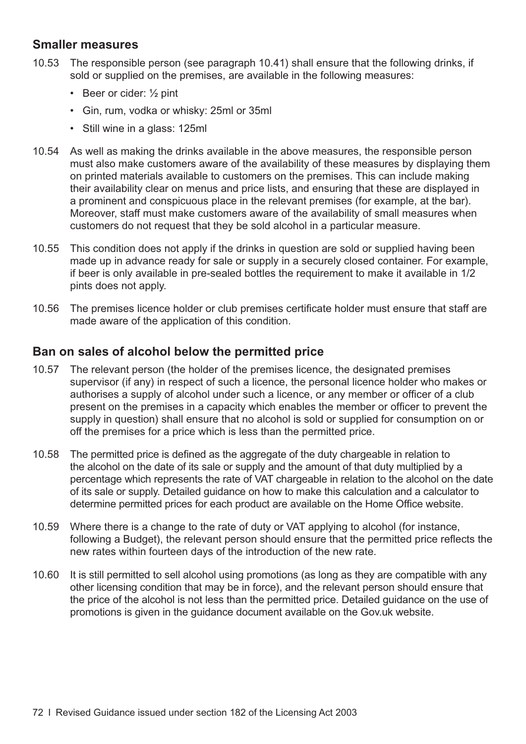#### **Smaller measures**

- 10.53 The responsible person (see [paragraph 10.41\)](#page-72-0) shall ensure that the following drinks, if sold or supplied on the premises, are available in the following measures:
	- Beer or cider: 1/2 pint
	- Gin, rum, vodka or whisky: 25ml or 35ml
	- Still wine in a glass: 125ml
- 10.54 As well as making the drinks available in the above measures, the responsible person must also make customers aware of the availability of these measures by displaying them on printed materials available to customers on the premises. This can include making their availability clear on menus and price lists, and ensuring that these are displayed in a prominent and conspicuous place in the relevant premises (for example, at the bar). Moreover, staff must make customers aware of the availability of small measures when customers do not request that they be sold alcohol in a particular measure.
- 10.55 This condition does not apply if the drinks in question are sold or supplied having been made up in advance ready for sale or supply in a securely closed container. For example, if beer is only available in pre-sealed bottles the requirement to make it available in 1/2 pints does not apply.
- 10.56 The premises licence holder or club premises certificate holder must ensure that staff are made aware of the application of this condition.

#### **Ban on sales of alcohol below the permitted price**

- 10.57 The relevant person (the holder of the premises licence, the designated premises supervisor (if any) in respect of such a licence, the personal licence holder who makes or authorises a supply of alcohol under such a licence, or any member or officer of a club present on the premises in a capacity which enables the member or officer to prevent the supply in question) shall ensure that no alcohol is sold or supplied for consumption on or off the premises for a price which is less than the permitted price.
- 10.58 The permitted price is defined as the aggregate of the duty chargeable in relation to the alcohol on the date of its sale or supply and the amount of that duty multiplied by a percentage which represents the rate of VAT chargeable in relation to the alcohol on the date of its sale or supply. Detailed guidance on how to make this calculation and a calculator to determine permitted prices for each product are available on the Home Office website.
- 10.59 Where there is a change to the rate of duty or VAT applying to alcohol (for instance, following a Budget), the relevant person should ensure that the permitted price reflects the new rates within fourteen days of the introduction of the new rate.
- 10.60 It is still permitted to sell alcohol using promotions (as long as they are compatible with any other licensing condition that may be in force), and the relevant person should ensure that the price of the alcohol is not less than the permitted price. Detailed guidance on the use of promotions is given in the guidance document available on the Gov.uk website.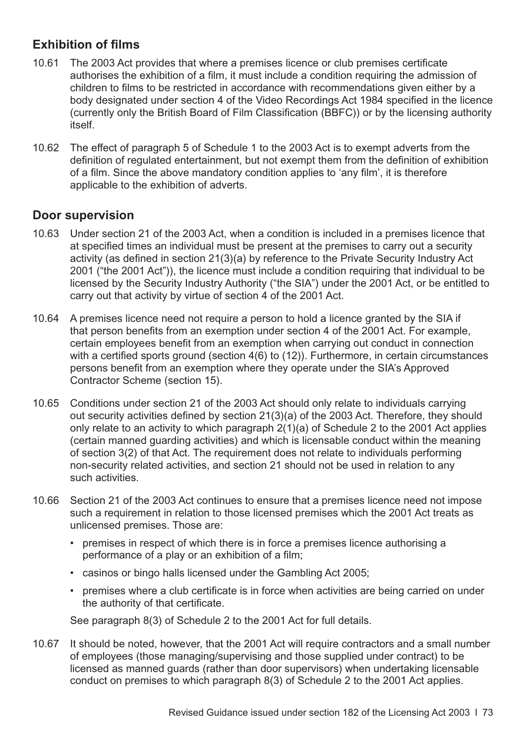#### <span id="page-76-0"></span>**Exhibition of films**

- 10.61 The 2003 Act provides that where a premises licence or club premises certificate authorises the exhibition of a film, it must include a condition requiring the admission of children to films to be restricted in accordance with recommendations given either by a body designated under section 4 of the Video Recordings Act 1984 specified in the licence (currently only the British Board of Film Classification (BBFC)) or by the licensing authority itself.
- 10.62 The effect of paragraph 5 of Schedule 1 to the 2003 Act is to exempt adverts from the definition of regulated entertainment, but not exempt them from the definition of exhibition of a film. Since the above mandatory condition applies to 'any film', it is therefore applicable to the exhibition of adverts.

#### **Door supervision**

- 10.63 Under section 21 of the 2003 Act, when a condition is included in a premises licence that at specified times an individual must be present at the premises to carry out a security activity (as defined in section 21(3)(a) by reference to the Private Security Industry Act 2001 ("the 2001 Act")), the licence must include a condition requiring that individual to be licensed by the Security Industry Authority ("the SIA") under the 2001 Act, or be entitled to carry out that activity by virtue of section 4 of the 2001 Act.
- 10.64 A premises licence need not require a person to hold a licence granted by the SIA if that person benefits from an exemption under section 4 of the 2001 Act. For example, certain employees benefit from an exemption when carrying out conduct in connection with a certified sports ground (section 4(6) to (12)). Furthermore, in certain circumstances persons benefit from an exemption where they operate under the SIA's Approved Contractor Scheme (section 15).
- 10.65 Conditions under section 21 of the 2003 Act should only relate to individuals carrying out security activities defined by section 21(3)(a) of the 2003 Act. Therefore, they should only relate to an activity to which paragraph 2(1)(a) of Schedule 2 to the 2001 Act applies (certain manned guarding activities) and which is licensable conduct within the meaning of section 3(2) of that Act. The requirement does not relate to individuals performing non-security related activities, and section 21 should not be used in relation to any such activities.
- 10.66 Section 21 of the 2003 Act continues to ensure that a premises licence need not impose such a requirement in relation to those licensed premises which the 2001 Act treats as unlicensed premises. Those are:
	- premises in respect of which there is in force a premises licence authorising a performance of a play or an exhibition of a film;
	- casinos or bingo halls licensed under the Gambling Act 2005;
	- premises where a club certificate is in force when activities are being carried on under the authority of that certificate.

See paragraph 8(3) of Schedule 2 to the 2001 Act for full details.

10.67 It should be noted, however, that the 2001 Act will require contractors and a small number of employees (those managing/supervising and those supplied under contract) to be licensed as manned guards (rather than door supervisors) when undertaking licensable conduct on premises to which paragraph 8(3) of Schedule 2 to the 2001 Act applies.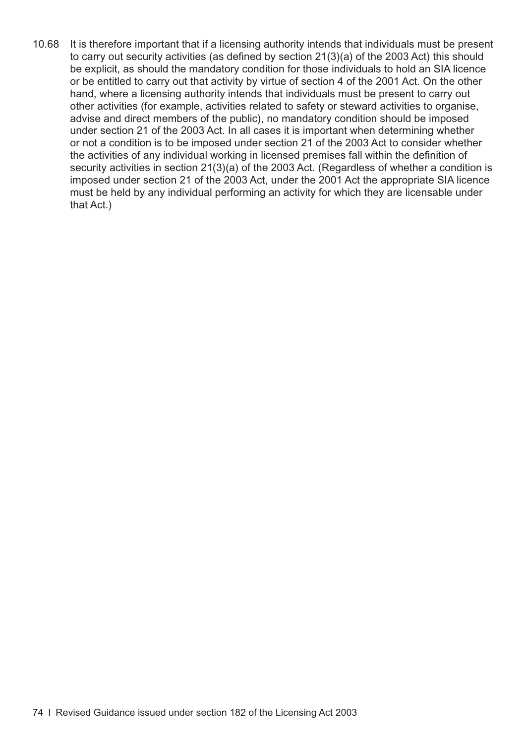10.68 It is therefore important that if a licensing authority intends that individuals must be present to carry out security activities (as defined by section 21(3)(a) of the 2003 Act) this should be explicit, as should the mandatory condition for those individuals to hold an SIA licence or be entitled to carry out that activity by virtue of section 4 of the 2001 Act. On the other hand, where a licensing authority intends that individuals must be present to carry out other activities (for example, activities related to safety or steward activities to organise, advise and direct members of the public), no mandatory condition should be imposed under section 21 of the 2003 Act. In all cases it is important when determining whether or not a condition is to be imposed under section 21 of the 2003 Act to consider whether the activities of any individual working in licensed premises fall within the definition of security activities in section 21(3)(a) of the 2003 Act. (Regardless of whether a condition is imposed under section 21 of the 2003 Act, under the 2001 Act the appropriate SIA licence must be held by any individual performing an activity for which they are licensable under that Act.)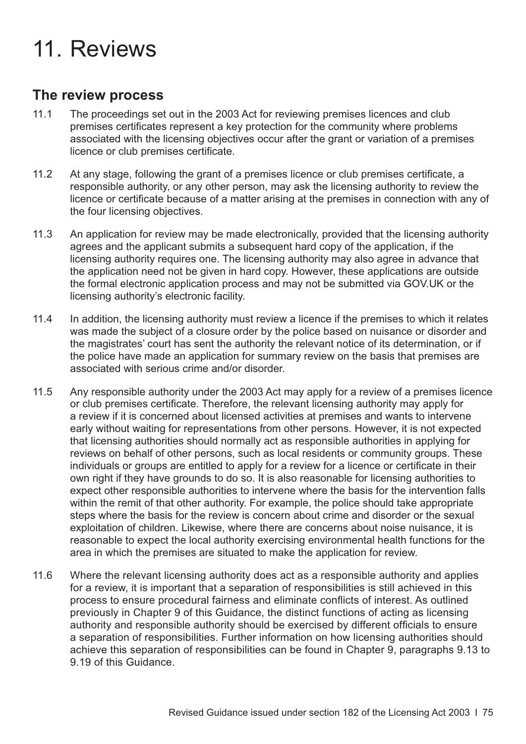# 11. Reviews

#### **The review process**

- 11.1 The proceedings set out in the 2003 Act for reviewing premises licences and club premises certificates represent a key protection for the community where problems associated with the licensing objectives occur after the grant or variation of a premises licence or club premises certificate.
- 11.2 At any stage, following the grant of a premises licence or club premises certificate, a responsible authority, or any other person, may ask the licensing authority to review the licence or certificate because of a matter arising at the premises in connection with any of the four licensing objectives.
- 11.3 An application for review may be made electronically, provided that the licensing authority agrees and the applicant submits a subsequent hard copy of the application, if the licensing authority requires one. The licensing authority may also agree in advance that the application need not be given in hard copy. However, these applications are outside the formal electronic application process and may not be submitted via GOV.UK or the licensing authority's electronic facility.
- 11.4 In addition, the licensing authority must review a licence if the premises to which it relates was made the subject of a closure order by the police based on nuisance or disorder and the magistrates' court has sent the authority the relevant notice of its determination, or if the police have made an application for summary review on the basis that premises are associated with serious crime and/or disorder.
- 11.5 Any responsible authority under the 2003 Act may apply for a review of a premises licence or club premises certificate. Therefore, the relevant licensing authority may apply for a review if it is concerned about licensed activities at premises and wants to intervene early without waiting for representations from other persons. However, it is not expected that licensing authorities should normally act as responsible authorities in applying for reviews on behalf of other persons, such as local residents or community groups. These individuals or groups are entitled to apply for a review for a licence or certificate in their own right if they have grounds to do so. It is also reasonable for licensing authorities to expect other responsible authorities to intervene where the basis for the intervention falls within the remit of that other authority. For example, the police should take appropriate steps where the basis for the review is concern about crime and disorder or the sexual exploitation of children. Likewise, where there are concerns about noise nuisance, it is reasonable to expect the local authority exercising environmental health functions for the area in which the premises are situated to make the application for review.
- 11.6 Where the relevant licensing authority does act as a responsible authority and applies for a review, it is important that a separation of responsibilities is still achieved in this process to ensure procedural fairness and eliminate conflicts of interest. As outlined previously in [Chapter 9](#page-58-0) of this Guidance, the distinct functions of acting as licensing authority and responsible authority should be exercised by different officials to ensure a separation of responsibilities. Further information on how licensing authorities should [achieve this separation of responsibilities can be found in Chapter 9, paragraphs 9.13 to](#page-60-0)  9.19 of this Guidance.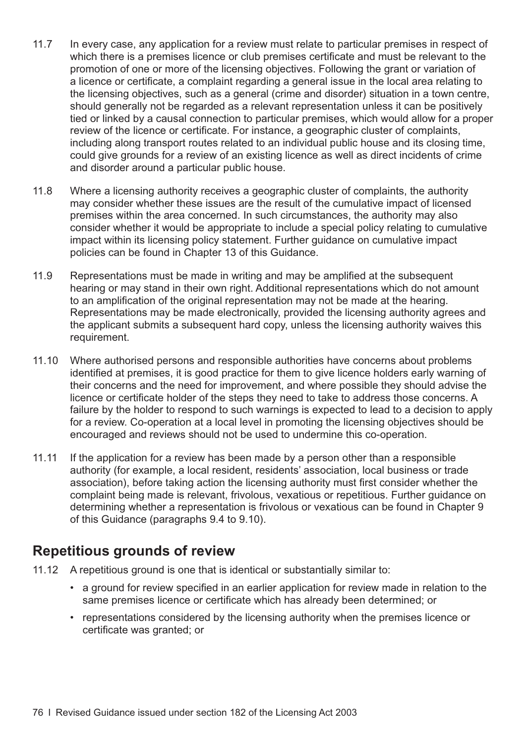- 11.7 In every case, any application for a review must relate to particular premises in respect of which there is a premises licence or club premises certificate and must be relevant to the promotion of one or more of the licensing objectives. Following the grant or variation of a licence or certificate, a complaint regarding a general issue in the local area relating to the licensing objectives, such as a general (crime and disorder) situation in a town centre, should generally not be regarded as a relevant representation unless it can be positively tied or linked by a causal connection to particular premises, which would allow for a proper review of the licence or certificate. For instance, a geographic cluster of complaints, including along transport routes related to an individual public house and its closing time, could give grounds for a review of an existing licence as well as direct incidents of crime and disorder around a particular public house.
- 11.8 Where a licensing authority receives a geographic cluster of complaints, the authority may consider whether these issues are the result of the cumulative impact of licensed premises within the area concerned. In such circumstances, the authority may also consider whether it would be appropriate to include a special policy relating to cumulative impact within its licensing policy statement. Further guidance on cumulative impact policies can be found in [Chapter 13](#page-86-0) of this Guidance.
- 11.9 Representations must be made in writing and may be amplified at the subsequent hearing or may stand in their own right. Additional representations which do not amount to an amplification of the original representation may not be made at the hearing. Representations may be made electronically, provided the licensing authority agrees and the applicant submits a subsequent hard copy, unless the licensing authority waives this requirement.
- 11.10 Where authorised persons and responsible authorities have concerns about problems identified at premises, it is good practice for them to give licence holders early warning of their concerns and the need for improvement, and where possible they should advise the licence or certificate holder of the steps they need to take to address those concerns. A failure by the holder to respond to such warnings is expected to lead to a decision to apply for a review. Co-operation at a local level in promoting the licensing objectives should be encouraged and reviews should not be used to undermine this co-operation.
- 11.11 If the application for a review has been made by a person other than a responsible authority (for example, a local resident, residents' association, local business or trade association), before taking action the licensing authority must first consider whether the complaint being made is relevant, frivolous, vexatious or repetitious. Further guidance on determining whether a representation is frivolous or vexatious can be found in Chapter 9 of this Guidance [\(paragraphs 9.4 to 9.10\)](#page-58-0).

#### **Repetitious grounds of review**

- 11.12 A repetitious ground is one that is identical or substantially similar to:
	- a ground for review specified in an earlier application for review made in relation to the same premises licence or certificate which has already been determined; or
	- representations considered by the licensing authority when the premises licence or certificate was granted; or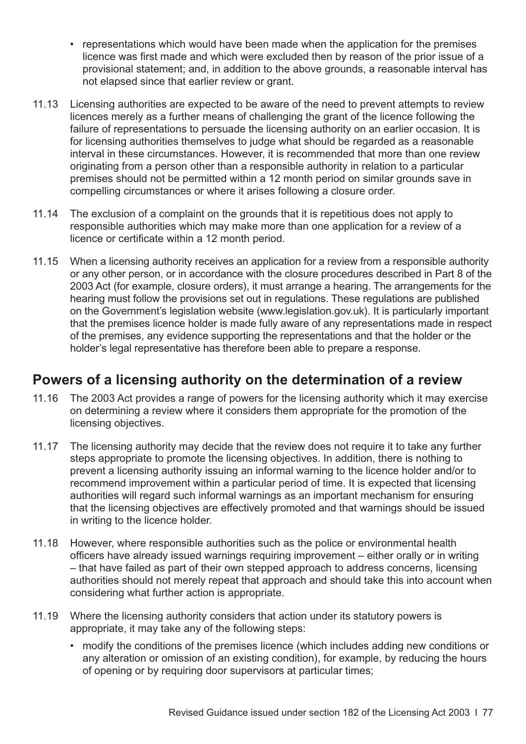- representations which would have been made when the application for the premises licence was first made and which were excluded then by reason of the prior issue of a provisional statement; and, in addition to the above grounds, a reasonable interval has not elapsed since that earlier review or grant.
- 11.13 Licensing authorities are expected to be aware of the need to prevent attempts to review licences merely as a further means of challenging the grant of the licence following the failure of representations to persuade the licensing authority on an earlier occasion. It is for licensing authorities themselves to judge what should be regarded as a reasonable interval in these circumstances. However, it is recommended that more than one review originating from a person other than a responsible authority in relation to a particular premises should not be permitted within a 12 month period on similar grounds save in compelling circumstances or where it arises following a closure order.
- 11.14 The exclusion of a complaint on the grounds that it is repetitious does not apply to responsible authorities which may make more than one application for a review of a licence or certificate within a 12 month period.
- 11.15 When a licensing authority receives an application for a review from a responsible authority or any other person, or in accordance with the closure procedures described in Part 8 of the 2003 Act (for example, closure orders), it must arrange a hearing. The arrangements for the hearing must follow the provisions set out in regulations. These regulations are published on the Government's legislation website ([www.legislation.gov.uk\)](http://www.legislation.gov.uk). It is particularly important that the premises licence holder is made fully aware of any representations made in respect of the premises, any evidence supporting the representations and that the holder or the holder's legal representative has therefore been able to prepare a response.

## **Powers of a licensing authority on the determination of a review**

- 11.16 The 2003 Act provides a range of powers for the licensing authority which it may exercise on determining a review where it considers them appropriate for the promotion of the licensing objectives.
- 11.17 The licensing authority may decide that the review does not require it to take any further steps appropriate to promote the licensing objectives. In addition, there is nothing to prevent a licensing authority issuing an informal warning to the licence holder and/or to recommend improvement within a particular period of time. It is expected that licensing authorities will regard such informal warnings as an important mechanism for ensuring that the licensing objectives are effectively promoted and that warnings should be issued in writing to the licence holder.
- 11.18 However, where responsible authorities such as the police or environmental health officers have already issued warnings requiring improvement – either orally or in writing – that have failed as part of their own stepped approach to address concerns, licensing authorities should not merely repeat that approach and should take this into account when considering what further action is appropriate.
- 11.19 Where the licensing authority considers that action under its statutory powers is appropriate, it may take any of the following steps:
	- modify the conditions of the premises licence (which includes adding new conditions or any alteration or omission of an existing condition), for example, by reducing the hours of opening or by requiring door supervisors at particular times;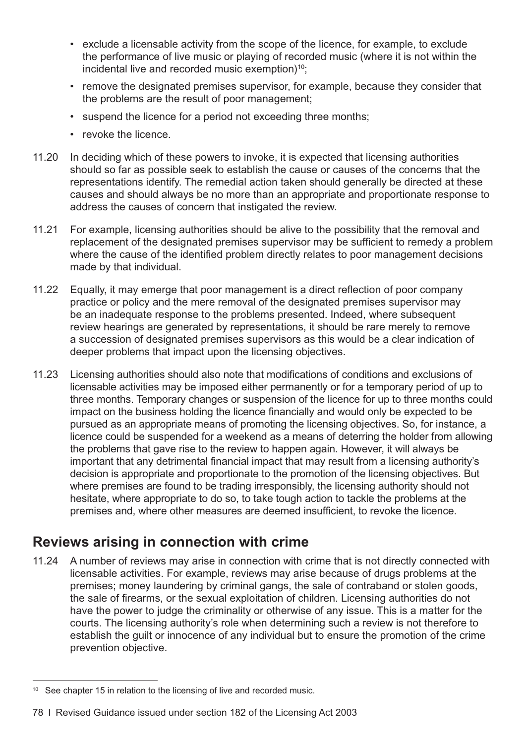- exclude a licensable activity from the scope of the licence, for example, to exclude the performance of live music or playing of recorded music (where it is not within the incidental live and recorded music exemption) $10$ ;
- remove the designated premises supervisor, for example, because they consider that the problems are the result of poor management;
- suspend the licence for a period not exceeding three months;
- revoke the licence.
- 11.20 In deciding which of these powers to invoke, it is expected that licensing authorities should so far as possible seek to establish the cause or causes of the concerns that the representations identify. The remedial action taken should generally be directed at these causes and should always be no more than an appropriate and proportionate response to address the causes of concern that instigated the review.
- 11.21 For example, licensing authorities should be alive to the possibility that the removal and replacement of the designated premises supervisor may be sufficient to remedy a problem where the cause of the identified problem directly relates to poor management decisions made by that individual.
- 11.22 Equally, it may emerge that poor management is a direct reflection of poor company practice or policy and the mere removal of the designated premises supervisor may be an inadequate response to the problems presented. Indeed, where subsequent review hearings are generated by representations, it should be rare merely to remove a succession of designated premises supervisors as this would be a clear indication of deeper problems that impact upon the licensing objectives.
- 11.23 Licensing authorities should also note that modifications of conditions and exclusions of licensable activities may be imposed either permanently or for a temporary period of up to three months. Temporary changes or suspension of the licence for up to three months could impact on the business holding the licence financially and would only be expected to be pursued as an appropriate means of promoting the licensing objectives. So, for instance, a licence could be suspended for a weekend as a means of deterring the holder from allowing the problems that gave rise to the review to happen again. However, it will always be important that any detrimental financial impact that may result from a licensing authority's decision is appropriate and proportionate to the promotion of the licensing objectives. But where premises are found to be trading irresponsibly, the licensing authority should not hesitate, where appropriate to do so, to take tough action to tackle the problems at the premises and, where other measures are deemed insufficient, to revoke the licence.

# **Reviews arising in connection with crime**

11.24 A number of reviews may arise in connection with crime that is not directly connected with licensable activities. For example, reviews may arise because of drugs problems at the premises; money laundering by criminal gangs, the sale of contraband or stolen goods, the sale of firearms, or the sexual exploitation of children. Licensing authorities do not have the power to judge the criminality or otherwise of any issue. This is a matter for the courts. The licensing authority's role when determining such a review is not therefore to establish the guilt or innocence of any individual but to ensure the promotion of the crime prevention objective.

78 I Revised Guidance issued under section 182 of the Licensing Act 2003

<sup>&</sup>lt;sup>10</sup> See [chapter 15](#page-101-0) in relation to the licensing of live and recorded music.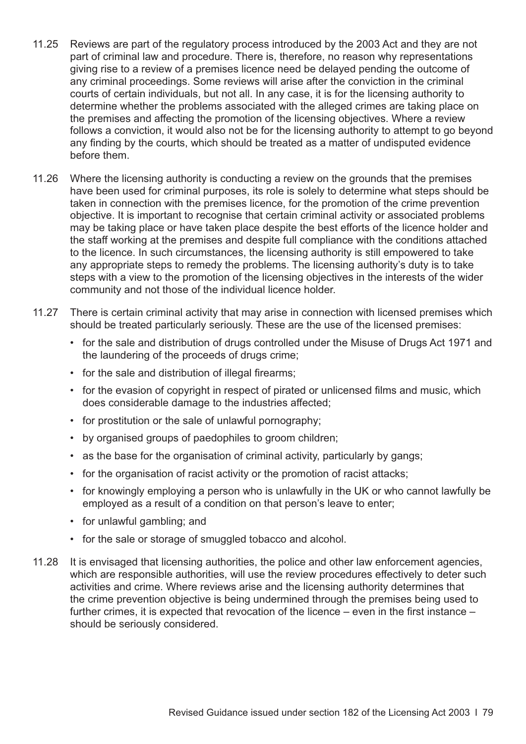- 11.25 Reviews are part of the regulatory process introduced by the 2003 Act and they are not part of criminal law and procedure. There is, therefore, no reason why representations giving rise to a review of a premises licence need be delayed pending the outcome of any criminal proceedings. Some reviews will arise after the conviction in the criminal courts of certain individuals, but not all. In any case, it is for the licensing authority to determine whether the problems associated with the alleged crimes are taking place on the premises and affecting the promotion of the licensing objectives. Where a review follows a conviction, it would also not be for the licensing authority to attempt to go beyond any finding by the courts, which should be treated as a matter of undisputed evidence before them.
- 11.26 Where the licensing authority is conducting a review on the grounds that the premises have been used for criminal purposes, its role is solely to determine what steps should be taken in connection with the premises licence, for the promotion of the crime prevention objective. It is important to recognise that certain criminal activity or associated problems may be taking place or have taken place despite the best efforts of the licence holder and the staff working at the premises and despite full compliance with the conditions attached to the licence. In such circumstances, the licensing authority is still empowered to take any appropriate steps to remedy the problems. The licensing authority's duty is to take steps with a view to the promotion of the licensing objectives in the interests of the wider community and not those of the individual licence holder.
- 11.27 There is certain criminal activity that may arise in connection with licensed premises which should be treated particularly seriously. These are the use of the licensed premises:
	- for the sale and distribution of drugs controlled under the Misuse of Drugs Act 1971 and the laundering of the proceeds of drugs crime;
	- for the sale and distribution of illegal firearms;
	- for the evasion of copyright in respect of pirated or unlicensed films and music, which does considerable damage to the industries affected;
	- for prostitution or the sale of unlawful pornography;
	- by organised groups of paedophiles to groom children;
	- as the base for the organisation of criminal activity, particularly by gangs;
	- for the organisation of racist activity or the promotion of racist attacks;
	- for knowingly employing a person who is unlawfully in the UK or who cannot lawfully be employed as a result of a condition on that person's leave to enter;
	- for unlawful gambling; and
	- for the sale or storage of smuggled tobacco and alcohol.
- 11.28 It is envisaged that licensing authorities, the police and other law enforcement agencies, which are responsible authorities, will use the review procedures effectively to deter such activities and crime. Where reviews arise and the licensing authority determines that the crime prevention objective is being undermined through the premises being used to further crimes, it is expected that revocation of the licence – even in the first instance – should be seriously considered.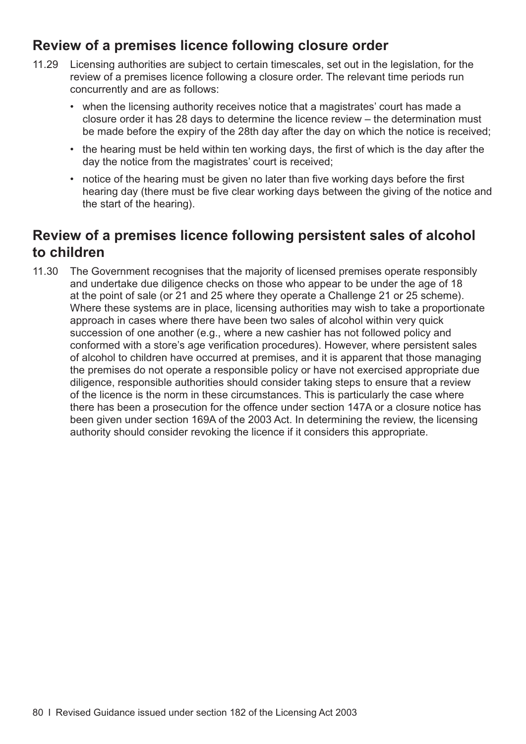## **Review of a premises licence following closure order**

- 11.29 Licensing authorities are subject to certain timescales, set out in the legislation, for the review of a premises licence following a closure order. The relevant time periods run concurrently and are as follows:
	- when the licensing authority receives notice that a magistrates' court has made a closure order it has 28 days to determine the licence review – the determination must be made before the expiry of the 28th day after the day on which the notice is received;
	- the hearing must be held within ten working days, the first of which is the day after the day the notice from the magistrates' court is received;
	- notice of the hearing must be given no later than five working days before the first hearing day (there must be five clear working days between the giving of the notice and the start of the hearing).

## **Review of a premises licence following persistent sales of alcohol to children**

11.30 The Government recognises that the majority of licensed premises operate responsibly and undertake due diligence checks on those who appear to be under the age of 18 at the point of sale (or 21 and 25 where they operate a Challenge 21 or 25 scheme). Where these systems are in place, licensing authorities may wish to take a proportionate approach in cases where there have been two sales of alcohol within very quick succession of one another (e.g., where a new cashier has not followed policy and conformed with a store's age verification procedures). However, where persistent sales of alcohol to children have occurred at premises, and it is apparent that those managing the premises do not operate a responsible policy or have not exercised appropriate due diligence, responsible authorities should consider taking steps to ensure that a review of the licence is the norm in these circumstances. This is particularly the case where there has been a prosecution for the offence under section 147A or a closure notice has been given under section 169A of the 2003 Act. In determining the review, the licensing authority should consider revoking the licence if it considers this appropriate.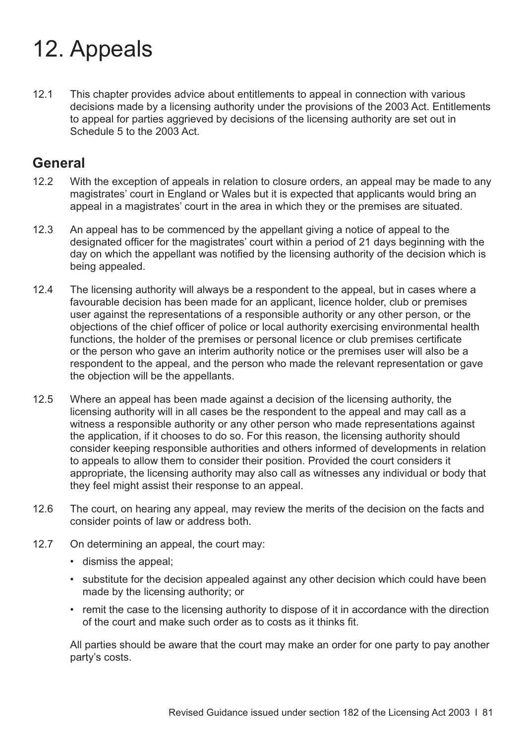# 12. Appeals

12.1 This chapter provides advice about entitlements to appeal in connection with various decisions made by a licensing authority under the provisions of the 2003 Act. Entitlements to appeal for parties aggrieved by decisions of the licensing authority are set out in Schedule 5 to the 2003 Act.

#### **General**

- 12.2 With the exception of appeals in relation to closure orders, an appeal may be made to any magistrates' court in England or Wales but it is expected that applicants would bring an appeal in a magistrates' court in the area in which they or the premises are situated.
- 12.3 An appeal has to be commenced by the appellant giving a notice of appeal to the designated officer for the magistrates' court within a period of 21 days beginning with the day on which the appellant was notified by the licensing authority of the decision which is being appealed.
- 12.4 The licensing authority will always be a respondent to the appeal, but in cases where a favourable decision has been made for an applicant, licence holder, club or premises user against the representations of a responsible authority or any other person, or the objections of the chief officer of police or local authority exercising environmental health functions, the holder of the premises or personal licence or club premises certificate or the person who gave an interim authority notice or the premises user will also be a respondent to the appeal, and the person who made the relevant representation or gave the objection will be the appellants.
- 12.5 Where an appeal has been made against a decision of the licensing authority, the licensing authority will in all cases be the respondent to the appeal and may call as a witness a responsible authority or any other person who made representations against the application, if it chooses to do so. For this reason, the licensing authority should consider keeping responsible authorities and others informed of developments in relation to appeals to allow them to consider their position. Provided the court considers it appropriate, the licensing authority may also call as witnesses any individual or body that they feel might assist their response to an appeal.
- 12.6 The court, on hearing any appeal, may review the merits of the decision on the facts and consider points of law or address both.
- 12.7 On determining an appeal, the court may:
	- dismiss the appeal;
	- substitute for the decision appealed against any other decision which could have been made by the licensing authority; or
	- remit the case to the licensing authority to dispose of it in accordance with the direction of the court and make such order as to costs as it thinks fit.

All parties should be aware that the court may make an order for one party to pay another party's costs.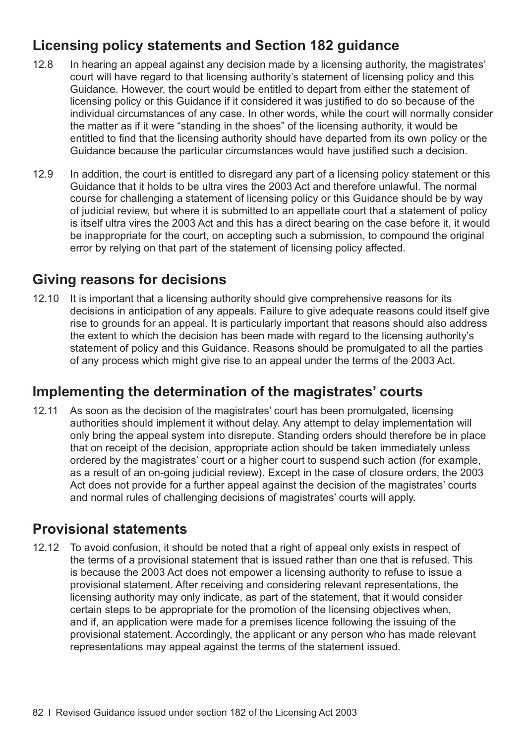# **Licensing policy statements and Section 182 guidance**

- 12.8 In hearing an appeal against any decision made by a licensing authority, the magistrates' court will have regard to that licensing authority's statement of licensing policy and this Guidance. However, the court would be entitled to depart from either the statement of licensing policy or this Guidance if it considered it was justified to do so because of the individual circumstances of any case. In other words, while the court will normally consider the matter as if it were "standing in the shoes" of the licensing authority, it would be entitled to find that the licensing authority should have departed from its own policy or the Guidance because the particular circumstances would have justified such a decision.
- 12.9 In addition, the court is entitled to disregard any part of a licensing policy statement or this Guidance that it holds to be ultra vires the 2003 Act and therefore unlawful. The normal course for challenging a statement of licensing policy or this Guidance should be by way of judicial review, but where it is submitted to an appellate court that a statement of policy is itself ultra vires the 2003 Act and this has a direct bearing on the case before it, it would be inappropriate for the court, on accepting such a submission, to compound the original error by relying on that part of the statement of licensing policy affected.

## **Giving reasons for decisions**

12.10 It is important that a licensing authority should give comprehensive reasons for its decisions in anticipation of any appeals. Failure to give adequate reasons could itself give rise to grounds for an appeal. It is particularly important that reasons should also address the extent to which the decision has been made with regard to the licensing authority's statement of policy and this Guidance. Reasons should be promulgated to all the parties of any process which might give rise to an appeal under the terms of the 2003 Act.

## **Implementing the determination of the magistrates' courts**

12.11 As soon as the decision of the magistrates' court has been promulgated, licensing authorities should implement it without delay. Any attempt to delay implementation will only bring the appeal system into disrepute. Standing orders should therefore be in place that on receipt of the decision, appropriate action should be taken immediately unless ordered by the magistrates' court or a higher court to suspend such action (for example, as a result of an on-going judicial review). Except in the case of closure orders, the 2003 Act does not provide for a further appeal against the decision of the magistrates' courts and normal rules of challenging decisions of magistrates' courts will apply.

### **Provisional statements**

12.12 To avoid confusion, it should be noted that a right of appeal only exists in respect of the terms of a provisional statement that is issued rather than one that is refused. This is because the 2003 Act does not empower a licensing authority to refuse to issue a provisional statement. After receiving and considering relevant representations, the licensing authority may only indicate, as part of the statement, that it would consider certain steps to be appropriate for the promotion of the licensing objectives when, and if, an application were made for a premises licence following the issuing of the provisional statement. Accordingly, the applicant or any person who has made relevant representations may appeal against the terms of the statement issued.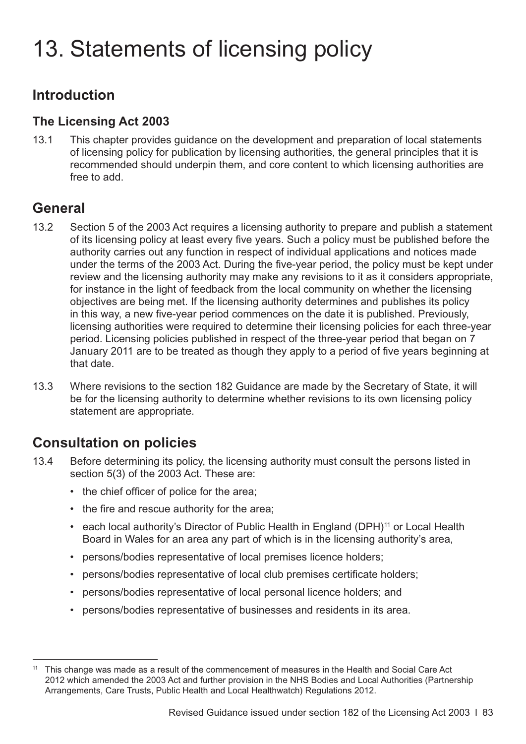# <span id="page-86-0"></span>13. Statements of licensing policy

## **Introduction**

#### **The Licensing Act 2003**

13.1 This chapter provides guidance on the development and preparation of local statements of licensing policy for publication by licensing authorities, the general principles that it is recommended should underpin them, and core content to which licensing authorities are free to add.

## **General**

- 13.2 Section 5 of the 2003 Act requires a licensing authority to prepare and publish a statement of its licensing policy at least every five years. Such a policy must be published before the authority carries out any function in respect of individual applications and notices made under the terms of the 2003 Act. During the five-year period, the policy must be kept under review and the licensing authority may make any revisions to it as it considers appropriate, for instance in the light of feedback from the local community on whether the licensing objectives are being met. If the licensing authority determines and publishes its policy in this way, a new five-year period commences on the date it is published. Previously, licensing authorities were required to determine their licensing policies for each three-year period. Licensing policies published in respect of the three-year period that began on 7 January 2011 are to be treated as though they apply to a period of five years beginning at that date.
- 13.3 Where revisions to the section 182 Guidance are made by the Secretary of State, it will be for the licensing authority to determine whether revisions to its own licensing policy statement are appropriate.

# **Consultation on policies**

- 13.4 Before determining its policy, the licensing authority must consult the persons listed in section 5(3) of the 2003 Act. These are:
	- the chief officer of police for the area;
	- the fire and rescue authority for the area;
	- each local authority's Director of Public Health in England (DPH)<sup>11</sup> or Local Health Board in Wales for an area any part of which is in the licensing authority's area,
	- persons/bodies representative of local premises licence holders;
	- persons/bodies representative of local club premises certificate holders;
	- persons/bodies representative of local personal licence holders; and
	- persons/bodies representative of businesses and residents in its area.

<sup>11</sup> This change was made as a result of the commencement of measures in the Health and Social Care Act 2012 which amended the 2003 Act and further provision in the NHS Bodies and Local Authorities (Partnership Arrangements, Care Trusts, Public Health and Local Healthwatch) Regulations 2012.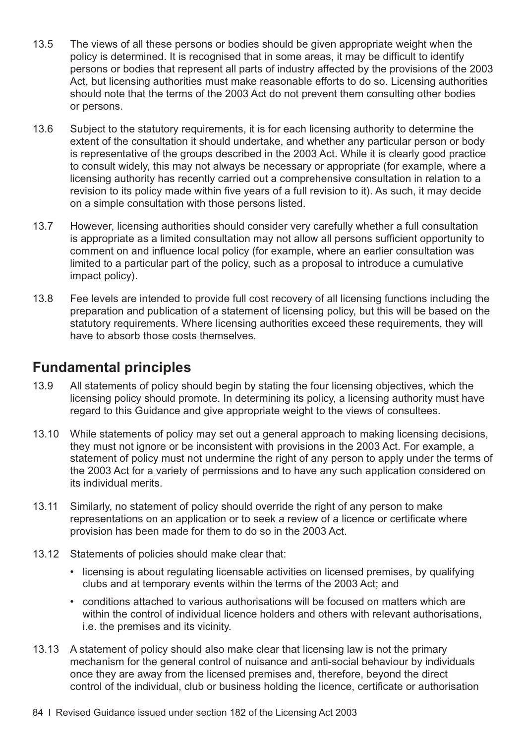- 13.5 The views of all these persons or bodies should be given appropriate weight when the policy is determined. It is recognised that in some areas, it may be difficult to identify persons or bodies that represent all parts of industry affected by the provisions of the 2003 Act, but licensing authorities must make reasonable efforts to do so. Licensing authorities should note that the terms of the 2003 Act do not prevent them consulting other bodies or persons.
- 13.6 Subject to the statutory requirements, it is for each licensing authority to determine the extent of the consultation it should undertake, and whether any particular person or body is representative of the groups described in the 2003 Act. While it is clearly good practice to consult widely, this may not always be necessary or appropriate (for example, where a licensing authority has recently carried out a comprehensive consultation in relation to a revision to its policy made within five years of a full revision to it). As such, it may decide on a simple consultation with those persons listed.
- 13.7 However, licensing authorities should consider very carefully whether a full consultation is appropriate as a limited consultation may not allow all persons sufficient opportunity to comment on and influence local policy (for example, where an earlier consultation was limited to a particular part of the policy, such as a proposal to introduce a cumulative impact policy).
- 13.8 Fee levels are intended to provide full cost recovery of all licensing functions including the preparation and publication of a statement of licensing policy, but this will be based on the statutory requirements. Where licensing authorities exceed these requirements, they will have to absorb those costs themselves.

## **Fundamental principles**

- 13.9 All statements of policy should begin by stating the four licensing objectives, which the licensing policy should promote. In determining its policy, a licensing authority must have regard to this Guidance and give appropriate weight to the views of consultees.
- 13.10 While statements of policy may set out a general approach to making licensing decisions, they must not ignore or be inconsistent with provisions in the 2003 Act. For example, a statement of policy must not undermine the right of any person to apply under the terms of the 2003 Act for a variety of permissions and to have any such application considered on its individual merits.
- 13.11 Similarly, no statement of policy should override the right of any person to make representations on an application or to seek a review of a licence or certificate where provision has been made for them to do so in the 2003 Act.
- 13.12 Statements of policies should make clear that:
	- licensing is about regulating licensable activities on licensed premises, by qualifying clubs and at temporary events within the terms of the 2003 Act; and
	- conditions attached to various authorisations will be focused on matters which are within the control of individual licence holders and others with relevant authorisations, i.e. the premises and its vicinity.
- 13.13 A statement of policy should also make clear that licensing law is not the primary mechanism for the general control of nuisance and anti-social behaviour by individuals once they are away from the licensed premises and, therefore, beyond the direct control of the individual, club or business holding the licence, certificate or authorisation
- 84 I Revised Guidance issued under section 182 of the Licensing Act 2003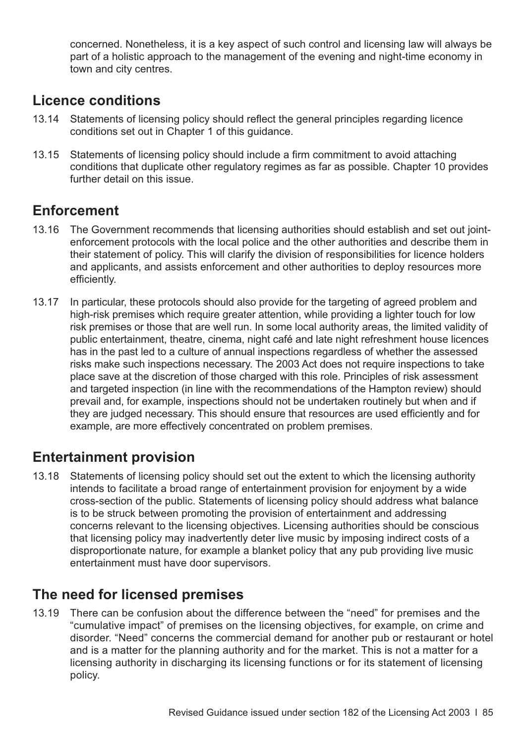concerned. Nonetheless, it is a key aspect of such control and licensing law will always be part of a holistic approach to the management of the evening and night-time economy in town and city centres.

## **Licence conditions**

- 13.14 Statements of licensing policy should reflect the general principles regarding licence conditions set out in [Chapter 1](#page-4-0) of this guidance.
- 13.15 Statements of licensing policy should include a firm commitment to avoid attaching conditions that duplicate other regulatory regimes as far as possible. [Chapter 10](#page-66-0) provides further detail on this issue.

### **Enforcement**

- 13.16 The Government recommends that licensing authorities should establish and set out jointenforcement protocols with the local police and the other authorities and describe them in their statement of policy. This will clarify the division of responsibilities for licence holders and applicants, and assists enforcement and other authorities to deploy resources more efficiently.
- 13.17 In particular, these protocols should also provide for the targeting of agreed problem and high-risk premises which require greater attention, while providing a lighter touch for low risk premises or those that are well run. In some local authority areas, the limited validity of public entertainment, theatre, cinema, night café and late night refreshment house licences has in the past led to a culture of annual inspections regardless of whether the assessed risks make such inspections necessary. The 2003 Act does not require inspections to take place save at the discretion of those charged with this role. Principles of risk assessment and targeted inspection (in line with the recommendations of the Hampton review) should prevail and, for example, inspections should not be undertaken routinely but when and if they are judged necessary. This should ensure that resources are used efficiently and for example, are more effectively concentrated on problem premises.

### **Entertainment provision**

13.18 Statements of licensing policy should set out the extent to which the licensing authority intends to facilitate a broad range of entertainment provision for enjoyment by a wide cross-section of the public. Statements of licensing policy should address what balance is to be struck between promoting the provision of entertainment and addressing concerns relevant to the licensing objectives. Licensing authorities should be conscious that licensing policy may inadvertently deter live music by imposing indirect costs of a disproportionate nature, for example a blanket policy that any pub providing live music entertainment must have door supervisors.

### **The need for licensed premises**

13.19 There can be confusion about the difference between the "need" for premises and the "cumulative impact" of premises on the licensing objectives, for example, on crime and disorder. "Need" concerns the commercial demand for another pub or restaurant or hotel and is a matter for the planning authority and for the market. This is not a matter for a licensing authority in discharging its licensing functions or for its statement of licensing policy.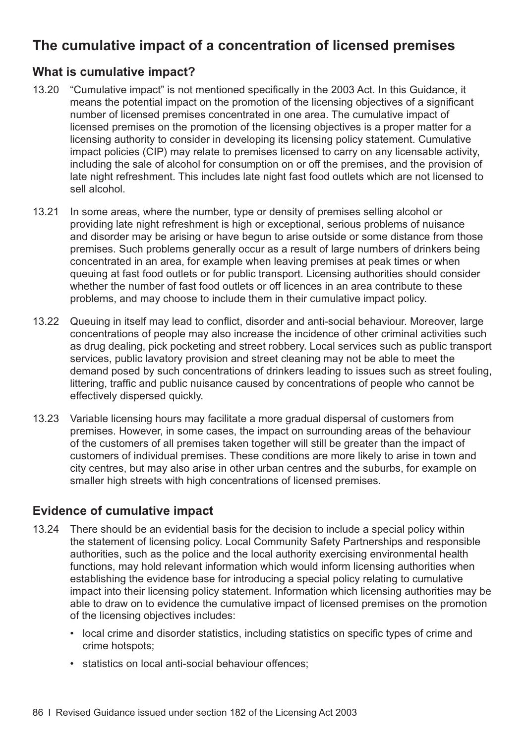# **The cumulative impact of a concentration of licensed premises**

#### **What is cumulative impact?**

- 13.20 "Cumulative impact" is not mentioned specifically in the 2003 Act. In this Guidance, it means the potential impact on the promotion of the licensing objectives of a significant number of licensed premises concentrated in one area. The cumulative impact of licensed premises on the promotion of the licensing objectives is a proper matter for a licensing authority to consider in developing its licensing policy statement. Cumulative impact policies (CIP) may relate to premises licensed to carry on any licensable activity, including the sale of alcohol for consumption on or off the premises, and the provision of late night refreshment. This includes late night fast food outlets which are not licensed to sell alcohol.
- 13.21 In some areas, where the number, type or density of premises selling alcohol or providing late night refreshment is high or exceptional, serious problems of nuisance and disorder may be arising or have begun to arise outside or some distance from those premises. Such problems generally occur as a result of large numbers of drinkers being concentrated in an area, for example when leaving premises at peak times or when queuing at fast food outlets or for public transport. Licensing authorities should consider whether the number of fast food outlets or off licences in an area contribute to these problems, and may choose to include them in their cumulative impact policy.
- 13.22 Queuing in itself may lead to conflict, disorder and anti-social behaviour. Moreover, large concentrations of people may also increase the incidence of other criminal activities such as drug dealing, pick pocketing and street robbery. Local services such as public transport services, public lavatory provision and street cleaning may not be able to meet the demand posed by such concentrations of drinkers leading to issues such as street fouling, littering, traffic and public nuisance caused by concentrations of people who cannot be effectively dispersed quickly.
- 13.23 Variable licensing hours may facilitate a more gradual dispersal of customers from premises. However, in some cases, the impact on surrounding areas of the behaviour of the customers of all premises taken together will still be greater than the impact of customers of individual premises. These conditions are more likely to arise in town and city centres, but may also arise in other urban centres and the suburbs, for example on smaller high streets with high concentrations of licensed premises.

#### **Evidence of cumulative impact**

- 13.24 There should be an evidential basis for the decision to include a special policy within the statement of licensing policy. Local Community Safety Partnerships and responsible authorities, such as the police and the local authority exercising environmental health functions, may hold relevant information which would inform licensing authorities when establishing the evidence base for introducing a special policy relating to cumulative impact into their licensing policy statement. Information which licensing authorities may be able to draw on to evidence the cumulative impact of licensed premises on the promotion of the licensing objectives includes:
	- local crime and disorder statistics, including statistics on specific types of crime and crime hotspots;
	- statistics on local anti-social behaviour offences;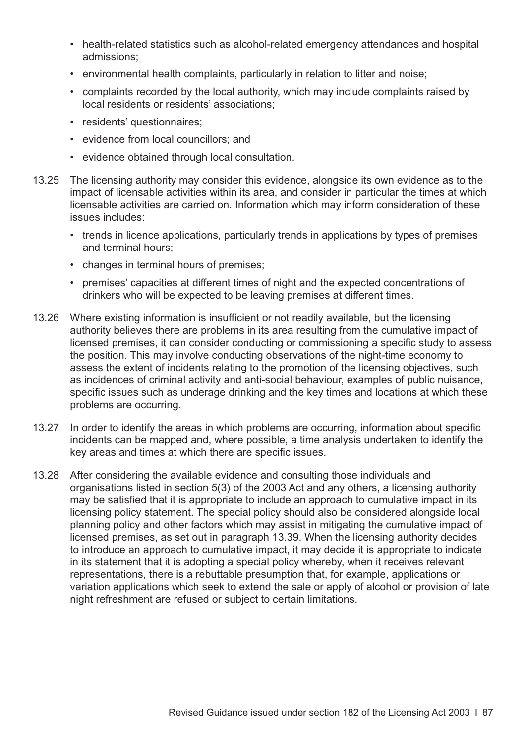- health-related statistics such as alcohol-related emergency attendances and hospital admissions;
- environmental health complaints, particularly in relation to litter and noise;
- complaints recorded by the local authority, which may include complaints raised by local residents or residents' associations;
- residents' questionnaires;
- evidence from local councillors; and
- evidence obtained through local consultation.
- 13.25 The licensing authority may consider this evidence, alongside its own evidence as to the impact of licensable activities within its area, and consider in particular the times at which licensable activities are carried on. Information which may inform consideration of these issues includes:
	- trends in licence applications, particularly trends in applications by types of premises and terminal hours;
	- changes in terminal hours of premises;
	- premises' capacities at different times of night and the expected concentrations of drinkers who will be expected to be leaving premises at different times.
- 13.26 Where existing information is insufficient or not readily available, but the licensing authority believes there are problems in its area resulting from the cumulative impact of licensed premises, it can consider conducting or commissioning a specific study to assess the position. This may involve conducting observations of the night-time economy to assess the extent of incidents relating to the promotion of the licensing objectives, such as incidences of criminal activity and anti-social behaviour, examples of public nuisance, specific issues such as underage drinking and the key times and locations at which these problems are occurring.
- 13.27 In order to identify the areas in which problems are occurring, information about specific incidents can be mapped and, where possible, a time analysis undertaken to identify the key areas and times at which there are specific issues.
- 13.28 After considering the available evidence and consulting those individuals and organisations listed in section 5(3) of the 2003 Act and any others, a licensing authority may be satisfied that it is appropriate to include an approach to cumulative impact in its licensing policy statement. The special policy should also be considered alongside local planning policy and other factors which may assist in mitigating the cumulative impact of licensed premises, as set out in [paragraph 13.39](#page-92-0). When the licensing authority decides to introduce an approach to cumulative impact, it may decide it is appropriate to indicate in its statement that it is adopting a special policy whereby, when it receives relevant representations, there is a rebuttable presumption that, for example, applications or variation applications which seek to extend the sale or apply of alcohol or provision of late night refreshment are refused or subject to certain limitations.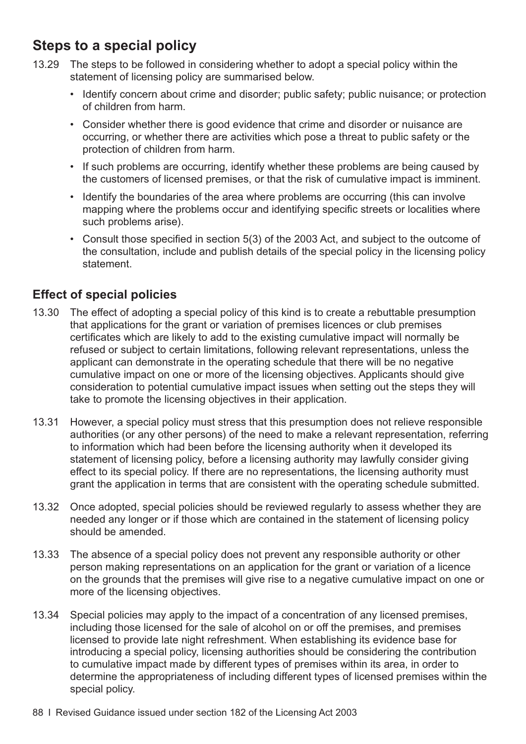# **Steps to a special policy**

- 13.29 The steps to be followed in considering whether to adopt a special policy within the statement of licensing policy are summarised below.
	- Identify concern about crime and disorder; public safety; public nuisance; or protection of children from harm.
	- Consider whether there is good evidence that crime and disorder or nuisance are occurring, or whether there are activities which pose a threat to public safety or the protection of children from harm.
	- If such problems are occurring, identify whether these problems are being caused by the customers of licensed premises, or that the risk of cumulative impact is imminent.
	- Identify the boundaries of the area where problems are occurring (this can involve mapping where the problems occur and identifying specific streets or localities where such problems arise).
	- Consult those specified in section 5(3) of the 2003 Act, and subject to the outcome of the consultation, include and publish details of the special policy in the licensing policy statement.

#### **Effect of special policies**

- 13.30 The effect of adopting a special policy of this kind is to create a rebuttable presumption that applications for the grant or variation of premises licences or club premises certificates which are likely to add to the existing cumulative impact will normally be refused or subject to certain limitations, following relevant representations, unless the applicant can demonstrate in the operating schedule that there will be no negative cumulative impact on one or more of the licensing objectives. Applicants should give consideration to potential cumulative impact issues when setting out the steps they will take to promote the licensing objectives in their application.
- 13.31 However, a special policy must stress that this presumption does not relieve responsible authorities (or any other persons) of the need to make a relevant representation, referring to information which had been before the licensing authority when it developed its statement of licensing policy, before a licensing authority may lawfully consider giving effect to its special policy. If there are no representations, the licensing authority must grant the application in terms that are consistent with the operating schedule submitted.
- 13.32 Once adopted, special policies should be reviewed regularly to assess whether they are needed any longer or if those which are contained in the statement of licensing policy should be amended.
- 13.33 The absence of a special policy does not prevent any responsible authority or other person making representations on an application for the grant or variation of a licence on the grounds that the premises will give rise to a negative cumulative impact on one or more of the licensing objectives.
- 13.34 Special policies may apply to the impact of a concentration of any licensed premises, including those licensed for the sale of alcohol on or off the premises, and premises licensed to provide late night refreshment. When establishing its evidence base for introducing a special policy, licensing authorities should be considering the contribution to cumulative impact made by different types of premises within its area, in order to determine the appropriateness of including different types of licensed premises within the special policy.
- 88 I Revised Guidance issued under section 182 of the Licensing Act 2003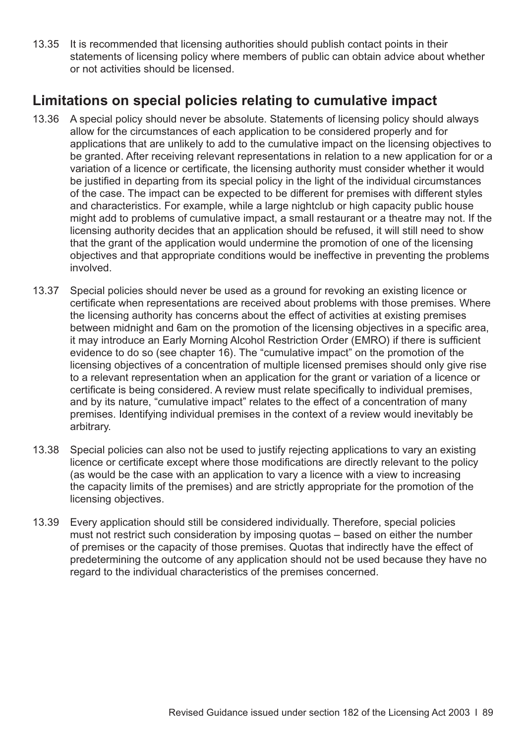<span id="page-92-0"></span>13.35 It is recommended that licensing authorities should publish contact points in their statements of licensing policy where members of public can obtain advice about whether or not activities should be licensed.

## **Limitations on special policies relating to cumulative impact**

- 13.36 A special policy should never be absolute. Statements of licensing policy should always allow for the circumstances of each application to be considered properly and for applications that are unlikely to add to the cumulative impact on the licensing objectives to be granted. After receiving relevant representations in relation to a new application for or a variation of a licence or certificate, the licensing authority must consider whether it would be justified in departing from its special policy in the light of the individual circumstances of the case. The impact can be expected to be different for premises with different styles and characteristics. For example, while a large nightclub or high capacity public house might add to problems of cumulative impact, a small restaurant or a theatre may not. If the licensing authority decides that an application should be refused, it will still need to show that the grant of the application would undermine the promotion of one of the licensing objectives and that appropriate conditions would be ineffective in preventing the problems involved.
- 13.37 Special policies should never be used as a ground for revoking an existing licence or certificate when representations are received about problems with those premises. Where the licensing authority has concerns about the effect of activities at existing premises between midnight and 6am on the promotion of the licensing objectives in a specific area, it may introduce an Early Morning Alcohol Restriction Order (EMRO) if there is sufficient evidence to do so (see [chapter 16](#page-118-0)). The "cumulative impact" on the promotion of the licensing objectives of a concentration of multiple licensed premises should only give rise to a relevant representation when an application for the grant or variation of a licence or certificate is being considered. A review must relate specifically to individual premises, and by its nature, "cumulative impact" relates to the effect of a concentration of many premises. Identifying individual premises in the context of a review would inevitably be arbitrary.
- 13.38 Special policies can also not be used to justify rejecting applications to vary an existing licence or certificate except where those modifications are directly relevant to the policy (as would be the case with an application to vary a licence with a view to increasing the capacity limits of the premises) and are strictly appropriate for the promotion of the licensing objectives.
- 13.39 Every application should still be considered individually. Therefore, special policies must not restrict such consideration by imposing quotas – based on either the number of premises or the capacity of those premises. Quotas that indirectly have the effect of predetermining the outcome of any application should not be used because they have no regard to the individual characteristics of the premises concerned.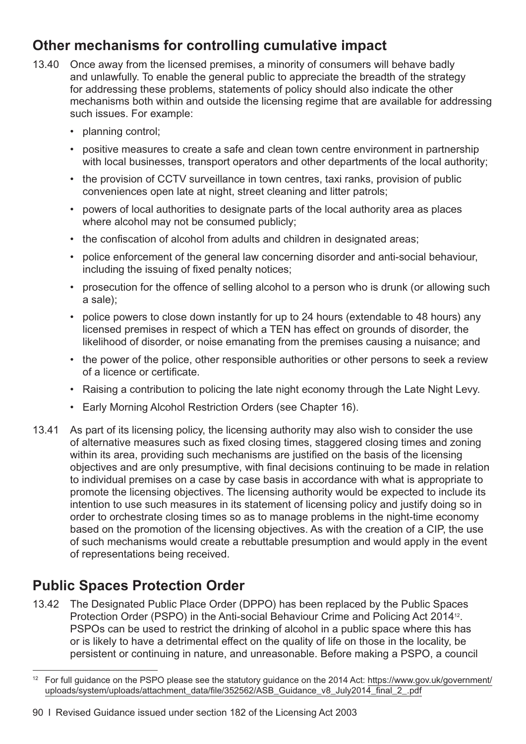# **Other mechanisms for controlling cumulative impact**

- 13.40 Once away from the licensed premises, a minority of consumers will behave badly and unlawfully. To enable the general public to appreciate the breadth of the strategy for addressing these problems, statements of policy should also indicate the other mechanisms both within and outside the licensing regime that are available for addressing such issues. For example:
	- planning control;
	- positive measures to create a safe and clean town centre environment in partnership with local businesses, transport operators and other departments of the local authority;
	- the provision of CCTV surveillance in town centres, taxi ranks, provision of public conveniences open late at night, street cleaning and litter patrols;
	- powers of local authorities to designate parts of the local authority area as places where alcohol may not be consumed publicly;
	- the confiscation of alcohol from adults and children in designated areas;
	- police enforcement of the general law concerning disorder and anti-social behaviour, including the issuing of fixed penalty notices;
	- prosecution for the offence of selling alcohol to a person who is drunk (or allowing such a sale);
	- police powers to close down instantly for up to 24 hours (extendable to 48 hours) any licensed premises in respect of which a TEN has effect on grounds of disorder, the likelihood of disorder, or noise emanating from the premises causing a nuisance; and
	- the power of the police, other responsible authorities or other persons to seek a review of a licence or certificate.
	- Raising a contribution to policing the late night economy through the Late Night Levy.
	- Early Morning Alcohol Restriction Orders (see [Chapter 16\)](#page-118-0).
- 13.41 As part of its licensing policy, the licensing authority may also wish to consider the use of alternative measures such as fixed closing times, staggered closing times and zoning within its area, providing such mechanisms are justified on the basis of the licensing objectives and are only presumptive, with final decisions continuing to be made in relation to individual premises on a case by case basis in accordance with what is appropriate to promote the licensing objectives. The licensing authority would be expected to include its intention to use such measures in its statement of licensing policy and justify doing so in order to orchestrate closing times so as to manage problems in the night-time economy based on the promotion of the licensing objectives. As with the creation of a CIP, the use of such mechanisms would create a rebuttable presumption and would apply in the event of representations being received.

# **Public Spaces Protection Order**

13.42 The Designated Public Place Order (DPPO) has been replaced by the Public Spaces Protection Order (PSPO) in the Anti-social Behaviour Crime and Policing Act 201412. PSPOs can be used to restrict the drinking of alcohol in a public space where this has or is likely to have a detrimental effect on the quality of life on those in the locality, be persistent or continuing in nature, and unreasonable. Before making a PSPO, a council

<sup>&</sup>lt;sup>12</sup> For full guidance on the PSPO please see the statutory guidance on the 2014 Act: [https://www.gov.uk/government/](https://www.gov.uk/government/uploads/system/uploads/attachment_data/file/352562/ASB_Guidance_v8_July2014_final__2_.pdf) [uploads/system/uploads/attachment\\_data/file/352562/ASB\\_Guidance\\_v8\\_July2014\\_final\\_2\\_.pdf](https://www.gov.uk/government/uploads/system/uploads/attachment_data/file/352562/ASB_Guidance_v8_July2014_final__2_.pdf)

<sup>90</sup> I Revised Guidance issued under section 182 of the Licensing Act 2003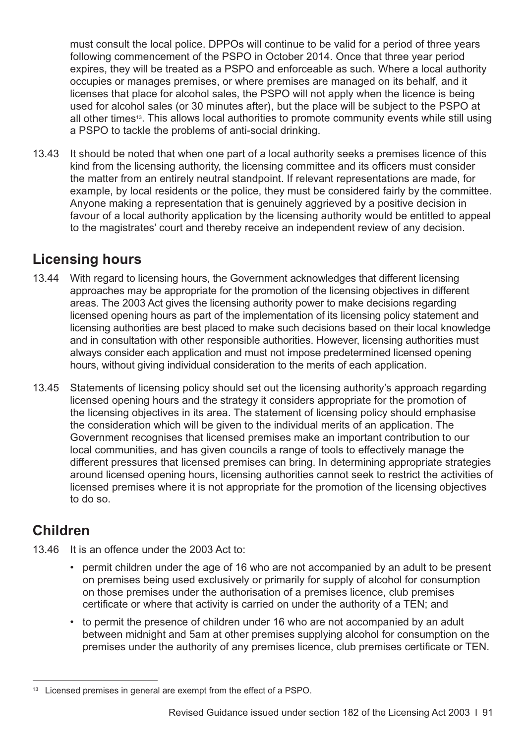must consult the local police. DPPOs will continue to be valid for a period of three years following commencement of the PSPO in October 2014. Once that three year period expires, they will be treated as a PSPO and enforceable as such. Where a local authority occupies or manages premises, or where premises are managed on its behalf, and it licenses that place for alcohol sales, the PSPO will not apply when the licence is being used for alcohol sales (or 30 minutes after), but the place will be subject to the PSPO at all other times<sup>13</sup>. This allows local authorities to promote community events while still using a PSPO to tackle the problems of anti-social drinking.

13.43 It should be noted that when one part of a local authority seeks a premises licence of this kind from the licensing authority, the licensing committee and its officers must consider the matter from an entirely neutral standpoint. If relevant representations are made, for example, by local residents or the police, they must be considered fairly by the committee. Anyone making a representation that is genuinely aggrieved by a positive decision in favour of a local authority application by the licensing authority would be entitled to appeal to the magistrates' court and thereby receive an independent review of any decision.

# **Licensing hours**

- 13.44 With regard to licensing hours, the Government acknowledges that different licensing approaches may be appropriate for the promotion of the licensing objectives in different areas. The 2003 Act gives the licensing authority power to make decisions regarding licensed opening hours as part of the implementation of its licensing policy statement and licensing authorities are best placed to make such decisions based on their local knowledge and in consultation with other responsible authorities. However, licensing authorities must always consider each application and must not impose predetermined licensed opening hours, without giving individual consideration to the merits of each application.
- 13.45 Statements of licensing policy should set out the licensing authority's approach regarding licensed opening hours and the strategy it considers appropriate for the promotion of the licensing objectives in its area. The statement of licensing policy should emphasise the consideration which will be given to the individual merits of an application. The Government recognises that licensed premises make an important contribution to our local communities, and has given councils a range of tools to effectively manage the different pressures that licensed premises can bring. In determining appropriate strategies around licensed opening hours, licensing authorities cannot seek to restrict the activities of licensed premises where it is not appropriate for the promotion of the licensing objectives to do so.

# **Children**

- 13.46 It is an offence under the 2003 Act to:
	- permit children under the age of 16 who are not accompanied by an adult to be present on premises being used exclusively or primarily for supply of alcohol for consumption on those premises under the authorisation of a premises licence, club premises certificate or where that activity is carried on under the authority of a TEN; and
	- to permit the presence of children under 16 who are not accompanied by an adult between midnight and 5am at other premises supplying alcohol for consumption on the premises under the authority of any premises licence, club premises certificate or TEN.

<sup>&</sup>lt;sup>13</sup> Licensed premises in general are exempt from the effect of a PSPO.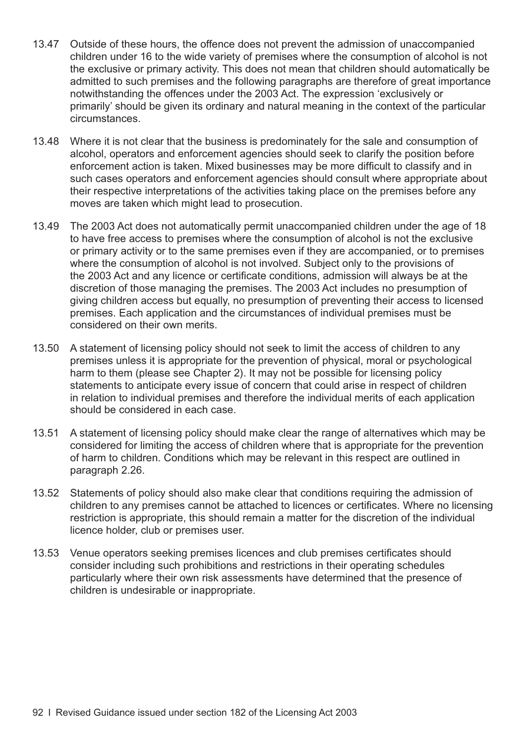- 13.47 Outside of these hours, the offence does not prevent the admission of unaccompanied children under 16 to the wide variety of premises where the consumption of alcohol is not the exclusive or primary activity. This does not mean that children should automatically be admitted to such premises and the following paragraphs are therefore of great importance notwithstanding the offences under the 2003 Act. The expression 'exclusively or primarily' should be given its ordinary and natural meaning in the context of the particular circumstances.
- 13.48 Where it is not clear that the business is predominately for the sale and consumption of alcohol, operators and enforcement agencies should seek to clarify the position before enforcement action is taken. Mixed businesses may be more difficult to classify and in such cases operators and enforcement agencies should consult where appropriate about their respective interpretations of the activities taking place on the premises before any moves are taken which might lead to prosecution.
- 13.49 The 2003 Act does not automatically permit unaccompanied children under the age of 18 to have free access to premises where the consumption of alcohol is not the exclusive or primary activity or to the same premises even if they are accompanied, or to premises where the consumption of alcohol is not involved. Subject only to the provisions of the 2003 Act and any licence or certificate conditions, admission will always be at the discretion of those managing the premises. The 2003 Act includes no presumption of giving children access but equally, no presumption of preventing their access to licensed premises. Each application and the circumstances of individual premises must be considered on their own merits.
- 13.50 A statement of licensing policy should not seek to limit the access of children to any premises unless it is appropriate for the prevention of physical, moral or psychological harm to them (please see [Chapter 2](#page-9-0)). It may not be possible for licensing policy statements to anticipate every issue of concern that could arise in respect of children in relation to individual premises and therefore the individual merits of each application should be considered in each case.
- 13.51 A statement of licensing policy should make clear the range of alternatives which may be considered for limiting the access of children where that is appropriate for the prevention of harm to children. Conditions which may be relevant in this respect are outlined in [paragraph 2.26.](#page-13-0)
- 13.52 Statements of policy should also make clear that conditions requiring the admission of children to any premises cannot be attached to licences or certificates. Where no licensing restriction is appropriate, this should remain a matter for the discretion of the individual licence holder, club or premises user.
- 13.53 Venue operators seeking premises licences and club premises certificates should consider including such prohibitions and restrictions in their operating schedules particularly where their own risk assessments have determined that the presence of children is undesirable or inappropriate.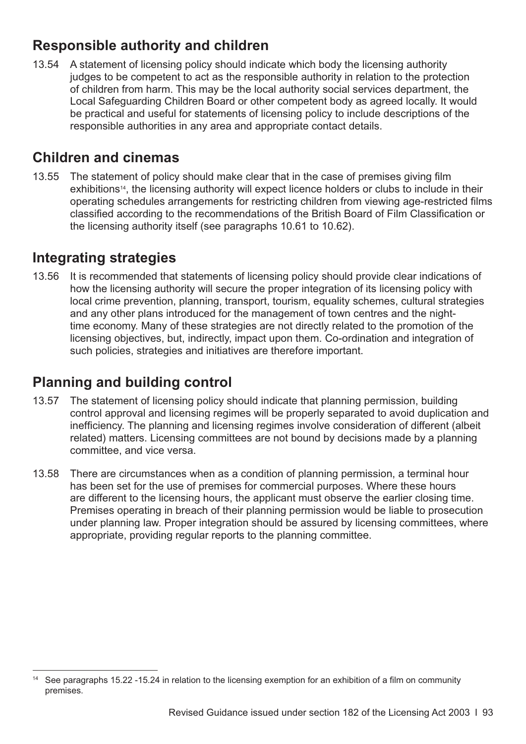# **Responsible authority and children**

13.54 A statement of licensing policy should indicate which body the licensing authority judges to be competent to act as the responsible authority in relation to the protection of children from harm. This may be the local authority social services department, the Local Safeguarding Children Board or other competent body as agreed locally. It would be practical and useful for statements of licensing policy to include descriptions of the responsible authorities in any area and appropriate contact details.

## **Children and cinemas**

13.55 The statement of policy should make clear that in the case of premises giving film exhibitions<sup>14</sup>, the licensing authority will expect licence holders or clubs to include in their operating schedules arrangements for restricting children from viewing age-restricted films classified according to the recommendations of the British Board of Film Classification or the licensing authority itself (see [paragraphs 10.61 to 10.62](#page-76-0)).

## **Integrating strategies**

13.56 It is recommended that statements of licensing policy should provide clear indications of how the licensing authority will secure the proper integration of its licensing policy with local crime prevention, planning, transport, tourism, equality schemes, cultural strategies and any other plans introduced for the management of town centres and the nighttime economy. Many of these strategies are not directly related to the promotion of the licensing objectives, but, indirectly, impact upon them. Co-ordination and integration of such policies, strategies and initiatives are therefore important.

# **Planning and building control**

- 13.57 The statement of licensing policy should indicate that planning permission, building control approval and licensing regimes will be properly separated to avoid duplication and inefficiency. The planning and licensing regimes involve consideration of different (albeit related) matters. Licensing committees are not bound by decisions made by a planning committee, and vice versa.
- 13.58 There are circumstances when as a condition of planning permission, a terminal hour has been set for the use of premises for commercial purposes. Where these hours are different to the licensing hours, the applicant must observe the earlier closing time. Premises operating in breach of their planning permission would be liable to prosecution under planning law. Proper integration should be assured by licensing committees, where appropriate, providing regular reports to the planning committee.

<sup>&</sup>lt;sup>14</sup> See [paragraphs 15.22 -15.24](#page-107-0) in relation to the licensing exemption for an exhibition of a film on community premises.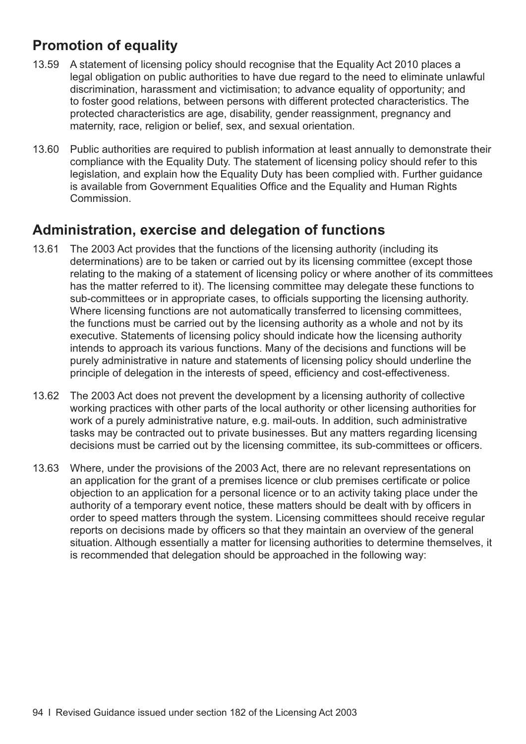# **Promotion of equality**

- 13.59 A statement of licensing policy should recognise that the Equality Act 2010 places a legal obligation on public authorities to have due regard to the need to eliminate unlawful discrimination, harassment and victimisation; to advance equality of opportunity; and to foster good relations, between persons with different protected characteristics. The protected characteristics are age, disability, gender reassignment, pregnancy and maternity, race, religion or belief, sex, and sexual orientation.
- 13.60 Public authorities are required to publish information at least annually to demonstrate their compliance with the Equality Duty. The statement of licensing policy should refer to this legislation, and explain how the Equality Duty has been complied with. Further guidance is available from Government Equalities Office and the Equality and Human Rights Commission.

## **Administration, exercise and delegation of functions**

- 13.61 The 2003 Act provides that the functions of the licensing authority (including its determinations) are to be taken or carried out by its licensing committee (except those relating to the making of a statement of licensing policy or where another of its committees has the matter referred to it). The licensing committee may delegate these functions to sub-committees or in appropriate cases, to officials supporting the licensing authority. Where licensing functions are not automatically transferred to licensing committees, the functions must be carried out by the licensing authority as a whole and not by its executive. Statements of licensing policy should indicate how the licensing authority intends to approach its various functions. Many of the decisions and functions will be purely administrative in nature and statements of licensing policy should underline the principle of delegation in the interests of speed, efficiency and cost-effectiveness.
- 13.62 The 2003 Act does not prevent the development by a licensing authority of collective working practices with other parts of the local authority or other licensing authorities for work of a purely administrative nature, e.g. mail-outs. In addition, such administrative tasks may be contracted out to private businesses. But any matters regarding licensing decisions must be carried out by the licensing committee, its sub-committees or officers.
- 13.63 Where, under the provisions of the 2003 Act, there are no relevant representations on an application for the grant of a premises licence or club premises certificate or police objection to an application for a personal licence or to an activity taking place under the authority of a temporary event notice, these matters should be dealt with by officers in order to speed matters through the system. Licensing committees should receive regular reports on decisions made by officers so that they maintain an overview of the general situation. Although essentially a matter for licensing authorities to determine themselves, it is recommended that delegation should be approached in the following way: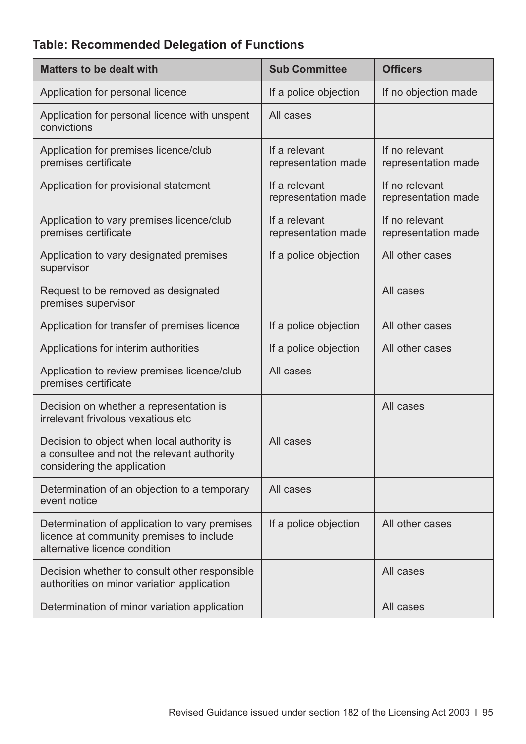## **Table: Recommended Delegation of Functions**

| <b>Matters to be dealt with</b>                                                                                            | <b>Sub Committee</b>                 | <b>Officers</b>                       |
|----------------------------------------------------------------------------------------------------------------------------|--------------------------------------|---------------------------------------|
| Application for personal licence                                                                                           | If a police objection                | If no objection made                  |
| Application for personal licence with unspent<br>convictions                                                               | All cases                            |                                       |
| Application for premises licence/club<br>premises certificate                                                              | If a relevant<br>representation made | If no relevant<br>representation made |
| Application for provisional statement                                                                                      | If a relevant<br>representation made | If no relevant<br>representation made |
| Application to vary premises licence/club<br>premises certificate                                                          | If a relevant<br>representation made | If no relevant<br>representation made |
| Application to vary designated premises<br>supervisor                                                                      | If a police objection                | All other cases                       |
| Request to be removed as designated<br>premises supervisor                                                                 |                                      | All cases                             |
| Application for transfer of premises licence                                                                               | If a police objection                | All other cases                       |
| Applications for interim authorities                                                                                       | If a police objection                | All other cases                       |
| Application to review premises licence/club<br>premises certificate                                                        | All cases                            |                                       |
| Decision on whether a representation is<br>irrelevant frivolous vexatious etc                                              |                                      | All cases                             |
| Decision to object when local authority is<br>a consultee and not the relevant authority<br>considering the application    | All cases                            |                                       |
| Determination of an objection to a temporary<br>event notice                                                               | All cases                            |                                       |
| Determination of application to vary premises<br>licence at community premises to include<br>alternative licence condition | If a police objection                | All other cases                       |
| Decision whether to consult other responsible<br>authorities on minor variation application                                |                                      | All cases                             |
| Determination of minor variation application                                                                               |                                      | All cases                             |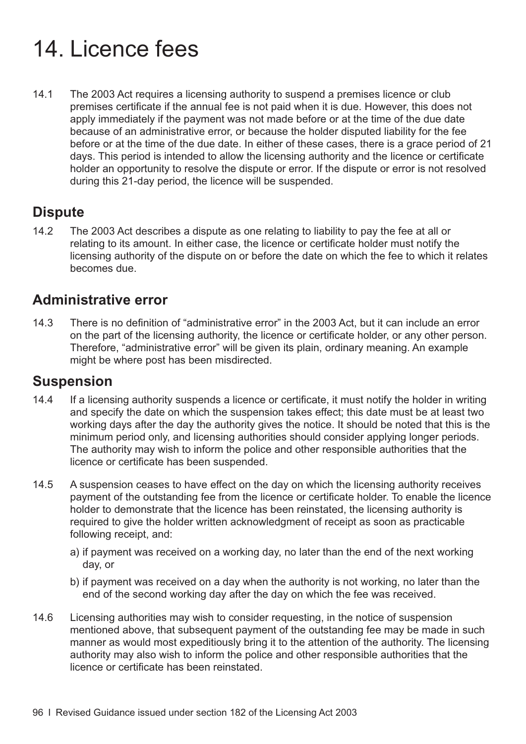# 14. Licence fees

14.1 The 2003 Act requires a licensing authority to suspend a premises licence or club premises certificate if the annual fee is not paid when it is due. However, this does not apply immediately if the payment was not made before or at the time of the due date because of an administrative error, or because the holder disputed liability for the fee before or at the time of the due date. In either of these cases, there is a grace period of 21 days. This period is intended to allow the licensing authority and the licence or certificate holder an opportunity to resolve the dispute or error. If the dispute or error is not resolved during this 21-day period, the licence will be suspended.

## **Dispute**

14.2 The 2003 Act describes a dispute as one relating to liability to pay the fee at all or relating to its amount. In either case, the licence or certificate holder must notify the licensing authority of the dispute on or before the date on which the fee to which it relates becomes due.

## **Administrative error**

14.3 There is no definition of "administrative error" in the 2003 Act, but it can include an error on the part of the licensing authority, the licence or certificate holder, or any other person. Therefore, "administrative error" will be given its plain, ordinary meaning. An example might be where post has been misdirected.

### **Suspension**

- 14.4 If a licensing authority suspends a licence or certificate, it must notify the holder in writing and specify the date on which the suspension takes effect; this date must be at least two working days after the day the authority gives the notice. It should be noted that this is the minimum period only, and licensing authorities should consider applying longer periods. The authority may wish to inform the police and other responsible authorities that the licence or certificate has been suspended.
- 14.5 A suspension ceases to have effect on the day on which the licensing authority receives payment of the outstanding fee from the licence or certificate holder. To enable the licence holder to demonstrate that the licence has been reinstated, the licensing authority is required to give the holder written acknowledgment of receipt as soon as practicable following receipt, and:
	- a) if payment was received on a working day, no later than the end of the next working day, or
	- b) if payment was received on a day when the authority is not working, no later than the end of the second working day after the day on which the fee was received.
- 14.6 Licensing authorities may wish to consider requesting, in the notice of suspension mentioned above, that subsequent payment of the outstanding fee may be made in such manner as would most expeditiously bring it to the attention of the authority. The licensing authority may also wish to inform the police and other responsible authorities that the licence or certificate has been reinstated.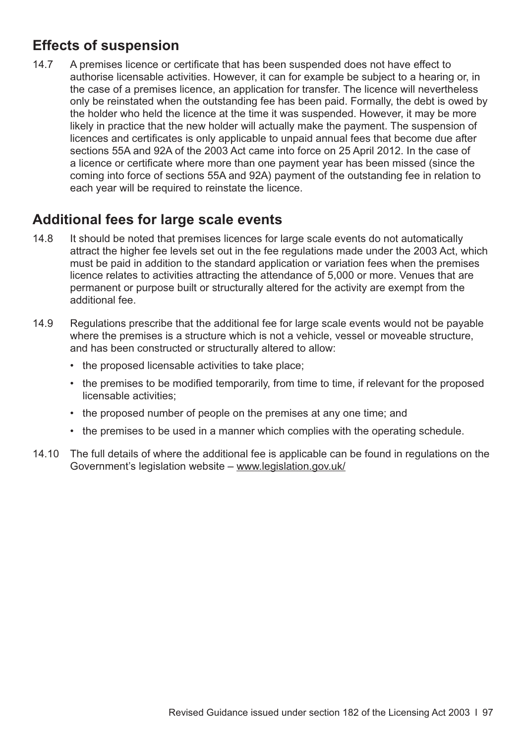# **Effects of suspension**

14.7 A premises licence or certificate that has been suspended does not have effect to authorise licensable activities. However, it can for example be subject to a hearing or, in the case of a premises licence, an application for transfer. The licence will nevertheless only be reinstated when the outstanding fee has been paid. Formally, the debt is owed by the holder who held the licence at the time it was suspended. However, it may be more likely in practice that the new holder will actually make the payment. The suspension of licences and certificates is only applicable to unpaid annual fees that become due after sections 55A and 92A of the 2003 Act came into force on 25 April 2012. In the case of a licence or certificate where more than one payment year has been missed (since the coming into force of sections 55A and 92A) payment of the outstanding fee in relation to each year will be required to reinstate the licence.

## **Additional fees for large scale events**

- 14.8 It should be noted that premises licences for large scale events do not automatically attract the higher fee levels set out in the fee regulations made under the 2003 Act, which must be paid in addition to the standard application or variation fees when the premises licence relates to activities attracting the attendance of 5,000 or more. Venues that are permanent or purpose built or structurally altered for the activity are exempt from the additional fee.
- 14.9 Regulations prescribe that the additional fee for large scale events would not be payable where the premises is a structure which is not a vehicle, vessel or moveable structure, and has been constructed or structurally altered to allow:
	- the proposed licensable activities to take place;
	- the premises to be modified temporarily, from time to time, if relevant for the proposed licensable activities;
	- the proposed number of people on the premises at any one time; and
	- the premises to be used in a manner which complies with the operating schedule.
- 14.10 The full details of where the additional fee is applicable can be found in regulations on the Government's legislation website – [www.legislation.gov.uk/](http://www.legislation.gov.uk/)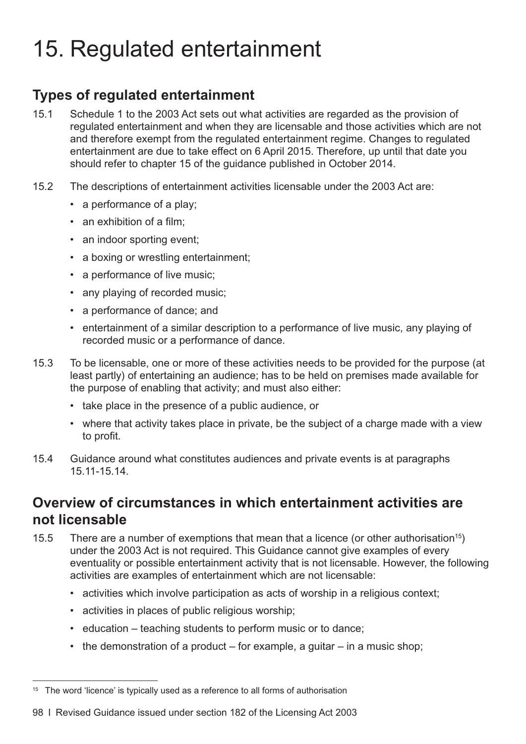# <span id="page-101-0"></span>15. Regulated entertainment

# **Types of regulated entertainment**

- 15.1 Schedule 1 to the 2003 Act sets out what activities are regarded as the provision of regulated entertainment and when they are licensable and those activities which are not and therefore exempt from the regulated entertainment regime. Changes to regulated entertainment are due to take effect on 6 April 2015. Therefore, up until that date you should refer to chapter 15 of the guidance published in October 2014.
- 15.2 The descriptions of entertainment activities licensable under the 2003 Act are:
	- a performance of a play;
	- an exhibition of a film;
	- an indoor sporting event:
	- a boxing or wrestling entertainment;
	- a performance of live music;
	- any playing of recorded music;
	- a performance of dance; and
	- entertainment of a similar description to a performance of live music, any playing of recorded music or a performance of dance.
- 15.3 To be licensable, one or more of these activities needs to be provided for the purpose (at least partly) of entertaining an audience; has to be held on premises made available for the purpose of enabling that activity; and must also either:
	- take place in the presence of a public audience, or
	- where that activity takes place in private, be the subject of a charge made with a view to profit.
- 15.4 Guidance around what constitutes audiences and private events is at paragraphs [15.11-15.14.](#page-105-0)

## **Overview of circumstances in which entertainment activities are not licensable**

- 15.5 There are a number of exemptions that mean that a licence (or other authorisation<sup>15</sup>) under the 2003 Act is not required. This Guidance cannot give examples of every eventuality or possible entertainment activity that is not licensable. However, the following activities are examples of entertainment which are not licensable:
	- activities which involve participation as acts of worship in a religious context;
	- activities in places of public religious worship;
	- education teaching students to perform music or to dance;
	- the demonstration of a product  $-$  for example, a guitar  $-$  in a music shop;

 $15$  The word 'licence' is typically used as a reference to all forms of authorisation

<sup>98</sup> I Revised Guidance issued under section 182 of the Licensing Act 2003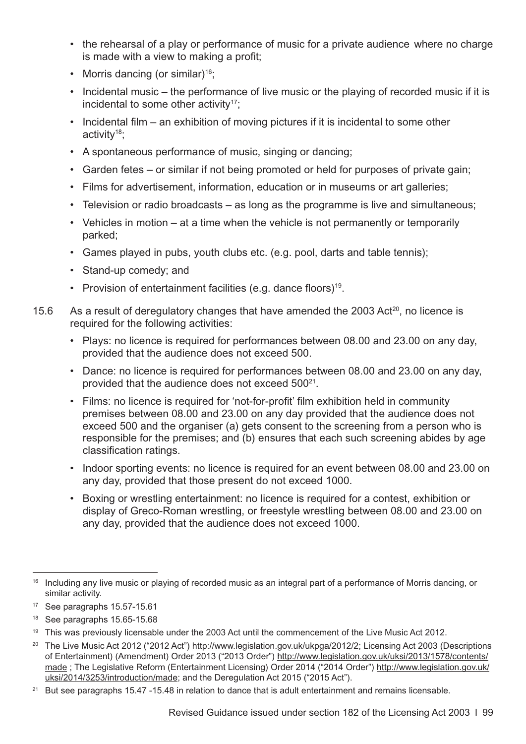- <span id="page-102-0"></span>• the rehearsal of a play or performance of music for a private audience where no charge is made with a view to making a profit;
- Morris dancing (or similar)<sup>16</sup>;
- Incidental music the performance of live music or the playing of recorded music if it is incidental to some other activity<sup>17</sup>:
- Incidental film an exhibition of moving pictures if it is incidental to some other activity18;
- A spontaneous performance of music, singing or dancing;
- Garden fetes or similar if not being promoted or held for purposes of private gain;
- Films for advertisement, information, education or in museums or art galleries;
- Television or radio broadcasts as long as the programme is live and simultaneous;
- Vehicles in motion at a time when the vehicle is not permanently or temporarily parked;
- Games played in pubs, youth clubs etc. (e.g. pool, darts and table tennis);
- Stand-up comedy; and
- Provision of entertainment facilities (e.g. dance floors)<sup>19</sup>.
- 15.6 As a result of deregulatory changes that have amended the 2003 Act<sup>20</sup>, no licence is required for the following activities:
	- Plays: no licence is required for performances between 08.00 and 23.00 on any day, provided that the audience does not exceed 500.
	- Dance: no licence is required for performances between 08.00 and 23.00 on any day, provided that the audience does not exceed 500<sup>21</sup>.
	- Films: no licence is required for 'not-for-profit' film exhibition held in community premises between 08.00 and 23.00 on any day provided that the audience does not exceed 500 and the organiser (a) gets consent to the screening from a person who is responsible for the premises; and (b) ensures that each such screening abides by age classification ratings.
	- Indoor sporting events: no licence is required for an event between 08.00 and 23.00 on any day, provided that those present do not exceed 1000.
	- Boxing or wrestling entertainment: no licence is required for a contest, exhibition or display of Greco-Roman wrestling, or freestyle wrestling between 08.00 and 23.00 on any day, provided that the audience does not exceed 1000.

<sup>&</sup>lt;sup>16</sup> Including any live music or playing of recorded music as an integral part of a performance of Morris dancing, or similar activity.

<sup>17</sup> See [paragraphs 15.57-15.61](#page-114-0)

<sup>18</sup> See [paragraphs 15.65-15.68](#page-116-0)

<sup>&</sup>lt;sup>19</sup> This was previously licensable under the 2003 Act until the commencement of the Live Music Act 2012.

<sup>&</sup>lt;sup>20</sup> The Live Music Act 2012 ("2012 Act") <http://www.legislation.gov.uk/ukpga/2012/2>; Licensing Act 2003 (Descriptions of Entertainment) (Amendment) Order 2013 ("2013 Order") [http://www.legislation.gov.uk/uksi/2013/1578/contents/](http://www.legislation.gov.uk/uksi/2013/1578/contents/made) [made](http://www.legislation.gov.uk/uksi/2013/1578/contents/made) ; The Legislative Reform (Entertainment Licensing) Order 2014 ("2014 Order") [http://www.legislation.gov.uk/](http://www.legislation.gov.uk/uksi/2014/3253/introduction/made) [uksi/2014/3253/introduction/made](http://www.legislation.gov.uk/uksi/2014/3253/introduction/made); and the Deregulation Act 2015 ("2015 Act").

<sup>&</sup>lt;sup>21</sup> But see [paragraphs 15.47 -15.48](#page-112-0) in relation to dance that is adult entertainment and remains licensable.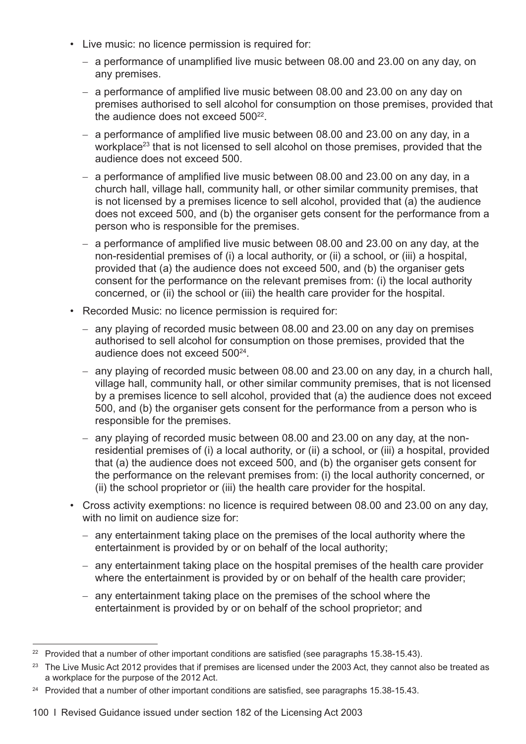- Live music: no licence permission is required for:
	- a performance of unamplified live music between 08.00 and 23.00 on any day, on any premises.
	- a performance of amplified live music between 08.00 and 23.00 on any day on premises authorised to sell alcohol for consumption on those premises, provided that the audience does not exceed  $500^{22}$ .
	- a performance of amplified live music between 08.00 and 23.00 on any day, in a workplace<sup>23</sup> that is not licensed to sell alcohol on those premises, provided that the audience does not exceed 500.
	- a performance of amplified live music between 08.00 and 23.00 on any day, in a church hall, village hall, community hall, or other similar community premises, that is not licensed by a premises licence to sell alcohol, provided that (a) the audience does not exceed 500, and (b) the organiser gets consent for the performance from a person who is responsible for the premises.
	- a performance of amplified live music between 08.00 and 23.00 on any day, at the non-residential premises of (i) a local authority, or (ii) a school, or (iii) a hospital, provided that (a) the audience does not exceed 500, and (b) the organiser gets consent for the performance on the relevant premises from: (i) the local authority concerned, or (ii) the school or (iii) the health care provider for the hospital.
- Recorded Music: no licence permission is required for:
	- any playing of recorded music between 08.00 and 23.00 on any day on premises authorised to sell alcohol for consumption on those premises, provided that the audience does not exceed 50024.
	- any playing of recorded music between 08.00 and 23.00 on any day, in a church hall, village hall, community hall, or other similar community premises, that is not licensed by a premises licence to sell alcohol, provided that (a) the audience does not exceed 500, and (b) the organiser gets consent for the performance from a person who is responsible for the premises.
	- any playing of recorded music between 08.00 and 23.00 on any day, at the nonresidential premises of (i) a local authority, or (ii) a school, or (iii) a hospital, provided that (a) the audience does not exceed 500, and (b) the organiser gets consent for the performance on the relevant premises from: (i) the local authority concerned, or (ii) the school proprietor or (iii) the health care provider for the hospital.
- Cross activity exemptions: no licence is required between 08.00 and 23.00 on any day, with no limit on audience size for:
	- any entertainment taking place on the premises of the local authority where the entertainment is provided by or on behalf of the local authority;
	- any entertainment taking place on the hospital premises of the health care provider where the entertainment is provided by or on behalf of the health care provider;
	- any entertainment taking place on the premises of the school where the entertainment is provided by or on behalf of the school proprietor; and

<sup>&</sup>lt;sup>22</sup> Provided that a number of other important conditions are satisfied (see [paragraphs 15.38-15.43](#page-111-0)).

<sup>&</sup>lt;sup>23</sup> The Live Music Act 2012 provides that if premises are licensed under the 2003 Act, they cannot also be treated as a workplace for the purpose of the 2012 Act.

<sup>&</sup>lt;sup>24</sup> Provided that a number of other important conditions are satisfied, see [paragraphs 15.38-15.43.](#page-111-0)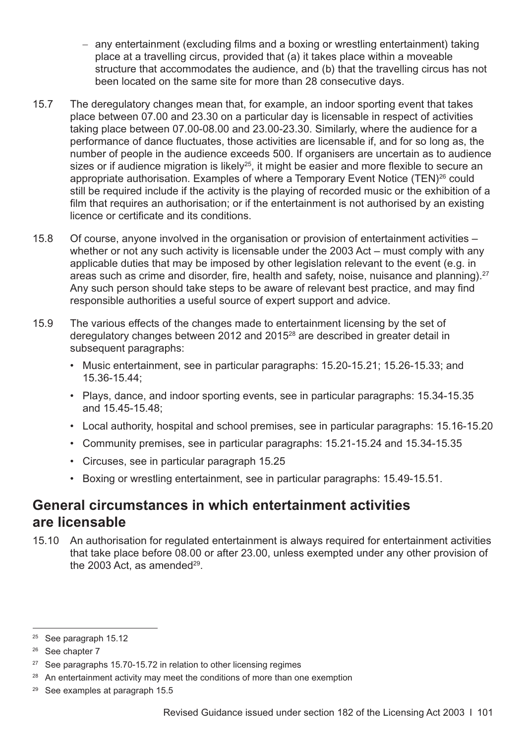- any entertainment (excluding films and a boxing or wrestling entertainment) taking place at a travelling circus, provided that (a) it takes place within a moveable structure that accommodates the audience, and (b) that the travelling circus has not been located on the same site for more than 28 consecutive days.
- 15.7 The deregulatory changes mean that, for example, an indoor sporting event that takes place between 07.00 and 23.30 on a particular day is licensable in respect of activities taking place between 07.00-08.00 and 23.00-23.30. Similarly, where the audience for a performance of dance fluctuates, those activities are licensable if, and for so long as, the number of people in the audience exceeds 500. If organisers are uncertain as to audience sizes or if audience migration is likely<sup>25</sup>, it might be easier and more flexible to secure an appropriate authorisation. Examples of where a Temporary Event Notice (TEN)<sup>26</sup> could still be required include if the activity is the playing of recorded music or the exhibition of a film that requires an authorisation; or if the entertainment is not authorised by an existing licence or certificate and its conditions.
- 15.8 Of course, anyone involved in the organisation or provision of entertainment activities whether or not any such activity is licensable under the 2003 Act – must comply with any applicable duties that may be imposed by other legislation relevant to the event (e.g. in areas such as crime and disorder, fire, health and safety, noise, nuisance and planning).<sup>27</sup> Any such person should take steps to be aware of relevant best practice, and may find responsible authorities a useful source of expert support and advice.
- 15.9 The various effects of the changes made to entertainment licensing by the set of deregulatory changes between 2012 and 2015<sup>28</sup> are described in greater detail in subsequent paragraphs:
	- Music entertainment, see in particular paragraphs: [15.20-15.21;](#page-107-0) [15.26-15.33](#page-109-0); and [15.36-15.44;](#page-111-0)
	- Plays, dance, and indoor sporting events, see in particular paragraphs: [15.34-15.35](#page-110-0) and [15.45-15.48;](#page-112-0)
	- Local authority, hospital and school premises, see in particular paragraphs: [15.16-15.20](#page-106-0)
	- Community premises, see in particular paragraphs: [15.21-15.24](#page-107-0) and [15.34-15.35](#page-110-0)
	- Circuses, see in particular [paragraph 15.25](#page-108-0)
	- Boxing or wrestling entertainment, see in particular paragraphs: [15.49-15.51.](#page-113-0)

## **General circumstances in which entertainment activities are licensable**

15.10 An authorisation for regulated entertainment is always required for entertainment activities that take place before 08.00 or after 23.00, unless exempted under any other provision of the 2003 Act, as amended<sup>29</sup>.

<sup>&</sup>lt;sup>25</sup> See paragraph 15.12

<sup>&</sup>lt;sup>26</sup> See [chapter 7](#page-36-0)

<sup>&</sup>lt;sup>27</sup> See [paragraphs 15.70-15.72](#page-117-0) in relation to other licensing regimes

<sup>&</sup>lt;sup>28</sup> An entertainment activity may meet the conditions of more than one exemption

<sup>29</sup> See examples at [paragraph 15.5](#page-101-0)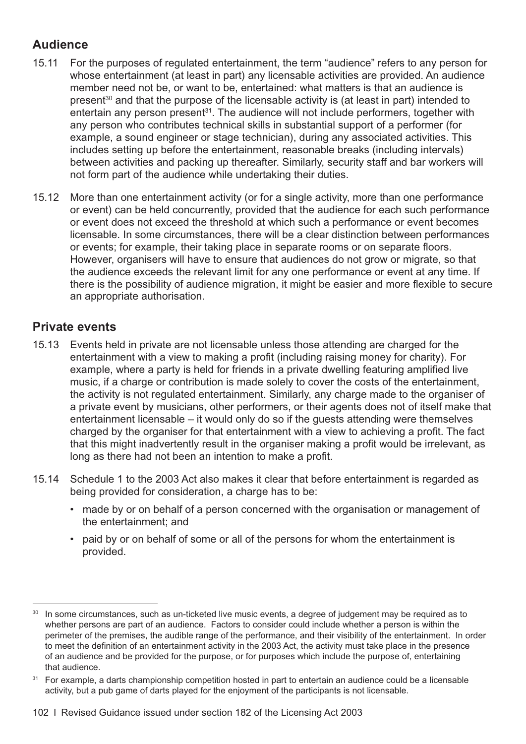#### <span id="page-105-0"></span>**Audience**

- 15.11 For the purposes of regulated entertainment, the term "audience" refers to any person for whose entertainment (at least in part) any licensable activities are provided. An audience member need not be, or want to be, entertained: what matters is that an audience is present<sup>30</sup> and that the purpose of the licensable activity is (at least in part) intended to entertain any person present $31$ . The audience will not include performers, together with any person who contributes technical skills in substantial support of a performer (for example, a sound engineer or stage technician), during any associated activities. This includes setting up before the entertainment, reasonable breaks (including intervals) between activities and packing up thereafter. Similarly, security staff and bar workers will not form part of the audience while undertaking their duties.
- 15.12 More than one entertainment activity (or for a single activity, more than one performance or event) can be held concurrently, provided that the audience for each such performance or event does not exceed the threshold at which such a performance or event becomes licensable. In some circumstances, there will be a clear distinction between performances or events; for example, their taking place in separate rooms or on separate floors. However, organisers will have to ensure that audiences do not grow or migrate, so that the audience exceeds the relevant limit for any one performance or event at any time. If there is the possibility of audience migration, it might be easier and more flexible to secure an appropriate authorisation.

#### **Private events**

- 15.13 Events held in private are not licensable unless those attending are charged for the entertainment with a view to making a profit (including raising money for charity). For example, where a party is held for friends in a private dwelling featuring amplified live music, if a charge or contribution is made solely to cover the costs of the entertainment, the activity is not regulated entertainment. Similarly, any charge made to the organiser of a private event by musicians, other performers, or their agents does not of itself make that entertainment licensable – it would only do so if the guests attending were themselves charged by the organiser for that entertainment with a view to achieving a profit. The fact that this might inadvertently result in the organiser making a profit would be irrelevant, as long as there had not been an intention to make a profit.
- 15.14 Schedule 1 to the 2003 Act also makes it clear that before entertainment is regarded as being provided for consideration, a charge has to be:
	- made by or on behalf of a person concerned with the organisation or management of the entertainment; and
	- paid by or on behalf of some or all of the persons for whom the entertainment is provided.

In some circumstances, such as un-ticketed live music events, a degree of judgement may be required as to whether persons are part of an audience. Factors to consider could include whether a person is within the perimeter of the premises, the audible range of the performance, and their visibility of the entertainment. In order to meet the definition of an entertainment activity in the 2003 Act, the activity must take place in the presence of an audience and be provided for the purpose, or for purposes which include the purpose of, entertaining that audience.

<sup>&</sup>lt;sup>31</sup> For example, a darts championship competition hosted in part to entertain an audience could be a licensable activity, but a pub game of darts played for the enjoyment of the participants is not licensable.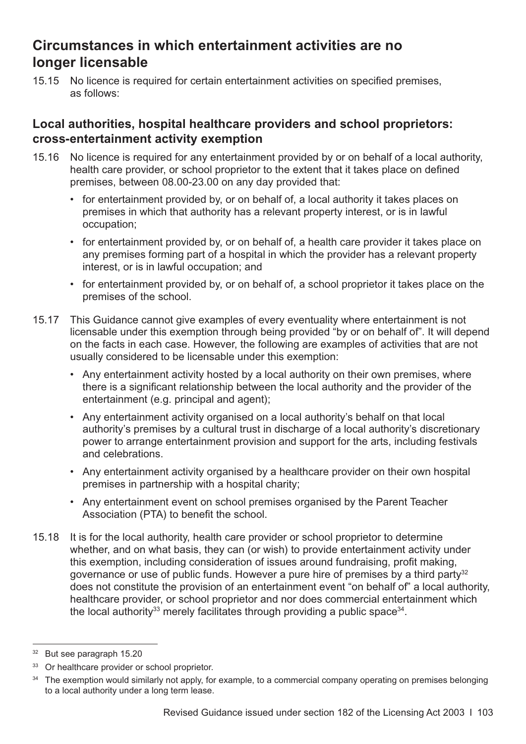## <span id="page-106-0"></span>**Circumstances in which entertainment activities are no longer licensable**

15.15 No licence is required for certain entertainment activities on specified premises, as follows:

#### **Local authorities, hospital healthcare providers and school proprietors: cross-entertainment activity exemption**

- 15.16 No licence is required for any entertainment provided by or on behalf of a local authority, health care provider, or school proprietor to the extent that it takes place on defined premises, between 08.00-23.00 on any day provided that:
	- for entertainment provided by, or on behalf of, a local authority it takes places on premises in which that authority has a relevant property interest, or is in lawful occupation;
	- for entertainment provided by, or on behalf of, a health care provider it takes place on any premises forming part of a hospital in which the provider has a relevant property interest, or is in lawful occupation; and
	- for entertainment provided by, or on behalf of, a school proprietor it takes place on the premises of the school.
- 15.17 This Guidance cannot give examples of every eventuality where entertainment is not licensable under this exemption through being provided "by or on behalf of". It will depend on the facts in each case. However, the following are examples of activities that are not usually considered to be licensable under this exemption:
	- Any entertainment activity hosted by a local authority on their own premises, where there is a significant relationship between the local authority and the provider of the entertainment (e.g. principal and agent);
	- Any entertainment activity organised on a local authority's behalf on that local authority's premises by a cultural trust in discharge of a local authority's discretionary power to arrange entertainment provision and support for the arts, including festivals and celebrations.
	- Any entertainment activity organised by a healthcare provider on their own hospital premises in partnership with a hospital charity;
	- Any entertainment event on school premises organised by the Parent Teacher Association (PTA) to benefit the school.
- 15.18 It is for the local authority, health care provider or school proprietor to determine whether, and on what basis, they can (or wish) to provide entertainment activity under this exemption, including consideration of issues around fundraising, profit making, governance or use of public funds. However a pure hire of premises by a third party<sup>32</sup> does not constitute the provision of an entertainment event "on behalf of" a local authority, healthcare provider, or school proprietor and nor does commercial entertainment which the local authority<sup>33</sup> merely facilitates through providing a public space<sup>34</sup>.

<sup>32</sup> But see [paragraph 15.20](#page-107-0)

<sup>&</sup>lt;sup>33</sup> Or healthcare provider or school proprietor.

<sup>&</sup>lt;sup>34</sup> The exemption would similarly not apply, for example, to a commercial company operating on premises belonging to a local authority under a long term lease.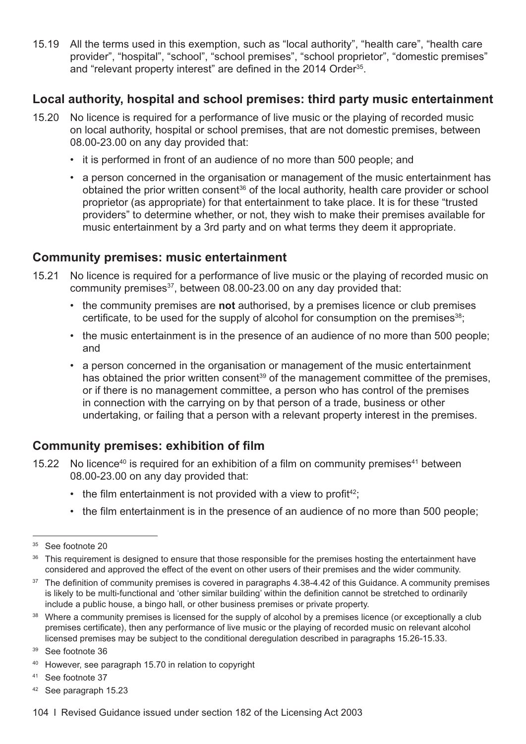<span id="page-107-0"></span>15.19 All the terms used in this exemption, such as "local authority", "health care", "health care provider", "hospital", "school", "school premises", "school proprietor", "domestic premises" and "relevant property interest" are defined in the 2014 Order<sup>35</sup>.

#### **Local authority, hospital and school premises: third party music entertainment**

- 15.20 No licence is required for a performance of live music or the playing of recorded music on local authority, hospital or school premises, that are not domestic premises, between 08.00-23.00 on any day provided that:
	- it is performed in front of an audience of no more than 500 people; and
	- a person concerned in the organisation or management of the music entertainment has obtained the prior written consent<sup>36</sup> of the local authority, health care provider or school proprietor (as appropriate) for that entertainment to take place. It is for these "trusted providers" to determine whether, or not, they wish to make their premises available for music entertainment by a 3rd party and on what terms they deem it appropriate.

#### **Community premises: music entertainment**

- 15.21 No licence is required for a performance of live music or the playing of recorded music on community premises<sup>37</sup>, between 08.00-23.00 on any day provided that:
	- the community premises are **not** authorised, by a premises licence or club premises certificate, to be used for the supply of alcohol for consumption on the premises<sup>38</sup>;
	- the music entertainment is in the presence of an audience of no more than 500 people; and
	- a person concerned in the organisation or management of the music entertainment has obtained the prior written consent<sup>39</sup> of the management committee of the premises, or if there is no management committee, a person who has control of the premises in connection with the carrying on by that person of a trade, business or other undertaking, or failing that a person with a relevant property interest in the premises.

#### **Community premises: exhibition of film**

- 15.22 No licence<sup>40</sup> is required for an exhibition of a film on community premises<sup>41</sup> between 08.00-23.00 on any day provided that:
	- $\cdot$  the film entertainment is not provided with a view to profit<sup>42</sup>;
	- the film entertainment is in the presence of an audience of no more than 500 people;

- <sup>37</sup> The definition of community premises is covered in [paragraphs 4.38-4.42](#page-25-0) of this Guidance. A community premises is likely to be multi-functional and 'other similar building' within the definition cannot be stretched to ordinarily include a public house, a bingo hall, or other business premises or private property.
- <sup>38</sup> Where a community premises is licensed for the supply of alcohol by a premises licence (or exceptionally a club premises certificate), then any performance of live music or the playing of recorded music on relevant alcohol licensed premises may be subject to the conditional deregulation described in [paragraphs 15.26-15.33](#page-109-0).

- <sup>40</sup> However, see [paragraph 15.70](#page-117-0) in relation to copyright
- <sup>41</sup> See footnote 37
- <sup>42</sup> See [paragraph 15.23](#page-108-0)

<sup>&</sup>lt;sup>35</sup> See [footnote 20](#page-102-0)

<sup>&</sup>lt;sup>36</sup> This requirement is designed to ensure that those responsible for the premises hosting the entertainment have considered and approved the effect of the event on other users of their premises and the wider community.

<sup>39</sup> See footnote 36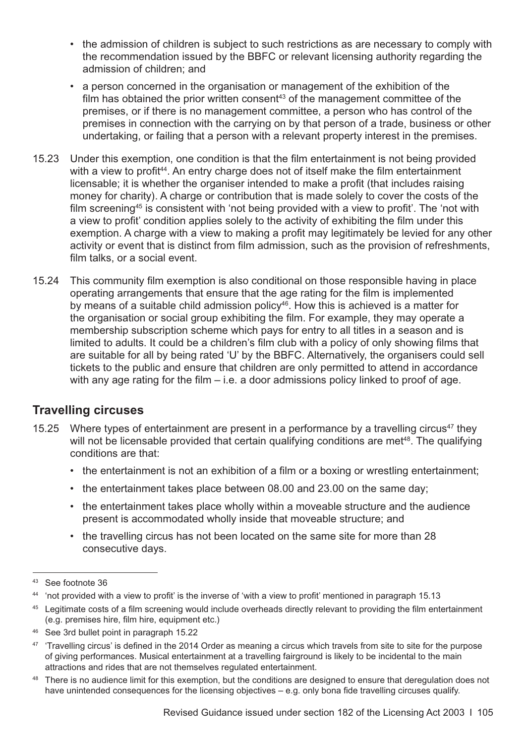- the admission of children is subject to such restrictions as are necessary to comply with the recommendation issued by the BBFC or relevant licensing authority regarding the admission of children; and
- a person concerned in the organisation or management of the exhibition of the film has obtained the prior written consent<sup>43</sup> of the management committee of the premises, or if there is no management committee, a person who has control of the premises in connection with the carrying on by that person of a trade, business or other undertaking, or failing that a person with a relevant property interest in the premises.
- 15.23 Under this exemption, one condition is that the film entertainment is not being provided with a view to profit<sup>44</sup>. An entry charge does not of itself make the film entertainment licensable; it is whether the organiser intended to make a profit (that includes raising money for charity). A charge or contribution that is made solely to cover the costs of the film screening<sup>45</sup> is consistent with 'not being provided with a view to profit'. The 'not with a view to profit' condition applies solely to the activity of exhibiting the film under this exemption. A charge with a view to making a profit may legitimately be levied for any other activity or event that is distinct from film admission, such as the provision of refreshments, film talks, or a social event.
- 15.24 This community film exemption is also conditional on those responsible having in place operating arrangements that ensure that the age rating for the film is implemented by means of a suitable child admission policy<sup>46</sup>. How this is achieved is a matter for the organisation or social group exhibiting the film. For example, they may operate a membership subscription scheme which pays for entry to all titles in a season and is limited to adults. It could be a children's film club with a policy of only showing films that are suitable for all by being rated 'U' by the BBFC. Alternatively, the organisers could sell tickets to the public and ensure that children are only permitted to attend in accordance with any age rating for the film  $-$  i.e. a door admissions policy linked to proof of age.

#### **Travelling circuses**

- 15.25 Where types of entertainment are present in a performance by a travelling circus<sup>47</sup> they will not be licensable provided that certain qualifying conditions are met<sup>48</sup>. The qualifying conditions are that:
	- the entertainment is not an exhibition of a film or a boxing or wrestling entertainment;
	- the entertainment takes place between 08.00 and 23.00 on the same day;
	- the entertainment takes place wholly within a moveable structure and the audience present is accommodated wholly inside that moveable structure; and
	- the travelling circus has not been located on the same site for more than 28 consecutive days.

- <sup>44</sup> 'not provided with a view to profit' is the inverse of 'with a view to profit' mentioned in [paragraph 15.13](#page-105-0)
- <sup>45</sup> Legitimate costs of a film screening would include overheads directly relevant to providing the film entertainment (e.g. premises hire, film hire, equipment etc.)
- <sup>46</sup> See 3rd bullet point in [paragraph 15.22](#page-107-0)
- <sup>47</sup> 'Travelling circus' is defined in the 2014 Order as meaning a circus which travels from site to site for the purpose of giving performances. Musical entertainment at a travelling fairground is likely to be incidental to the main attractions and rides that are not themselves regulated entertainment.
- <sup>48</sup> There is no audience limit for this exemption, but the conditions are designed to ensure that deregulation does not have unintended consequences for the licensing objectives – e.g. only bona fide travelling circuses qualify.

<sup>43</sup> See [footnote 36](#page-107-0)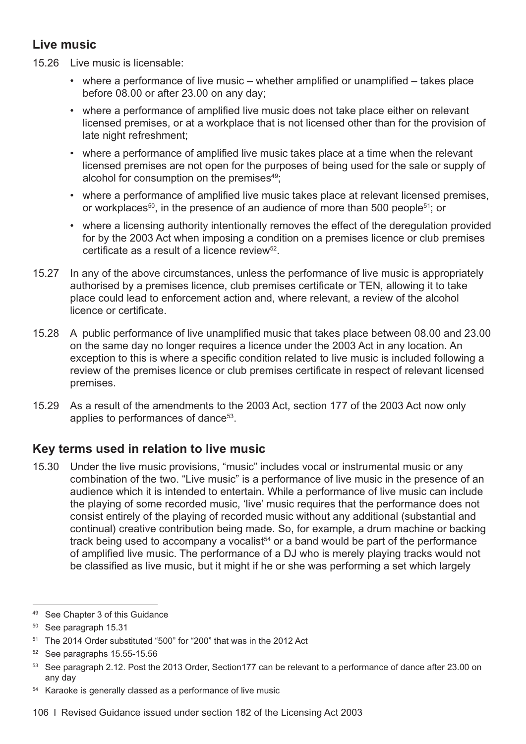## <span id="page-109-0"></span>**Live music**

- 15.26 Live music is licensable:
	- where a performance of live music whether amplified or unamplified takes place before 08.00 or after 23.00 on any day;
	- where a performance of amplified live music does not take place either on relevant licensed premises, or at a workplace that is not licensed other than for the provision of late night refreshment;
	- where a performance of amplified live music takes place at a time when the relevant licensed premises are not open for the purposes of being used for the sale or supply of alcohol for consumption on the premises<sup>49</sup>:
	- where a performance of amplified live music takes place at relevant licensed premises, or workplaces<sup>50</sup>, in the presence of an audience of more than 500 people<sup>51</sup>; or
	- where a licensing authority intentionally removes the effect of the deregulation provided for by the 2003 Act when imposing a condition on a premises licence or club premises certificate as a result of a licence review $52$ .
- 15.27 In any of the above circumstances, unless the performance of live music is appropriately authorised by a premises licence, club premises certificate or TEN, allowing it to take place could lead to enforcement action and, where relevant, a review of the alcohol licence or certificate.
- 15.28 A public performance of live unamplified music that takes place between 08.00 and 23.00 on the same day no longer requires a licence under the 2003 Act in any location. An exception to this is where a specific condition related to live music is included following a review of the premises licence or club premises certificate in respect of relevant licensed premises.
- 15.29 As a result of the amendments to the 2003 Act, section 177 of the 2003 Act now only applies to performances of dance<sup>53</sup>.

## **Key terms used in relation to live music**

15.30 Under the live music provisions, "music" includes vocal or instrumental music or any combination of the two. "Live music" is a performance of live music in the presence of an audience which it is intended to entertain. While a performance of live music can include the playing of some recorded music, 'live' music requires that the performance does not consist entirely of the playing of recorded music without any additional (substantial and continual) creative contribution being made. So, for example, a drum machine or backing track being used to accompany a vocalist<sup> $54$ </sup> or a band would be part of the performance of amplified live music. The performance of a DJ who is merely playing tracks would not be classified as live music, but it might if he or she was performing a set which largely

<sup>49</sup> See [Chapter 3](#page-16-0) of this Guidance

<sup>50</sup> See [paragraph 15.31](#page-110-0) 

<sup>&</sup>lt;sup>51</sup> The 2014 Order substituted "500" for "200" that was in the 2012 Act

<sup>52</sup> See [paragraphs 15.55-15.56](#page-114-0)

<sup>53</sup> See [paragraph 2.12.](#page-11-0) Post the 2013 Order, Section177 can be relevant to a performance of dance after 23.00 on any day

<sup>54</sup> Karaoke is generally classed as a performance of live music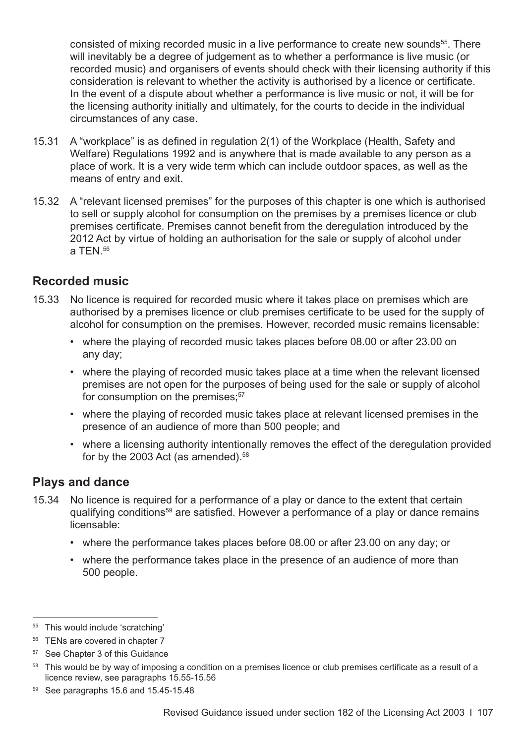<span id="page-110-0"></span>consisted of mixing recorded music in a live performance to create new sounds<sup>55</sup>. There will inevitably be a degree of judgement as to whether a performance is live music (or recorded music) and organisers of events should check with their licensing authority if this consideration is relevant to whether the activity is authorised by a licence or certificate. In the event of a dispute about whether a performance is live music or not, it will be for the licensing authority initially and ultimately, for the courts to decide in the individual circumstances of any case.

- 15.31 A "workplace" is as defined in regulation 2(1) of the Workplace (Health, Safety and Welfare) Regulations 1992 and is anywhere that is made available to any person as a place of work. It is a very wide term which can include outdoor spaces, as well as the means of entry and exit.
- 15.32 A "relevant licensed premises" for the purposes of this chapter is one which is authorised to sell or supply alcohol for consumption on the premises by a premises licence or club premises certificate. Premises cannot benefit from the deregulation introduced by the 2012 Act by virtue of holding an authorisation for the sale or supply of alcohol under  $a$  TFN  $56$

#### **Recorded music**

- 15.33 No licence is required for recorded music where it takes place on premises which are authorised by a premises licence or club premises certificate to be used for the supply of alcohol for consumption on the premises. However, recorded music remains licensable:
	- where the playing of recorded music takes places before 08.00 or after 23.00 on any day;
	- where the playing of recorded music takes place at a time when the relevant licensed premises are not open for the purposes of being used for the sale or supply of alcohol for consumption on the premises; $57$
	- where the playing of recorded music takes place at relevant licensed premises in the presence of an audience of more than 500 people; and
	- where a licensing authority intentionally removes the effect of the deregulation provided for by the 2003 Act (as amended).<sup>58</sup>

#### **Plays and dance**

- 15.34 No licence is required for a performance of a play or dance to the extent that certain qualifying conditions59 are satisfied. However a performance of a play or dance remains licensable:
	- where the performance takes places before 08.00 or after 23.00 on any day; or
	- where the performance takes place in the presence of an audience of more than 500 people.

<sup>55</sup> This would include 'scratching'

<sup>&</sup>lt;sup>56</sup> TENs are covered in chapter 7

<sup>57</sup> See [Chapter 3](#page-16-0) of this Guidance

<sup>&</sup>lt;sup>58</sup> This would be by way of imposing a condition on a premises licence or club premises certificate as a result of a licence review, see [paragraphs 15.55-15.56](#page-114-0)

<sup>59</sup> See [paragraphs 15.6](#page-102-0) and [15.45-15.48](#page-112-0)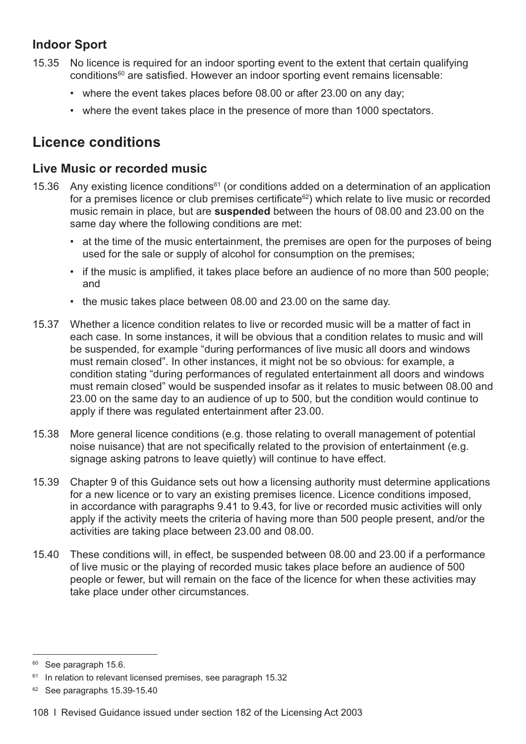## <span id="page-111-0"></span>**Indoor Sport**

- 15.35 No licence is required for an indoor sporting event to the extent that certain qualifying conditions<sup>60</sup> are satisfied. However an indoor sporting event remains licensable:
	- where the event takes places before 08.00 or after 23.00 on any day;
	- where the event takes place in the presence of more than 1000 spectators.

# **Licence conditions**

#### **Live Music or recorded music**

- 15.36 Any existing licence conditions<sup>61</sup> (or conditions added on a determination of an application for a premises licence or club premises certificate<sup>62</sup>) which relate to live music or recorded music remain in place, but are **suspended** between the hours of 08.00 and 23.00 on the same day where the following conditions are met:
	- at the time of the music entertainment, the premises are open for the purposes of being used for the sale or supply of alcohol for consumption on the premises;
	- if the music is amplified, it takes place before an audience of no more than 500 people; and
	- the music takes place between 08.00 and 23.00 on the same day.
- 15.37 Whether a licence condition relates to live or recorded music will be a matter of fact in each case. In some instances, it will be obvious that a condition relates to music and will be suspended, for example "during performances of live music all doors and windows must remain closed". In other instances, it might not be so obvious: for example, a condition stating "during performances of regulated entertainment all doors and windows must remain closed" would be suspended insofar as it relates to music between 08.00 and 23.00 on the same day to an audience of up to 500, but the condition would continue to apply if there was regulated entertainment after 23.00.
- 15.38 More general licence conditions (e.g. those relating to overall management of potential noise nuisance) that are not specifically related to the provision of entertainment (e.g. signage asking patrons to leave quietly) will continue to have effect.
- 15.39 [Chapter 9](#page-58-0) of this Guidance sets out how a licensing authority must determine applications for a new licence or to vary an existing premises licence. Licence conditions imposed, in accordance with [paragraphs 9.41 to 9.43](#page-65-0), for live or recorded music activities will only apply if the activity meets the criteria of having more than 500 people present, and/or the activities are taking place between 23.00 and 08.00.
- 15.40 These conditions will, in effect, be suspended between 08.00 and 23.00 if a performance of live music or the playing of recorded music takes place before an audience of 500 people or fewer, but will remain on the face of the licence for when these activities may take place under other circumstances.

<sup>&</sup>lt;sup>60</sup> See [paragraph 15.6](#page-102-0).

<sup>&</sup>lt;sup>61</sup> In relation to relevant licensed premises, see [paragraph 15.32](#page-110-0)

<sup>&</sup>lt;sup>62</sup> See paragraphs 15.39-15.40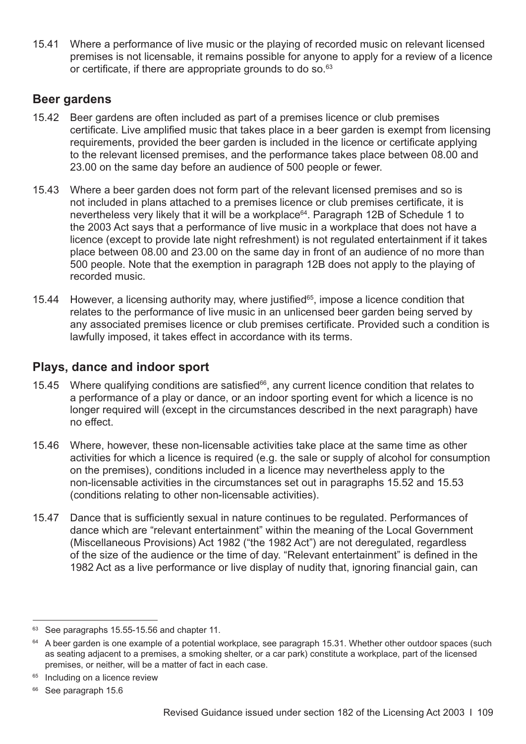<span id="page-112-0"></span>15.41 Where a performance of live music or the playing of recorded music on relevant licensed premises is not licensable, it remains possible for anyone to apply for a review of a licence or certificate, if there are appropriate grounds to do so.<sup>63</sup>

#### **Beer gardens**

- 15.42 Beer gardens are often included as part of a premises licence or club premises certificate. Live amplified music that takes place in a beer garden is exempt from licensing requirements, provided the beer garden is included in the licence or certificate applying to the relevant licensed premises, and the performance takes place between 08.00 and 23.00 on the same day before an audience of 500 people or fewer.
- 15.43 Where a beer garden does not form part of the relevant licensed premises and so is not included in plans attached to a premises licence or club premises certificate, it is nevertheless very likely that it will be a workplace<sup>64</sup>. Paragraph 12B of Schedule 1 to the 2003 Act says that a performance of live music in a workplace that does not have a licence (except to provide late night refreshment) is not regulated entertainment if it takes place between 08.00 and 23.00 on the same day in front of an audience of no more than 500 people. Note that the exemption in paragraph 12B does not apply to the playing of recorded music.
- 15.44 However, a licensing authority may, where justified<sup>65</sup>, impose a licence condition that relates to the performance of live music in an unlicensed beer garden being served by any associated premises licence or club premises certificate. Provided such a condition is lawfully imposed, it takes effect in accordance with its terms.

### **Plays, dance and indoor sport**

- 15.45 Where qualifying conditions are satisfied $66$ , any current licence condition that relates to a performance of a play or dance, or an indoor sporting event for which a licence is no longer required will (except in the circumstances described in the next paragraph) have no effect.
- 15.46 Where, however, these non-licensable activities take place at the same time as other activities for which a licence is required (e.g. the sale or supply of alcohol for consumption on the premises), conditions included in a licence may nevertheless apply to the non-licensable activities in the circumstances set out in paragraphs [15.52 and 15.53](#page-113-0)  (conditions relating to other non-licensable activities).
- 15.47 Dance that is sufficiently sexual in nature continues to be regulated. Performances of dance which are "relevant entertainment" within the meaning of the Local Government (Miscellaneous Provisions) Act 1982 ("the 1982 Act") are not deregulated, regardless of the size of the audience or the time of day. "Relevant entertainment" is defined in the 1982 Act as a live performance or live display of nudity that, ignoring financial gain, can

<sup>&</sup>lt;sup>63</sup> See [paragraphs 15.55-15.56](#page-114-0) and chapter 11.

 $64$  A beer garden is one example of a potential workplace, see [paragraph 15.31.](#page-110-0) Whether other outdoor spaces (such as seating adjacent to a premises, a smoking shelter, or a car park) constitute a workplace, part of the licensed premises, or neither, will be a matter of fact in each case.

<sup>&</sup>lt;sup>65</sup> Including on a licence review

<sup>&</sup>lt;sup>66</sup> See [paragraph 15.6](#page-102-0)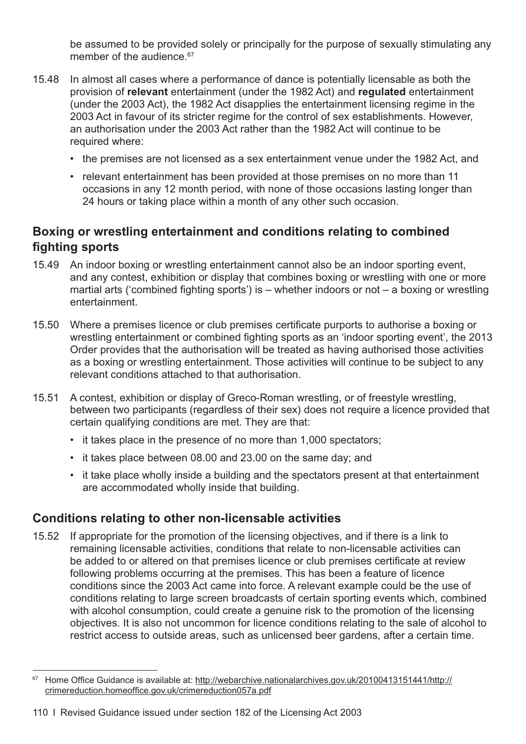<span id="page-113-0"></span>be assumed to be provided solely or principally for the purpose of sexually stimulating any member of the audience.<sup>67</sup>

- 15.48 In almost all cases where a performance of dance is potentially licensable as both the provision of **relevant** entertainment (under the 1982 Act) and **regulated** entertainment (under the 2003 Act), the 1982 Act disapplies the entertainment licensing regime in the 2003 Act in favour of its stricter regime for the control of sex establishments. However, an authorisation under the 2003 Act rather than the 1982 Act will continue to be required where:
	- the premises are not licensed as a sex entertainment venue under the 1982 Act, and
	- relevant entertainment has been provided at those premises on no more than 11 occasions in any 12 month period, with none of those occasions lasting longer than 24 hours or taking place within a month of any other such occasion.

## **Boxing or wrestling entertainment and conditions relating to combined fighting sports**

- 15.49 An indoor boxing or wrestling entertainment cannot also be an indoor sporting event, and any contest, exhibition or display that combines boxing or wrestling with one or more martial arts ('combined fighting sports') is – whether indoors or not – a boxing or wrestling entertainment.
- 15.50 Where a premises licence or club premises certificate purports to authorise a boxing or wrestling entertainment or combined fighting sports as an 'indoor sporting event', the 2013 Order provides that the authorisation will be treated as having authorised those activities as a boxing or wrestling entertainment. Those activities will continue to be subject to any relevant conditions attached to that authorisation.
- 15.51 A contest, exhibition or display of Greco-Roman wrestling, or of freestyle wrestling, between two participants (regardless of their sex) does not require a licence provided that certain qualifying conditions are met. They are that:
	- it takes place in the presence of no more than 1,000 spectators;
	- it takes place between 08.00 and 23.00 on the same day; and
	- it take place wholly inside a building and the spectators present at that entertainment are accommodated wholly inside that building.

#### **Conditions relating to other non-licensable activities**

15.52 If appropriate for the promotion of the licensing objectives, and if there is a link to remaining licensable activities, conditions that relate to non-licensable activities can be added to or altered on that premises licence or club premises certificate at review following problems occurring at the premises. This has been a feature of licence conditions since the 2003 Act came into force. A relevant example could be the use of conditions relating to large screen broadcasts of certain sporting events which, combined with alcohol consumption, could create a genuine risk to the promotion of the licensing objectives. It is also not uncommon for licence conditions relating to the sale of alcohol to restrict access to outside areas, such as unlicensed beer gardens, after a certain time.

110 I Revised Guidance issued under section 182 of the Licensing Act 2003

<sup>67</sup> Home Office Guidance is available at: [http://webarchive.nationalarchives.gov.uk/20100413151441/http://](http://webarchive.nationalarchives.gov.uk/20100413151441/http:/crimereduction.homeoffice.gov.uk/crimereduction057a.pdf) [crimereduction.homeoffice.gov.uk/crimereduction057a.pdf](http://webarchive.nationalarchives.gov.uk/20100413151441/http:/crimereduction.homeoffice.gov.uk/crimereduction057a.pdf)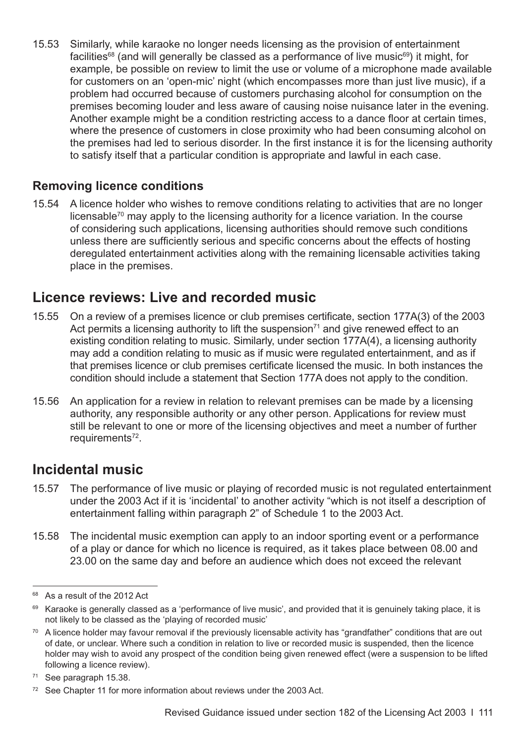<span id="page-114-0"></span>15.53 Similarly, while karaoke no longer needs licensing as the provision of entertainment facilities<sup>68</sup> (and will generally be classed as a performance of live music<sup>69</sup>) it might, for example, be possible on review to limit the use or volume of a microphone made available for customers on an 'open-mic' night (which encompasses more than just live music), if a problem had occurred because of customers purchasing alcohol for consumption on the premises becoming louder and less aware of causing noise nuisance later in the evening. Another example might be a condition restricting access to a dance floor at certain times, where the presence of customers in close proximity who had been consuming alcohol on the premises had led to serious disorder. In the first instance it is for the licensing authority to satisfy itself that a particular condition is appropriate and lawful in each case.

## **Removing licence conditions**

15.54 A licence holder who wishes to remove conditions relating to activities that are no longer licensable<sup>70</sup> may apply to the licensing authority for a licence variation. In the course of considering such applications, licensing authorities should remove such conditions unless there are sufficiently serious and specific concerns about the effects of hosting deregulated entertainment activities along with the remaining licensable activities taking place in the premises.

# **Licence reviews: Live and recorded music**

- 15.55 On a review of a premises licence or club premises certificate, section 177A(3) of the 2003 Act permits a licensing authority to lift the suspension $71$  and give renewed effect to an existing condition relating to music. Similarly, under section 177A(4), a licensing authority may add a condition relating to music as if music were regulated entertainment, and as if that premises licence or club premises certificate licensed the music. In both instances the condition should include a statement that Section 177A does not apply to the condition.
- 15.56 An application for a review in relation to relevant premises can be made by a licensing authority, any responsible authority or any other person. Applications for review must still be relevant to one or more of the licensing objectives and meet a number of further requirements<sup>72</sup>.

# **Incidental music**

- 15.57 The performance of live music or playing of recorded music is not regulated entertainment under the 2003 Act if it is 'incidental' to another activity "which is not itself a description of entertainment falling within paragraph 2" of Schedule 1 to the 2003 Act.
- 15.58 The incidental music exemption can apply to an indoor sporting event or a performance of a play or dance for which no licence is required, as it takes place between 08.00 and 23.00 on the same day and before an audience which does not exceed the relevant

<sup>68</sup> As a result of the 2012 Act

<sup>69</sup> Karaoke is generally classed as a 'performance of live music', and provided that it is genuinely taking place, it is not likely to be classed as the 'playing of recorded music'

<sup>&</sup>lt;sup>70</sup> A licence holder may favour removal if the previously licensable activity has "grandfather" conditions that are out of date, or unclear. Where such a condition in relation to live or recorded music is suspended, then the licence holder may wish to avoid any prospect of the condition being given renewed effect (were a suspension to be lifted following a licence review).

<sup>&</sup>lt;sup>71</sup> See paragraph 15.38.

<sup>&</sup>lt;sup>72</sup> See [Chapter 11](#page-78-0) for more information about reviews under the 2003 Act.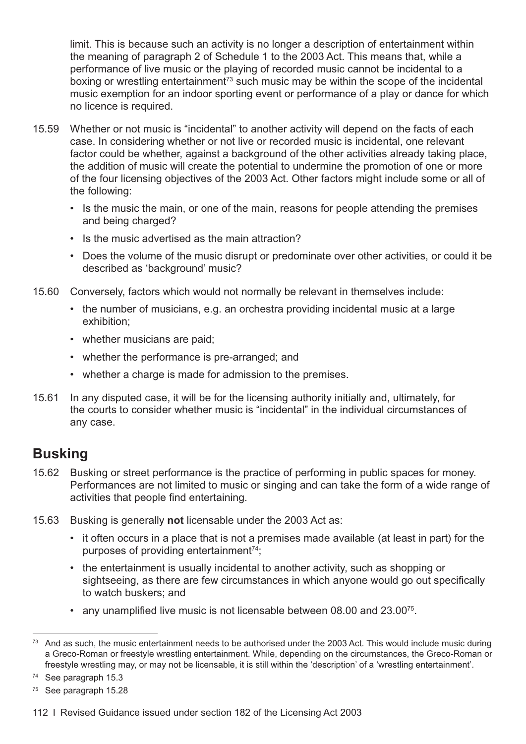limit. This is because such an activity is no longer a description of entertainment within the meaning of paragraph 2 of Schedule 1 to the 2003 Act. This means that, while a performance of live music or the playing of recorded music cannot be incidental to a boxing or wrestling entertainment<sup>73</sup> such music may be within the scope of the incidental music exemption for an indoor sporting event or performance of a play or dance for which no licence is required.

- 15.59 Whether or not music is "incidental" to another activity will depend on the facts of each case. In considering whether or not live or recorded music is incidental, one relevant factor could be whether, against a background of the other activities already taking place, the addition of music will create the potential to undermine the promotion of one or more of the four licensing objectives of the 2003 Act. Other factors might include some or all of the following:
	- Is the music the main, or one of the main, reasons for people attending the premises and being charged?
	- Is the music advertised as the main attraction?
	- Does the volume of the music disrupt or predominate over other activities, or could it be described as 'background' music?
- 15.60 Conversely, factors which would not normally be relevant in themselves include:
	- the number of musicians, e.g. an orchestra providing incidental music at a large exhibition;
	- whether musicians are paid;
	- whether the performance is pre-arranged; and
	- whether a charge is made for admission to the premises.
- 15.61 In any disputed case, it will be for the licensing authority initially and, ultimately, for the courts to consider whether music is "incidental" in the individual circumstances of any case.

# **Busking**

- 15.62 Busking or street performance is the practice of performing in public spaces for money. Performances are not limited to music or singing and can take the form of a wide range of activities that people find entertaining.
- 15.63 Busking is generally **not** licensable under the 2003 Act as:
	- it often occurs in a place that is not a premises made available (at least in part) for the purposes of providing entertainment<sup>74</sup>;
	- the entertainment is usually incidental to another activity, such as shopping or sightseeing, as there are few circumstances in which anyone would go out specifically to watch buskers; and
	- any unamplified live music is not licensable between 08.00 and 23.00<sup>75</sup>.

<sup>&</sup>lt;sup>73</sup> And as such, the music entertainment needs to be authorised under the 2003 Act. This would include music during a Greco-Roman or freestyle wrestling entertainment. While, depending on the circumstances, the Greco-Roman or freestyle wrestling may, or may not be licensable, it is still within the 'description' of a 'wrestling entertainment'.

<sup>74</sup> See [paragraph 15.3](#page-101-0)

<sup>75</sup> See [paragraph 15.28](#page-109-0)

<sup>112</sup> I Revised Guidance issued under section 182 of the Licensing Act 2003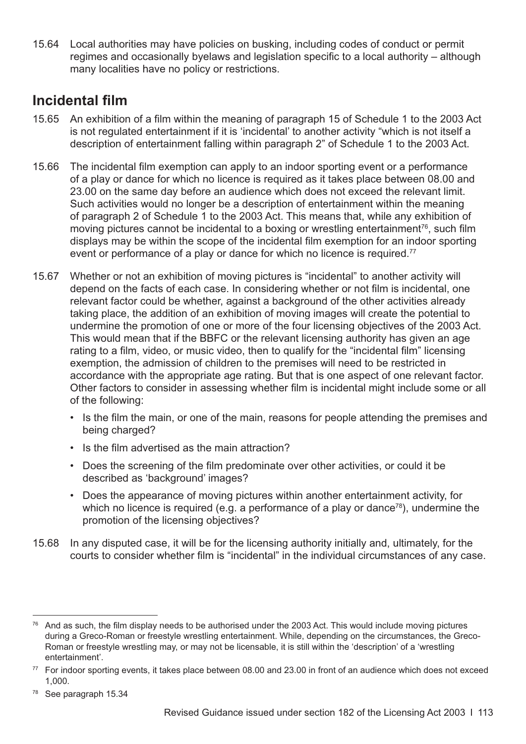15.64 Local authorities may have policies on busking, including codes of conduct or permit regimes and occasionally byelaws and legislation specific to a local authority – although many localities have no policy or restrictions.

# **Incidental film**

- 15.65 An exhibition of a film within the meaning of paragraph 15 of Schedule 1 to the 2003 Act is not regulated entertainment if it is 'incidental' to another activity "which is not itself a description of entertainment falling within paragraph 2" of Schedule 1 to the 2003 Act.
- 15.66 The incidental film exemption can apply to an indoor sporting event or a performance of a play or dance for which no licence is required as it takes place between 08.00 and 23.00 on the same day before an audience which does not exceed the relevant limit. Such activities would no longer be a description of entertainment within the meaning of paragraph 2 of Schedule 1 to the 2003 Act. This means that, while any exhibition of moving pictures cannot be incidental to a boxing or wrestling entertainment<sup>76</sup>, such film displays may be within the scope of the incidental film exemption for an indoor sporting event or performance of a play or dance for which no licence is required.<sup>77</sup>
- 15.67 Whether or not an exhibition of moving pictures is "incidental" to another activity will depend on the facts of each case. In considering whether or not film is incidental, one relevant factor could be whether, against a background of the other activities already taking place, the addition of an exhibition of moving images will create the potential to undermine the promotion of one or more of the four licensing objectives of the 2003 Act. This would mean that if the BBFC or the relevant licensing authority has given an age rating to a film, video, or music video, then to qualify for the "incidental film" licensing exemption, the admission of children to the premises will need to be restricted in accordance with the appropriate age rating. But that is one aspect of one relevant factor. Other factors to consider in assessing whether film is incidental might include some or all of the following:
	- Is the film the main, or one of the main, reasons for people attending the premises and being charged?
	- Is the film advertised as the main attraction?
	- Does the screening of the film predominate over other activities, or could it be described as 'background' images?
	- Does the appearance of moving pictures within another entertainment activity, for which no licence is required (e.g. a performance of a play or dance<sup>78</sup>), undermine the promotion of the licensing objectives?
- 15.68 In any disputed case, it will be for the licensing authority initially and, ultimately, for the courts to consider whether film is "incidental" in the individual circumstances of any case.

<sup>&</sup>lt;sup>76</sup> And as such, the film display needs to be authorised under the 2003 Act. This would include moving pictures during a Greco-Roman or freestyle wrestling entertainment. While, depending on the circumstances, the Greco-Roman or freestyle wrestling may, or may not be licensable, it is still within the 'description' of a 'wrestling entertainment'.

<sup>77</sup> For indoor sporting events, it takes place between 08.00 and 23.00 in front of an audience which does not exceed 1,000.

<sup>78</sup> See [paragraph 15.34](#page-110-0)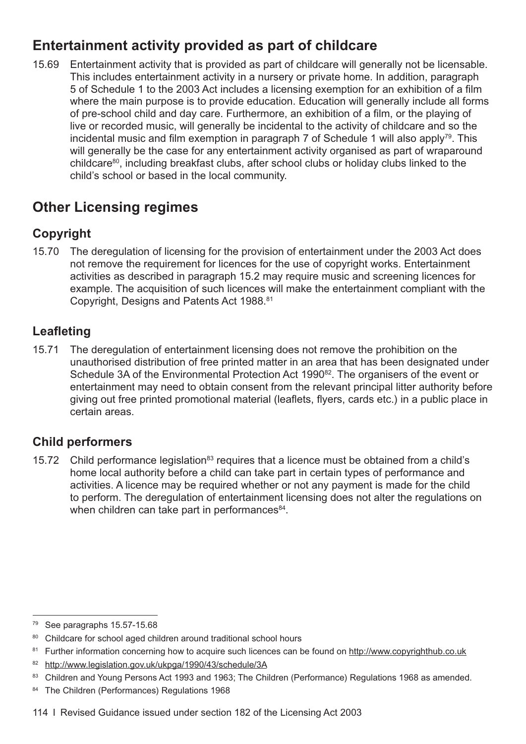# **Entertainment activity provided as part of childcare**

15.69 Entertainment activity that is provided as part of childcare will generally not be licensable. This includes entertainment activity in a nursery or private home. In addition, paragraph 5 of Schedule 1 to the 2003 Act includes a licensing exemption for an exhibition of a film where the main purpose is to provide education. Education will generally include all forms of pre-school child and day care. Furthermore, an exhibition of a film, or the playing of live or recorded music, will generally be incidental to the activity of childcare and so the incidental music and film exemption in paragraph  $\overline{7}$  of Schedule 1 will also apply<sup>79</sup>. This will generally be the case for any entertainment activity organised as part of wraparound childcare80, including breakfast clubs, after school clubs or holiday clubs linked to the child's school or based in the local community.

# **Other Licensing regimes**

# **Copyright**

15.70 The deregulation of licensing for the provision of entertainment under the 2003 Act does not remove the requirement for licences for the use of copyright works. Entertainment activities as described in [paragraph 15.2](#page-101-0) may require music and screening licences for example. The acquisition of such licences will make the entertainment compliant with the Copyright, Designs and Patents Act 1988.81

# **Leafleting**

15.71 The deregulation of entertainment licensing does not remove the prohibition on the unauthorised distribution of free printed matter in an area that has been designated under Schedule 3A of the Environmental Protection Act 1990<sup>82</sup>. The organisers of the event or entertainment may need to obtain consent from the relevant principal litter authority before giving out free printed promotional material (leaflets, flyers, cards etc.) in a public place in certain areas.

## **Child performers**

15.72 Child performance legislation<sup>83</sup> requires that a licence must be obtained from a child's home local authority before a child can take part in certain types of performance and activities. A licence may be required whether or not any payment is made for the child to perform. The deregulation of entertainment licensing does not alter the regulations on when children can take part in performances $84$ .

<sup>79</sup> See [paragraphs 15.57-15.68](#page-114-0)

<sup>80</sup> Childcare for school aged children around traditional school hours

<sup>&</sup>lt;sup>81</sup> Further information concerning how to acquire such licences can be found on<http://www.copyrighthub.co.uk>

<sup>82</sup> <http://www.legislation.gov.uk/ukpga/1990/43/schedule/3A>

<sup>83</sup> Children and Young Persons Act 1993 and 1963; The Children (Performance) Regulations 1968 as amended.

<sup>84</sup> The Children (Performances) Regulations 1968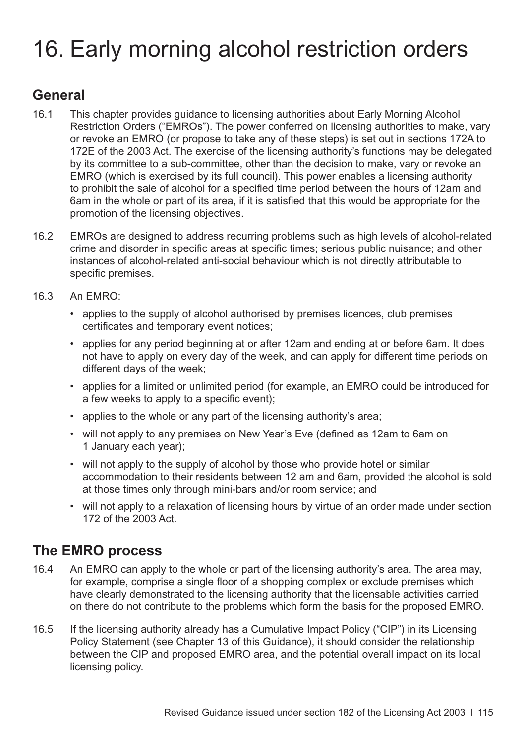# 16. Early morning alcohol restriction orders

# **General**

- 16.1 This chapter provides guidance to licensing authorities about Early Morning Alcohol Restriction Orders ("EMROs"). The power conferred on licensing authorities to make, vary or revoke an EMRO (or propose to take any of these steps) is set out in sections 172A to 172E of the 2003 Act. The exercise of the licensing authority's functions may be delegated by its committee to a sub-committee, other than the decision to make, vary or revoke an EMRO (which is exercised by its full council). This power enables a licensing authority to prohibit the sale of alcohol for a specified time period between the hours of 12am and 6am in the whole or part of its area, if it is satisfied that this would be appropriate for the promotion of the licensing objectives.
- 16.2 EMROs are designed to address recurring problems such as high levels of alcohol-related crime and disorder in specific areas at specific times; serious public nuisance; and other instances of alcohol-related anti-social behaviour which is not directly attributable to specific premises.
- 16.3 An EMRO:
	- applies to the supply of alcohol authorised by premises licences, club premises certificates and temporary event notices;
	- applies for any period beginning at or after 12am and ending at or before 6am. It does not have to apply on every day of the week, and can apply for different time periods on different days of the week;
	- applies for a limited or unlimited period (for example, an EMRO could be introduced for a few weeks to apply to a specific event);
	- applies to the whole or any part of the licensing authority's area;
	- will not apply to any premises on New Year's Eve (defined as 12am to 6am on 1 January each year);
	- will not apply to the supply of alcohol by those who provide hotel or similar accommodation to their residents between 12 am and 6am, provided the alcohol is sold at those times only through mini-bars and/or room service; and
	- will not apply to a relaxation of licensing hours by virtue of an order made under section 172 of the 2003 Act.

# **The EMRO process**

- 16.4 An EMRO can apply to the whole or part of the licensing authority's area. The area may, for example, comprise a single floor of a shopping complex or exclude premises which have clearly demonstrated to the licensing authority that the licensable activities carried on there do not contribute to the problems which form the basis for the proposed EMRO.
- 16.5 If the licensing authority already has a Cumulative Impact Policy ("CIP") in its Licensing Policy Statement (see [Chapter 13](#page-86-0) of this Guidance), it should consider the relationship between the CIP and proposed EMRO area, and the potential overall impact on its local licensing policy.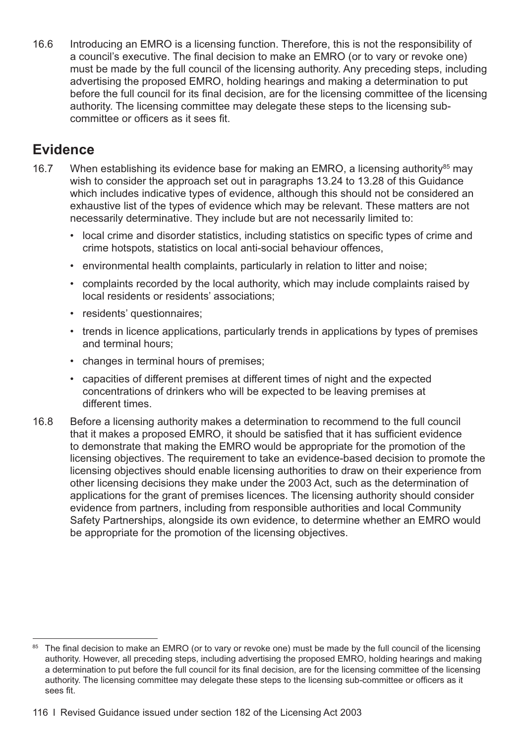<span id="page-119-0"></span>16.6 Introducing an EMRO is a licensing function. Therefore, this is not the responsibility of a council's executive. The final decision to make an EMRO (or to vary or revoke one) must be made by the full council of the licensing authority. Any preceding steps, including advertising the proposed EMRO, holding hearings and making a determination to put before the full council for its final decision, are for the licensing committee of the licensing authority. The licensing committee may delegate these steps to the licensing subcommittee or officers as it sees fit.

# **Evidence**

- 16.7 When establishing its evidence base for making an EMRO, a licensing authority<sup>85</sup> may wish to consider the approach set out in [paragraphs 13.24 to 13.28](#page-89-0) of this Guidance which includes indicative types of evidence, although this should not be considered an exhaustive list of the types of evidence which may be relevant. These matters are not necessarily determinative. They include but are not necessarily limited to:
	- local crime and disorder statistics, including statistics on specific types of crime and crime hotspots, statistics on local anti-social behaviour offences,
	- environmental health complaints, particularly in relation to litter and noise;
	- complaints recorded by the local authority, which may include complaints raised by local residents or residents' associations;
	- residents' questionnaires;
	- trends in licence applications, particularly trends in applications by types of premises and terminal hours;
	- changes in terminal hours of premises;
	- capacities of different premises at different times of night and the expected concentrations of drinkers who will be expected to be leaving premises at different times.
- 16.8 Before a licensing authority makes a determination to recommend to the full council that it makes a proposed EMRO, it should be satisfied that it has sufficient evidence to demonstrate that making the EMRO would be appropriate for the promotion of the licensing objectives. The requirement to take an evidence-based decision to promote the licensing objectives should enable licensing authorities to draw on their experience from other licensing decisions they make under the 2003 Act, such as the determination of applications for the grant of premises licences. The licensing authority should consider evidence from partners, including from responsible authorities and local Community Safety Partnerships, alongside its own evidence, to determine whether an EMRO would be appropriate for the promotion of the licensing objectives.

<sup>&</sup>lt;sup>85</sup> The final decision to make an EMRO (or to vary or revoke one) must be made by the full council of the licensing authority. However, all preceding steps, including advertising the proposed EMRO, holding hearings and making a determination to put before the full council for its final decision, are for the licensing committee of the licensing authority. The licensing committee may delegate these steps to the licensing sub-committee or officers as it sees fit.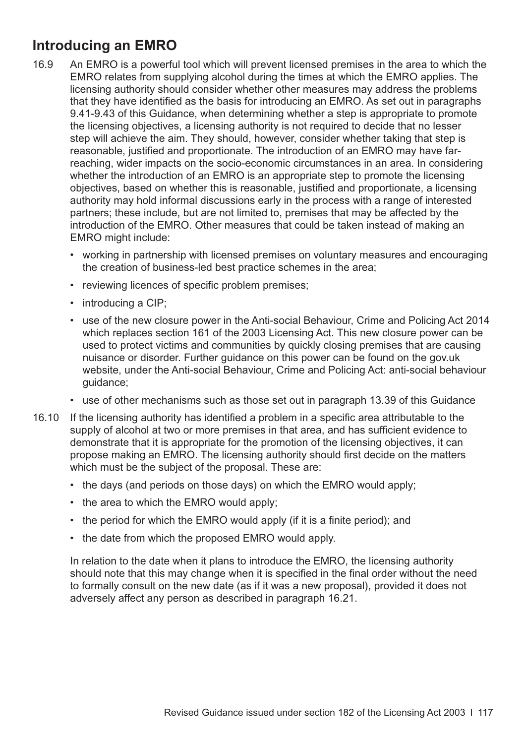# **Introducing an EMRO**

- 16.9 An EMRO is a powerful tool which will prevent licensed premises in the area to which the EMRO relates from supplying alcohol during the times at which the EMRO applies. The licensing authority should consider whether other measures may address the problems that they have identified as the basis for introducing an EMRO. As set out in paragraphs [9.41-9.43](#page-65-0) of this Guidance, when determining whether a step is appropriate to promote the licensing objectives, a licensing authority is not required to decide that no lesser step will achieve the aim. They should, however, consider whether taking that step is reasonable, justified and proportionate. The introduction of an EMRO may have farreaching, wider impacts on the socio-economic circumstances in an area. In considering whether the introduction of an EMRO is an appropriate step to promote the licensing objectives, based on whether this is reasonable, justified and proportionate, a licensing authority may hold informal discussions early in the process with a range of interested partners; these include, but are not limited to, premises that may be affected by the introduction of the EMRO. Other measures that could be taken instead of making an EMRO might include:
	- working in partnership with licensed premises on voluntary measures and encouraging the creation of business-led best practice schemes in the area;
	- reviewing licences of specific problem premises;
	- introducing a CIP;
	- use of the new closure power in the Anti-social Behaviour, Crime and Policing Act 2014 which replaces section 161 of the 2003 Licensing Act. This new closure power can be used to protect victims and communities by quickly closing premises that are causing nuisance or disorder. Further guidance on this power can be found on the gov.uk website, under the Anti-social Behaviour, Crime and Policing Act: anti-social behaviour guidance;
	- use of other mechanisms such as those set out in [paragraph 13.39](#page-92-0) of this Guidance
- 16.10 If the licensing authority has identified a problem in a specific area attributable to the supply of alcohol at two or more premises in that area, and has sufficient evidence to demonstrate that it is appropriate for the promotion of the licensing objectives, it can propose making an EMRO. The licensing authority should first decide on the matters which must be the subject of the proposal. These are:
	- the days (and periods on those days) on which the EMRO would apply;
	- the area to which the EMRO would apply;
	- the period for which the EMRO would apply (if it is a finite period); and
	- the date from which the proposed EMRO would apply.

In relation to the date when it plans to introduce the EMRO, the licensing authority should note that this may change when it is specified in the final order without the need to formally consult on the new date (as if it was a new proposal), provided it does not adversely affect any person as described in [paragraph 16.21](#page-123-0).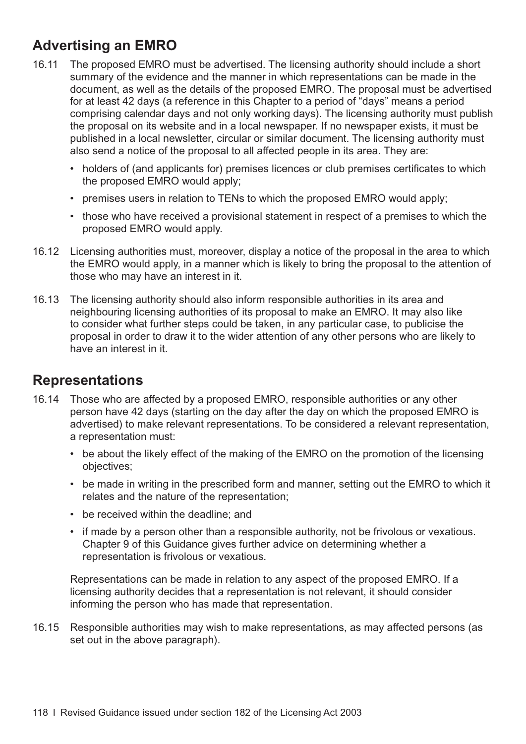# **Advertising an EMRO**

- 16.11 The proposed EMRO must be advertised. The licensing authority should include a short summary of the evidence and the manner in which representations can be made in the document, as well as the details of the proposed EMRO. The proposal must be advertised for at least 42 days (a reference in this Chapter to a period of "days" means a period comprising calendar days and not only working days). The licensing authority must publish the proposal on its website and in a local newspaper. If no newspaper exists, it must be published in a local newsletter, circular or similar document. The licensing authority must also send a notice of the proposal to all affected people in its area. They are:
	- holders of (and applicants for) premises licences or club premises certificates to which the proposed EMRO would apply;
	- premises users in relation to TENs to which the proposed EMRO would apply;
	- those who have received a provisional statement in respect of a premises to which the proposed EMRO would apply.
- 16.12 Licensing authorities must, moreover, display a notice of the proposal in the area to which the EMRO would apply, in a manner which is likely to bring the proposal to the attention of those who may have an interest in it.
- 16.13 The licensing authority should also inform responsible authorities in its area and neighbouring licensing authorities of its proposal to make an EMRO. It may also like to consider what further steps could be taken, in any particular case, to publicise the proposal in order to draw it to the wider attention of any other persons who are likely to have an interest in it.

# **Representations**

- 16.14 Those who are affected by a proposed EMRO, responsible authorities or any other person have 42 days (starting on the day after the day on which the proposed EMRO is advertised) to make relevant representations. To be considered a relevant representation, a representation must:
	- be about the likely effect of the making of the EMRO on the promotion of the licensing objectives;
	- be made in writing in the prescribed form and manner, setting out the EMRO to which it relates and the nature of the representation;
	- be received within the deadline; and
	- if made by a person other than a responsible authority, not be frivolous or vexatious. [Chapter 9](#page-58-0) of this Guidance gives further advice on determining whether a representation is frivolous or vexatious.

Representations can be made in relation to any aspect of the proposed EMRO. If a licensing authority decides that a representation is not relevant, it should consider informing the person who has made that representation.

16.15 Responsible authorities may wish to make representations, as may affected persons (as set out in the above paragraph).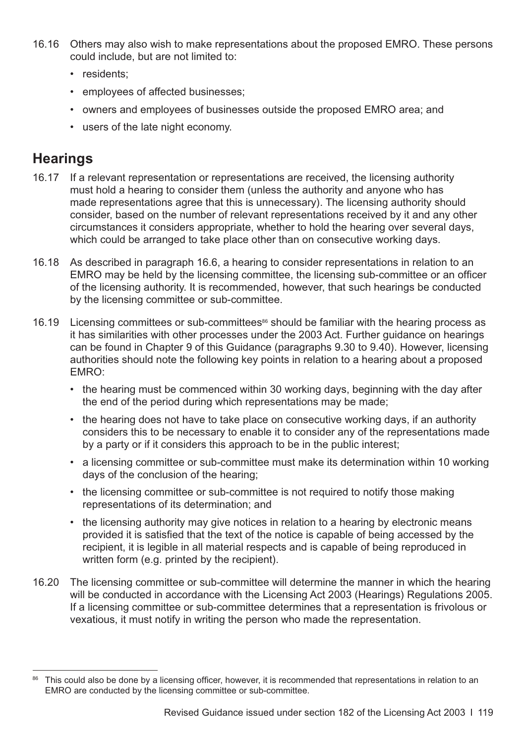- 16.16 Others may also wish to make representations about the proposed EMRO. These persons could include, but are not limited to:
	- residents:
	- employees of affected businesses;
	- owners and employees of businesses outside the proposed EMRO area; and
	- users of the late night economy.

# **Hearings**

- 16.17 If a relevant representation or representations are received, the licensing authority must hold a hearing to consider them (unless the authority and anyone who has made representations agree that this is unnecessary). The licensing authority should consider, based on the number of relevant representations received by it and any other circumstances it considers appropriate, whether to hold the hearing over several days, which could be arranged to take place other than on consecutive working days.
- 16.18 As described in [paragraph 16.6](#page-119-0), a hearing to consider representations in relation to an EMRO may be held by the licensing committee, the licensing sub-committee or an officer of the licensing authority. It is recommended, however, that such hearings be conducted by the licensing committee or sub-committee.
- 16.19 Licensing committees or sub-committees<sup>86</sup> should be familiar with the hearing process as it has similarities with other processes under the 2003 Act. Further guidance on hearings can be found in Chapter 9 of this Guidance [\(paragraphs 9.30 to 9.40\)](#page-63-0). However, licensing authorities should note the following key points in relation to a hearing about a proposed EMRO:
	- the hearing must be commenced within 30 working days, beginning with the day after the end of the period during which representations may be made;
	- the hearing does not have to take place on consecutive working days, if an authority considers this to be necessary to enable it to consider any of the representations made by a party or if it considers this approach to be in the public interest;
	- a licensing committee or sub-committee must make its determination within 10 working days of the conclusion of the hearing;
	- the licensing committee or sub-committee is not required to notify those making representations of its determination; and
	- the licensing authority may give notices in relation to a hearing by electronic means provided it is satisfied that the text of the notice is capable of being accessed by the recipient, it is legible in all material respects and is capable of being reproduced in written form (e.g. printed by the recipient).
- 16.20 The licensing committee or sub-committee will determine the manner in which the hearing will be conducted in accordance with the Licensing Act 2003 (Hearings) Regulations 2005. If a licensing committee or sub-committee determines that a representation is frivolous or vexatious, it must notify in writing the person who made the representation.

<sup>86</sup> This could also be done by a licensing officer, however, it is recommended that representations in relation to an EMRO are conducted by the licensing committee or sub-committee.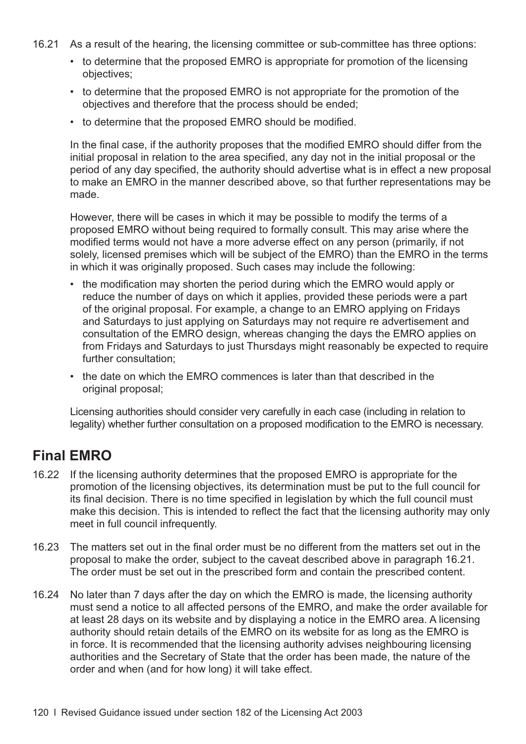- <span id="page-123-0"></span>16.21 As a result of the hearing, the licensing committee or sub-committee has three options:
	- to determine that the proposed EMRO is appropriate for promotion of the licensing objectives;
	- to determine that the proposed EMRO is not appropriate for the promotion of the objectives and therefore that the process should be ended;
	- to determine that the proposed EMRO should be modified.

In the final case, if the authority proposes that the modified EMRO should differ from the initial proposal in relation to the area specified, any day not in the initial proposal or the period of any day specified, the authority should advertise what is in effect a new proposal to make an EMRO in the manner described above, so that further representations may be made.

However, there will be cases in which it may be possible to modify the terms of a proposed EMRO without being required to formally consult. This may arise where the modified terms would not have a more adverse effect on any person (primarily, if not solely, licensed premises which will be subject of the EMRO) than the EMRO in the terms in which it was originally proposed. Such cases may include the following:

- the modification may shorten the period during which the EMRO would apply or reduce the number of days on which it applies, provided these periods were a part of the original proposal. For example, a change to an EMRO applying on Fridays and Saturdays to just applying on Saturdays may not require re advertisement and consultation of the EMRO design, whereas changing the days the EMRO applies on from Fridays and Saturdays to just Thursdays might reasonably be expected to require further consultation;
- the date on which the EMRO commences is later than that described in the original proposal;

Licensing authorities should consider very carefully in each case (including in relation to legality) whether further consultation on a proposed modification to the EMRO is necessary.

# **Final EMRO**

- 16.22 If the licensing authority determines that the proposed EMRO is appropriate for the promotion of the licensing objectives, its determination must be put to the full council for its final decision. There is no time specified in legislation by which the full council must make this decision. This is intended to reflect the fact that the licensing authority may only meet in full council infrequently.
- 16.23 The matters set out in the final order must be no different from the matters set out in the proposal to make the order, subject to the caveat described above in paragraph 16.21. The order must be set out in the prescribed form and contain the prescribed content.
- 16.24 No later than 7 days after the day on which the EMRO is made, the licensing authority must send a notice to all affected persons of the EMRO, and make the order available for at least 28 days on its website and by displaying a notice in the EMRO area. A licensing authority should retain details of the EMRO on its website for as long as the EMRO is in force. It is recommended that the licensing authority advises neighbouring licensing authorities and the Secretary of State that the order has been made, the nature of the order and when (and for how long) it will take effect.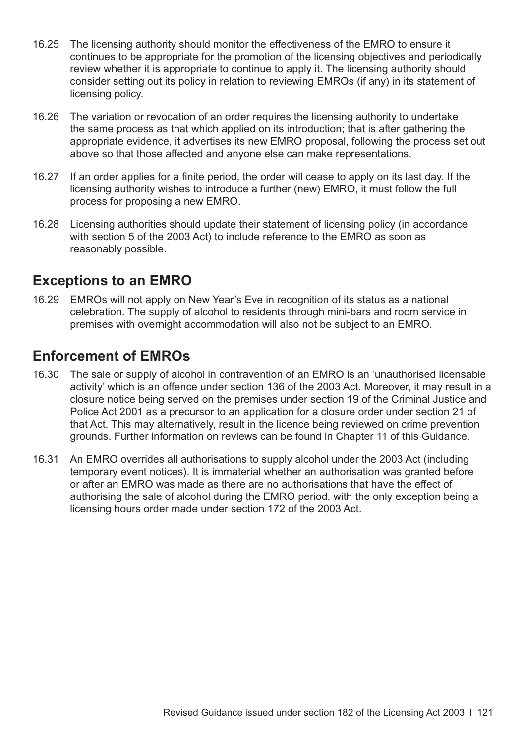- 16.25 The licensing authority should monitor the effectiveness of the EMRO to ensure it continues to be appropriate for the promotion of the licensing objectives and periodically review whether it is appropriate to continue to apply it. The licensing authority should consider setting out its policy in relation to reviewing EMROs (if any) in its statement of licensing policy.
- 16.26 The variation or revocation of an order requires the licensing authority to undertake the same process as that which applied on its introduction; that is after gathering the appropriate evidence, it advertises its new EMRO proposal, following the process set out above so that those affected and anyone else can make representations.
- 16.27 If an order applies for a finite period, the order will cease to apply on its last day. If the licensing authority wishes to introduce a further (new) EMRO, it must follow the full process for proposing a new EMRO.
- 16.28 Licensing authorities should update their statement of licensing policy (in accordance with section 5 of the 2003 Act) to include reference to the EMRO as soon as reasonably possible.

## **Exceptions to an EMRO**

16.29 EMROs will not apply on New Year's Eve in recognition of its status as a national celebration. The supply of alcohol to residents through mini-bars and room service in premises with overnight accommodation will also not be subject to an EMRO.

# **Enforcement of EMROs**

- 16.30 The sale or supply of alcohol in contravention of an EMRO is an 'unauthorised licensable activity' which is an offence under section 136 of the 2003 Act. Moreover, it may result in a closure notice being served on the premises under section 19 of the Criminal Justice and Police Act 2001 as a precursor to an application for a closure order under section 21 of that Act. This may alternatively, result in the licence being reviewed on crime prevention grounds. Further information on reviews can be found in [Chapter 11](#page-78-0) of this Guidance.
- 16.31 An EMRO overrides all authorisations to supply alcohol under the 2003 Act (including temporary event notices). It is immaterial whether an authorisation was granted before or after an EMRO was made as there are no authorisations that have the effect of authorising the sale of alcohol during the EMRO period, with the only exception being a licensing hours order made under section 172 of the 2003 Act.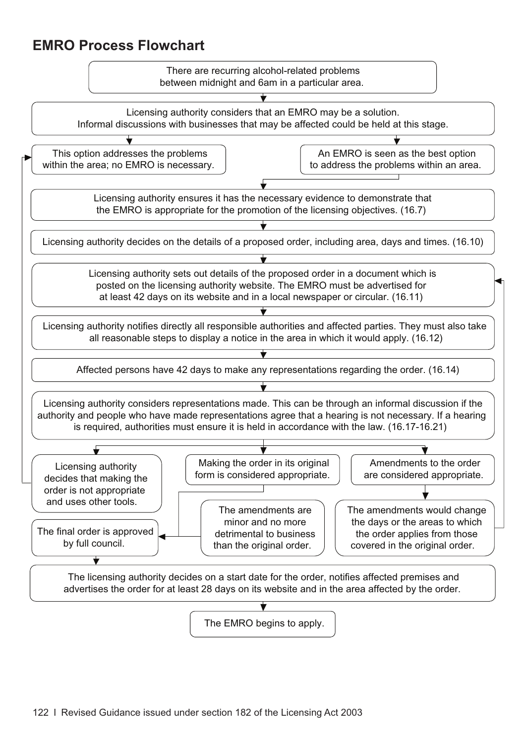# **EMRO Process Flowchart**